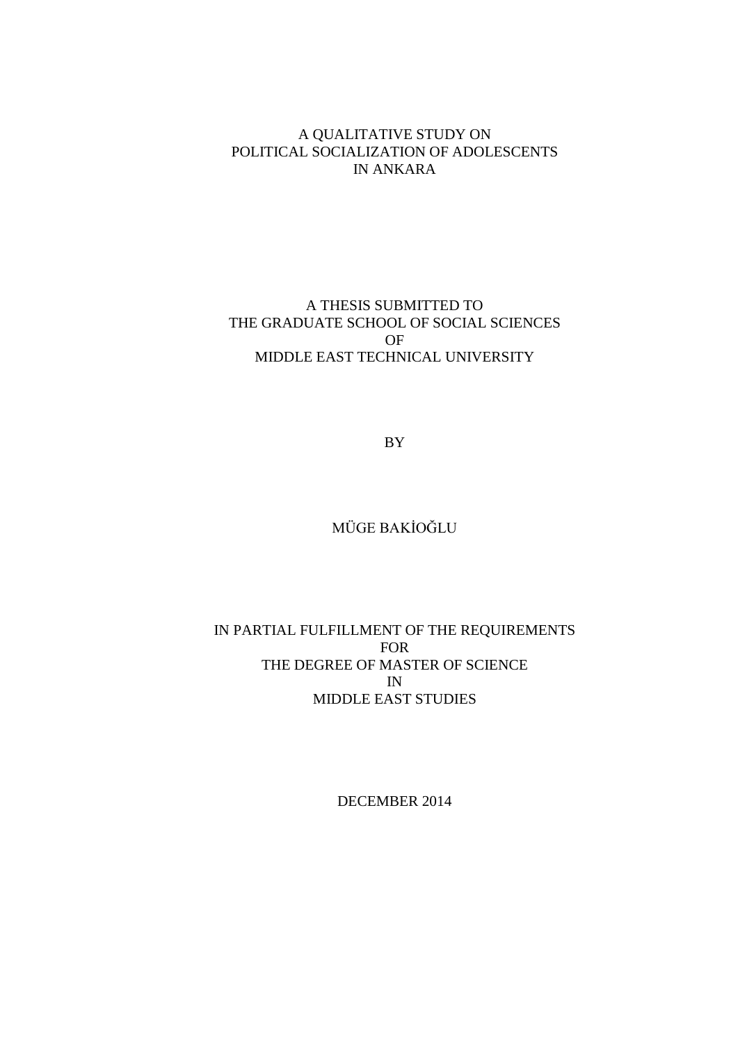### A QUALITATIVE STUDY ON POLITICAL SOCIALIZATION OF ADOLESCENTS IN ANKARA

### A THESIS SUBMITTED TO THE GRADUATE SCHOOL OF SOCIAL SCIENCES OF MIDDLE EAST TECHNICAL UNIVERSITY

BY

MÜGE BAKİOĞLU

### IN PARTIAL FULFILLMENT OF THE REQUIREMENTS FOR THE DEGREE OF MASTER OF SCIENCE IN MIDDLE EAST STUDIES

DECEMBER 2014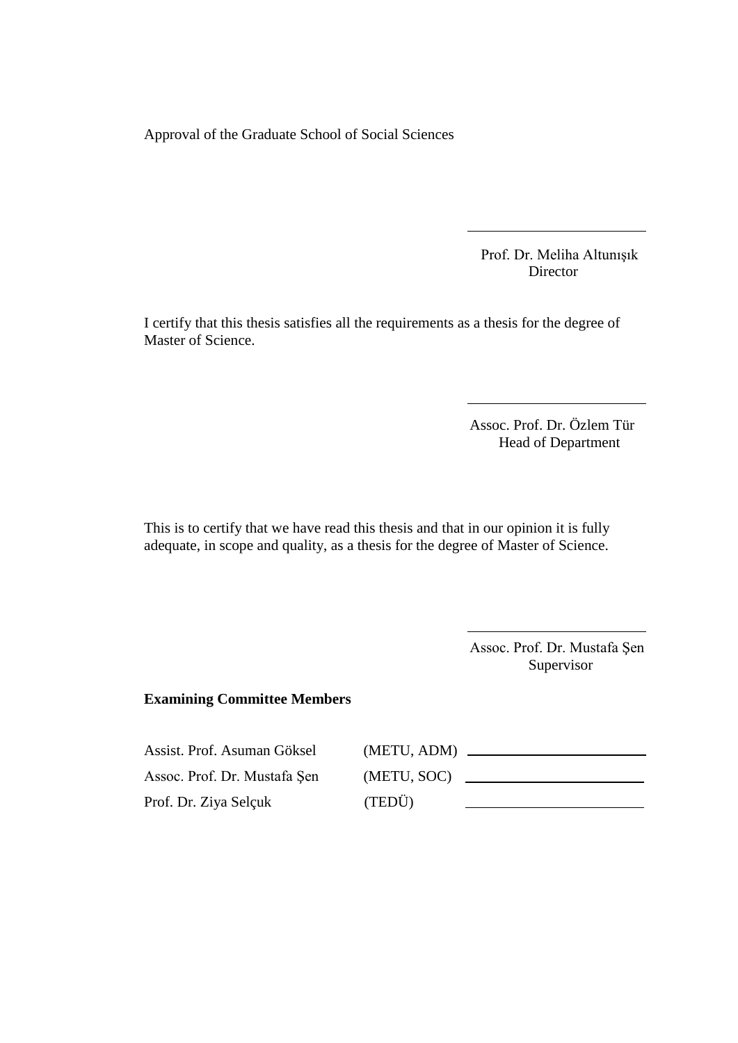Approval of the Graduate School of Social Sciences

 Prof. Dr. Meliha Altunışık **Director** 

I certify that this thesis satisfies all the requirements as a thesis for the degree of Master of Science.

> Assoc. Prof. Dr. Özlem Tür Head of Department

This is to certify that we have read this thesis and that in our opinion it is fully adequate, in scope and quality, as a thesis for the degree of Master of Science.

> Assoc. Prof. Dr. Mustafa Şen Supervisor

### **Examining Committee Members**

Assist. Prof. Asuman Göksel Assoc. Prof. Dr. Mustafa Şen Prof. Dr. Ziya Selçuk

|             | (METU, ADM) |
|-------------|-------------|
| (METU, SOC) |             |
| (TEDÜ)      |             |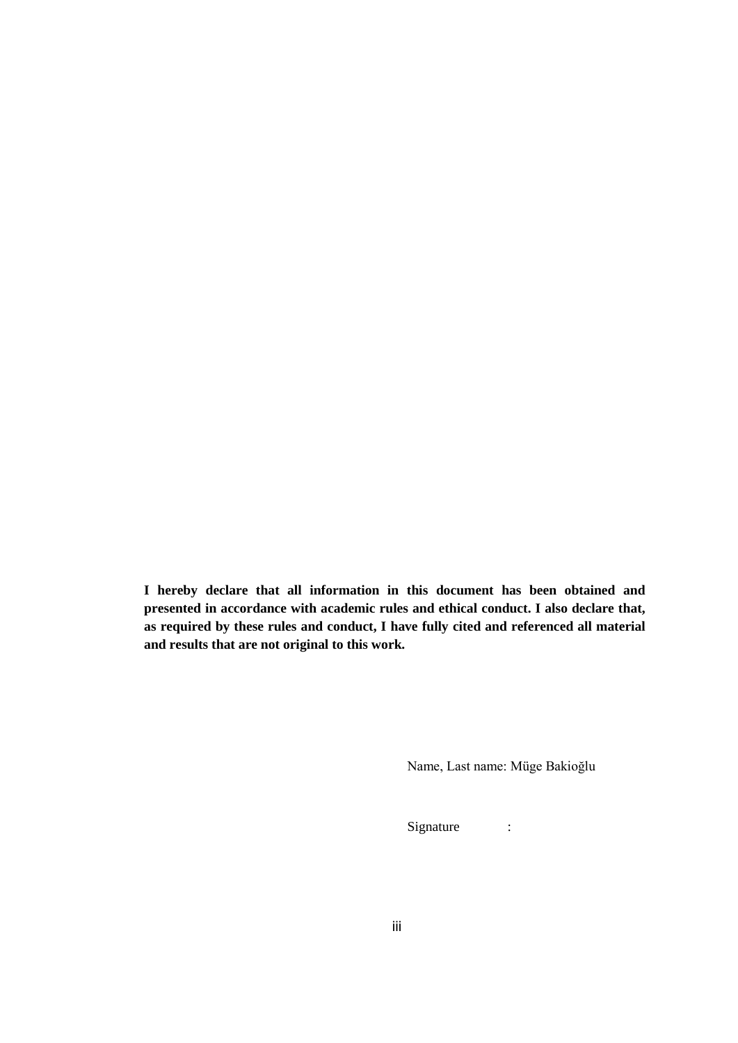**I hereby declare that all information in this document has been obtained and presented in accordance with academic rules and ethical conduct. I also declare that, as required by these rules and conduct, I have fully cited and referenced all material and results that are not original to this work.** 

Name, Last name: Müge Bakioğlu

Signature :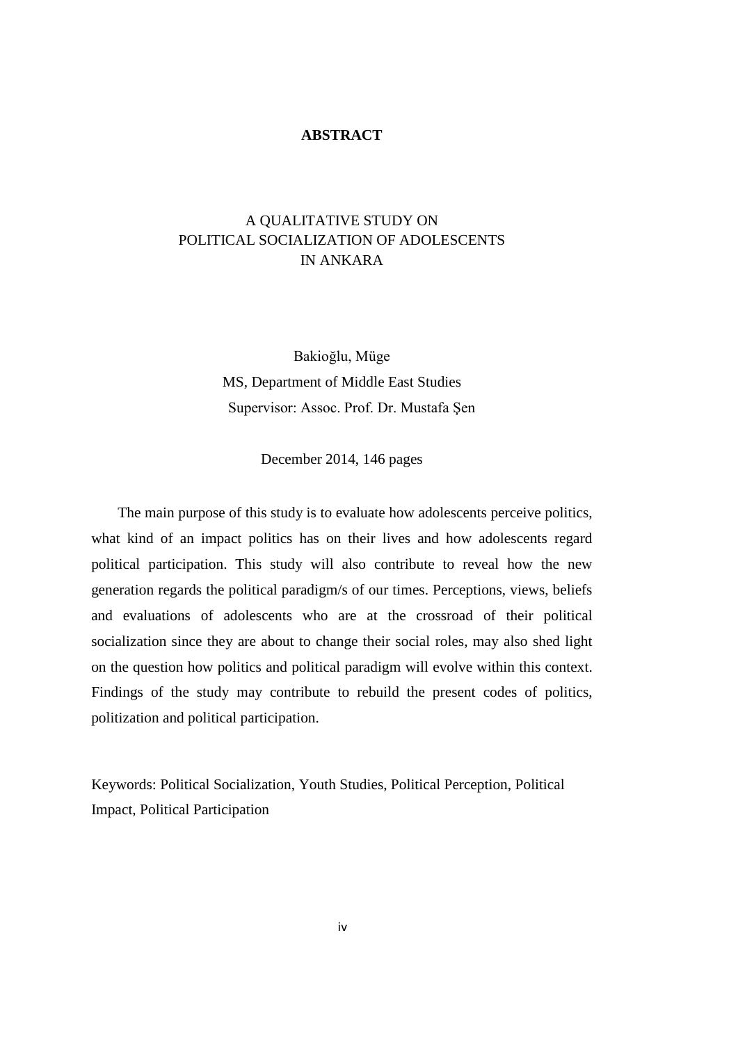#### **ABSTRACT**

# A QUALITATIVE STUDY ON POLITICAL SOCIALIZATION OF ADOLESCENTS IN ANKARA

Bakioğlu, Müge MS, Department of Middle East Studies Supervisor: Assoc. Prof. Dr. Mustafa Şen

December 2014, 146 pages

The main purpose of this study is to evaluate how adolescents perceive politics, what kind of an impact politics has on their lives and how adolescents regard political participation. This study will also contribute to reveal how the new generation regards the political paradigm/s of our times. Perceptions, views, beliefs and evaluations of adolescents who are at the crossroad of their political socialization since they are about to change their social roles, may also shed light on the question how politics and political paradigm will evolve within this context. Findings of the study may contribute to rebuild the present codes of politics, politization and political participation.

Keywords: Political Socialization, Youth Studies, Political Perception, Political Impact, Political Participation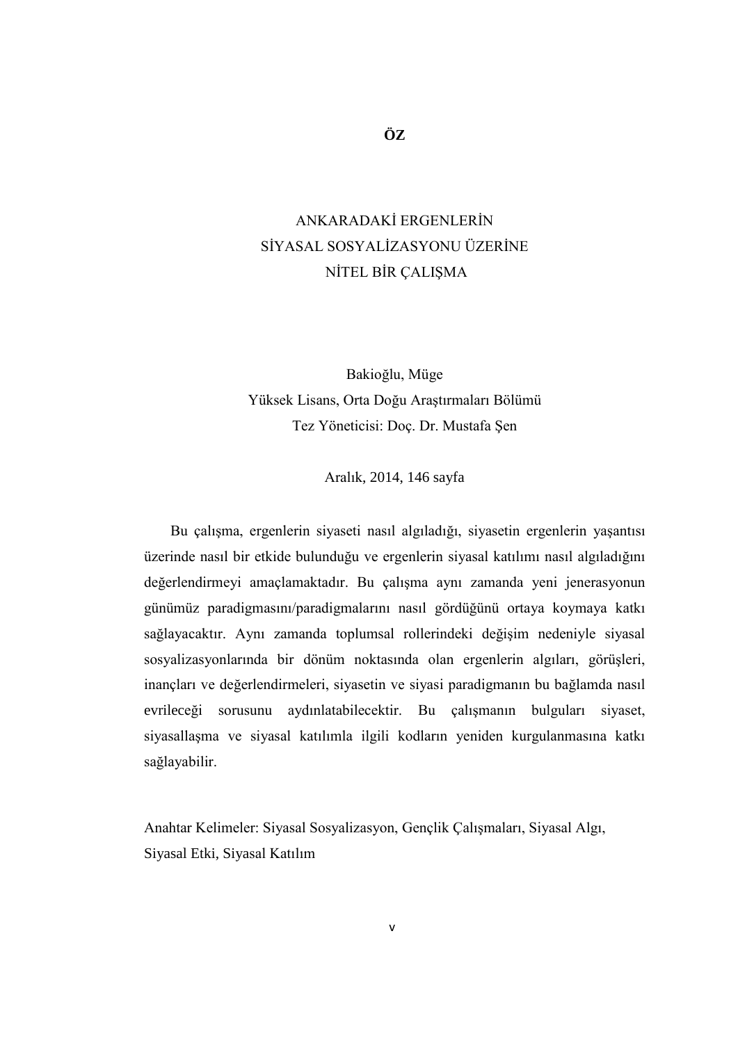# ANKARADAKİ ERGENLERİN SİYASAL SOSYALİZASYONU ÜZERİNE NİTEL BİR ÇALIŞMA

Bakioğlu, Müge Yüksek Lisans, Orta Doğu Araştırmaları Bölümü Tez Yöneticisi: Doç. Dr. Mustafa Şen

Aralık, 2014, 146 sayfa

Bu çalışma, ergenlerin siyaseti nasıl algıladığı, siyasetin ergenlerin yaşantısı üzerinde nasıl bir etkide bulunduğu ve ergenlerin siyasal katılımı nasıl algıladığını değerlendirmeyi amaçlamaktadır. Bu çalışma aynı zamanda yeni jenerasyonun günümüz paradigmasını/paradigmalarını nasıl gördüğünü ortaya koymaya katkı sağlayacaktır. Aynı zamanda toplumsal rollerindeki değişim nedeniyle siyasal sosyalizasyonlarında bir dönüm noktasında olan ergenlerin algıları, görüşleri, inançları ve değerlendirmeleri, siyasetin ve siyasi paradigmanın bu bağlamda nasıl evrileceği sorusunu aydınlatabilecektir. Bu çalışmanın bulguları siyaset, siyasallaşma ve siyasal katılımla ilgili kodların yeniden kurgulanmasına katkı sağlayabilir.

Anahtar Kelimeler: Siyasal Sosyalizasyon, Gençlik Çalışmaları, Siyasal Algı, Siyasal Etki, Siyasal Katılım

## **ÖZ**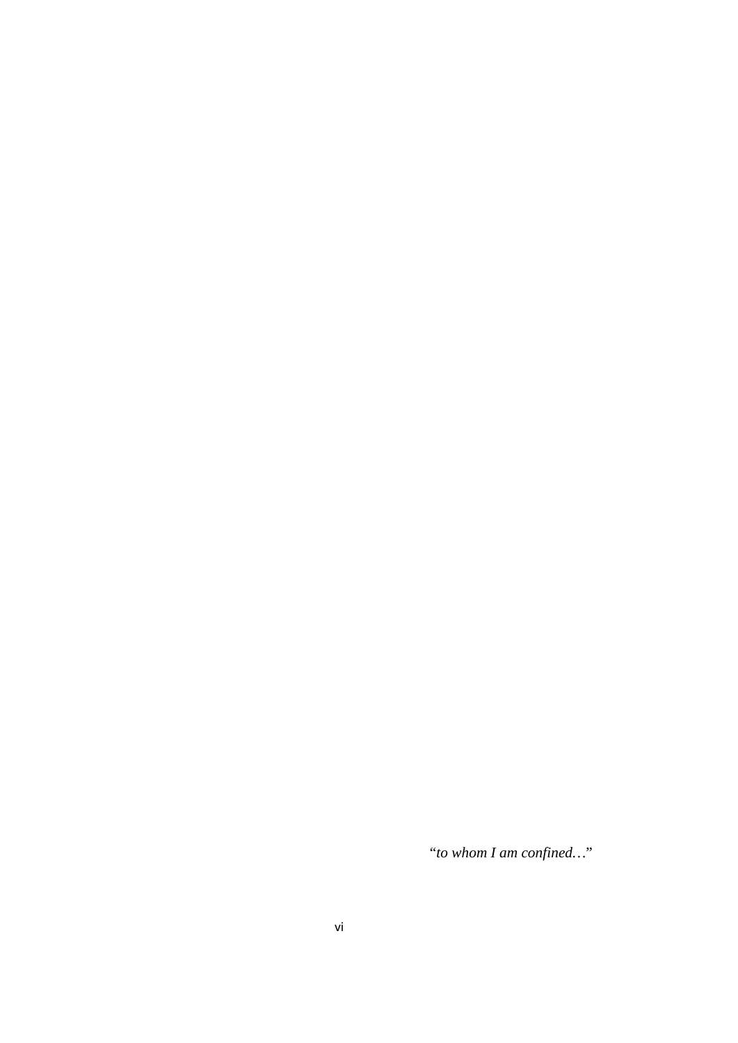"*to whom I am confined…*"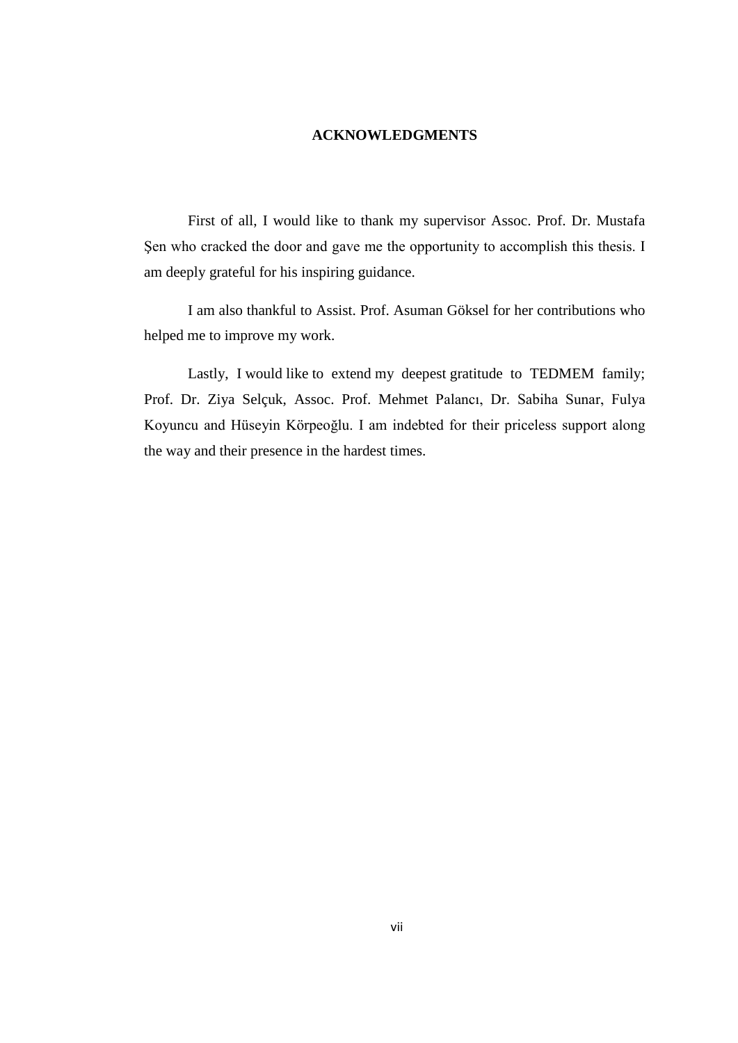#### **ACKNOWLEDGMENTS**

First of all, I would like to thank my supervisor Assoc. Prof. Dr. Mustafa Şen who cracked the door and gave me the opportunity to accomplish this thesis. I am deeply grateful for his inspiring guidance.

I am also thankful to Assist. Prof. Asuman Göksel for her contributions who helped me to improve my work.

Lastly, I would like to extend my deepest gratitude to TEDMEM family; Prof. Dr. Ziya Selçuk, Assoc. Prof. Mehmet Palancı, Dr. Sabiha Sunar, Fulya Koyuncu and Hüseyin Körpeoğlu. I am indebted for their priceless support along the way and their presence in the hardest times.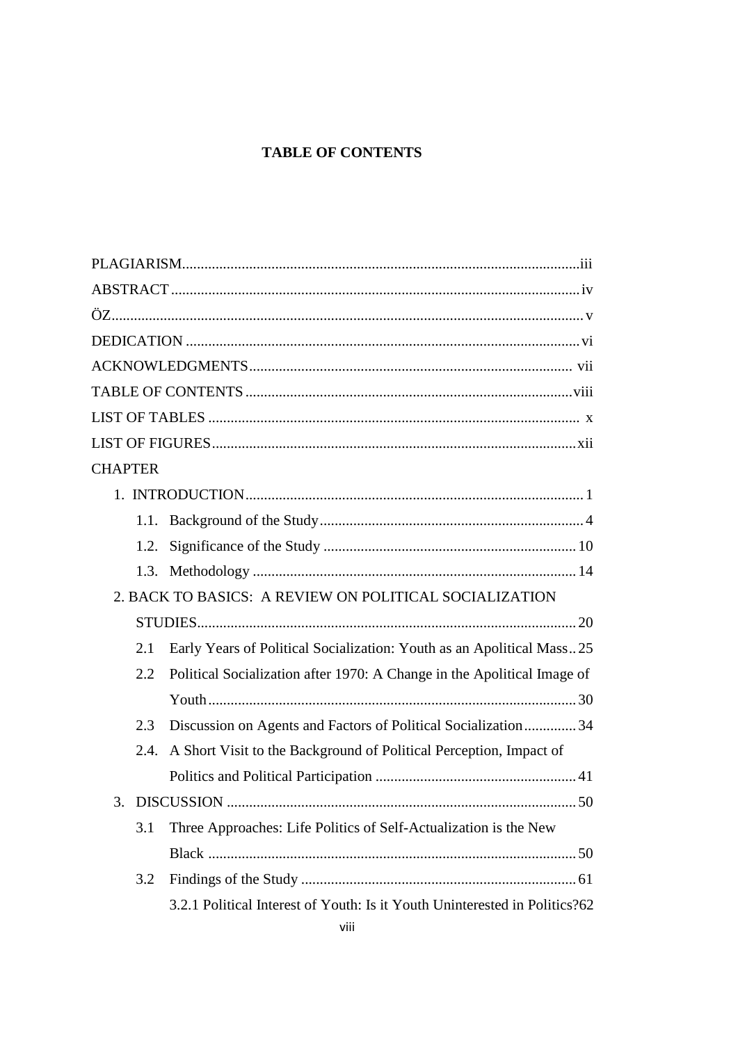# **TABLE OF CONTENTS**

| <b>CHAPTER</b>                                                                 |
|--------------------------------------------------------------------------------|
|                                                                                |
|                                                                                |
| 1.2.                                                                           |
|                                                                                |
| 2. BACK TO BASICS: A REVIEW ON POLITICAL SOCIALIZATION                         |
|                                                                                |
| Early Years of Political Socialization: Youth as an Apolitical Mass25<br>2.1   |
| Political Socialization after 1970: A Change in the Apolitical Image of<br>2.2 |
|                                                                                |
| Discussion on Agents and Factors of Political Socialization 34<br>2.3          |
| A Short Visit to the Background of Political Perception, Impact of<br>2.4.     |
|                                                                                |
|                                                                                |
| Three Approaches: Life Politics of Self-Actualization is the New<br>3.1        |
|                                                                                |
| 3.2                                                                            |
| 3.2.1 Political Interest of Youth: Is it Youth Uninterested in Politics?62     |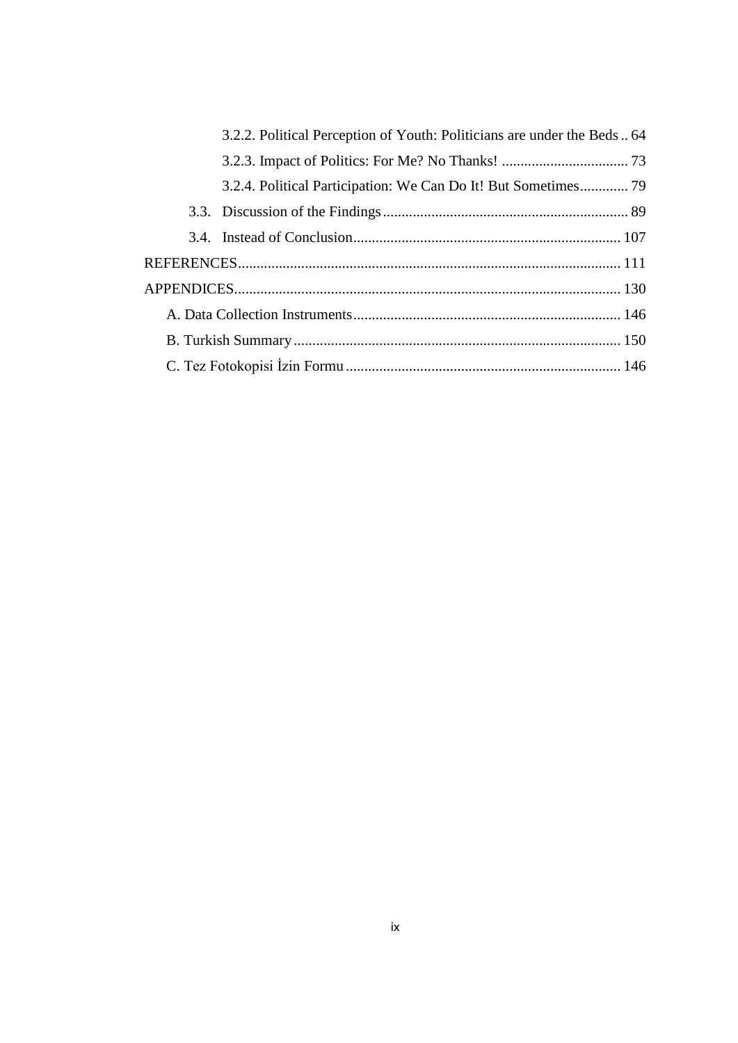|  | 3.2.2. Political Perception of Youth: Politicians are under the Beds 64 |  |
|--|-------------------------------------------------------------------------|--|
|  |                                                                         |  |
|  | 3.2.4. Political Participation: We Can Do It! But Sometimes 79          |  |
|  |                                                                         |  |
|  |                                                                         |  |
|  |                                                                         |  |
|  |                                                                         |  |
|  |                                                                         |  |
|  |                                                                         |  |
|  |                                                                         |  |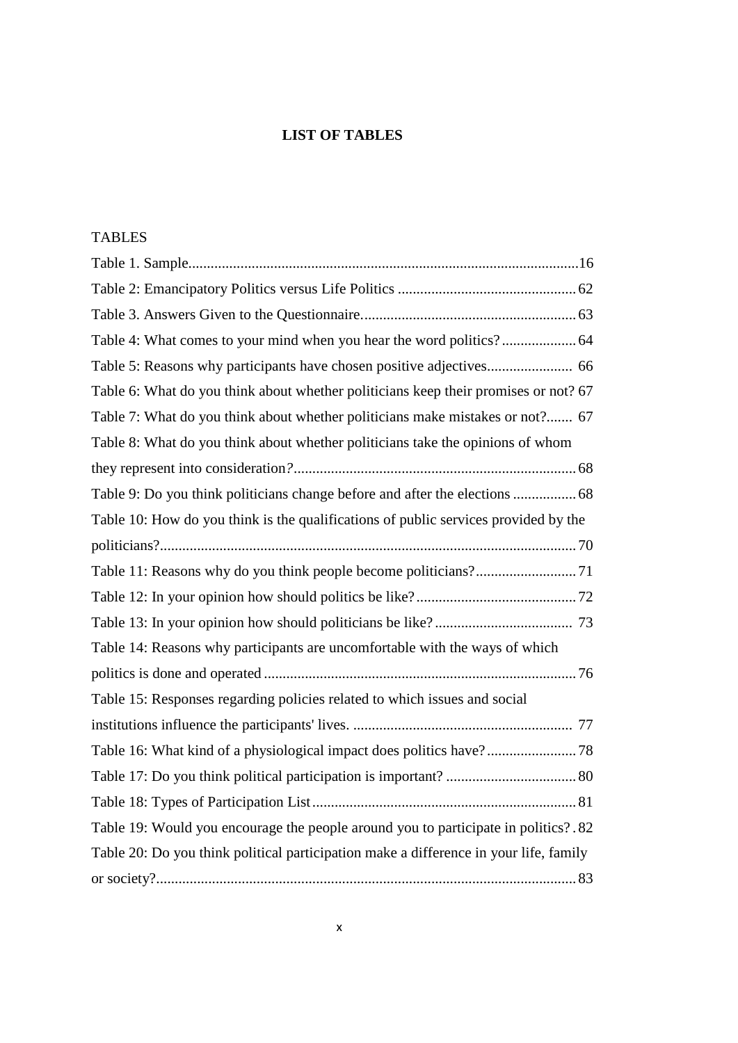# **LIST OF TABLES**

### TABLES

| Table 6: What do you think about whether politicians keep their promises or not? 67   |
|---------------------------------------------------------------------------------------|
| Table 7: What do you think about whether politicians make mistakes or not? 67         |
| Table 8: What do you think about whether politicians take the opinions of whom        |
|                                                                                       |
|                                                                                       |
| Table 10: How do you think is the qualifications of public services provided by the   |
|                                                                                       |
|                                                                                       |
|                                                                                       |
|                                                                                       |
| Table 14: Reasons why participants are uncomfortable with the ways of which           |
|                                                                                       |
| Table 15: Responses regarding policies related to which issues and social             |
|                                                                                       |
|                                                                                       |
|                                                                                       |
|                                                                                       |
| Table 19: Would you encourage the people around you to participate in politics?.82    |
| Table 20: Do you think political participation make a difference in your life, family |
|                                                                                       |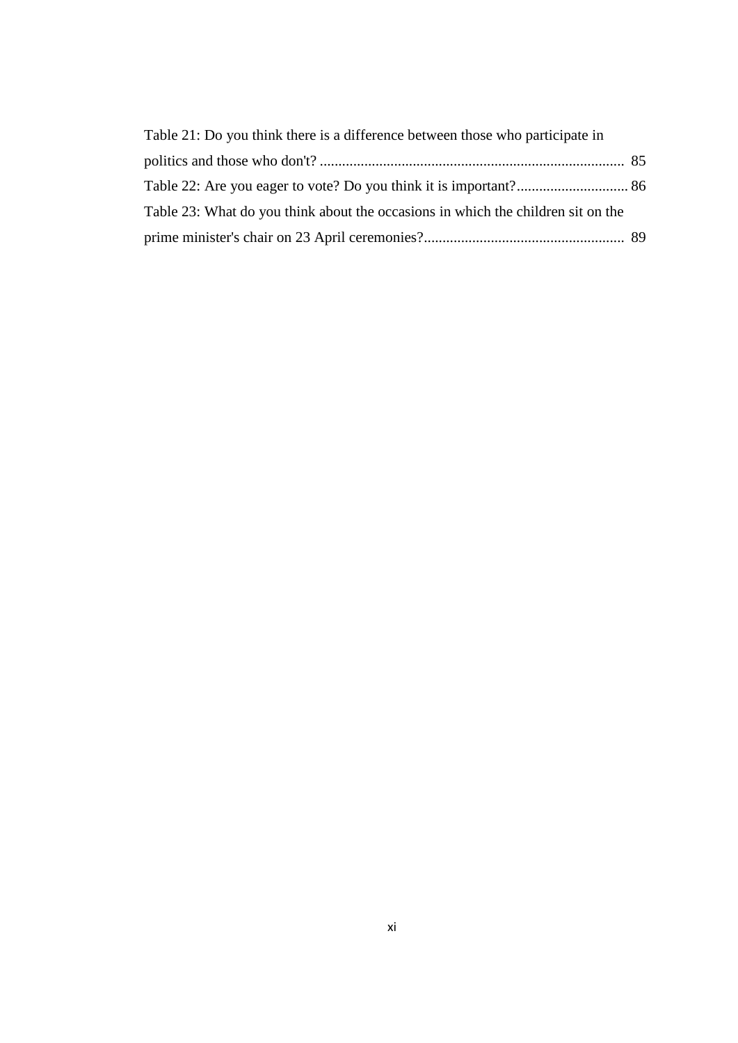| Table 21: Do you think there is a difference between those who participate in    |  |
|----------------------------------------------------------------------------------|--|
|                                                                                  |  |
|                                                                                  |  |
| Table 23: What do you think about the occasions in which the children sit on the |  |
|                                                                                  |  |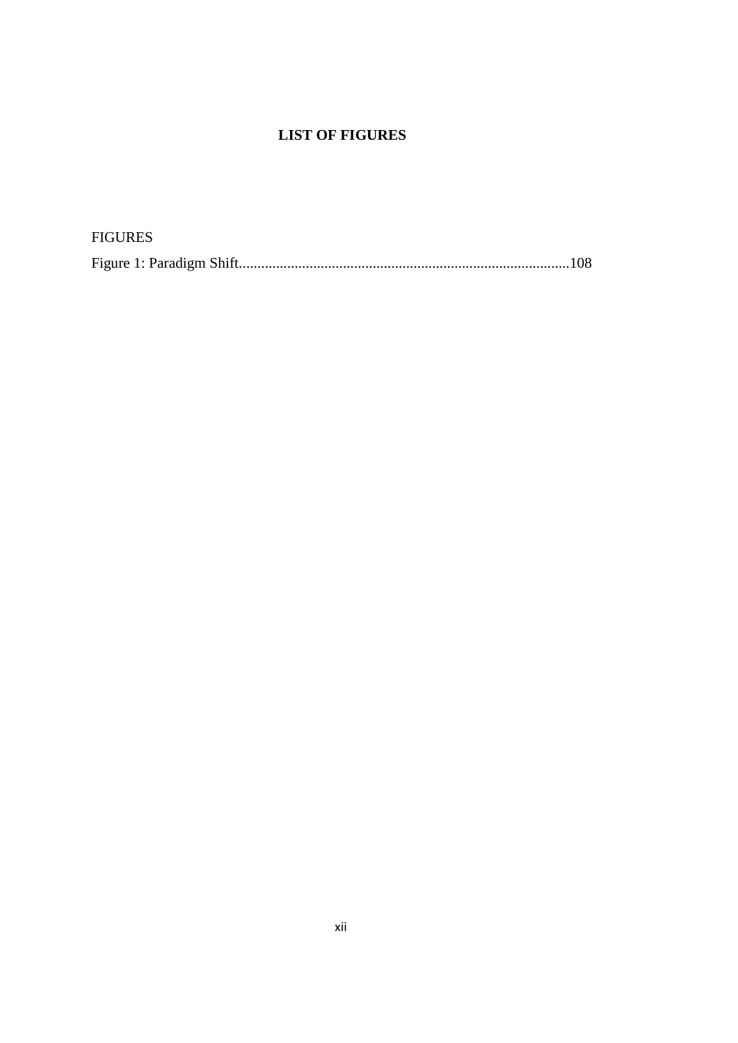# **LIST OF FIGURES**

### FIGURES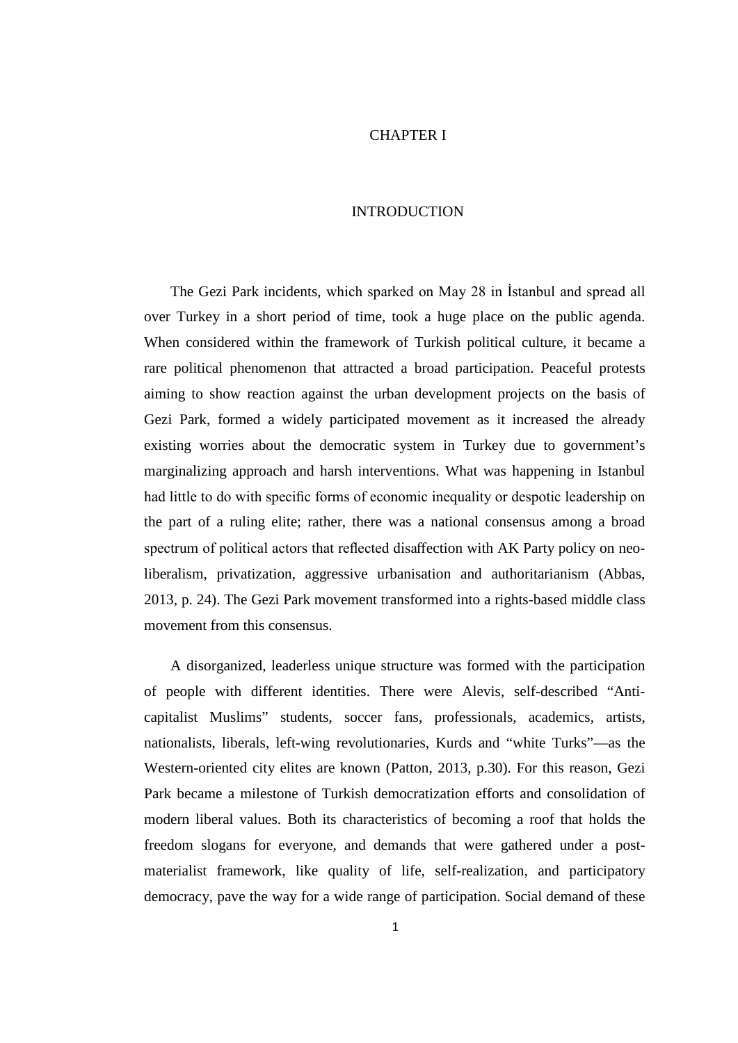#### CHAPTER I

#### INTRODUCTION

The Gezi Park incidents, which sparked on May 28 in İstanbul and spread all over Turkey in a short period of time, took a huge place on the public agenda. When considered within the framework of Turkish political culture, it became a rare political phenomenon that attracted a broad participation. Peaceful protests aiming to show reaction against the urban development projects on the basis of Gezi Park, formed a widely participated movement as it increased the already existing worries about the democratic system in Turkey due to government's marginalizing approach and harsh interventions. What was happening in Istanbul had little to do with specific forms of economic inequality or despotic leadership on the part of a ruling elite; rather, there was a national consensus among a broad spectrum of political actors that reflected disaffection with AK Party policy on neoliberalism, privatization, aggressive urbanisation and authoritarianism (Abbas, 2013, p. 24). The Gezi Park movement transformed into a rights-based middle class movement from this consensus.

A disorganized, leaderless unique structure was formed with the participation of people with different identities. There were Alevis, self-described "Anticapitalist Muslims" students, soccer fans, professionals, academics, artists, nationalists, liberals, left-wing revolutionaries, Kurds and "white Turks"—as the Western-oriented city elites are known (Patton, 2013, p.30). For this reason, Gezi Park became a milestone of Turkish democratization efforts and consolidation of modern liberal values. Both its characteristics of becoming a roof that holds the freedom slogans for everyone, and demands that were gathered under a postmaterialist framework, like quality of life, self-realization, and participatory democracy, pave the way for a wide range of participation. Social demand of these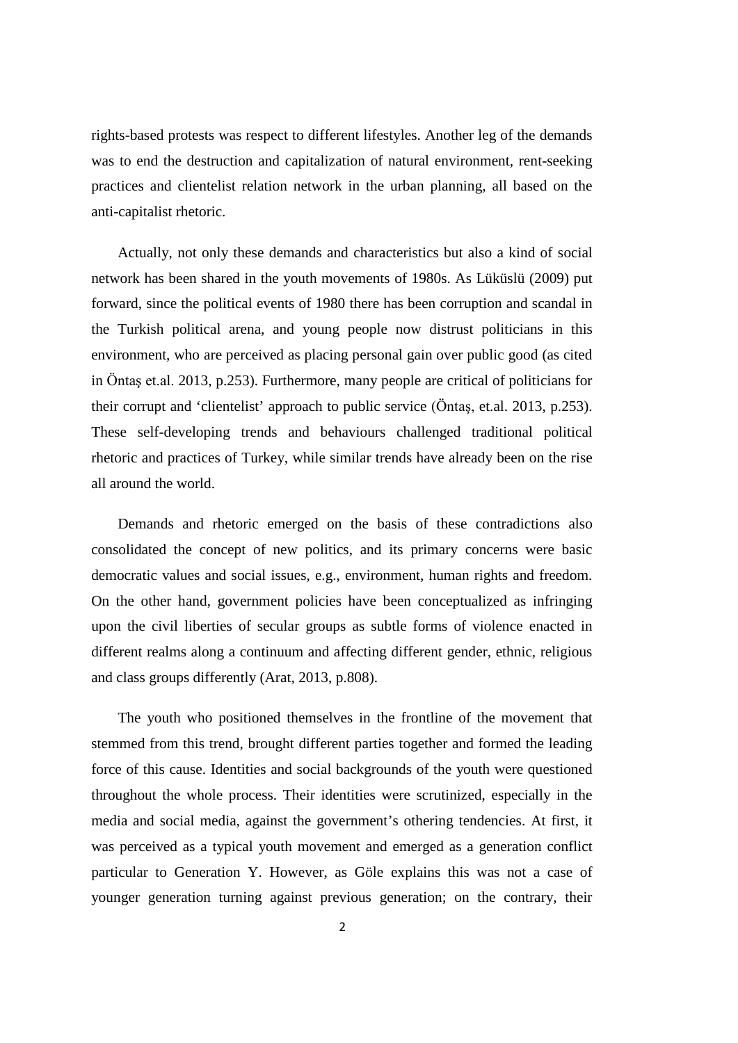rights-based protests was respect to different lifestyles. Another leg of the demands was to end the destruction and capitalization of natural environment, rent-seeking practices and clientelist relation network in the urban planning, all based on the anti-capitalist rhetoric.

Actually, not only these demands and characteristics but also a kind of social network has been shared in the youth movements of 1980s. As Lüküslü (2009) put forward, since the political events of 1980 there has been corruption and scandal in the Turkish political arena, and young people now distrust politicians in this environment, who are perceived as placing personal gain over public good (as cited in Öntaş et.al. 2013, p.253). Furthermore, many people are critical of politicians for their corrupt and 'clientelist' approach to public service (Öntaş, et.al. 2013, p.253). These self-developing trends and behaviours challenged traditional political rhetoric and practices of Turkey, while similar trends have already been on the rise all around the world.

Demands and rhetoric emerged on the basis of these contradictions also consolidated the concept of new politics, and its primary concerns were basic democratic values and social issues, e.g., environment, human rights and freedom. On the other hand, government policies have been conceptualized as infringing upon the civil liberties of secular groups as subtle forms of violence enacted in different realms along a continuum and affecting different gender, ethnic, religious and class groups differently (Arat, 2013, p.808).

The youth who positioned themselves in the frontline of the movement that stemmed from this trend, brought different parties together and formed the leading force of this cause. Identities and social backgrounds of the youth were questioned throughout the whole process. Their identities were scrutinized, especially in the media and social media, against the government's othering tendencies. At first, it was perceived as a typical youth movement and emerged as a generation conflict particular to Generation Y. However, as Göle explains this was not a case of younger generation turning against previous generation; on the contrary, their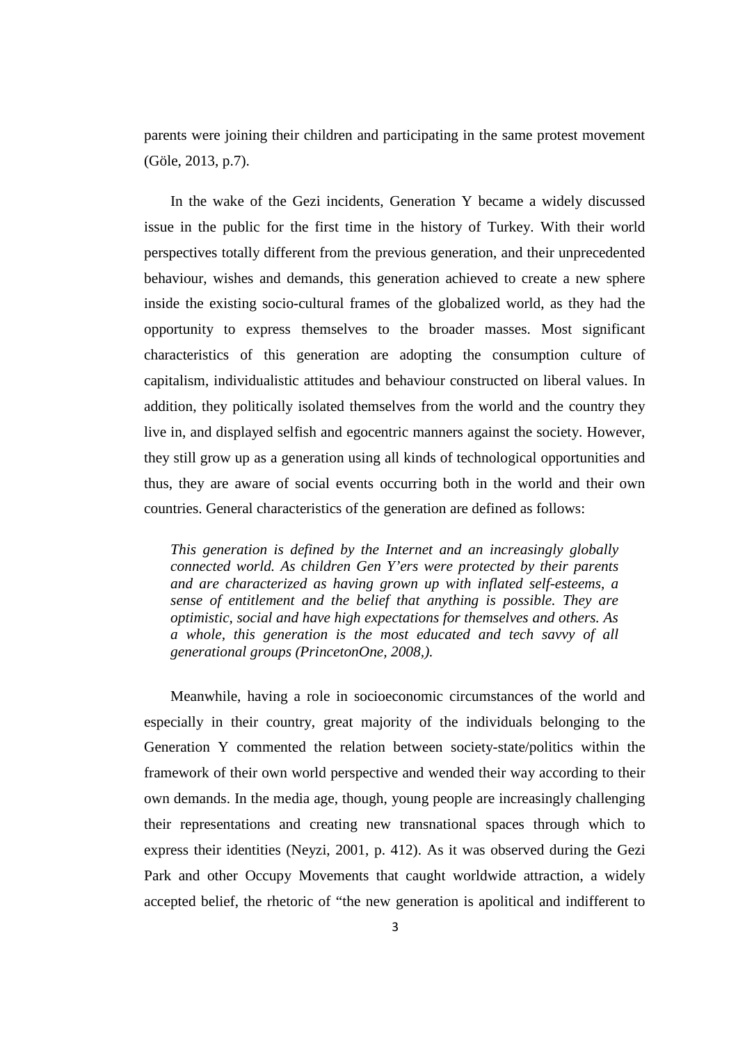parents were joining their children and participating in the same protest movement (Göle, 2013, p.7).

In the wake of the Gezi incidents, Generation Y became a widely discussed issue in the public for the first time in the history of Turkey. With their world perspectives totally different from the previous generation, and their unprecedented behaviour, wishes and demands, this generation achieved to create a new sphere inside the existing socio-cultural frames of the globalized world, as they had the opportunity to express themselves to the broader masses. Most significant characteristics of this generation are adopting the consumption culture of capitalism, individualistic attitudes and behaviour constructed on liberal values. In addition, they politically isolated themselves from the world and the country they live in, and displayed selfish and egocentric manners against the society. However, they still grow up as a generation using all kinds of technological opportunities and thus, they are aware of social events occurring both in the world and their own countries. General characteristics of the generation are defined as follows:

*This generation is defined by the Internet and an increasingly globally connected world. As children Gen Y'ers were protected by their parents and are characterized as having grown up with inflated self-esteems, a sense of entitlement and the belief that anything is possible. They are optimistic, social and have high expectations for themselves and others. As a whole, this generation is the most educated and tech savvy of all generational groups (PrincetonOne, 2008,).* 

Meanwhile, having a role in socioeconomic circumstances of the world and especially in their country, great majority of the individuals belonging to the Generation Y commented the relation between society-state/politics within the framework of their own world perspective and wended their way according to their own demands. In the media age, though, young people are increasingly challenging their representations and creating new transnational spaces through which to express their identities (Neyzi, 2001, p. 412). As it was observed during the Gezi Park and other Occupy Movements that caught worldwide attraction, a widely accepted belief, the rhetoric of "the new generation is apolitical and indifferent to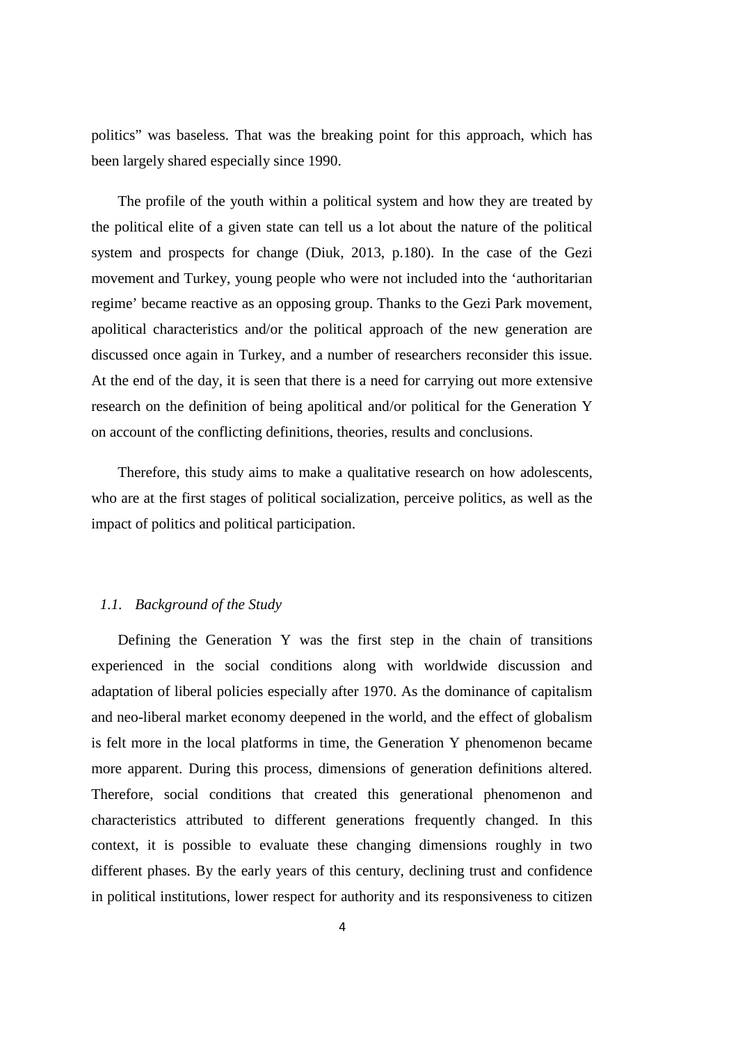politics" was baseless. That was the breaking point for this approach, which has been largely shared especially since 1990.

The profile of the youth within a political system and how they are treated by the political elite of a given state can tell us a lot about the nature of the political system and prospects for change (Diuk, 2013, p.180). In the case of the Gezi movement and Turkey, young people who were not included into the 'authoritarian regime' became reactive as an opposing group. Thanks to the Gezi Park movement, apolitical characteristics and/or the political approach of the new generation are discussed once again in Turkey, and a number of researchers reconsider this issue. At the end of the day, it is seen that there is a need for carrying out more extensive research on the definition of being apolitical and/or political for the Generation Y on account of the conflicting definitions, theories, results and conclusions.

Therefore, this study aims to make a qualitative research on how adolescents, who are at the first stages of political socialization, perceive politics, as well as the impact of politics and political participation.

#### *1.1. Background of the Study*

Defining the Generation Y was the first step in the chain of transitions experienced in the social conditions along with worldwide discussion and adaptation of liberal policies especially after 1970. As the dominance of capitalism and neo-liberal market economy deepened in the world, and the effect of globalism is felt more in the local platforms in time, the Generation Y phenomenon became more apparent. During this process, dimensions of generation definitions altered. Therefore, social conditions that created this generational phenomenon and characteristics attributed to different generations frequently changed. In this context, it is possible to evaluate these changing dimensions roughly in two different phases. By the early years of this century, declining trust and confidence in political institutions, lower respect for authority and its responsiveness to citizen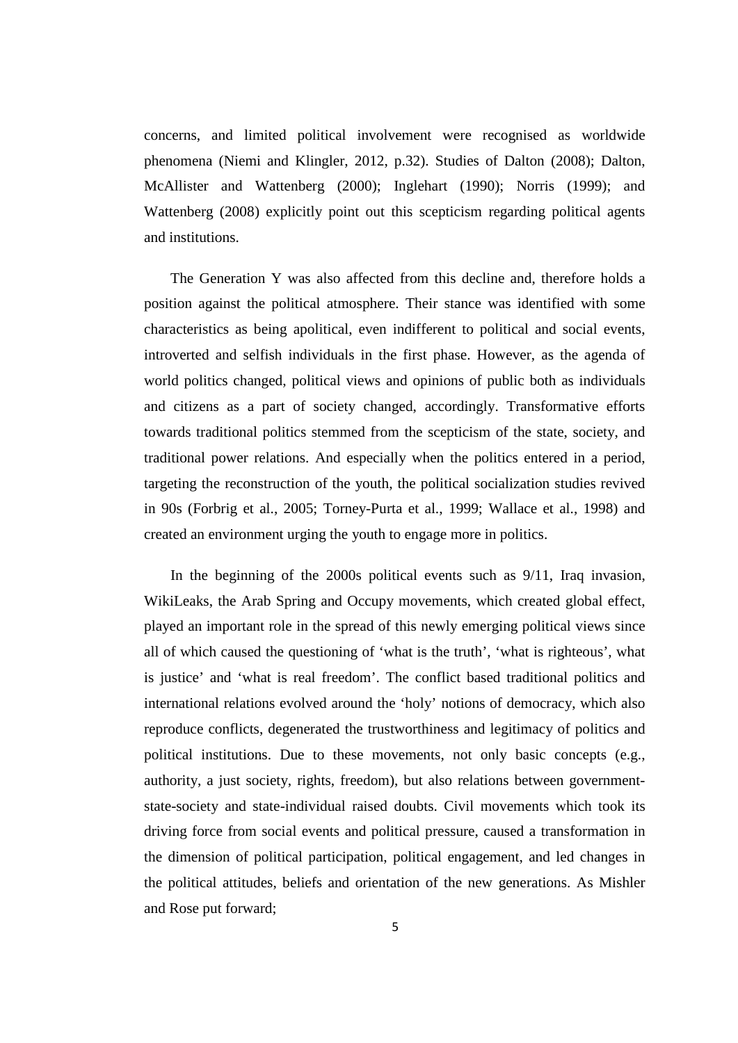concerns, and limited political involvement were recognised as worldwide phenomena (Niemi and Klingler, 2012, p.32). Studies of Dalton (2008); Dalton, McAllister and Wattenberg (2000); Inglehart (1990); Norris (1999); and Wattenberg (2008) explicitly point out this scepticism regarding political agents and institutions.

The Generation Y was also affected from this decline and, therefore holds a position against the political atmosphere. Their stance was identified with some characteristics as being apolitical, even indifferent to political and social events, introverted and selfish individuals in the first phase. However, as the agenda of world politics changed, political views and opinions of public both as individuals and citizens as a part of society changed, accordingly. Transformative efforts towards traditional politics stemmed from the scepticism of the state, society, and traditional power relations. And especially when the politics entered in a period, targeting the reconstruction of the youth, the political socialization studies revived in 90s (Forbrig et al., 2005; Torney-Purta et al., 1999; Wallace et al., 1998) and created an environment urging the youth to engage more in politics.

In the beginning of the 2000s political events such as 9/11, Iraq invasion, WikiLeaks, the Arab Spring and Occupy movements, which created global effect, played an important role in the spread of this newly emerging political views since all of which caused the questioning of 'what is the truth', 'what is righteous', what is justice' and 'what is real freedom'. The conflict based traditional politics and international relations evolved around the 'holy' notions of democracy, which also reproduce conflicts, degenerated the trustworthiness and legitimacy of politics and political institutions. Due to these movements, not only basic concepts (e.g., authority, a just society, rights, freedom), but also relations between governmentstate-society and state-individual raised doubts. Civil movements which took its driving force from social events and political pressure, caused a transformation in the dimension of political participation, political engagement, and led changes in the political attitudes, beliefs and orientation of the new generations. As Mishler and Rose put forward;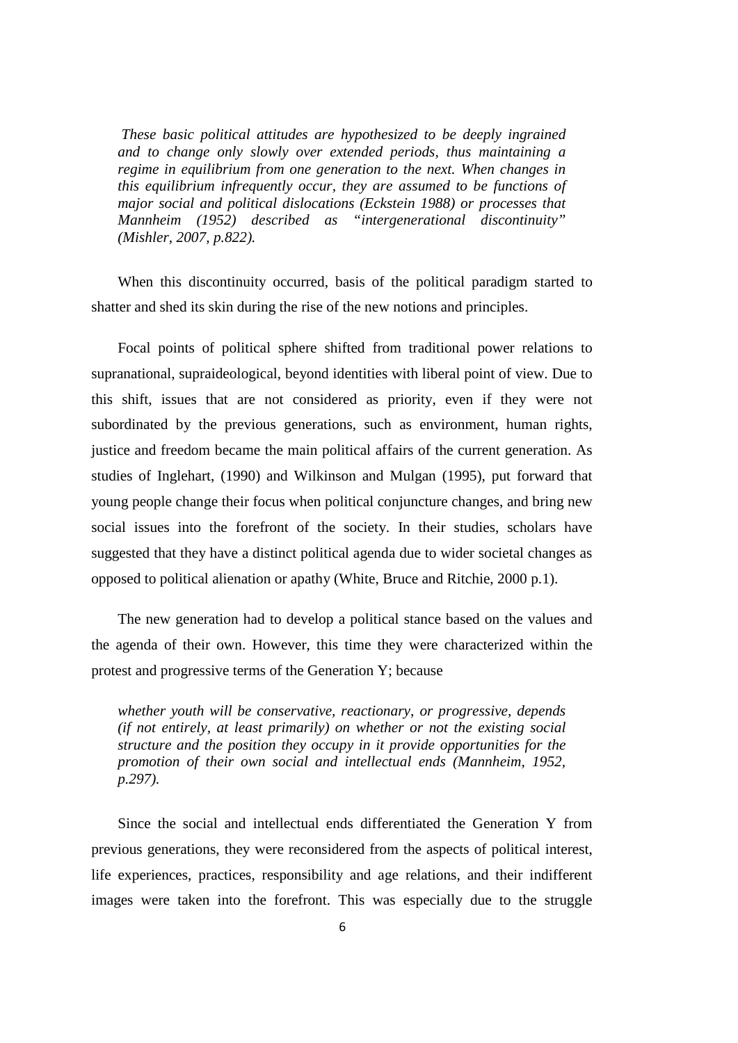*These basic political attitudes are hypothesized to be deeply ingrained and to change only slowly over extended periods, thus maintaining a regime in equilibrium from one generation to the next. When changes in this equilibrium infrequently occur, they are assumed to be functions of major social and political dislocations (Eckstein 1988) or processes that Mannheim (1952) described as "intergenerational discontinuity" (Mishler, 2007, p.822).*

When this discontinuity occurred, basis of the political paradigm started to shatter and shed its skin during the rise of the new notions and principles.

Focal points of political sphere shifted from traditional power relations to supranational, supraideological, beyond identities with liberal point of view. Due to this shift, issues that are not considered as priority, even if they were not subordinated by the previous generations, such as environment, human rights, justice and freedom became the main political affairs of the current generation. As studies of Inglehart, (1990) and Wilkinson and Mulgan (1995), put forward that young people change their focus when political conjuncture changes, and bring new social issues into the forefront of the society. In their studies, scholars have suggested that they have a distinct political agenda due to wider societal changes as opposed to political alienation or apathy (White, Bruce and Ritchie, 2000 p.1).

The new generation had to develop a political stance based on the values and the agenda of their own. However, this time they were characterized within the protest and progressive terms of the Generation Y; because

*whether youth will be conservative, reactionary, or progressive, depends (if not entirely, at least primarily) on whether or not the existing social structure and the position they occupy in it provide opportunities for the promotion of their own social and intellectual ends (Mannheim, 1952, p.297).*

Since the social and intellectual ends differentiated the Generation Y from previous generations, they were reconsidered from the aspects of political interest, life experiences, practices, responsibility and age relations, and their indifferent images were taken into the forefront. This was especially due to the struggle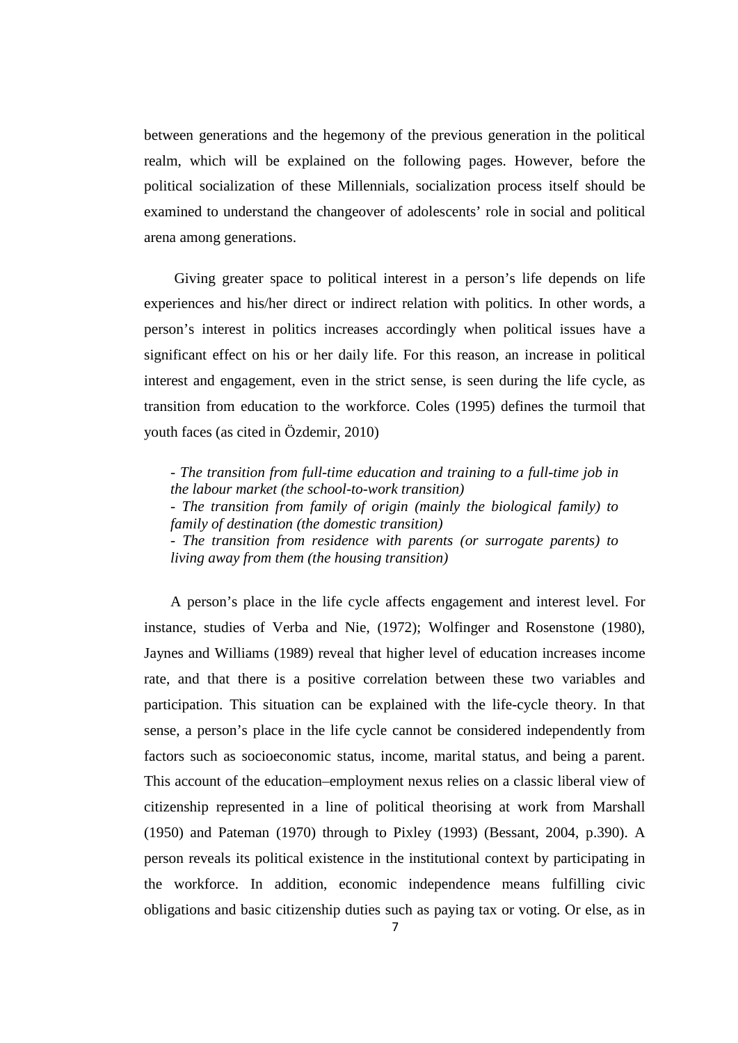between generations and the hegemony of the previous generation in the political realm, which will be explained on the following pages. However, before the political socialization of these Millennials, socialization process itself should be examined to understand the changeover of adolescents' role in social and political arena among generations.

Giving greater space to political interest in a person's life depends on life experiences and his/her direct or indirect relation with politics. In other words, a person's interest in politics increases accordingly when political issues have a significant effect on his or her daily life. For this reason, an increase in political interest and engagement, even in the strict sense, is seen during the life cycle, as transition from education to the workforce. Coles (1995) defines the turmoil that youth faces (as cited in Özdemir, 2010)

*- The transition from full-time education and training to a full-time job in the labour market (the school-to-work transition) - The transition from family of origin (mainly the biological family) to family of destination (the domestic transition) - The transition from residence with parents (or surrogate parents) to living away from them (the housing transition)*

A person's place in the life cycle affects engagement and interest level. For instance, studies of Verba and Nie, (1972); Wolfinger and Rosenstone (1980), Jaynes and Williams (1989) reveal that higher level of education increases income rate, and that there is a positive correlation between these two variables and participation. This situation can be explained with the life-cycle theory. In that sense, a person's place in the life cycle cannot be considered independently from factors such as socioeconomic status, income, marital status, and being a parent. This account of the education–employment nexus relies on a classic liberal view of citizenship represented in a line of political theorising at work from Marshall (1950) and Pateman (1970) through to Pixley (1993) (Bessant, 2004, p.390). A person reveals its political existence in the institutional context by participating in the workforce. In addition, economic independence means fulfilling civic obligations and basic citizenship duties such as paying tax or voting. Or else, as in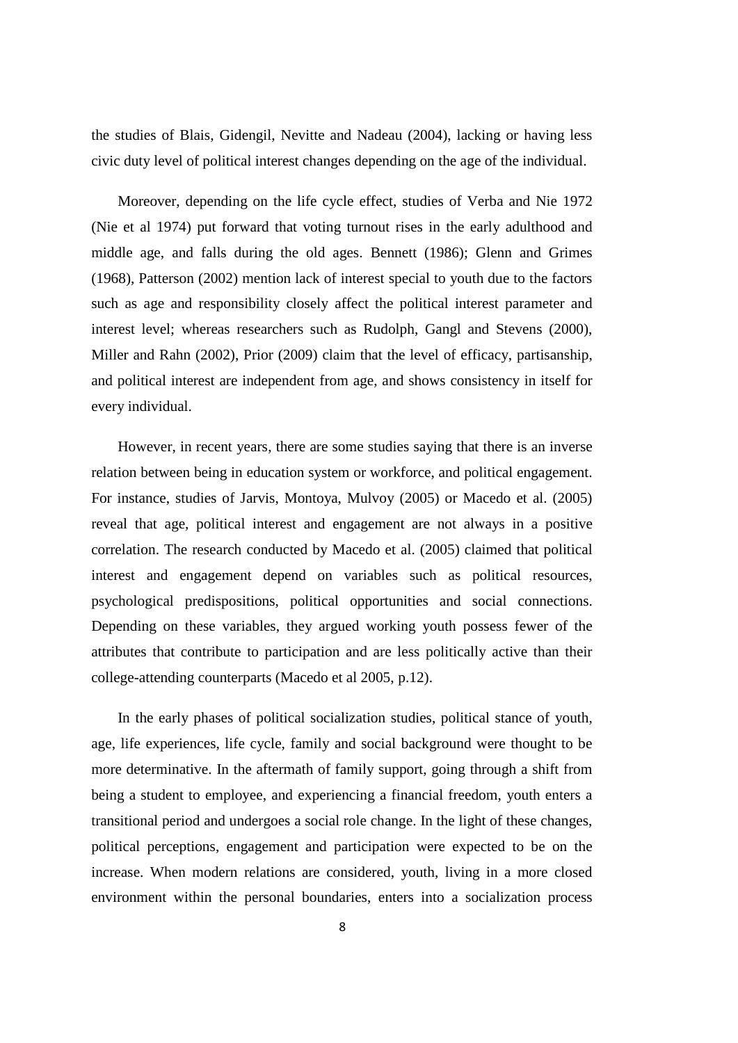the studies of Blais, Gidengil, Nevitte and Nadeau (2004), lacking or having less civic duty level of political interest changes depending on the age of the individual.

Moreover, depending on the life cycle effect, studies of Verba and Nie 1972 (Nie et al 1974) put forward that voting turnout rises in the early adulthood and middle age, and falls during the old ages. Bennett (1986); Glenn and Grimes (1968), Patterson (2002) mention lack of interest special to youth due to the factors such as age and responsibility closely affect the political interest parameter and interest level; whereas researchers such as Rudolph, Gangl and Stevens (2000), Miller and Rahn (2002), Prior (2009) claim that the level of efficacy, partisanship, and political interest are independent from age, and shows consistency in itself for every individual.

However, in recent years, there are some studies saying that there is an inverse relation between being in education system or workforce, and political engagement. For instance, studies of Jarvis, Montoya, Mulvoy (2005) or Macedo et al. (2005) reveal that age, political interest and engagement are not always in a positive correlation. The research conducted by Macedo et al. (2005) claimed that political interest and engagement depend on variables such as political resources, psychological predispositions, political opportunities and social connections. Depending on these variables, they argued working youth possess fewer of the attributes that contribute to participation and are less politically active than their college-attending counterparts (Macedo et al 2005, p.12).

In the early phases of political socialization studies, political stance of youth, age, life experiences, life cycle, family and social background were thought to be more determinative. In the aftermath of family support, going through a shift from being a student to employee, and experiencing a financial freedom, youth enters a transitional period and undergoes a social role change. In the light of these changes, political perceptions, engagement and participation were expected to be on the increase. When modern relations are considered, youth, living in a more closed environment within the personal boundaries, enters into a socialization process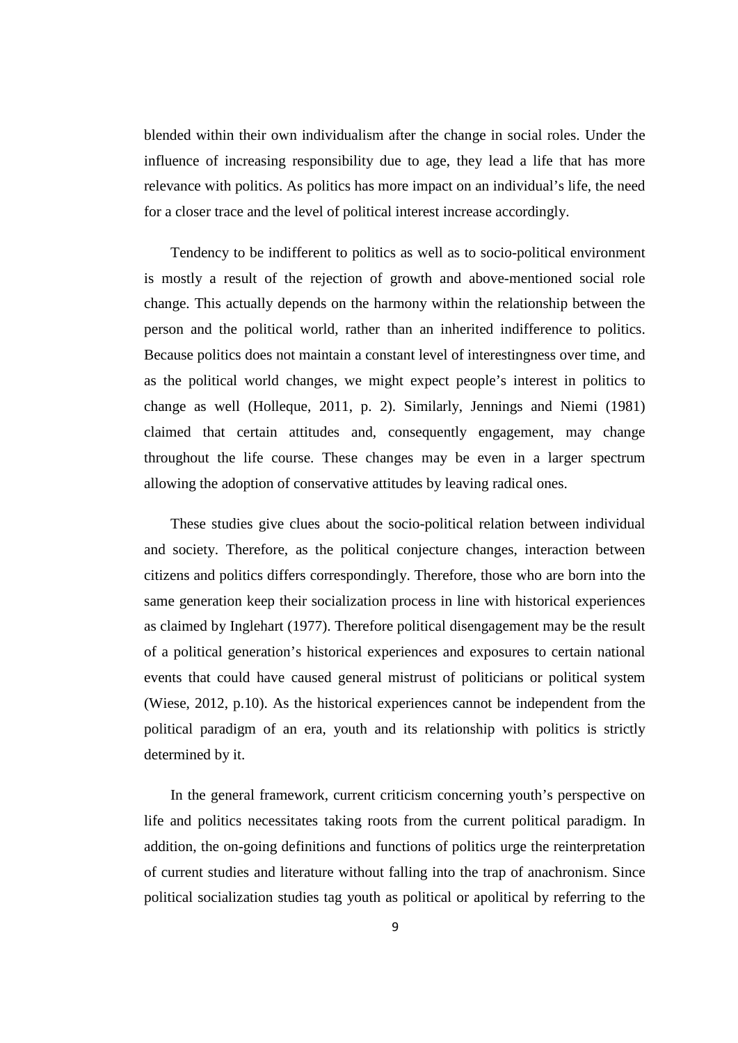blended within their own individualism after the change in social roles. Under the influence of increasing responsibility due to age, they lead a life that has more relevance with politics. As politics has more impact on an individual's life, the need for a closer trace and the level of political interest increase accordingly.

Tendency to be indifferent to politics as well as to socio-political environment is mostly a result of the rejection of growth and above-mentioned social role change. This actually depends on the harmony within the relationship between the person and the political world, rather than an inherited indifference to politics. Because politics does not maintain a constant level of interestingness over time, and as the political world changes, we might expect people's interest in politics to change as well (Holleque, 2011, p. 2). Similarly, Jennings and Niemi (1981) claimed that certain attitudes and, consequently engagement, may change throughout the life course. These changes may be even in a larger spectrum allowing the adoption of conservative attitudes by leaving radical ones.

These studies give clues about the socio-political relation between individual and society. Therefore, as the political conjecture changes, interaction between citizens and politics differs correspondingly. Therefore, those who are born into the same generation keep their socialization process in line with historical experiences as claimed by Inglehart (1977). Therefore political disengagement may be the result of a political generation's historical experiences and exposures to certain national events that could have caused general mistrust of politicians or political system (Wiese, 2012, p.10). As the historical experiences cannot be independent from the political paradigm of an era, youth and its relationship with politics is strictly determined by it.

In the general framework, current criticism concerning youth's perspective on life and politics necessitates taking roots from the current political paradigm. In addition, the on-going definitions and functions of politics urge the reinterpretation of current studies and literature without falling into the trap of anachronism. Since political socialization studies tag youth as political or apolitical by referring to the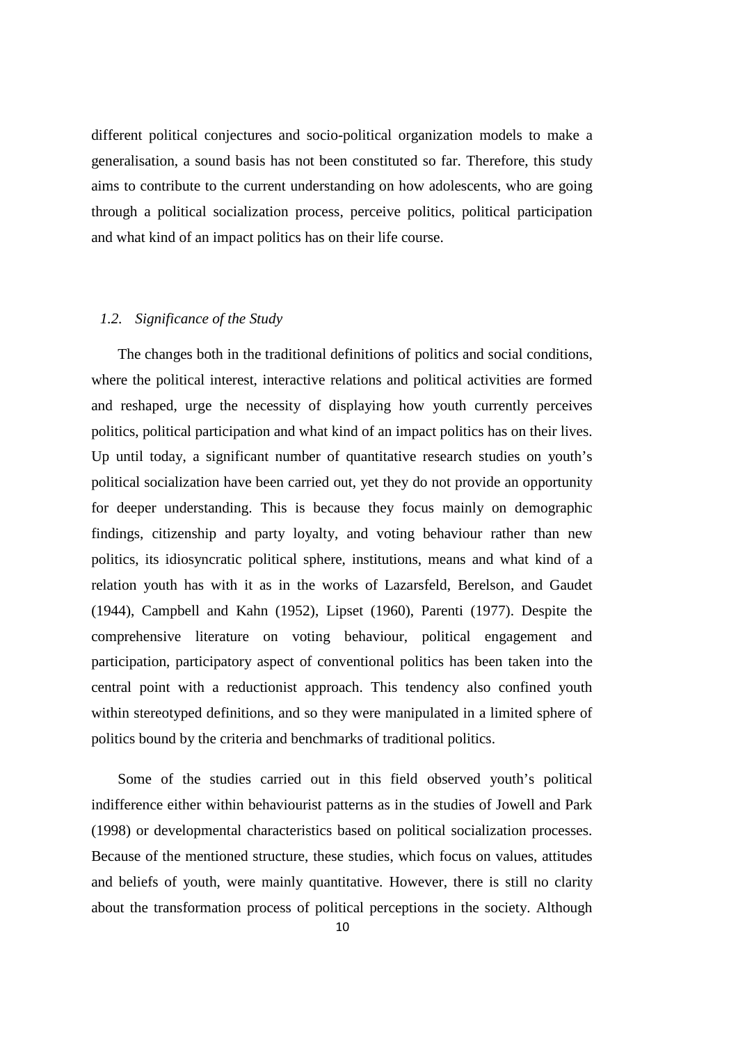different political conjectures and socio-political organization models to make a generalisation, a sound basis has not been constituted so far. Therefore, this study aims to contribute to the current understanding on how adolescents, who are going through a political socialization process, perceive politics, political participation and what kind of an impact politics has on their life course.

### *1.2. Significance of the Study*

The changes both in the traditional definitions of politics and social conditions, where the political interest, interactive relations and political activities are formed and reshaped, urge the necessity of displaying how youth currently perceives politics, political participation and what kind of an impact politics has on their lives. Up until today, a significant number of quantitative research studies on youth's political socialization have been carried out, yet they do not provide an opportunity for deeper understanding. This is because they focus mainly on demographic findings, citizenship and party loyalty, and voting behaviour rather than new politics, its idiosyncratic political sphere, institutions, means and what kind of a relation youth has with it as in the works of Lazarsfeld, Berelson, and Gaudet (1944), Campbell and Kahn (1952), Lipset (1960), Parenti (1977). Despite the comprehensive literature on voting behaviour, political engagement and participation, participatory aspect of conventional politics has been taken into the central point with a reductionist approach. This tendency also confined youth within stereotyped definitions, and so they were manipulated in a limited sphere of politics bound by the criteria and benchmarks of traditional politics.

Some of the studies carried out in this field observed youth's political indifference either within behaviourist patterns as in the studies of Jowell and Park (1998) or developmental characteristics based on political socialization processes. Because of the mentioned structure, these studies, which focus on values, attitudes and beliefs of youth, were mainly quantitative. However, there is still no clarity about the transformation process of political perceptions in the society. Although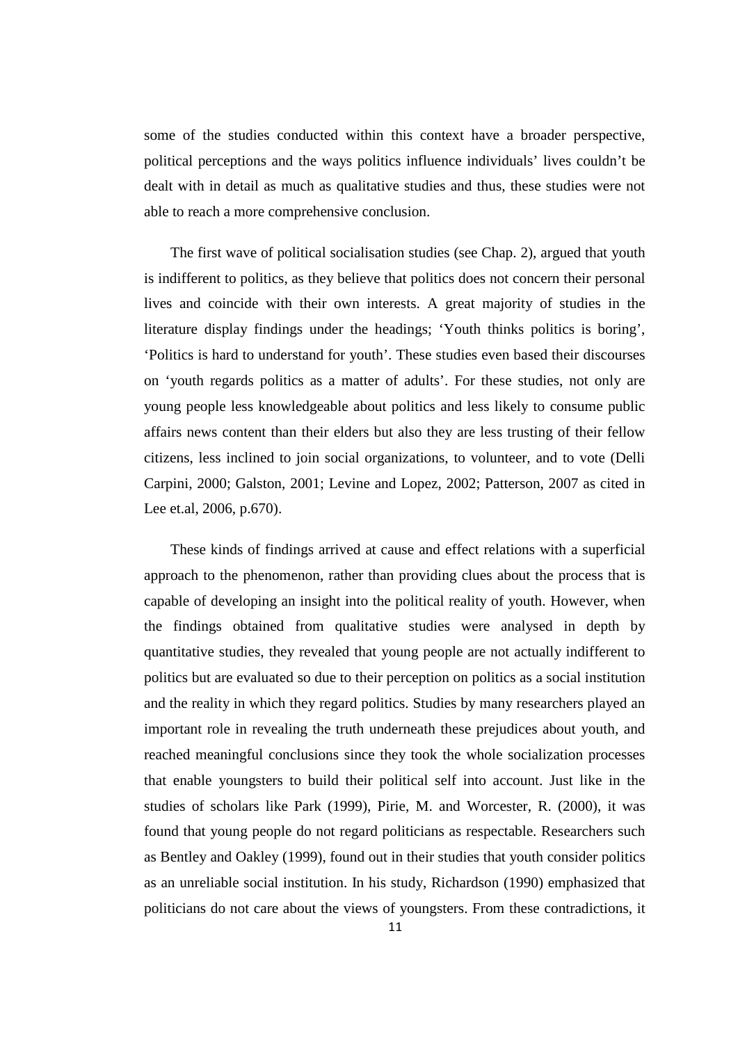some of the studies conducted within this context have a broader perspective, political perceptions and the ways politics influence individuals' lives couldn't be dealt with in detail as much as qualitative studies and thus, these studies were not able to reach a more comprehensive conclusion.

The first wave of political socialisation studies (see Chap. 2), argued that youth is indifferent to politics, as they believe that politics does not concern their personal lives and coincide with their own interests. A great majority of studies in the literature display findings under the headings; 'Youth thinks politics is boring', 'Politics is hard to understand for youth'. These studies even based their discourses on 'youth regards politics as a matter of adults'. For these studies, not only are young people less knowledgeable about politics and less likely to consume public affairs news content than their elders but also they are less trusting of their fellow citizens, less inclined to join social organizations, to volunteer, and to vote (Delli Carpini, 2000; Galston, 2001; Levine and Lopez, 2002; Patterson, 2007 as cited in Lee et.al, 2006, p.670).

These kinds of findings arrived at cause and effect relations with a superficial approach to the phenomenon, rather than providing clues about the process that is capable of developing an insight into the political reality of youth. However, when the findings obtained from qualitative studies were analysed in depth by quantitative studies, they revealed that young people are not actually indifferent to politics but are evaluated so due to their perception on politics as a social institution and the reality in which they regard politics. Studies by many researchers played an important role in revealing the truth underneath these prejudices about youth, and reached meaningful conclusions since they took the whole socialization processes that enable youngsters to build their political self into account. Just like in the studies of scholars like Park (1999), Pirie, M. and Worcester, R. (2000), it was found that young people do not regard politicians as respectable. Researchers such as Bentley and Oakley (1999), found out in their studies that youth consider politics as an unreliable social institution. In his study, Richardson (1990) emphasized that politicians do not care about the views of youngsters. From these contradictions, it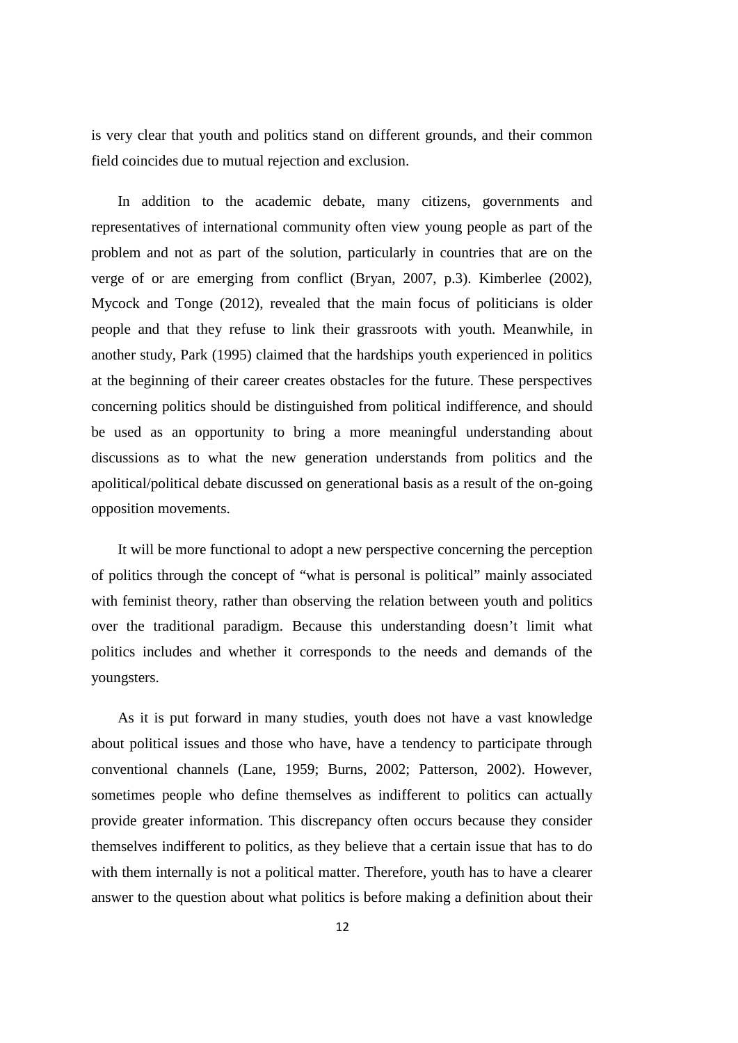is very clear that youth and politics stand on different grounds, and their common field coincides due to mutual rejection and exclusion.

In addition to the academic debate, many citizens, governments and representatives of international community often view young people as part of the problem and not as part of the solution, particularly in countries that are on the verge of or are emerging from conflict (Bryan, 2007, p.3). Kimberlee (2002), Mycock and Tonge (2012), revealed that the main focus of politicians is older people and that they refuse to link their grassroots with youth. Meanwhile, in another study, Park (1995) claimed that the hardships youth experienced in politics at the beginning of their career creates obstacles for the future. These perspectives concerning politics should be distinguished from political indifference, and should be used as an opportunity to bring a more meaningful understanding about discussions as to what the new generation understands from politics and the apolitical/political debate discussed on generational basis as a result of the on-going opposition movements.

It will be more functional to adopt a new perspective concerning the perception of politics through the concept of "what is personal is political" mainly associated with feminist theory, rather than observing the relation between youth and politics over the traditional paradigm. Because this understanding doesn't limit what politics includes and whether it corresponds to the needs and demands of the youngsters.

As it is put forward in many studies, youth does not have a vast knowledge about political issues and those who have, have a tendency to participate through conventional channels (Lane, 1959; Burns, 2002; Patterson, 2002). However, sometimes people who define themselves as indifferent to politics can actually provide greater information. This discrepancy often occurs because they consider themselves indifferent to politics, as they believe that a certain issue that has to do with them internally is not a political matter. Therefore, youth has to have a clearer answer to the question about what politics is before making a definition about their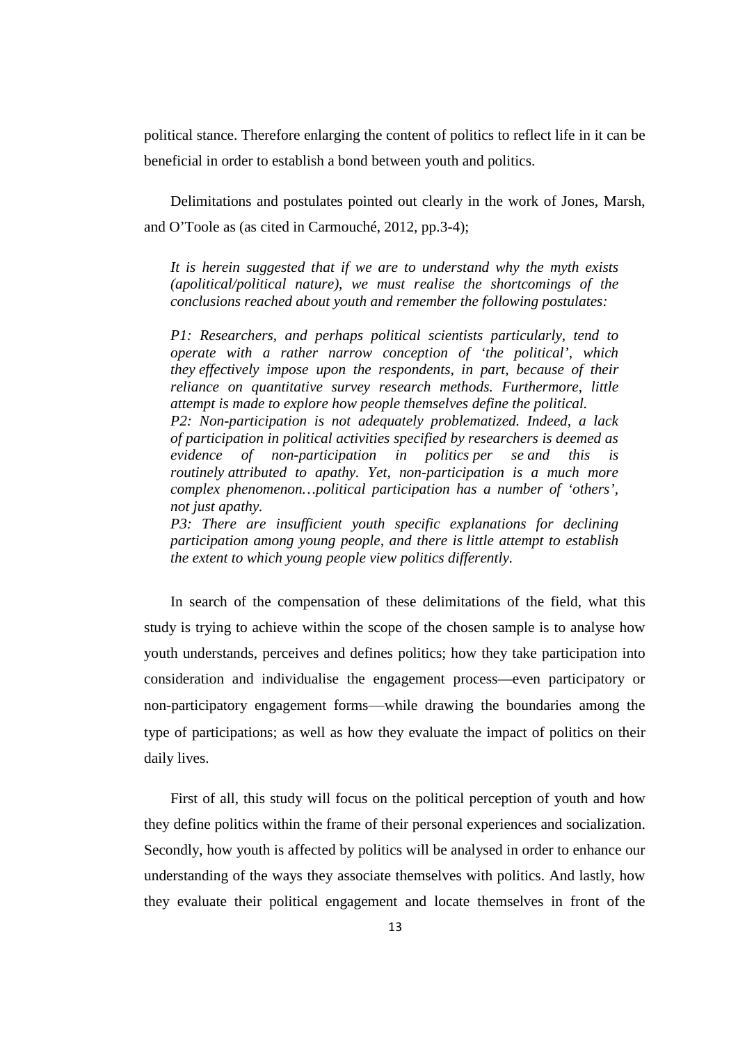political stance. Therefore enlarging the content of politics to reflect life in it can be beneficial in order to establish a bond between youth and politics.

Delimitations and postulates pointed out clearly in the work of Jones, Marsh, and O'Toole as (as cited in Carmouché, 2012, pp.3-4);

*It is herein suggested that if we are to understand why the myth exists (apolitical/political nature), we must realise the shortcomings of the conclusions reached about youth and remember the following postulates:*

*P1: Researchers, and perhaps political scientists particularly, tend to operate with a rather narrow conception of 'the political', which they effectively impose upon the respondents, in part, because of their reliance on quantitative survey research methods. Furthermore, little attempt is made to explore how people themselves define the political. P2: Non-participation is not adequately problematized. Indeed, a lack of participation in political activities specified by researchers is deemed as evidence of non-participation in politics per se and this is routinely attributed to apathy. Yet, non-participation is a much more complex phenomenon…political participation has a number of 'others', not just apathy.*

*P3: There are insufficient youth specific explanations for declining participation among young people, and there is little attempt to establish the extent to which young people view politics differently.*

In search of the compensation of these delimitations of the field, what this study is trying to achieve within the scope of the chosen sample is to analyse how youth understands, perceives and defines politics; how they take participation into consideration and individualise the engagement process—even participatory or non-participatory engagement forms—while drawing the boundaries among the type of participations; as well as how they evaluate the impact of politics on their daily lives.

First of all, this study will focus on the political perception of youth and how they define politics within the frame of their personal experiences and socialization. Secondly, how youth is affected by politics will be analysed in order to enhance our understanding of the ways they associate themselves with politics. And lastly, how they evaluate their political engagement and locate themselves in front of the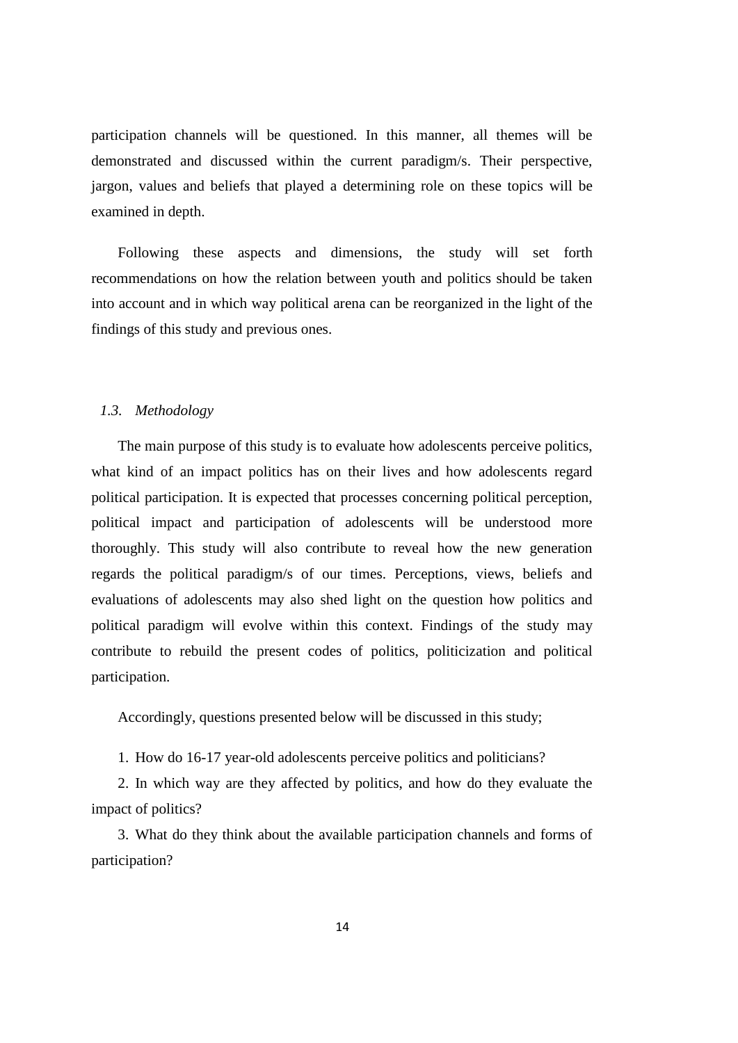participation channels will be questioned. In this manner, all themes will be demonstrated and discussed within the current paradigm/s. Their perspective, jargon, values and beliefs that played a determining role on these topics will be examined in depth.

Following these aspects and dimensions, the study will set forth recommendations on how the relation between youth and politics should be taken into account and in which way political arena can be reorganized in the light of the findings of this study and previous ones.

#### *1.3. Methodology*

The main purpose of this study is to evaluate how adolescents perceive politics, what kind of an impact politics has on their lives and how adolescents regard political participation. It is expected that processes concerning political perception, political impact and participation of adolescents will be understood more thoroughly. This study will also contribute to reveal how the new generation regards the political paradigm/s of our times. Perceptions, views, beliefs and evaluations of adolescents may also shed light on the question how politics and political paradigm will evolve within this context. Findings of the study may contribute to rebuild the present codes of politics, politicization and political participation.

Accordingly, questions presented below will be discussed in this study;

1. How do 16-17 year-old adolescents perceive politics and politicians?

2. In which way are they affected by politics, and how do they evaluate the impact of politics?

3. What do they think about the available participation channels and forms of participation?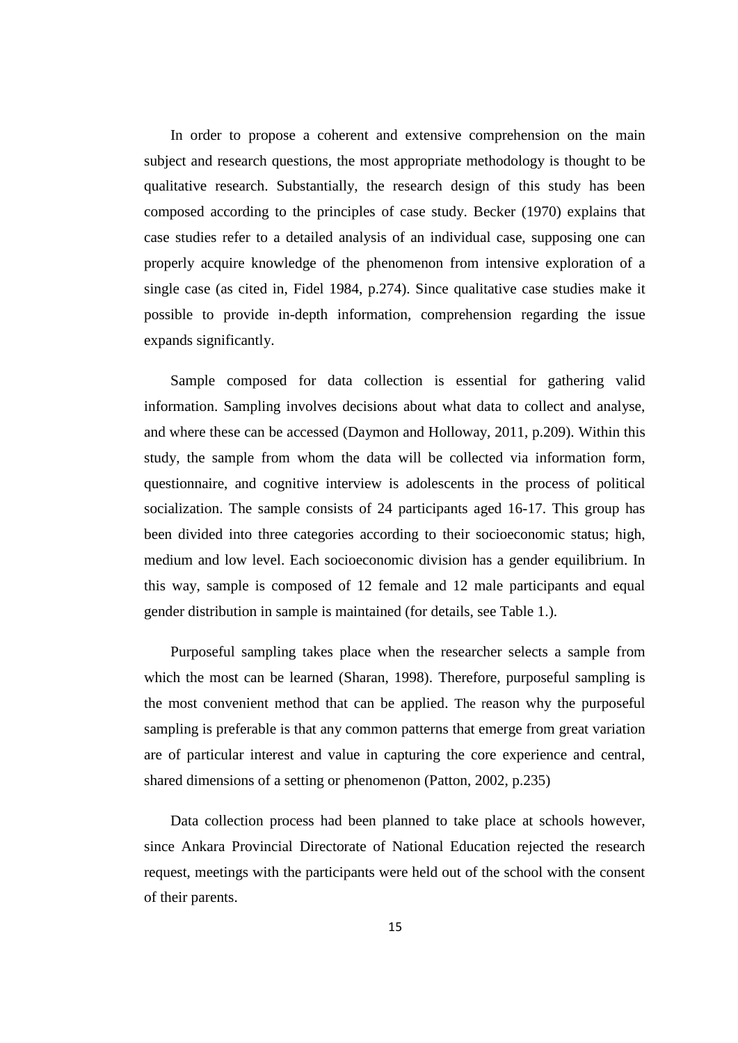In order to propose a coherent and extensive comprehension on the main subject and research questions, the most appropriate methodology is thought to be qualitative research. Substantially, the research design of this study has been composed according to the principles of case study. Becker (1970) explains that case studies refer to a detailed analysis of an individual case, supposing one can properly acquire knowledge of the phenomenon from intensive exploration of a single case (as cited in, Fidel 1984, p.274). Since qualitative case studies make it possible to provide in-depth information, comprehension regarding the issue expands [significantly.](http://tureng.com/search/significantly)

Sample composed for data collection is essential for gathering valid information. Sampling involves decisions about what data to collect and analyse, and where these can be accessed (Daymon and Holloway, 2011, p.209). Within this study, the sample from whom the data will be collected via information form, questionnaire, and cognitive interview is adolescents in the process of political socialization. The sample consists of 24 participants aged 16-17. This group has been divided into three categories according to their socioeconomic status; high, medium and low level. Each socioeconomic division has a gender equilibrium. In this way, sample is composed of 12 female and 12 male participants and equal gender distribution in sample is maintained (for details, see Table 1.).

Purposeful sampling takes place when the researcher selects a sample from which the most can be learned (Sharan, 1998). Therefore, purposeful sampling is the most convenient method that can be applied. The reason why the purposeful sampling is preferable is that any common patterns that emerge from great variation are of particular interest and value in capturing the core experience and central, shared dimensions of a setting or phenomenon (Patton, 2002, p.235)

Data collection process had been planned to take place at schools however, since Ankara Provincial Directorate of National Education rejected the research request, meetings with the participants were held out of the school with the consent of their parents.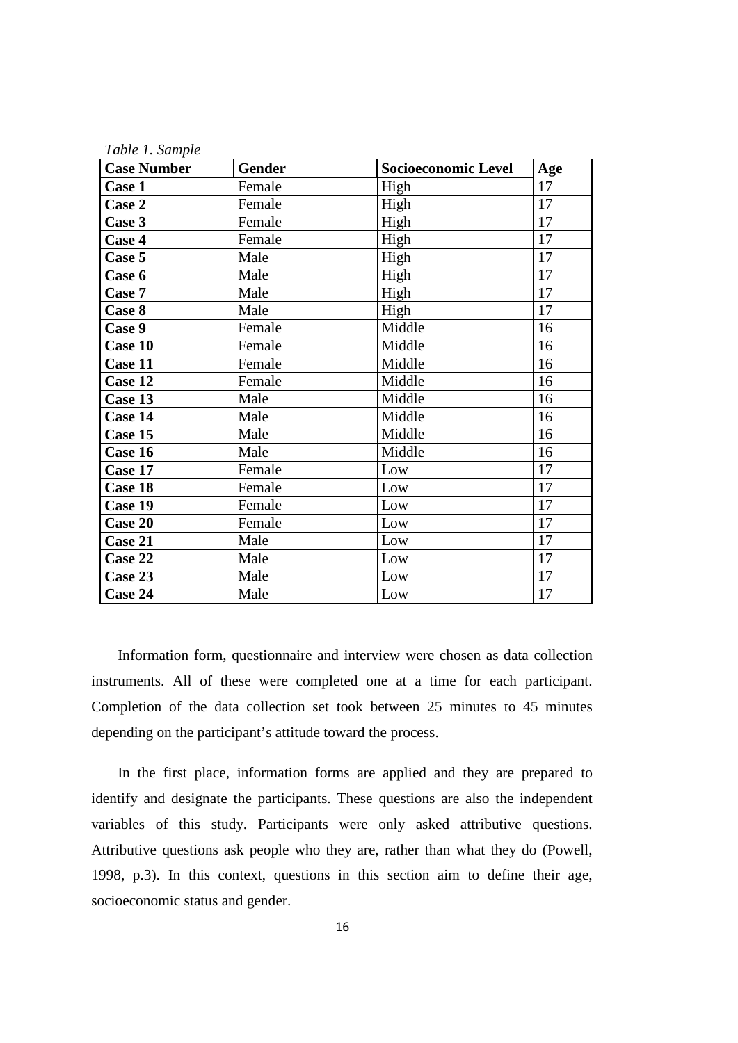| <b>Case Number</b> | <b>Gender</b> | <b>Socioeconomic Level</b> | <b>Age</b> |
|--------------------|---------------|----------------------------|------------|
| Case 1             | Female        | High                       | 17         |
| <b>Case 2</b>      | Female        | High                       | 17         |
| Case 3             | Female        | High                       | 17         |
| <b>Case 4</b>      | Female        | High                       | 17         |
| Case 5             | Male          | High                       | 17         |
| Case 6             | Male          | High                       | 17         |
| Case 7             | Male          | High                       | 17         |
| Case 8             | Male          | High                       | 17         |
| Case 9             | Female        | Middle                     | 16         |
| Case 10            | Female        | Middle                     | 16         |
| Case 11            | Female        | Middle                     | 16         |
| Case 12            | Female        | Middle                     | 16         |
| Case 13            | Male          | Middle                     | 16         |
| Case 14            | Male          | Middle                     | 16         |
| Case 15            | Male          | Middle                     | 16         |
| Case 16            | Male          | Middle                     | 16         |
| Case 17            | Female        | Low                        | 17         |
| Case 18            | Female        | Low                        | 17         |
| Case 19            | Female        | Low                        | 17         |
| Case 20            | Female        | Low                        | 17         |
| <b>Case 21</b>     | Male          | Low                        | 17         |
| Case 22            | Male          | Low                        | 17         |
| Case 23            | Male          | Low                        | 17         |
| Case 24            | Male          | Low                        | 17         |

*Table 1. Sample*

Information form, questionnaire and interview were chosen as data collection instruments. All of these were completed one at a time for each participant. Completion of the data collection set took between 25 minutes to 45 minutes depending on the participant's attitude toward the process.

In the first place, information forms are applied and they are prepared to identify and designate the participants. These questions are also the independent variables of this study. Participants were only asked attributive questions. Attributive questions ask people who they are, rather than what they do (Powell, 1998, p.3). In this context, questions in this section aim to define their age, socioeconomic status and gender.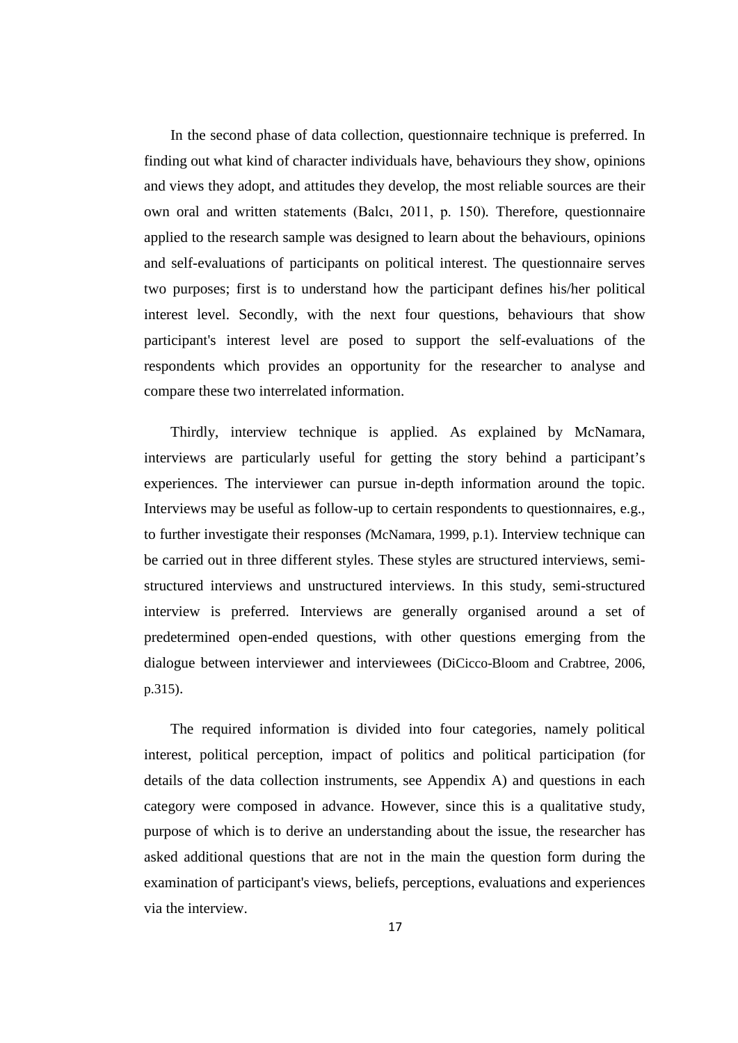In the second phase of data collection, questionnaire technique is preferred. In finding out what kind of character individuals have, behaviours they show, opinions and views they adopt, and attitudes they develop, the most reliable sources are their own oral and written statements (Balcı, 2011, p. 150)*.* Therefore, questionnaire applied to the research sample was designed to learn about the behaviours, opinions and self-evaluations of participants on political interest. The questionnaire serves two purposes; first is to understand how the participant defines his/her political interest level. Secondly, with the next four questions, behaviours that show participant's interest level are posed to support the self-evaluations of the respondents which provides an opportunity for the researcher to analyse and compare these two interrelated information.

Thirdly, interview technique is applied. As explained by McNamara, interviews are particularly useful for getting the story behind a participant's experiences. The interviewer can pursue in-depth information around the topic. Interviews may be useful as follow-up to certain respondents to questionnaires, e.g., to further investigate their responses *(*McNamara, 1999, p.1). Interview technique can be carried out in three different styles. These styles are structured interviews, semistructured interviews and unstructured interviews. In this study, semi-structured interview is preferred. Interviews are generally organised around a set of predetermined open-ended questions, with other questions emerging from the dialogue between interviewer and interviewees (DiCicco-Bloom and Crabtree, 2006, p.315).

The required information is divided into four categories, namely political interest, political perception, impact of politics and political participation (for details of the data collection instruments, see Appendix A) and questions in each category were composed in advance. However, since this is a qualitative study, purpose of which is to derive an understanding about the issue, the researcher has asked additional questions that are not in the main the question form during the examination of participant's views, beliefs, perceptions, evaluations and experiences via the interview.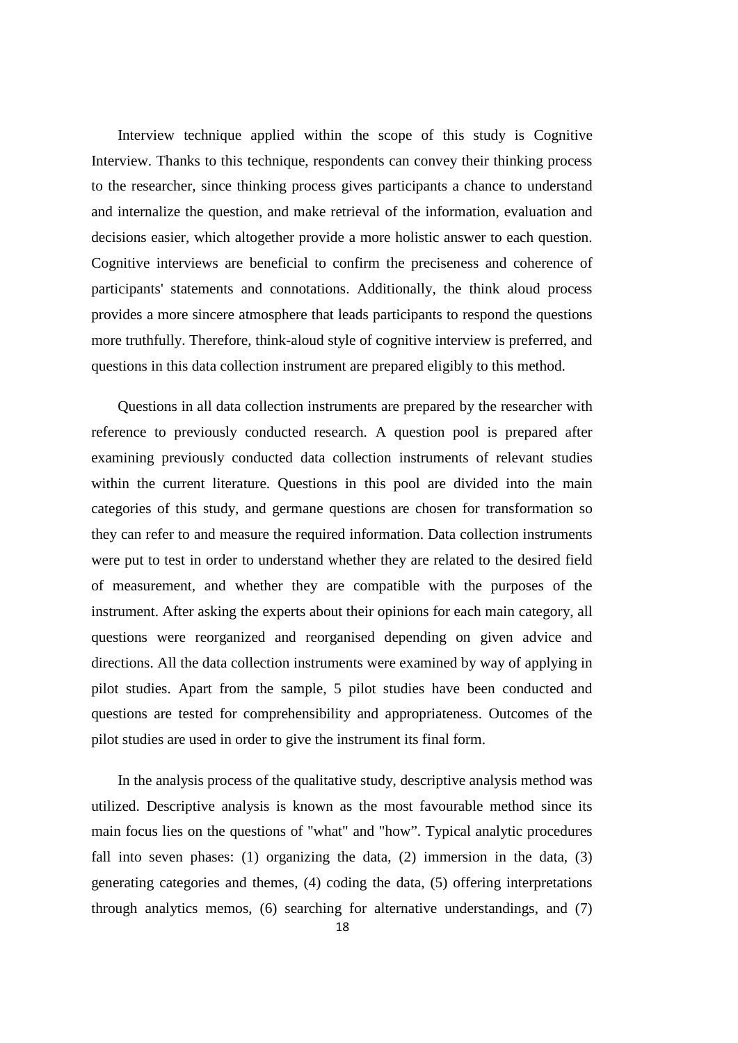Interview technique applied within the scope of this study is Cognitive Interview. Thanks to this technique, respondents can convey their thinking process to the researcher, since thinking process gives participants a chance to understand and internalize the question, and make retrieval of the information, evaluation and decisions easier, which altogether provide a more holistic answer to each question. Cognitive interviews are beneficial to confirm the preciseness and coherence of participants' statements and connotations. Additionally, the think aloud process provides a more sincere atmosphere that leads participants to respond the questions more truthfully. Therefore, think-aloud style of cognitive interview is preferred, and questions in this data collection instrument are prepared eligibly to this method.

Questions in all data collection instruments are prepared by the researcher with reference to previously conducted research. A question pool is prepared after examining previously conducted data collection instruments of relevant studies within the current literature. Questions in this pool are divided into the main categories of this study, and germane questions are chosen for transformation so they can refer to and measure the required information. Data collection instruments were put to test in order to understand whether they are related to the desired field of measurement, and whether they are compatible with the purposes of the instrument. After asking the experts about their opinions for each main category, all questions were reorganized and reorganised depending on given advice and directions. All the data collection instruments were examined by way of applying in pilot studies. Apart from the sample, 5 pilot studies have been conducted and questions are tested for comprehensibility and appropriateness. Outcomes of the pilot studies are used in order to give the instrument its final form.

In the analysis process of the qualitative study, descriptive analysis method was utilized. Descriptive analysis is known as the most favourable method since its main focus lies on the questions of "what" and "how". Typical analytic procedures fall into seven phases: (1) organizing the data, (2) immersion in the data, (3) generating categories and themes, (4) coding the data, (5) offering interpretations through analytics memos, (6) searching for alternative understandings, and (7)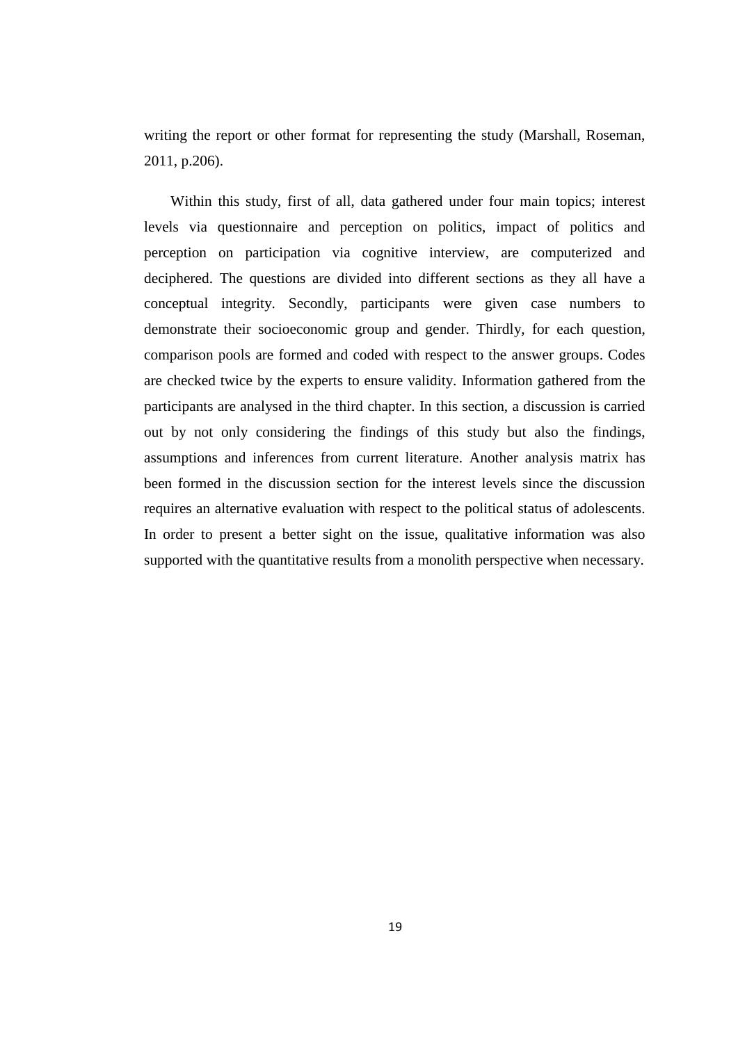writing the report or other format for representing the study (Marshall, Roseman, 2011, p.206).

Within this study, first of all, data gathered under four main topics; interest levels via questionnaire and perception on politics, impact of politics and perception on participation via cognitive interview, are computerized and deciphered. The questions are divided into different sections as they all have a conceptual integrity. Secondly, participants were given case numbers to demonstrate their socioeconomic group and gender. Thirdly, for each question, comparison pools are formed and coded with respect to the answer groups. Codes are checked twice by the experts to ensure validity. Information gathered from the participants are analysed in the third chapter. In this section, a discussion is carried out by not only considering the findings of this study but also the findings, assumptions and inferences from current literature. Another analysis matrix has been formed in the discussion section for the interest levels since the discussion requires an alternative evaluation with respect to the political status of adolescents. In order to present a better sight on the issue, qualitative information was also supported with the quantitative results from a monolith perspective when necessary.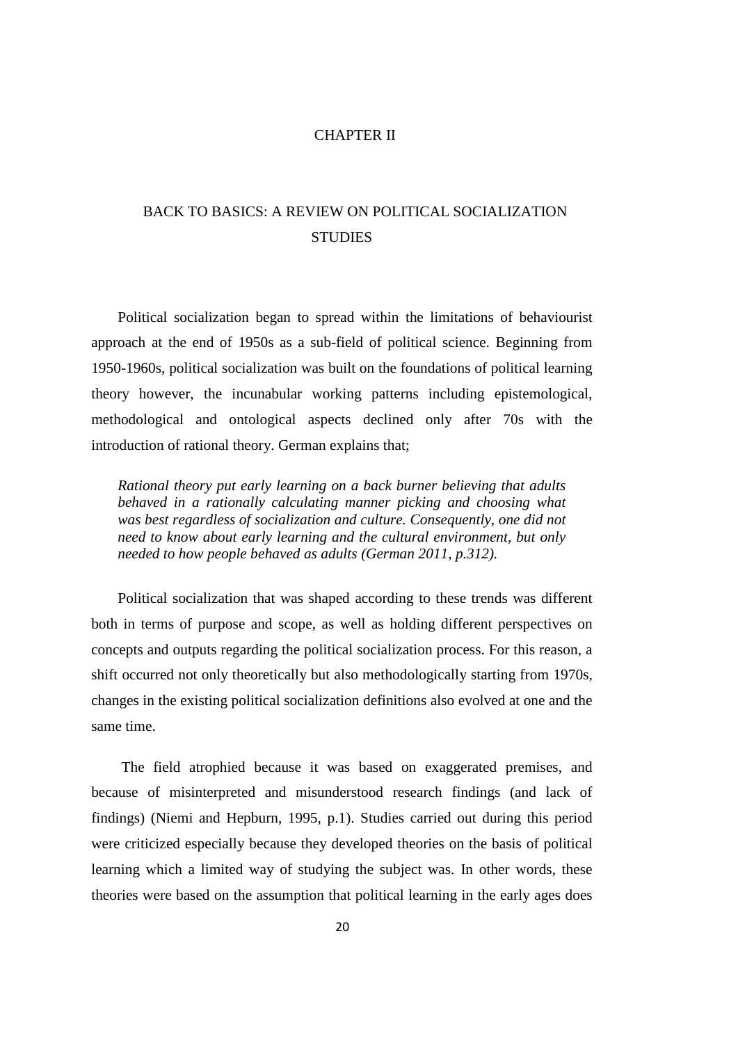#### CHAPTER II

# BACK TO BASICS: A REVIEW ON POLITICAL SOCIALIZATION **STUDIES**

Political socialization began to spread within the limitations of behaviourist approach at the end of 1950s as a sub-field of political science. Beginning from 1950-1960s, political socialization was built on the foundations of political learning theory however, the incunabular working patterns including epistemological, methodological and ontological aspects declined only after 70s with the introduction of rational theory. German explains that;

*Rational theory put early learning on a back burner believing that adults behaved in a rationally calculating manner picking and choosing what was best regardless of socialization and culture. Consequently, one did not need to know about early learning and the cultural environment, but only needed to how people behaved as adults (German 2011, p.312).* 

Political socialization that was shaped according to these trends was different both in terms of purpose and scope, as well as holding different perspectives on concepts and outputs regarding the political socialization process. For this reason, a shift occurred not only theoretically but also methodologically starting from 1970s, changes in the existing political socialization definitions also evolved at one and the same time.

The field atrophied because it was based on exaggerated premises, and because of misinterpreted and misunderstood research findings (and lack of findings) (Niemi and Hepburn, 1995, p.1). Studies carried out during this period were criticized especially because they developed theories on the basis of political learning which a limited way of studying the subject was. In other words, these theories were based on the assumption that political learning in the early ages does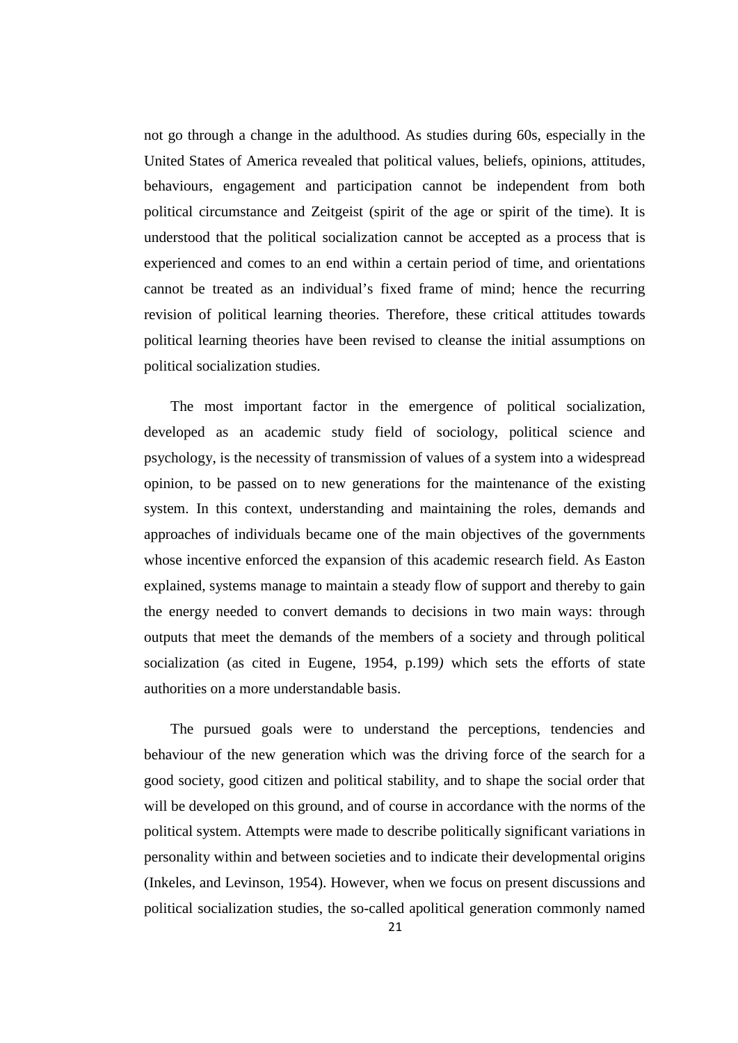not go through a change in the adulthood. As studies during 60s, especially in the United States of America revealed that political values, beliefs, opinions, attitudes, behaviours, engagement and participation cannot be independent from both political circumstance and Zeitgeist (spirit of the age or spirit of the time). It is understood that the political socialization cannot be accepted as a process that is experienced and comes to an end within a certain period of time, and orientations cannot be treated as an individual's fixed frame of mind; hence the recurring revision of political learning theories. Therefore, these critical attitudes towards political learning theories have been revised to cleanse the initial assumptions on political socialization studies.

The most important factor in the emergence of political socialization, developed as an academic study field of sociology, political science and psychology, is the necessity of transmission of values of a system into a widespread opinion, to be passed on to new generations for the maintenance of the existing system. In this context, understanding and maintaining the roles, demands and approaches of individuals became one of the main objectives of the governments whose incentive enforced the expansion of this academic research field. As Easton explained, systems manage to maintain a steady flow of support and thereby to gain the energy needed to convert demands to decisions in two main ways: through outputs that meet the demands of the members of a society and through political socialization (as cited in Eugene, 1954, p.199*)* which sets the efforts of state authorities on a more understandable basis.

The pursued goals were to understand the perceptions, tendencies and behaviour of the new generation which was the driving force of the search for a good society, good citizen and political stability, and to shape the social order that will be developed on this ground, and of course in accordance with the norms of the political system. Attempts were made to describe politically significant variations in personality within and between societies and to indicate their developmental origins (Inkeles, and Levinson, 1954). However, when we focus on present discussions and political socialization studies, the so-called apolitical generation commonly named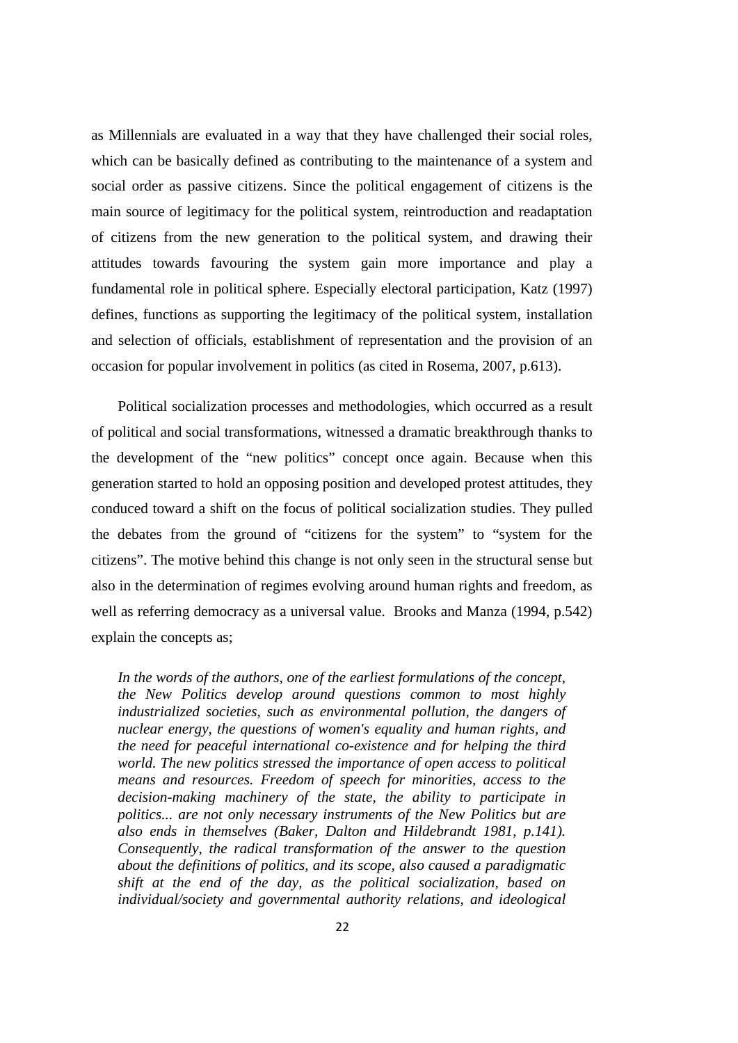as Millennials are evaluated in a way that they have challenged their social roles, which can be basically defined as contributing to the maintenance of a system and social order as passive citizens. Since the political engagement of citizens is the main source of legitimacy for the political system, reintroduction and readaptation of citizens from the new generation to the political system, and drawing their attitudes towards favouring the system gain more importance and play a fundamental role in political sphere. Especially electoral participation, Katz (1997) defines, functions as supporting the legitimacy of the political system, installation and selection of officials, establishment of representation and the provision of an occasion for popular involvement in politics (as cited in Rosema, 2007, p.613).

Political socialization processes and methodologies, which occurred as a result of political and social transformations, witnessed a dramatic breakthrough thanks to the development of the "new politics" concept once again. Because when this generation started to hold an opposing position and developed protest attitudes, they conduced toward a shift on the focus of political socialization studies. They pulled the debates from the ground of "citizens for the system" to "system for the citizens". The motive behind this change is not only seen in the structural sense but also in the determination of regimes evolving around human rights and freedom, as well as referring democracy as a universal value. Brooks and Manza (1994, p.542) explain the concepts as;

*In the words of the authors, one of the earliest formulations of the concept, the New Politics develop around questions common to most highly industrialized societies, such as environmental pollution, the dangers of nuclear energy, the questions of women's equality and human rights, and the need for peaceful international co-existence and for helping the third world. The new politics stressed the importance of open access to political means and resources. Freedom of speech for minorities, access to the decision-making machinery of the state, the ability to participate in politics... are not only necessary instruments of the New Politics but are also ends in themselves (Baker, Dalton and Hildebrandt 1981, p.141). Consequently, the radical transformation of the answer to the question about the definitions of politics, and its scope, also caused a paradigmatic shift at the end of the day, as the political socialization, based on individual/society and governmental authority relations, and ideological*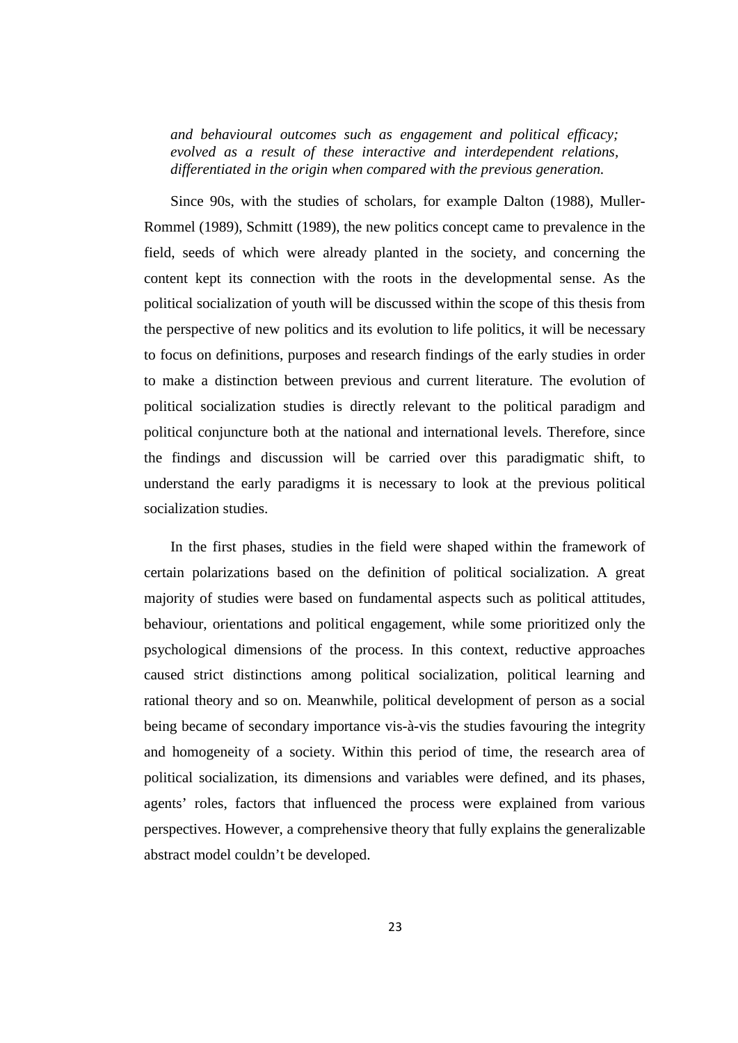*and behavioural outcomes such as engagement and political efficacy; evolved as a result of these interactive and interdependent relations, differentiated in the origin when compared with the previous generation.*

Since 90s, with the studies of scholars, for example Dalton (1988), Muller-Rommel (1989), Schmitt (1989), the new politics concept came to prevalence in the field, seeds of which were already planted in the society, and concerning the content kept its connection with the roots in the developmental sense. As the political socialization of youth will be discussed within the scope of this thesis from the perspective of new politics and its evolution to life politics, it will be necessary to focus on definitions, purposes and research findings of the early studies in order to make a distinction between previous and current literature. The evolution of political socialization studies is directly relevant to the political paradigm and political conjuncture both at the national and international levels. Therefore, since the findings and discussion will be carried over this paradigmatic shift, to understand the early paradigms it is necessary to look at the previous political socialization studies.

In the first phases, studies in the field were shaped within the framework of certain polarizations based on the definition of political socialization. A great majority of studies were based on fundamental aspects such as political attitudes, behaviour, orientations and political engagement, while some prioritized only the psychological dimensions of the process. In this context, reductive approaches caused strict distinctions among political socialization, political learning and rational theory and so on. Meanwhile, political development of person as a social being became of secondary importance vis-à-vis the studies favouring the integrity and homogeneity of a society. Within this period of time, the research area of political socialization, its dimensions and variables were defined, and its phases, agents' roles, factors that influenced the process were explained from various perspectives. However, a comprehensive theory that fully explains the generalizable abstract model couldn't be developed.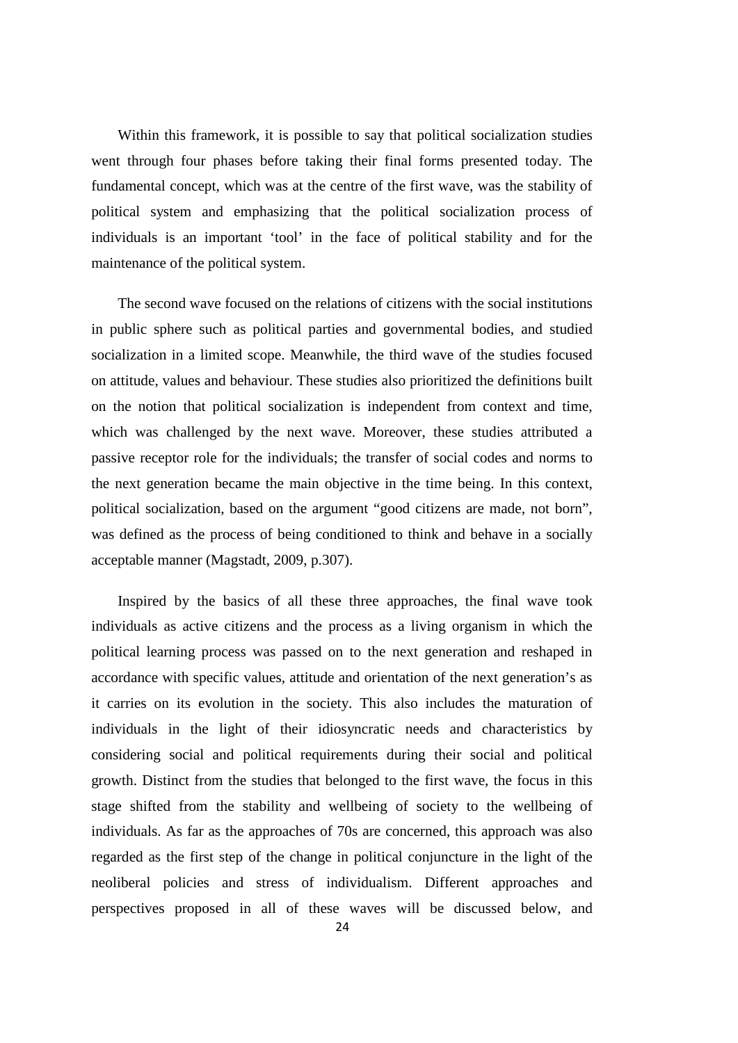Within this framework, it is possible to say that political socialization studies went through four phases before taking their final forms presented today. The fundamental concept, which was at the centre of the first wave, was the stability of political system and emphasizing that the political socialization process of individuals is an important 'tool' in the face of political stability and for the maintenance of the political system.

The second wave focused on the relations of citizens with the social institutions in public sphere such as political parties and governmental bodies, and studied socialization in a limited scope. Meanwhile, the third wave of the studies focused on attitude, values and behaviour. These studies also prioritized the definitions built on the notion that political socialization is independent from context and time, which was challenged by the next wave. Moreover, these studies attributed a passive receptor role for the individuals; the transfer of social codes and norms to the next generation became the main objective in the time being. In this context, political socialization, based on the argument "good citizens are made, not born", was defined as the process of being conditioned to think and behave in a socially acceptable manner (Magstadt, 2009, p.307).

Inspired by the basics of all these three approaches, the final wave took individuals as active citizens and the process as a living organism in which the political learning process was passed on to the next generation and reshaped in accordance with specific values, attitude and orientation of the next generation's as it carries on its evolution in the society. This also includes the maturation of individuals in the light of their idiosyncratic needs and characteristics by considering social and political requirements during their social and political growth. Distinct from the studies that belonged to the first wave, the focus in this stage shifted from the stability and wellbeing of society to the wellbeing of individuals. As far as the approaches of 70s are concerned, this approach was also regarded as the first step of the change in political conjuncture in the light of the neoliberal policies and stress of individualism. Different approaches and perspectives proposed in all of these waves will be discussed below, and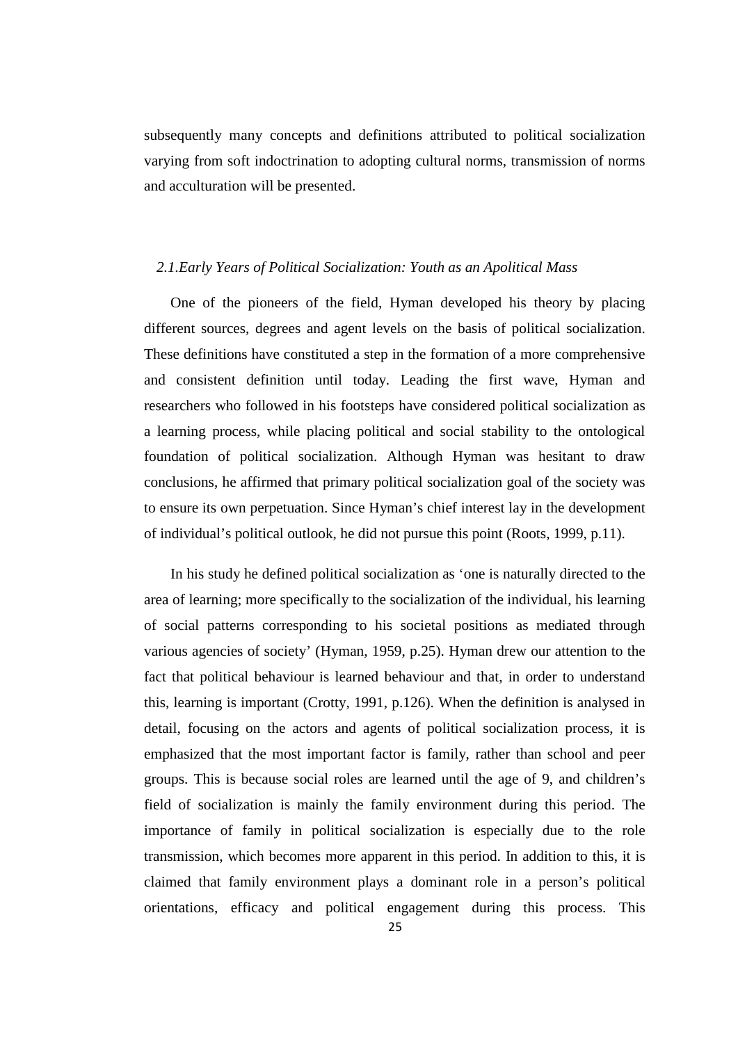subsequently many concepts and definitions attributed to political socialization varying from soft indoctrination to adopting cultural norms, transmission of norms and acculturation will be presented.

## *2.1.Early Years of Political Socialization: Youth as an Apolitical Mass*

One of the pioneers of the field, Hyman developed his theory by placing different sources, degrees and agent levels on the basis of political socialization. These definitions have constituted a step in the formation of a more comprehensive and consistent definition until today. Leading the first wave, Hyman and researchers who followed in his footsteps have considered political socialization as a learning process, while placing political and social stability to the ontological foundation of political socialization. Although Hyman was hesitant to draw conclusions, he affirmed that primary political socialization goal of the society was to ensure its own perpetuation. Since Hyman's chief interest lay in the development of individual's political outlook, he did not pursue this point (Roots, 1999, p.11).

In his study he defined political socialization as 'one is naturally directed to the area of learning; more specifically to the socialization of the individual, his learning of social patterns corresponding to his societal positions as mediated through various agencies of society' (Hyman, 1959, p.25). Hyman drew our attention to the fact that political behaviour is learned behaviour and that, in order to understand this, learning is important (Crotty, 1991, p.126). When the definition is analysed in detail, focusing on the actors and agents of political socialization process, it is emphasized that the most important factor is family, rather than school and peer groups. This is because social roles are learned until the age of 9, and children's field of socialization is mainly the [family environment](http://tureng.com/search/family%20environment) during this period. The importance of family in political socialization is especially due to the role transmission, which becomes more apparent in this period. In addition to this, it is claimed that family environment plays a dominant role in a person's political orientations, efficacy and political engagement during this process. This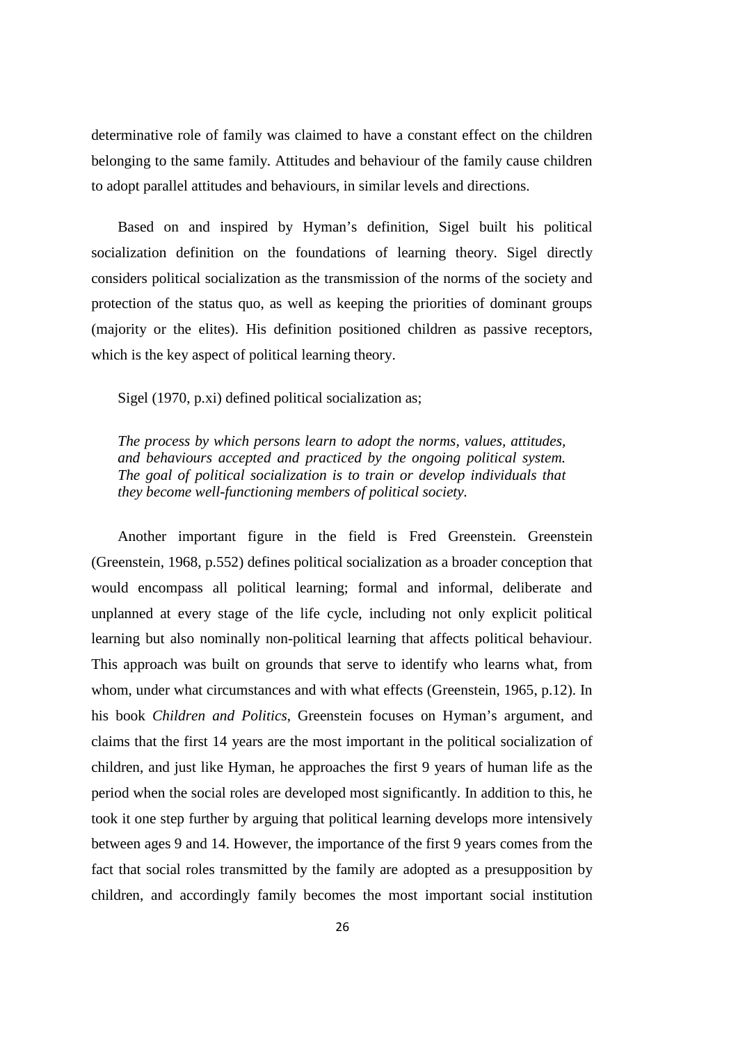determinative role of family was claimed to have a constant effect on the children belonging to the same family. Attitudes and behaviour of the family cause children to adopt parallel attitudes and behaviours, in similar levels and directions.

Based on and inspired by Hyman's definition, Sigel built his political socialization definition on the foundations of learning theory. Sigel directly considers political socialization as the transmission of the norms of the society and protection of the status quo, as well as keeping the priorities of dominant groups (majority or the elites). His definition positioned children as passive receptors, which is the key aspect of political learning theory.

Sigel (1970, p.xi) defined political socialization as;

*The process by which persons learn to adopt the norms, values, attitudes, and behaviours accepted and practiced by the ongoing political system. The goal of political socialization is to train or develop individuals that they become well-functioning members of political society.*

Another important figure in the field is Fred Greenstein. Greenstein (Greenstein, 1968, p.552) defines political socialization as a broader conception that would encompass all political learning; formal and informal, deliberate and unplanned at every stage of the life cycle, including not only explicit political learning but also nominally non-political learning that affects political behaviour. This approach was built on grounds that serve to identify who learns what, from whom, under what circumstances and with what effects (Greenstein, 1965, p.12). In his book *Children and Politics*, Greenstein focuses on Hyman's argument, and claims that the first 14 years are the most important in the political socialization of children, and just like Hyman, he approaches the first 9 years of human life as the period when the social roles are developed most significantly. In addition to this, he took it one step further by arguing that political learning develops more intensively between ages 9 and 14. However, the importance of the first 9 years comes from the fact that social roles transmitted by the family are adopted as a presupposition by children, and accordingly family becomes the most important social institution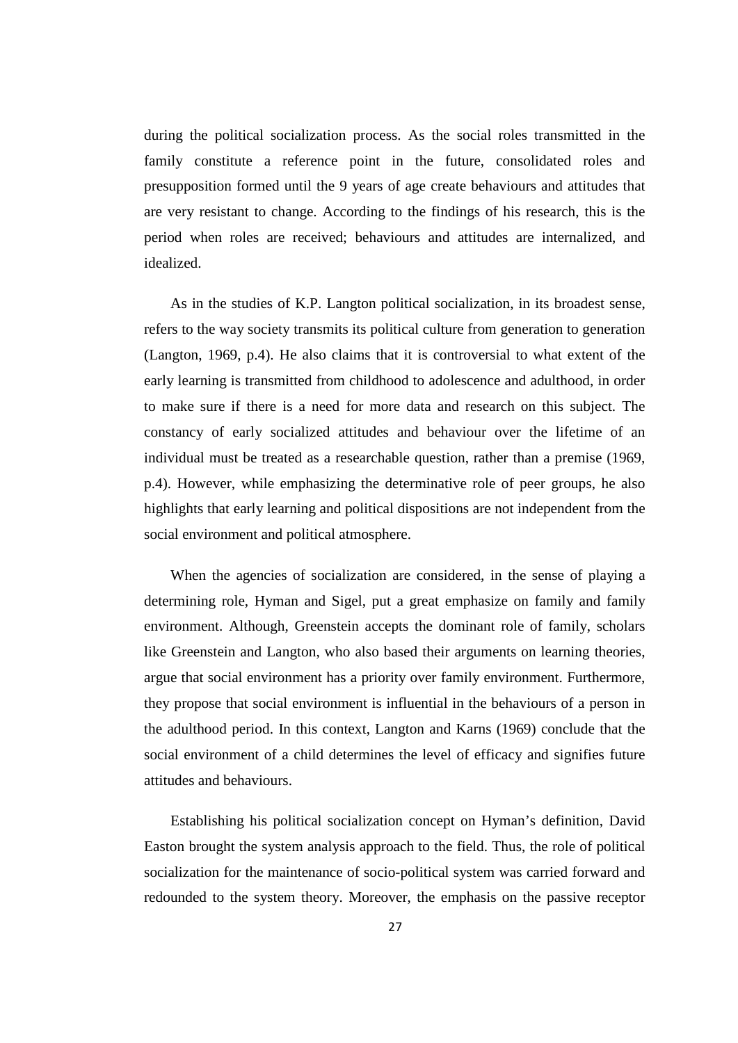during the political socialization process. As the social roles transmitted in the family constitute a reference point in the future, consolidated roles and presupposition formed until the 9 years of age create behaviours and attitudes that are very resistant to change. According to the findings of his research, this is the period when roles are received; behaviours and attitudes are internalized, and idealized.

As in the studies of K.P. Langton political socialization, in its broadest sense, refers to the way society transmits its political culture from generation to generation (Langton, 1969, p.4). He also claims that it is controversial to what extent of the early learning is transmitted from childhood to adolescence and adulthood, in order to make sure if there is a need for more data and research on this subject. The constancy of early socialized attitudes and behaviour over the lifetime of an individual must be treated as a researchable question, rather than a premise (1969, p.4). However, while emphasizing the determinative role of peer groups, he also highlights that early learning and political dispositions are not independent from the social environment and political atmosphere.

When the agencies of socialization are considered, in the sense of playing a determining role, Hyman and Sigel, put a great emphasize on family and family environment. Although, Greenstein accepts the dominant role of family, scholars like Greenstein and Langton, who also based their arguments on learning theories, argue that social environment has a priority over family environment. Furthermore, they propose that social environment is influential in the behaviours of a person in the adulthood period. In this context, Langton and Karns (1969) conclude that the social environment of a child determines the level of efficacy and signifies future attitudes and behaviours.

Establishing his political socialization concept on Hyman's definition, David Easton brought the system analysis approach to the field. Thus, the role of political socialization for the maintenance of socio-political system was carried forward and redounded to the system theory. Moreover, the emphasis on the passive receptor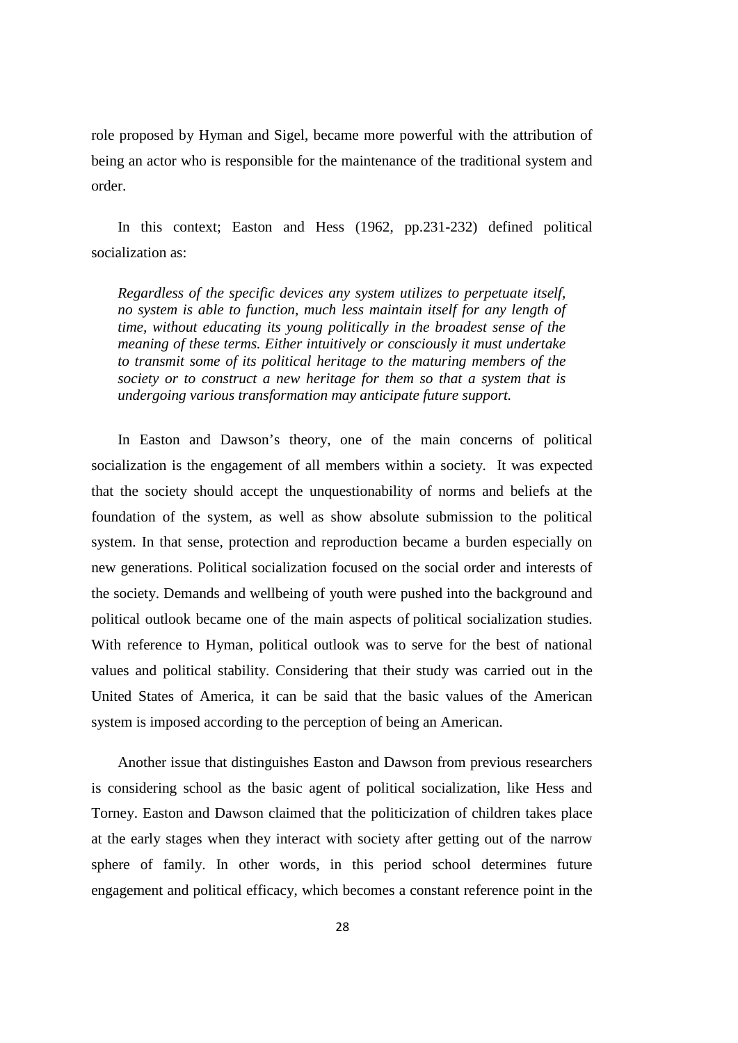role proposed by Hyman and Sigel, became more powerful with the attribution of being an actor who is responsible for the maintenance of the traditional system and order.

In this context; Easton and Hess (1962, pp.231-232) defined political socialization as:

*Regardless of the specific devices any system utilizes to perpetuate itself, no system is able to function, much less maintain itself for any length of time, without educating its young politically in the broadest sense of the meaning of these terms. Either intuitively or consciously it must undertake to transmit some of its political heritage to the maturing members of the society or to construct a new heritage for them so that a system that is undergoing various transformation may anticipate future support.*

In Easton and Dawson's theory, one of the main concerns of political socialization is the engagement of all members within a society. It was expected that the society should accept the unquestionability of norms and beliefs at the foundation of the system, as well as show absolute submission to the political system. In that sense, protection and reproduction became a burden especially on new generations. Political socialization focused on the social order and interests of the society. Demands and wellbeing of youth were pushed into the background and political outlook became one of the main aspects of political socialization studies. With reference to Hyman, political outlook was to serve for the best of national values and political stability. Considering that their study was carried out in the United States of America, it can be said that the basic values of the American system is imposed according to the perception of being an American.

Another issue that distinguishes Easton and Dawson from previous researchers is considering school as the basic agent of political socialization, like Hess and Torney. Easton and Dawson claimed that the politicization of children takes place at the early stages when they interact with society after getting out of the narrow sphere of family. In other words, in this period school determines future engagement and political efficacy, which becomes a constant reference point in the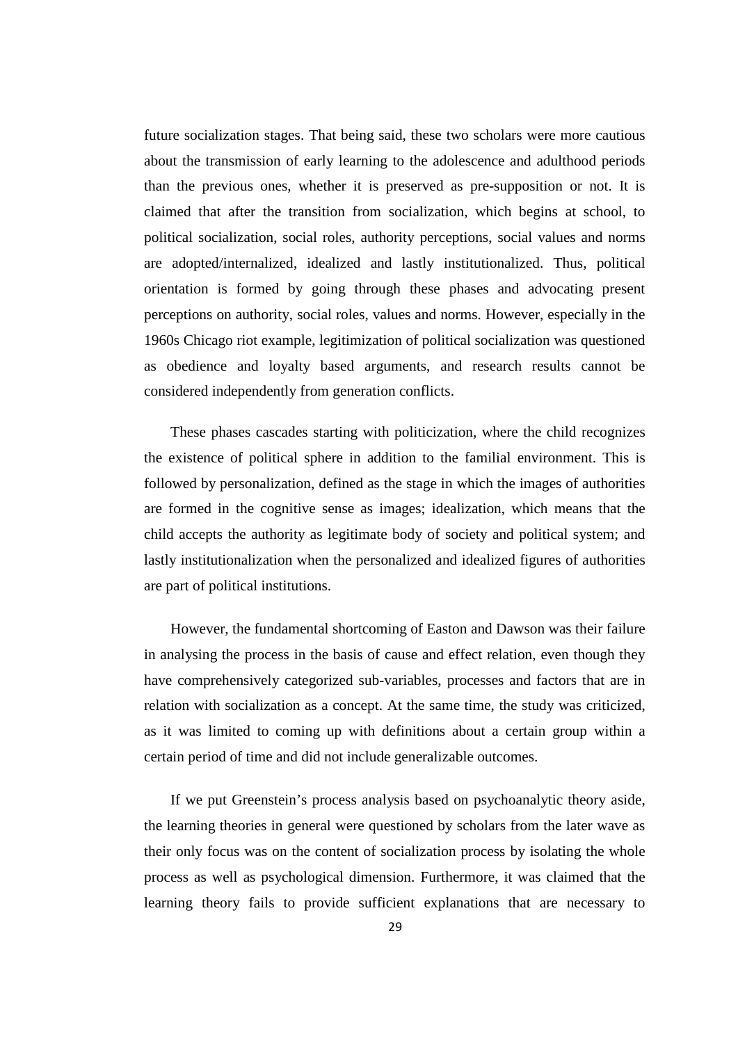future socialization stages. That being said, these two scholars were more cautious about the transmission of early learning to the adolescence and adulthood periods than the previous ones, whether it is preserved as pre-supposition or not. It is claimed that after the transition from socialization, which begins at school, to political socialization, social roles, authority perceptions, social values and norms are adopted/internalized, idealized and lastly institutionalized. Thus, political orientation is formed by going through these phases and advocating present perceptions on authority, social roles, values and norms. However, especially in the 1960s Chicago riot example, legitimization of political socialization was questioned as obedience and loyalty based arguments, and research results cannot be considered independently from generation conflicts.

These phases cascades starting with politicization, where the child recognizes the existence of political sphere in addition to the familial environment. This is followed by personalization, defined as the stage in which the images of authorities are formed in the cognitive sense as images; idealization, which means that the child accepts the authority as legitimate body of society and political system; and lastly institutionalization when the personalized and idealized figures of authorities are part of political institutions.

However, the fundamental shortcoming of Easton and Dawson was their failure in analysing the process in the basis of cause and effect relation, even though they have comprehensively categorized sub-variables, processes and factors that are in relation with socialization as a concept. At the same time, the study was criticized, as it was limited to coming up with definitions about a certain group within a certain period of time and did not include generalizable outcomes.

If we put Greenstein's process analysis based on psychoanalytic theory aside, the learning theories in general were questioned by scholars from the later wave as their only focus was on the content of socialization process by isolating the whole process as well as psychological dimension. Furthermore, it was claimed that the learning theory fails to provide sufficient explanations that are necessary to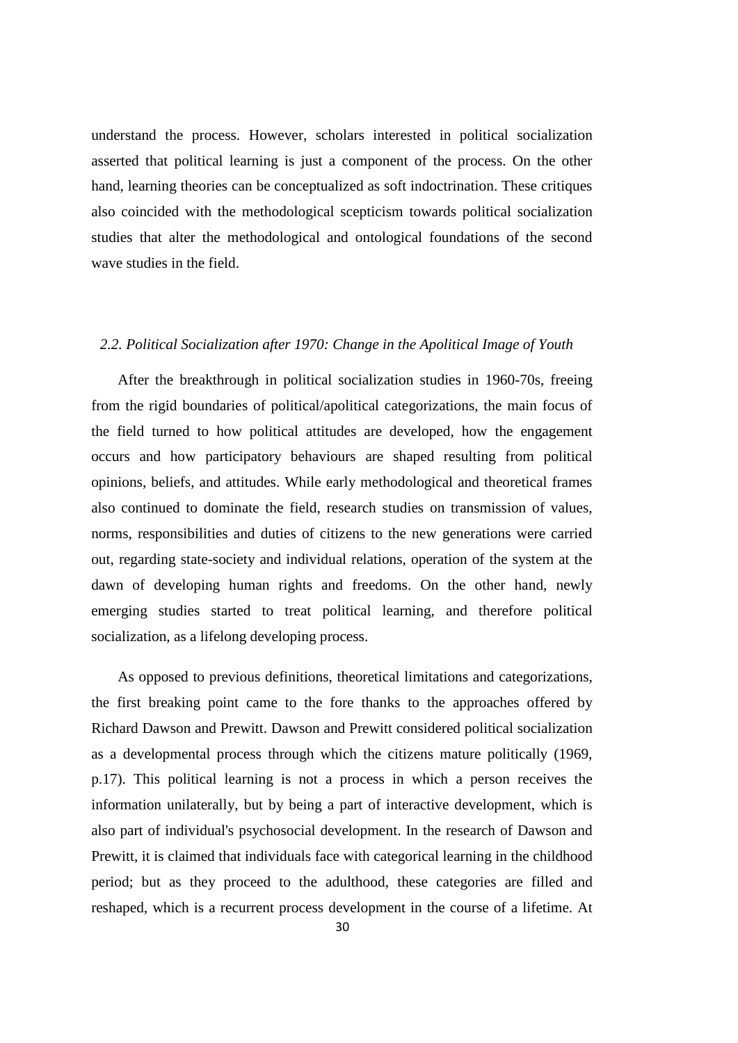understand the process. However, scholars interested in political socialization asserted that political learning is just a component of the process. On the other hand, learning theories can be conceptualized as soft indoctrination. These critiques also coincided with the methodological scepticism towards political socialization studies that alter the methodological and ontological foundations of the second wave studies in the field.

## *2.2. Political Socialization after 1970: Change in the Apolitical Image of Youth*

After the breakthrough in political socialization studies in 1960-70s, freeing from the rigid boundaries of political/apolitical categorizations, the main focus of the field turned to how political attitudes are developed, how the engagement occurs and how participatory behaviours are shaped resulting from political opinions, beliefs, and attitudes. While early methodological and theoretical frames also continued to dominate the field, research studies on transmission of values, norms, responsibilities and duties of citizens to the new generations were carried out, regarding state-society and individual relations, operation of the system at the dawn of developing human rights and freedoms. On the other hand, newly emerging studies started to treat political learning, and therefore political socialization, as a lifelong developing process.

As opposed to previous definitions, theoretical limitations and categorizations, the first breaking point came to the fore thanks to the approaches offered by Richard Dawson and Prewitt. Dawson and Prewitt considered political socialization as a developmental process through which the citizens mature politically (1969, p.17). This political learning is not a process in which a person receives the information unilaterally, but by being a part of interactive development, which is also part of individual's psychosocial development. In the research of Dawson and Prewitt, it is claimed that individuals face with categorical learning in the childhood period; but as they proceed to the adulthood, these categories are filled and reshaped, which is a recurrent process development in the course of a lifetime. At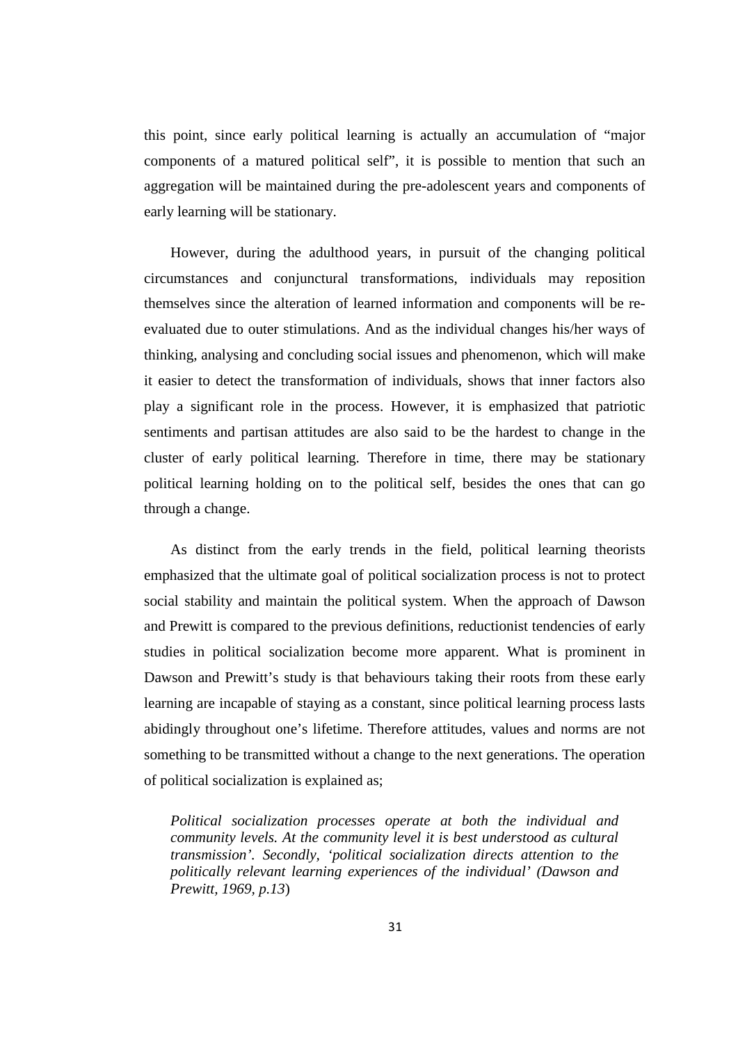this point, since early political learning is actually an accumulation of "major components of a matured political self", it is possible to mention that such an aggregation will be maintained during the pre-adolescent years and components of early learning will be stationary.

However, during the adulthood years, in pursuit of the changing political circumstances and conjunctural transformations, individuals may reposition themselves since the alteration of learned information and components will be reevaluated due to outer stimulations. And as the individual changes his/her ways of thinking, analysing and concluding social issues and phenomenon, which will make it easier to detect the transformation of individuals, shows that inner factors also play a significant role in the process. However, it is emphasized that patriotic sentiments and partisan attitudes are also said to be the hardest to change in the cluster of early political learning. Therefore in time, there may be stationary political learning holding on to the political self, besides the ones that can go through a change.

As distinct from the early trends in the field, political learning theorists emphasized that the ultimate goal of political socialization process is not to protect social stability and maintain the political system. When the approach of Dawson and Prewitt is compared to the previous definitions, reductionist tendencies of early studies in political socialization become more apparent. What is prominent in Dawson and Prewitt's study is that behaviours taking their roots from these early learning are incapable of staying as a constant, since political learning process lasts abidingly throughout one's lifetime. Therefore attitudes, values and norms are not something to be transmitted without a change to the next generations. The operation of political socialization is explained as;

*Political socialization processes operate at both the individual and community levels. At the community level it is best understood as cultural transmission'. Secondly, 'political socialization directs attention to the politically relevant learning experiences of the individual' (Dawson and Prewitt, 1969, p.13*)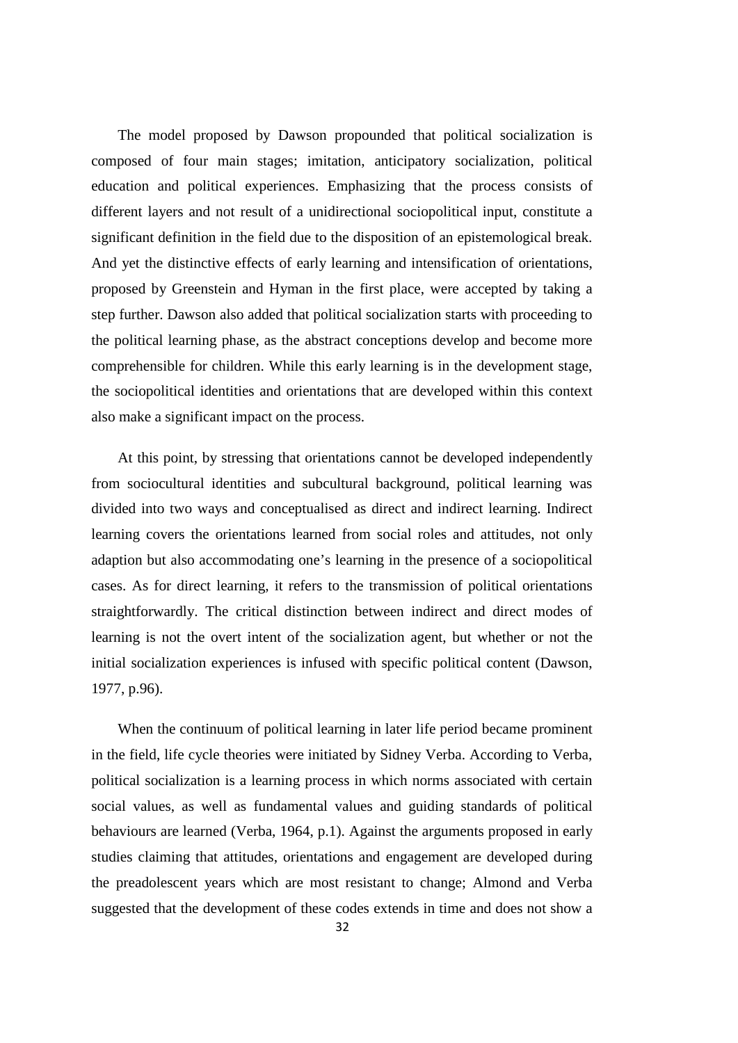The model proposed by Dawson propounded that political socialization is composed of four main stages; imitation, anticipatory socialization, political education and political experiences. Emphasizing that the process consists of different layers and not result of a unidirectional sociopolitical input, constitute a significant definition in the field due to the disposition of an epistemological break. And yet the distinctive effects of early learning and intensification of orientations, proposed by Greenstein and Hyman in the first place, were accepted by taking a step further. Dawson also added that political socialization starts with proceeding to the political learning phase, as the abstract conceptions develop and become more comprehensible for children. While this early learning is in the development stage, the sociopolitical identities and orientations that are developed within this context also make a significant impact on the process.

At this point, by stressing that orientations cannot be developed independently from sociocultural identities and subcultural background, political learning was divided into two ways and conceptualised as direct and indirect learning. Indirect learning covers the orientations learned from social roles and attitudes, not only adaption but also accommodating one's learning in the presence of a sociopolitical cases. As for direct learning, it refers to the transmission of political orientations [straightforwardly.](http://tureng.com/search/straight-forwardly) The critical distinction between indirect and direct modes of learning is not the overt intent of the socialization agent, but whether or not the initial socialization experiences is infused with specific political content (Dawson, 1977, p.96).

When the continuum of political learning in later life period became prominent in the field, life cycle theories were initiated by Sidney Verba. According to Verba, political socialization is a learning process in which norms associated with certain social values, as well as fundamental values and guiding standards of political behaviours are learned (Verba, 1964, p.1). Against the arguments proposed in early studies claiming that attitudes, orientations and engagement are developed during the preadolescent years which are most resistant to change; Almond and Verba suggested that the development of these codes extends in time and does not show a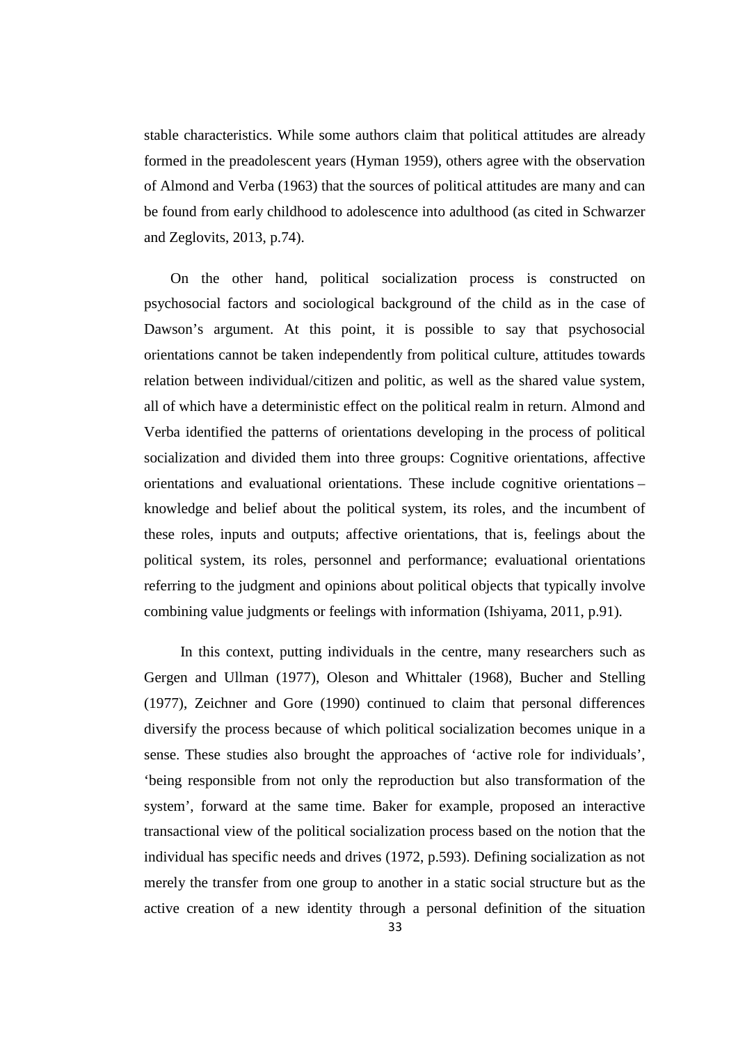stable characteristics. While some authors claim that political attitudes are already formed in the preadolescent years (Hyman 1959), others agree with the observation of Almond and Verba (1963) that the sources of political attitudes are many and can be found from early childhood to adolescence into adulthood (as cited in Schwarzer and Zeglovits, 2013, p.74).

On the other hand, political socialization process is constructed on psychosocial factors and sociological background of the child as in the case of Dawson's argument. At this point, it is possible to say that psychosocial orientations cannot be taken independently from political culture, attitudes towards relation between individual/citizen and politic, as well as the shared value system, all of which have a deterministic effect on the political realm in return. Almond and Verba identified the patterns of orientations developing in the process of political socialization and divided them into three groups: Cognitive orientations, affective orientations and evaluational orientations. These include cognitive orientations – knowledge and belief about the political system, its roles, and the incumbent of these roles, inputs and outputs; affective orientations, that is, feelings about the political system, its roles, personnel and performance; evaluational orientations referring to the judgment and opinions about political objects that typically involve combining value judgments or feelings with information (Ishiyama, 2011, p.91)*.*

In this context, putting individuals in the centre, many researchers such as Gergen and Ullman (1977), Oleson and Whittaler (1968), Bucher and Stelling (1977), Zeichner and Gore (1990) continued to claim that [personal differences](http://tureng.com/search/personal%20differences) diversify the process because of which political socialization becomes unique in a sense. These studies also brought the approaches of 'active role for individuals', 'being responsible from not only the reproduction but also transformation of the system', forward at the same time. Baker for example, proposed an interactive transactional view of the political socialization process based on the notion that the individual has specific needs and drives (1972, p.593). Defining socialization as not merely the transfer from one group to another in a static social structure but as the active creation of a new identity through a personal definition of the situation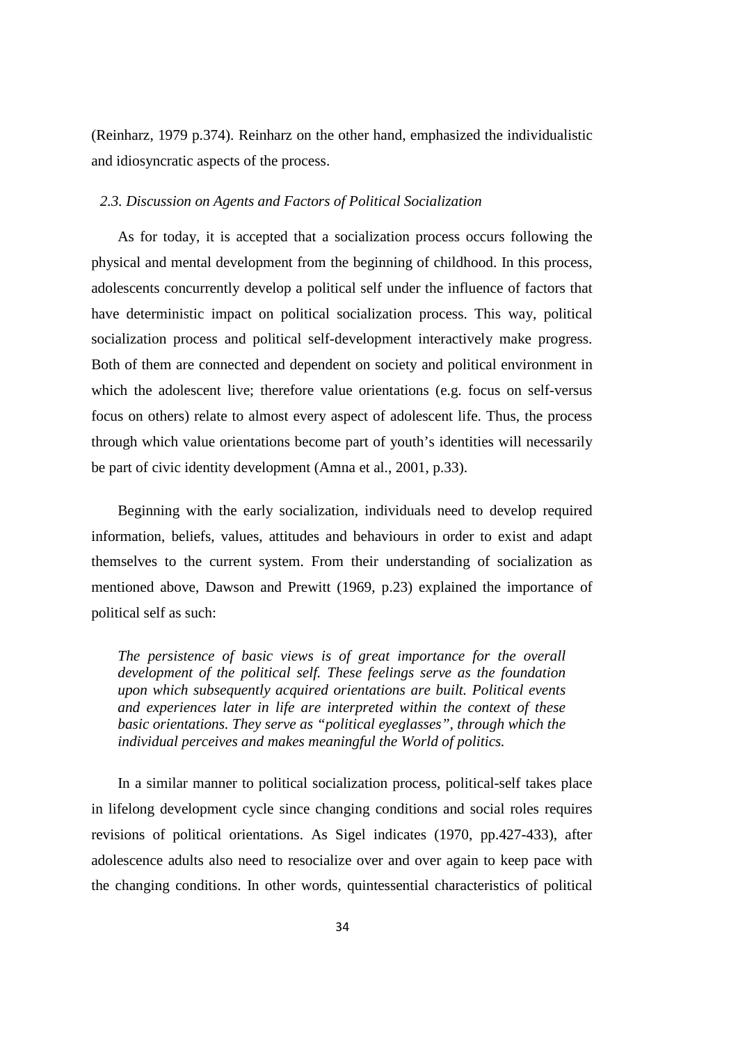(Reinharz, 1979 p.374). Reinharz on the other hand, emphasized the individualistic and idiosyncratic aspects of the process.

## *2.3. Discussion on Agents and Factors of Political Socialization*

As for today, it is accepted that a socialization process occurs following the physical and mental development from the beginning of childhood. In this process, adolescents concurrently develop a political self under the influence of factors that have deterministic impact on political socialization process. This way, political socialization process and political self-development interactively make progress. Both of them are connected and dependent on society and political environment in which the adolescent live; therefore value orientations (e.g. focus on self-versus focus on others) relate to almost every aspect of adolescent life. Thus, the process through which value orientations become part of youth's identities will necessarily be part of civic identity development (Amna et al., 2001, p.33).

Beginning with the early socialization, individuals need to develop required information, beliefs, values, attitudes and behaviours in order to exist and adapt themselves to the current system. From their understanding of socialization as mentioned above, Dawson and Prewitt (1969, p.23) explained the importance of political self as such:

*The persistence of basic views is of great importance for the overall development of the political self. These feelings serve as the foundation upon which subsequently acquired orientations are built. Political events and experiences later in life are interpreted within the context of these basic orientations. They serve as "political eyeglasses", through which the individual perceives and makes meaningful the World of politics.*

In a similar manner to political socialization process, political-self takes place in lifelong development cycle since changing conditions and social roles requires revisions of political orientations. As Sigel indicates (1970, pp.427-433), after adolescence adults also need to resocialize over and over again to keep pace with the changing conditions. In other words, quintessential characteristics of political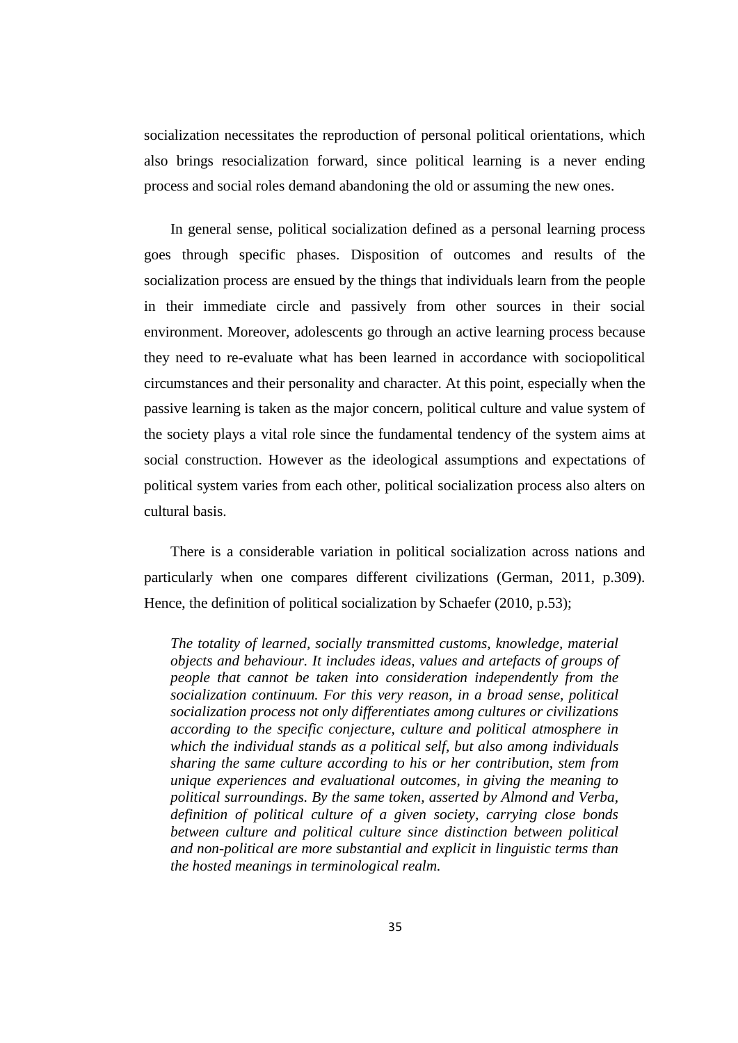socialization necessitates the reproduction of personal political orientations, which also brings resocialization forward, since political learning is a never ending process and social roles demand abandoning the old or assuming the new ones.

In general sense, political socialization defined as a personal learning process goes through specific phases. Disposition of outcomes and results of the socialization process are ensued by the things that individuals learn from the people in their immediate circle and passively from other sources in their social environment. Moreover, adolescents go through an active learning process because they need to re-evaluate what has been learned in accordance with sociopolitical circumstances and their personality and character. At this point, especially when the passive learning is taken as the major concern, political culture and value system of the society plays a vital role since the fundamental tendency of the system aims at social construction. However as the ideological assumptions and expectations of political system varies from each other, political socialization process also alters on cultural basis.

There is a considerable variation in political socialization across nations and particularly when one compares different civilizations (German, 2011, p.309). Hence, the definition of political socialization by Schaefer (2010, p.53);

*The totality of learned, socially transmitted customs, knowledge, material objects and behaviour. It includes ideas, values and artefacts of groups of people that cannot be taken into consideration independently from the socialization continuum. For this very reason, in a broad sense, political socialization process not only differentiates among cultures or civilizations according to the specific conjecture, culture and political atmosphere in which the individual stands as a political self, but also among individuals sharing the same culture according to his or her contribution, stem from unique experiences and evaluational outcomes, in giving the meaning to political surroundings. By the same token, asserted by Almond and Verba, definition of political culture of a given society, carrying close bonds between culture and political culture since distinction between political and non-political are more substantial and explicit in linguistic terms than the hosted meanings in terminological realm.*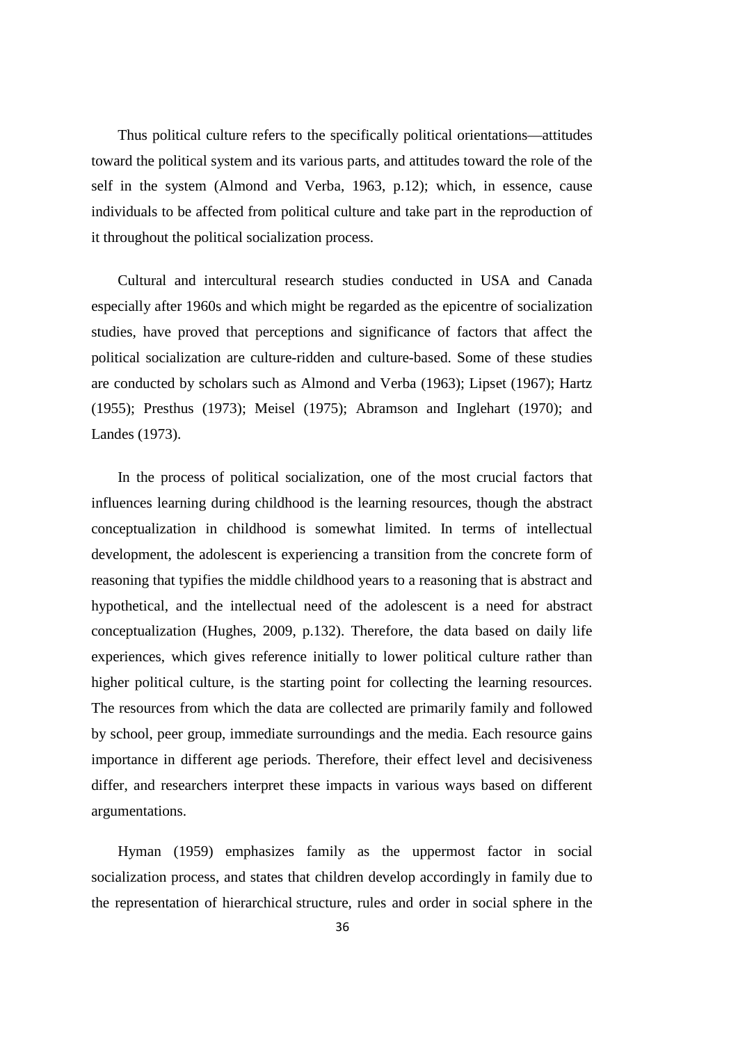Thus political culture refers to the specifically political orientations—attitudes toward the political system and its various parts, and attitudes toward the role of the self in the system (Almond and Verba, 1963, p.12); which, in essence, cause individuals to be affected from political culture and take part in the reproduction of it throughout the political socialization process.

Cultural and intercultural research studies conducted in USA and Canada especially after 1960s and which might be regarded as the epicentre of socialization studies, have proved that perceptions and significance of factors that affect the political socialization are culture-ridden and culture-based. Some of these studies are conducted by scholars such as Almond and Verba (1963); Lipset (1967); Hartz (1955); Presthus (1973); Meisel (1975); Abramson and Inglehart (1970); and Landes (1973).

In the process of political socialization, one of the most crucial factors that influences learning during childhood is the learning resources, though the abstract conceptualization in childhood is somewhat limited. In terms of intellectual development, the adolescent is experiencing a transition from the concrete form of reasoning that typifies the middle childhood years to a reasoning that is abstract and hypothetical, and the intellectual need of the adolescent is a need for abstract conceptualization (Hughes, 2009, p.132). Therefore, the data based on daily life experiences, which gives reference initially to lower political culture rather than higher political culture, is the starting point for collecting the learning resources. The resources from which the data are collected are primarily family and followed by school, peer group, immediate surroundings and the media. Each resource gains importance in different age periods. Therefore, their effect level and decisiveness differ, and researchers interpret these impacts in various ways based on different argumentations.

Hyman (1959) emphasizes family as the uppermost factor in social socialization process, and states that children develop accordingly in family due to the representation of hierarchical structure, rules and order in social sphere in the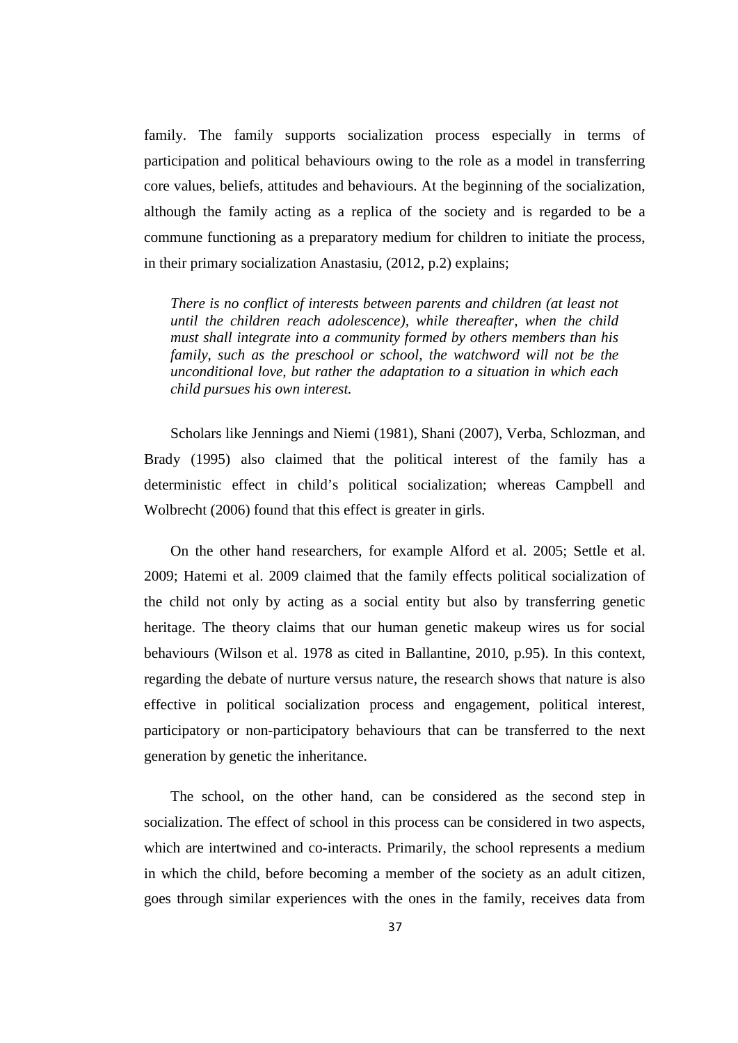family. The family supports socialization process especially in terms of participation and political behaviours owing to the role as a model in transferring core values, beliefs, attitudes and behaviours. At the beginning of the socialization, although the family acting as a replica of the society and is regarded to be a commune functioning as a preparatory medium for children to initiate the process, in their primary socialization Anastasiu, (2012, p.2) explains;

*There is no conflict of interests between parents and children (at least not until the children reach adolescence), while thereafter, when the child must shall integrate into a community formed by others members than his family, such as the preschool or school, the watchword will not be the unconditional love, but rather the adaptation to a situation in which each child pursues his own interest.*

Scholars like Jennings and Niemi (1981), Shani (2007), Verba, Schlozman, and Brady (1995) also claimed that the political interest of the family has a deterministic effect in child's political socialization; whereas Campbell and Wolbrecht (2006) found that this effect is greater in girls.

On the other hand researchers, for example Alford et al. 2005; Settle et al. 2009; Hatemi et al. 2009 claimed that the family effects political socialization of the child not only by acting as a social entity but also by transferring genetic heritage. The theory claims that our human genetic makeup wires us for social behaviours (Wilson et al. 1978 as cited in Ballantine, 2010, p.95). In this context, regarding the debate of nurture versus nature, the research shows that nature is also effective in political socialization process and engagement, political interest, participatory or non-participatory behaviours that can be transferred to the next generation by genetic the inheritance.

The school, on the other hand, can be considered as the second step in socialization. The effect of school in this process can be considered in two aspects, which are intertwined and co-interacts. Primarily, the school represents a medium in which the child, before becoming a member of the society as an adult citizen, goes through similar experiences with the ones in the family, receives data from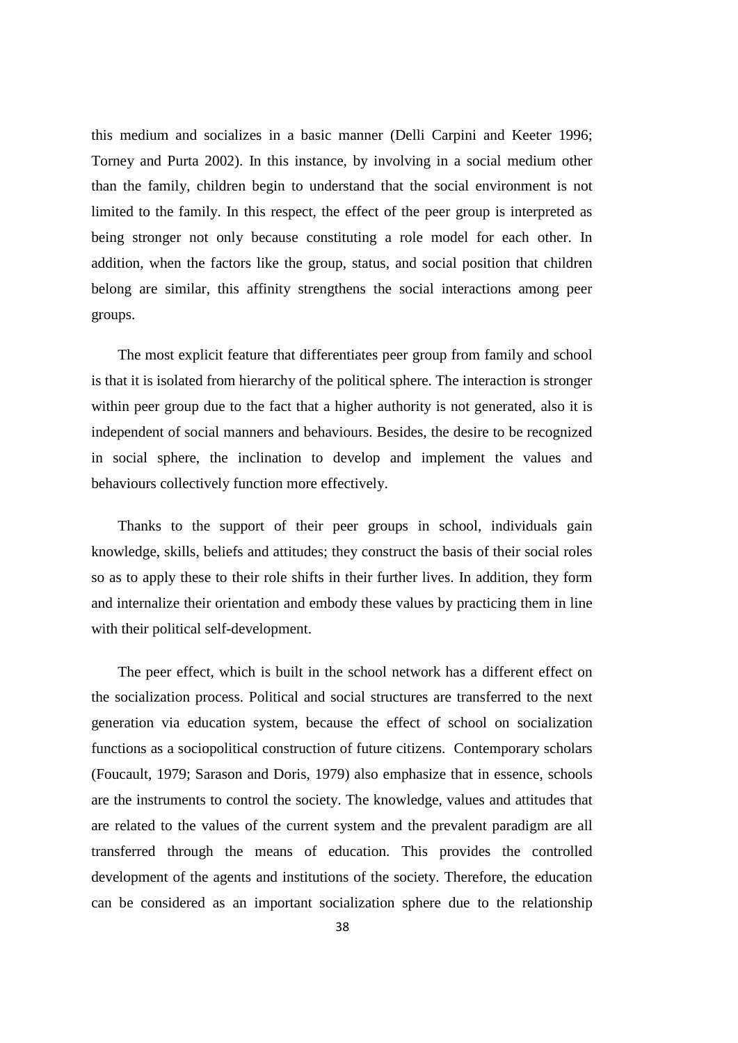this medium and socializes in a basic manner (Delli Carpini and Keeter 1996; Torney and Purta 2002). In this instance, by involving in a social medium other than the family, children begin to understand that the social environment is not limited to the family. In this respect, the effect of the peer group is interpreted as being stronger not only because constituting a role model for each other. In addition, when the factors like the group, status, and social position that children belong are similar, this affinity strengthens the social interactions among peer groups.

The most explicit feature that differentiates peer group from family and school is that it is isolated from hierarchy of the political sphere. The interaction is stronger within peer group due to the fact that a higher authority is not generated, also it is independent of social manners and behaviours. Besides, the desire to be recognized in social sphere, the inclination to develop and implement the values and behaviours collectively function more effectively.

Thanks to the support of their peer groups in school, individuals gain knowledge, skills, beliefs and attitudes; they construct the basis of their social roles so as to apply these to their role shifts in their further lives. In addition, they form and internalize their orientation and embody these values by practicing them in line with their political self-development.

The peer effect, which is built in the school network has a different effect on the socialization process. Political and social structures are transferred to the next generation via education system, because the effect of school on socialization functions as a sociopolitical construction of future citizens. Contemporary scholars (Foucault, 1979; Sarason and Doris, 1979) also emphasize that in essence, schools are the instruments to control the society. The knowledge, values and attitudes that are related to the values of the current system and the prevalent paradigm are all transferred through the means of education. This provides the controlled development of the agents and institutions of the society. Therefore, the education can be considered as an important socialization sphere due to the relationship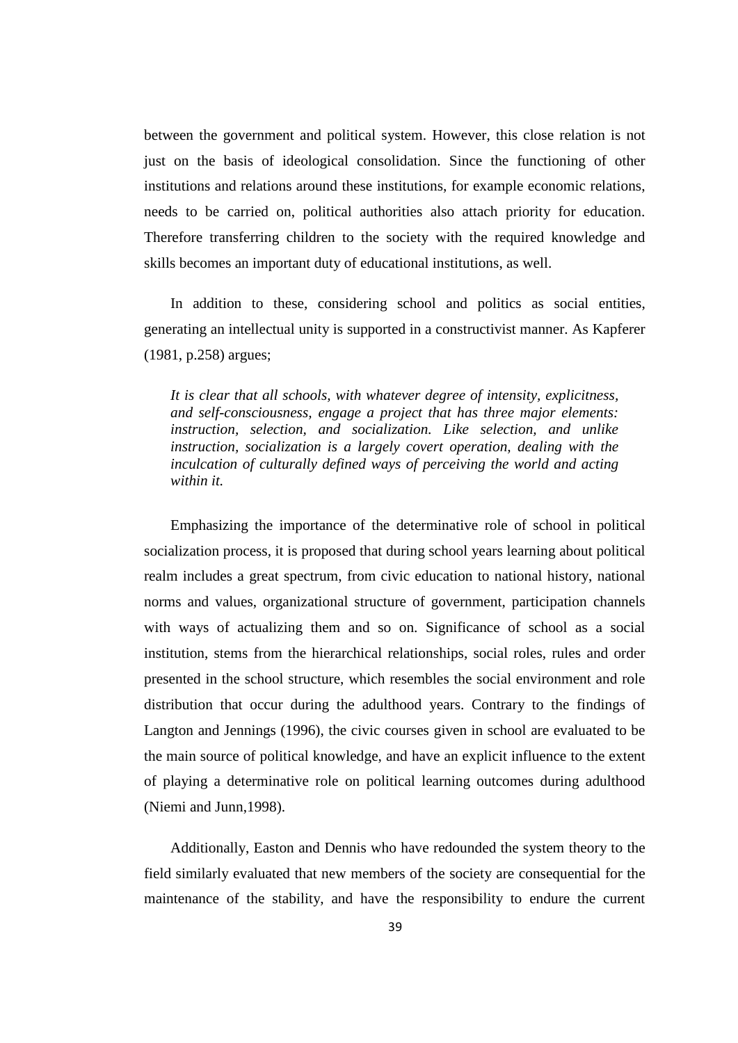between the government and political system. However, this close relation is not just on the basis of ideological consolidation. Since the functioning of other institutions and relations around these institutions, for example economic relations, needs to be carried on, political authorities also attach priority for education. Therefore transferring children to the society with the required knowledge and skills becomes an important duty of educational institutions, as well.

In addition to these, considering school and politics as social entities, generating an intellectual unity is supported in a constructivist manner. As Kapferer (1981, p.258) argues;

*It is clear that all schools, with whatever degree of intensity, explicitness, and self-consciousness, engage a project that has three major elements: instruction, selection, and socialization. Like selection, and unlike instruction, socialization is a largely covert operation, dealing with the inculcation of culturally defined ways of perceiving the world and acting within it.*

Emphasizing the importance of the determinative role of school in political socialization process, it is proposed that during school years learning about political realm includes a great spectrum, from civic education to national history, national norms and values, organizational structure of government, participation channels with ways of actualizing them and so on. Significance of school as a social institution, stems from the hierarchical relationships, social roles, rules and order presented in the school structure, which resembles the social environment and role distribution that occur during the adulthood years. Contrary to the findings of Langton and Jennings (1996), the civic courses given in school are evaluated to be the main source of political knowledge, and have an explicit influence to the extent of playing a determinative role on political learning outcomes during adulthood (Niemi and Junn,1998).

Additionally, Easton and Dennis who have redounded the system theory to the field similarly evaluated that new members of the society are consequential for the maintenance of the stability, and have the responsibility to endure the current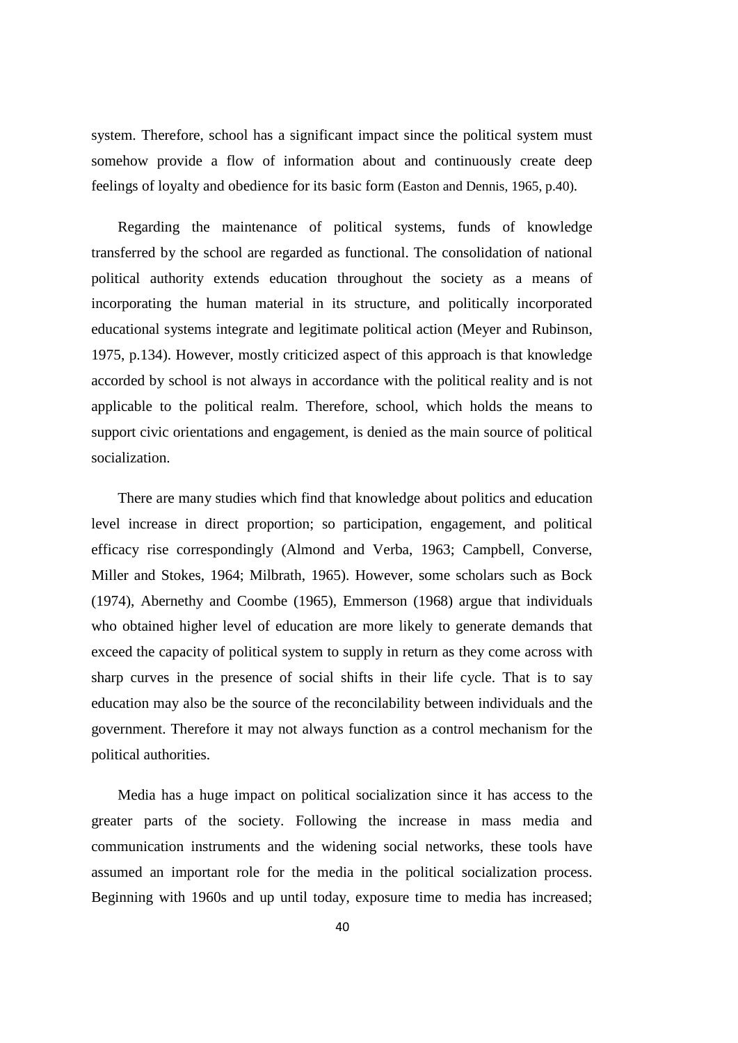system. Therefore, school has a significant impact since the political system must somehow provide a flow of information about and continuously create deep feelings of loyalty and obedience for its basic form (Easton and Dennis, 1965, p.40)*.*

Regarding the maintenance of political systems, funds of knowledge transferred by the school are regarded as functional. The consolidation of national political authority extends education throughout the society as a means of incorporating the human material in its structure, and politically incorporated educational systems integrate and legitimate political action (Meyer and Rubinson, 1975, p.134). However, mostly criticized aspect of this approach is that knowledge accorded by school is not always in accordance with the political reality and is not applicable to the political realm. Therefore, school, which holds the means to support civic orientations and engagement, is denied as the main source of political socialization.

There are many studies which find that knowledge about politics and education level increase in direct proportion; so participation, engagement, and political efficacy rise correspondingly (Almond and Verba, 1963; Campbell, Converse, Miller and Stokes, 1964; Milbrath, 1965). However, some scholars such as Bock (1974), Abernethy and Coombe (1965), Emmerson (1968) argue that individuals who obtained higher level of education are more likely to generate demands that exceed the capacity of political system to supply in return as they come across with sharp curves in the presence of social shifts in their life cycle. That is to say education may also be the source of the reconcilability between individuals and the government. Therefore it may not always function as a control mechanism for the political authorities.

Media has a huge impact on political socialization since it has access to the greater parts of the society. Following the increase in mass media and communication instruments and the widening social networks, these tools have assumed an important role for the media in the political socialization process. Beginning with 1960s and up until today, exposure time to media has increased;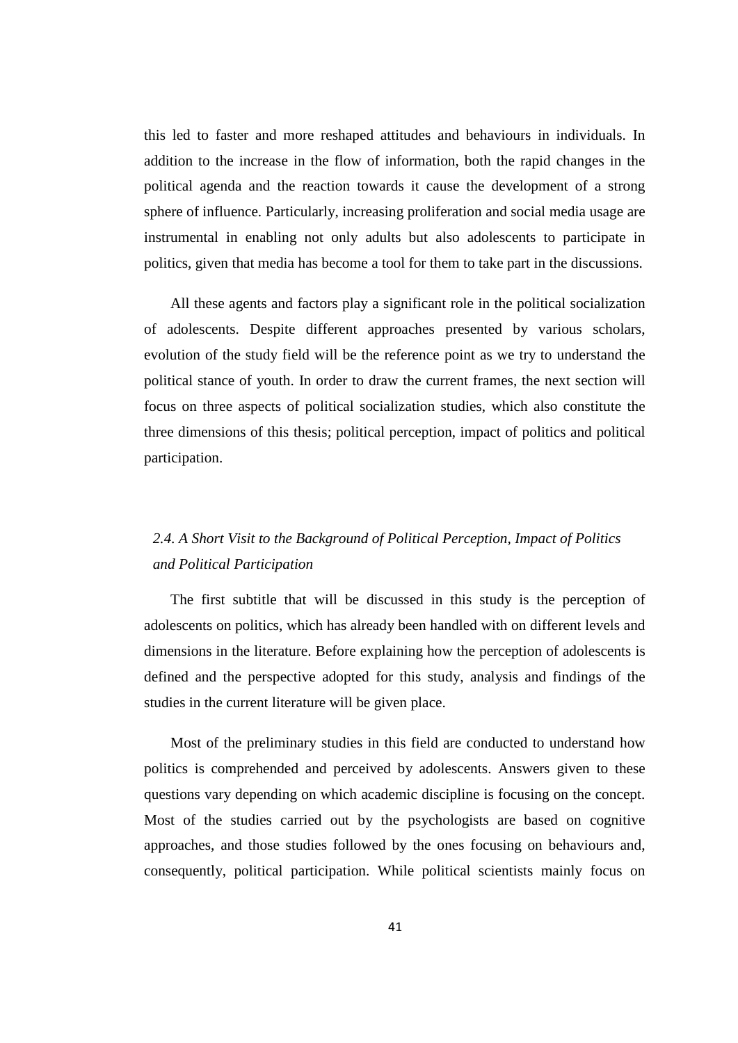this led to faster and more reshaped attitudes and behaviours in individuals. In addition to the increase in the flow of information, both the rapid changes in the political agenda and the reaction towards it cause the development of a strong sphere of influence. Particularly, increasing proliferation and social media usage are instrumental in enabling not only adults but also adolescents to participate in politics, given that media has become a tool for them to take part in the discussions.

All these agents and factors play a significant role in the political socialization of adolescents. Despite different approaches presented by various scholars, evolution of the study field will be the reference point as we try to understand the political stance of youth. In order to draw the current frames, the next section will focus on three aspects of political socialization studies, which also constitute the three dimensions of this thesis; political perception, impact of politics and political participation.

# *2.4. A Short Visit to the Background of Political Perception, Impact of Politics and Political Participation*

The first subtitle that will be discussed in this study is the perception of adolescents on politics, which has already been handled with on different levels and dimensions in the literature. Before explaining how the perception of adolescents is defined and the perspective adopted for this study, analysis and findings of the studies in the current literature will be given place.

Most of the preliminary studies in this field are conducted to understand how politics is comprehended and perceived by adolescents. Answers given to these questions vary depending on which academic discipline is focusing on the concept. Most of the studies carried out by the psychologists are based on cognitive approaches, and those studies followed by the ones focusing on behaviours and, consequently, political participation. While political scientists mainly focus on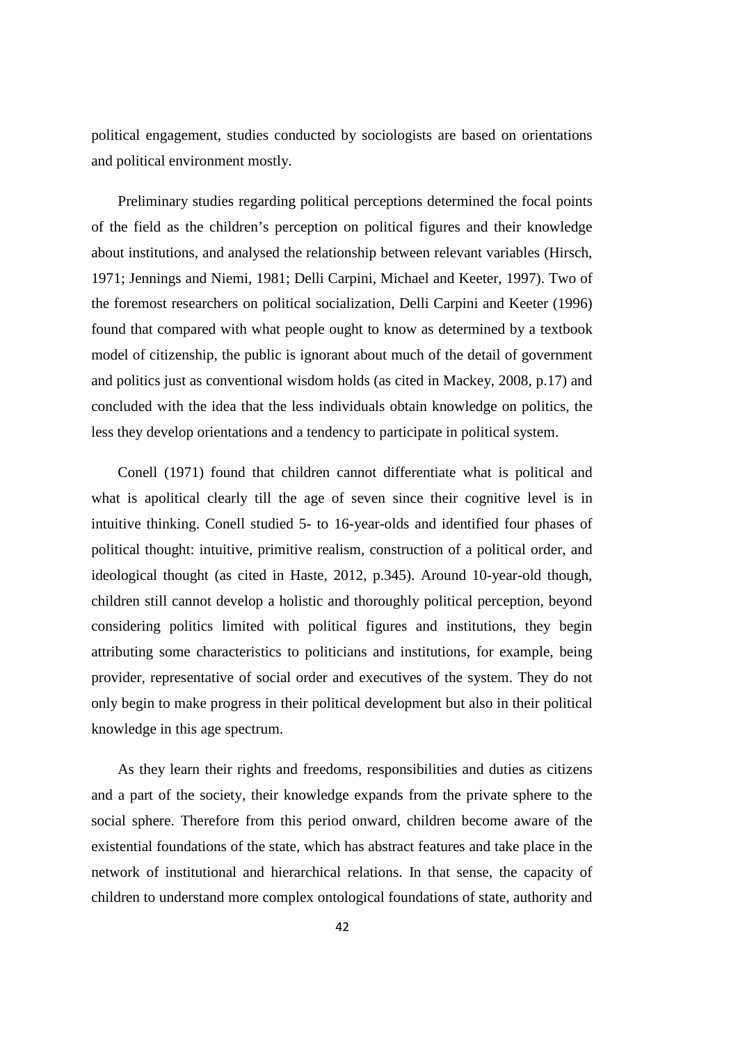political engagement, studies conducted by sociologists are based on orientations and political environment mostly.

Preliminary studies regarding political perceptions determined the focal points of the field as the children's perception on political figures and their knowledge about institutions, and analysed the relationship between relevant variables (Hirsch, 1971; Jennings and Niemi, 1981; Delli Carpini, Michael and Keeter, 1997). Two of the foremost researchers on political socialization, Delli Carpini and Keeter (1996) found that compared with what people ought to know as determined by a textbook model of citizenship, the public is ignorant about much of the detail of government and politics just as conventional wisdom holds (as cited in Mackey, 2008, p.17) and concluded with the idea that the less individuals obtain knowledge on politics, the less they develop orientations and a tendency to participate in political system.

Conell (1971) found that children cannot differentiate what is political and what is apolitical clearly till the age of seven since their cognitive level is in intuitive thinking. Conell studied 5- to 16-year-olds and identified four phases of political thought: intuitive, primitive realism, construction of a political order, and ideological thought (as cited in Haste, 2012, p.345). Around 10-year-old though, children still cannot develop a holistic and thoroughly political perception, beyond considering politics limited with political figures and institutions, they begin attributing some characteristics to politicians and institutions, for example, being provider, representative of social order and executives of the system. They do not only begin to make progress in their political development but also in their political knowledge in this age spectrum.

As they learn their rights and freedoms, responsibilities and duties as citizens and a part of the society, their knowledge expands from the private sphere to the social sphere. Therefore from this period onward, children become aware of the existential foundations of the state, which has abstract features and take place in the network of institutional and hierarchical relations. In that sense, the capacity of children to understand more complex ontological foundations of state, authority and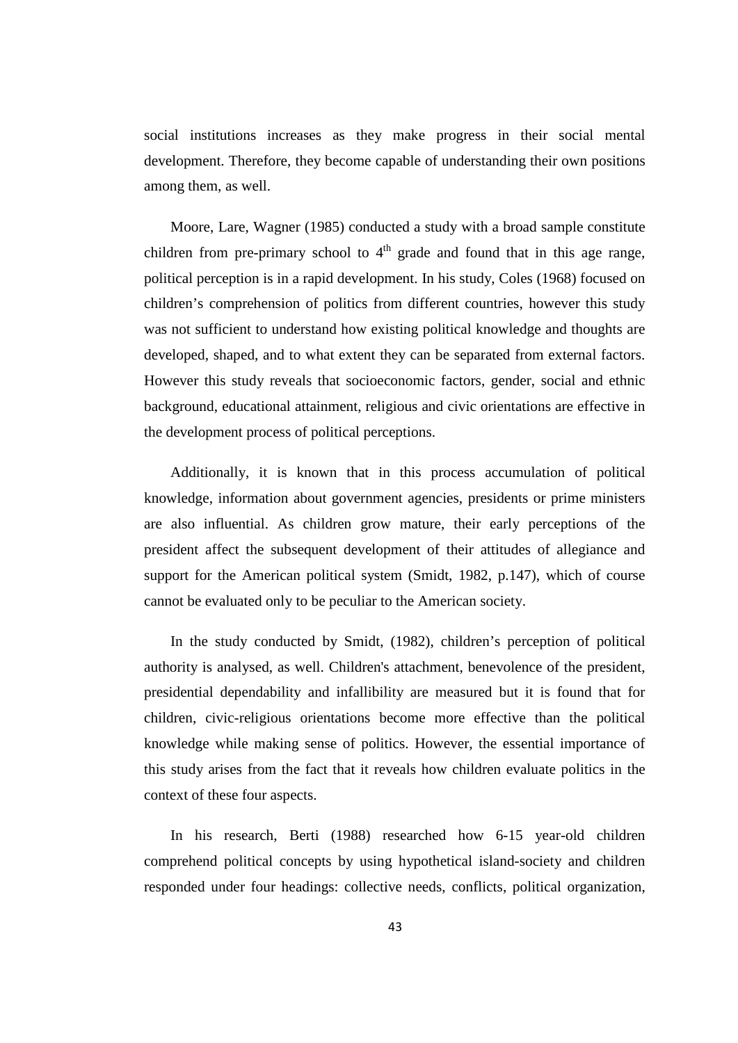social institutions increases as they make progress in their social mental development. Therefore, they become capable of understanding their own positions among them, as well.

Moore, Lare, Wagner (1985) conducted a study with a broad sample constitute children from pre-primary school to  $4<sup>th</sup>$  grade and found that in this age range, political perception is in a rapid development. In his study, Coles (1968) focused on children's comprehension of politics from different countries, however this study was not sufficient to understand how existing political knowledge and thoughts are developed, shaped, and to what extent they can be separated from external factors. However this study reveals that socioeconomic factors, gender, social and ethnic background, educational attainment, religious and civic orientations are effective in the development process of political perceptions.

Additionally, it is known that in this process accumulation of political knowledge, information about government agencies, presidents or prime ministers are also influential. As children grow mature, their early perceptions of the president affect the subsequent development of their attitudes of allegiance and support for the American political system (Smidt, 1982, p.147), which of course cannot be evaluated only to be peculiar to the American society.

In the study conducted by Smidt, (1982), children's perception of political authority is analysed, as well. Children's attachment, benevolence of the president, presidential dependability and infallibility are measured but it is found that for children, civic-religious orientations become more effective than the political knowledge while making sense of politics. However, the essential importance of this study arises from the fact that it reveals how children evaluate politics in the context of these four aspects.

In his research, Berti (1988) researched how 6-15 year-old children comprehend political concepts by using hypothetical island-society and children responded under four headings: collective needs, conflicts, political organization,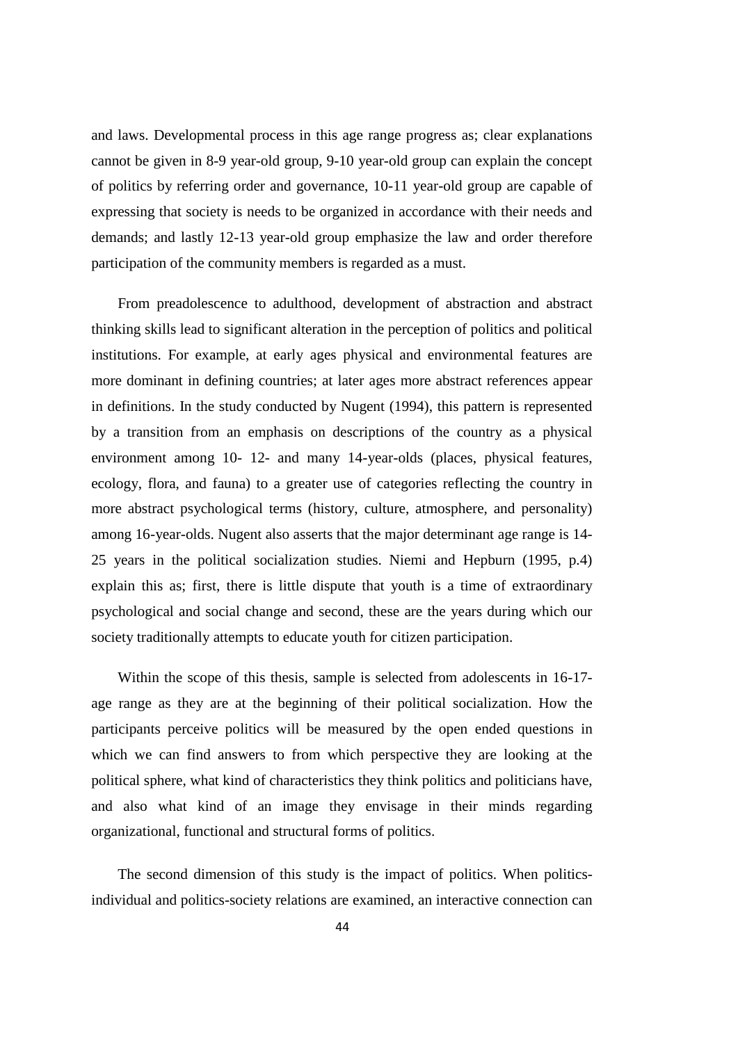and laws. Developmental process in this age range progress as; clear explanations cannot be given in 8-9 year-old group, 9-10 year-old group can explain the concept of politics by referring order and governance, 10-11 year-old group are capable of expressing that society is needs to be organized in accordance with their needs and demands; and lastly 12-13 year-old group emphasize the law and order therefore participation of the community members is regarded as a must.

From preadolescence to adulthood, development of abstraction and abstract thinking skills lead to significant alteration in the perception of politics and political institutions. For example, at early ages physical and environmental features are more dominant in defining countries; at later ages more abstract references appear in definitions. In the study conducted by Nugent (1994), this pattern is represented by a transition from an emphasis on descriptions of the country as a physical environment among 10- 12- and many 14-year-olds (places, physical features, ecology, flora, and fauna) to a greater use of categories reflecting the country in more abstract psychological terms (history, culture, atmosphere, and personality) among 16-year-olds. Nugent also asserts that the major determinant age range is 14- 25 years in the political socialization studies. Niemi and Hepburn (1995, p.4) explain this as; first, there is little dispute that youth is a time of extraordinary psychological and social change and second, these are the years during which our society traditionally attempts to educate youth for citizen participation.

Within the scope of this thesis, sample is selected from adolescents in 16-17 age range as they are at the beginning of their political socialization. How the participants perceive politics will be measured by the open ended questions in which we can find answers to from which perspective they are looking at the political sphere, what kind of characteristics they think politics and politicians have, and also what kind of an image they envisage in their minds regarding organizational, functional and structural forms of politics.

The second dimension of this study is the impact of politics. When politicsindividual and politics-society relations are examined, an interactive connection can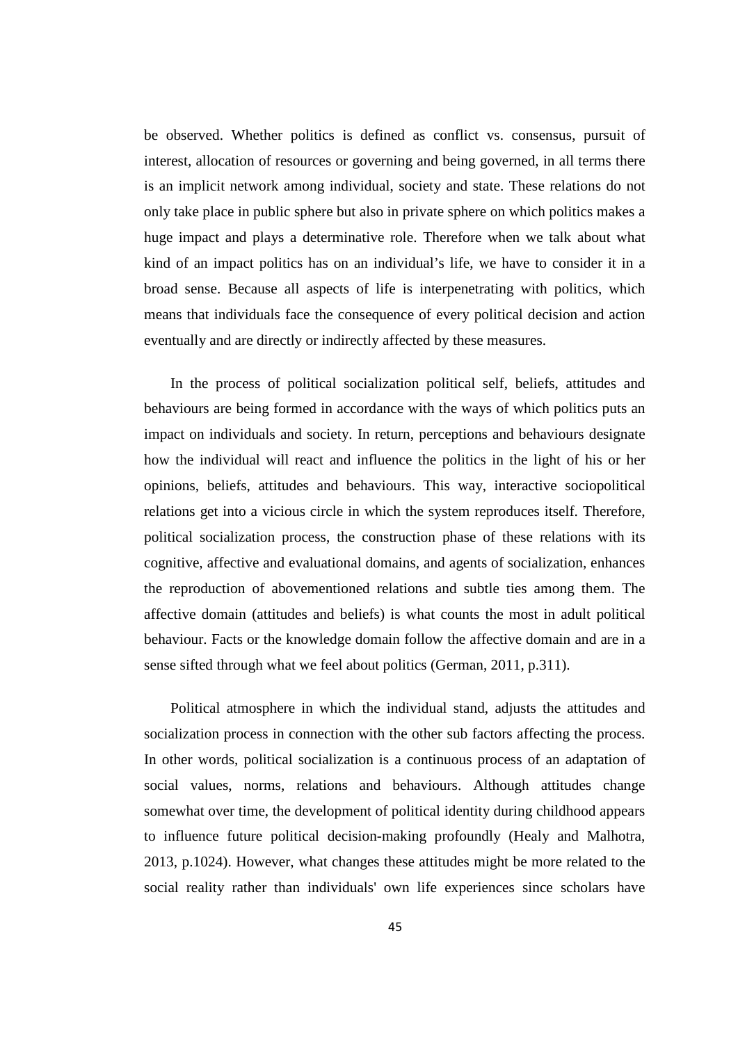be observed. Whether politics is defined as conflict vs. consensus, pursuit of interest, allocation of resources or governing and being governed, in all terms there is an implicit network among individual, society and state. These relations do not only take place in public sphere but also in private sphere on which politics makes a huge impact and plays a determinative role. Therefore when we talk about what kind of an impact politics has on an individual's life, we have to consider it in a broad sense. Because all aspects of life is interpenetrating with politics, which means that individuals face the consequence of every political decision and action eventually and are directly or indirectly affected by these measures.

In the process of political socialization political self, beliefs, attitudes and behaviours are being formed in accordance with the ways of which politics puts an impact on individuals and society. In return, perceptions and behaviours designate how the individual will react and influence the politics in the light of his or her opinions, beliefs, attitudes and behaviours. This way, interactive sociopolitical relations get into a vicious circle in which the system reproduces itself. Therefore, political socialization process, the construction phase of these relations with its cognitive, affective and evaluational domains, and agents of socialization, enhances the reproduction of abovementioned relations and subtle ties among them. The affective domain (attitudes and beliefs) is what counts the most in adult political behaviour. Facts or the knowledge domain follow the affective domain and are in a sense sifted through what we feel about politics (German, 2011, p.311).

Political atmosphere in which the individual stand, adjusts the attitudes and socialization process in connection with the other sub factors affecting the process. In other words, political socialization is a continuous process of an adaptation of social values, norms, relations and behaviours. Although attitudes change somewhat over time, the development of political identity during childhood appears to influence future political decision-making profoundly (Healy and Malhotra, 2013, p.1024). However, what changes these attitudes might be more related to the social reality rather than individuals' own life experiences since scholars have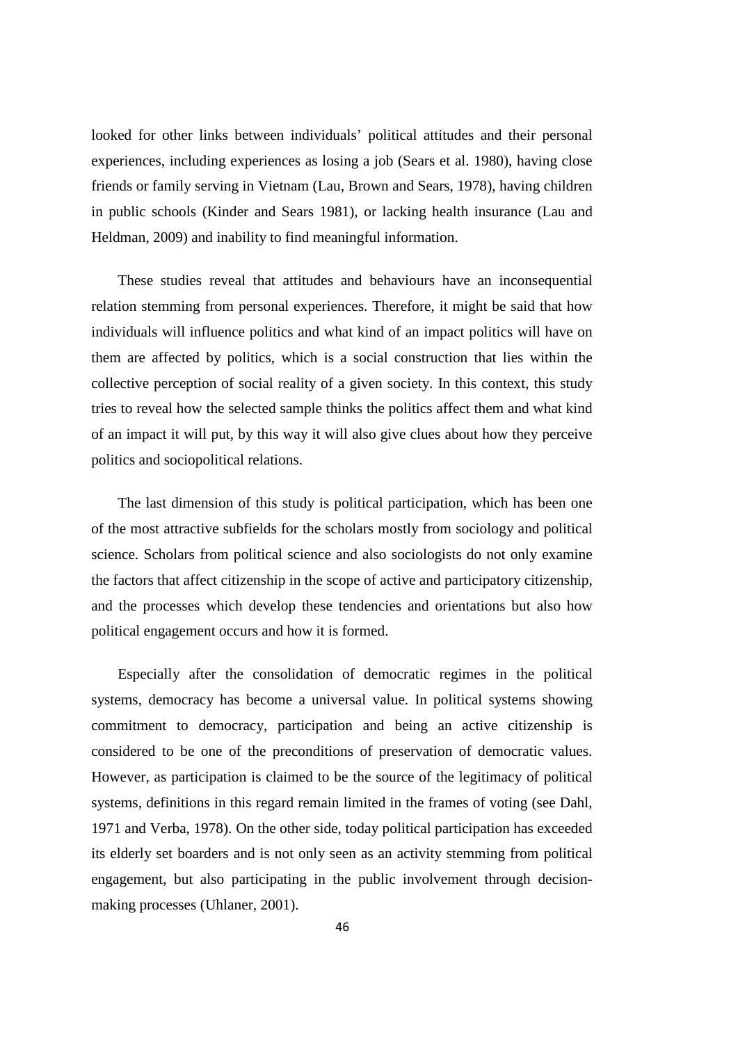looked for other links between individuals' political attitudes and their personal experiences, including experiences as losing a job (Sears et al. 1980), having close friends or family serving in Vietnam (Lau, Brown and Sears, 1978), having children in public schools (Kinder and Sears 1981), or lacking health insurance (Lau and Heldman, 2009) and inability to find meaningful information.

These studies reveal that attitudes and behaviours have an inconsequential relation stemming from personal experiences. Therefore, it might be said that how individuals will influence politics and what kind of an impact politics will have on them are affected by politics, which is a social construction that lies within the collective perception of social reality of a given society. In this context, this study tries to reveal how the selected sample thinks the politics affect them and what kind of an impact it will put, by this way it will also give clues about how they perceive politics and sociopolitical relations.

The last dimension of this study is political participation, which has been one of the most attractive subfields for the scholars mostly from sociology and political science. Scholars from political science and also sociologists do not only examine the factors that affect citizenship in the scope of active and participatory citizenship, and the processes which develop these tendencies and orientations but also how political engagement occurs and how it is formed.

Especially after the consolidation of democratic regimes in the political systems, democracy has become a universal value. In political systems showing commitment to democracy, participation and being an active citizenship is considered to be one of the preconditions of preservation of democratic values. However, as participation is claimed to be the source of the legitimacy of political systems, definitions in this regard remain limited in the frames of voting (see Dahl, 1971 and Verba, 1978). On the other side, today political participation has exceeded its elderly set boarders and is not only seen as an activity stemming from political engagement, but also participating in the public involvement through decisionmaking processes (Uhlaner, 2001).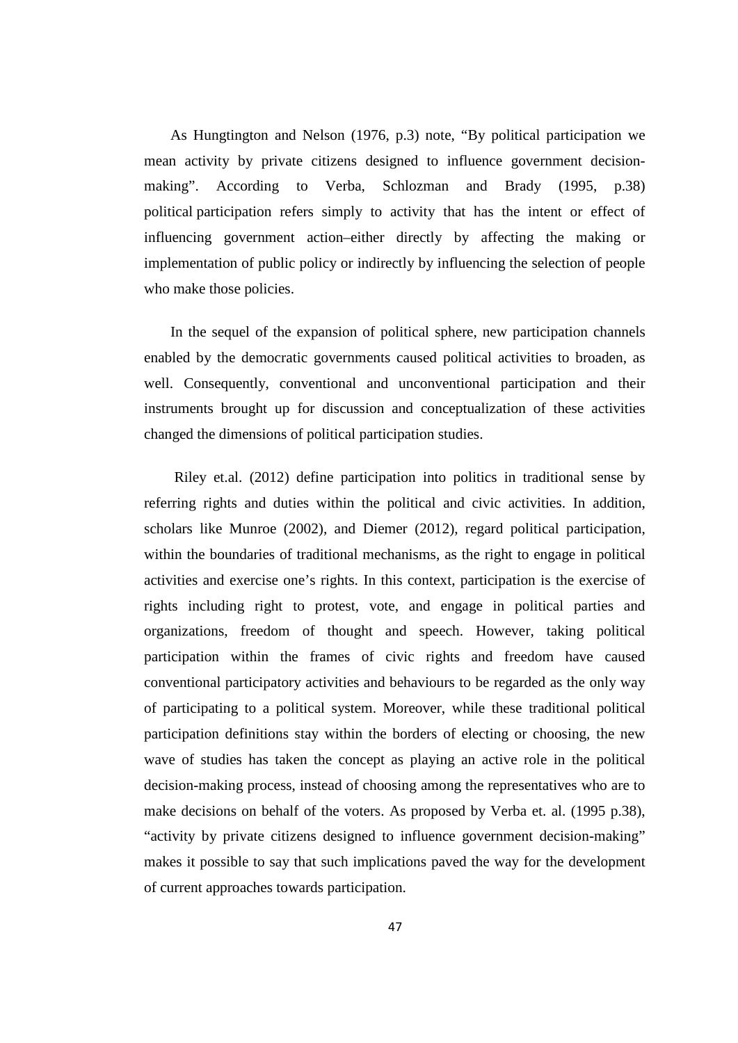As Hungtington and Nelson (1976, p.3) note, "By political participation we mean activity by private citizens designed to influence government decisionmaking". According to Verba, Schlozman and Brady (1995, p.38) political participation refers simply to activity that has the intent or effect of influencing government action–either directly by affecting the making or implementation of public policy or indirectly by influencing the selection of people who make those policies.

In the sequel of the expansion of political sphere, new participation channels enabled by the democratic governments caused political activities to broaden, as well. Consequently, conventional and unconventional participation and their instruments brought up for discussion and conceptualization of these activities changed the dimensions of political participation studies.

Riley et.al. (2012) define participation into politics in traditional sense by referring rights and duties within the political and civic activities. In addition, scholars like Munroe (2002), and Diemer (2012), regard political participation, within the boundaries of traditional mechanisms, as the right to engage in political activities and exercise one's rights. In this context, participation is the exercise of rights including right to protest, vote, and engage in political parties and organizations, freedom of thought and speech. However, taking political participation within the frames of civic rights and freedom have caused conventional participatory activities and behaviours to be regarded as the only way of participating to a political system. Moreover, while these traditional political participation definitions stay within the borders of electing or choosing, the new wave of studies has taken the concept as playing an active role in the political decision-making process, instead of choosing among the representatives who are to make decisions on behalf of the voters. As proposed by Verba et. al. (1995 p.38), "activity by private citizens designed to influence government decision-making" makes it possible to say that such implications paved the way for the development of current approaches towards participation.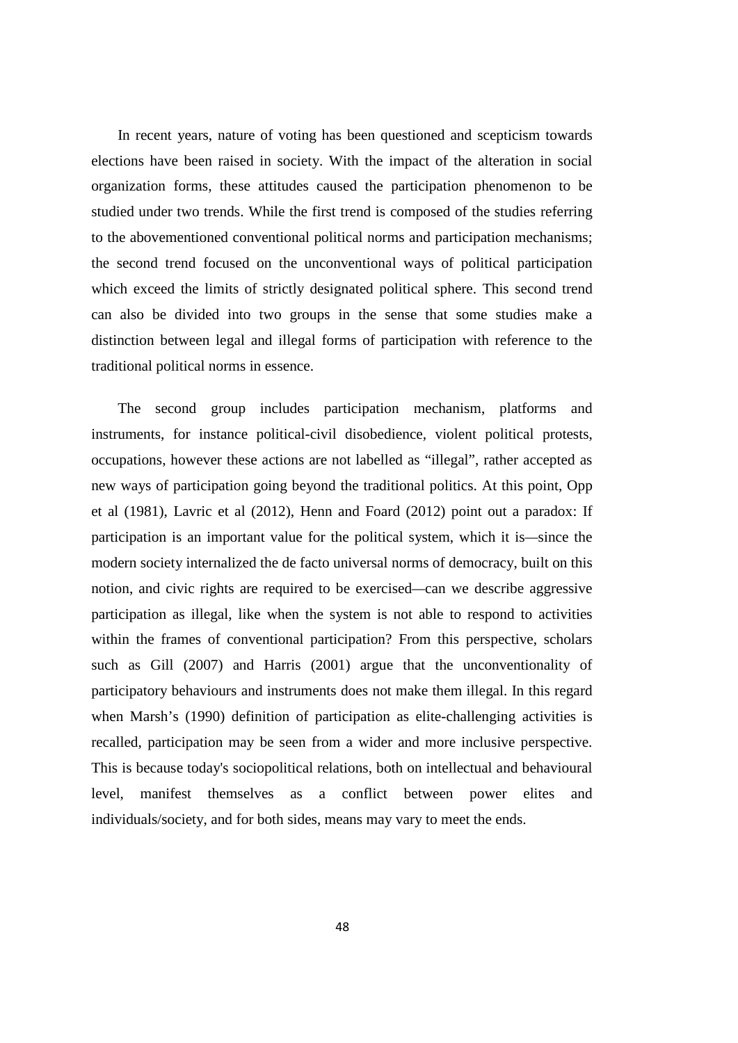In recent years, nature of voting has been questioned and scepticism towards elections have been raised in society. With the impact of the alteration in social organization forms, these attitudes caused the participation phenomenon to be studied under two trends. While the first trend is composed of the studies referring to the abovementioned conventional political norms and participation mechanisms; the second trend focused on the unconventional ways of political participation which exceed the limits of strictly designated political sphere. This second trend can also be divided into two groups in the sense that some studies make a distinction between legal and illegal forms of participation with reference to the traditional political norms in essence.

The second group includes participation mechanism, platforms and instruments, for instance political-civil disobedience, violent political protests, occupations, however these actions are not labelled as "illegal", rather accepted as new ways of participation going beyond the traditional politics. At this point, Opp et al (1981), Lavric et al (2012), Henn and Foard (2012) point out a paradox: If participation is an important value for the political system, which it is*—*since the modern society internalized the de facto universal norms of democracy, built on this notion, and civic rights are required to be exercised*—*can we describe aggressive participation as illegal, like when the system is not able to respond to activities within the frames of conventional participation? From this perspective, scholars such as Gill (2007) and Harris (2001) argue that the unconventionality of participatory behaviours and instruments does not make them illegal. In this regard when Marsh's (1990) definition of participation as elite-challenging activities is recalled, participation may be seen from a wider and more inclusive perspective. This is because today's sociopolitical relations, both on intellectual and behavioural level, manifest themselves as a conflict between power elites and individuals/society, and for both sides, means may vary to meet the ends.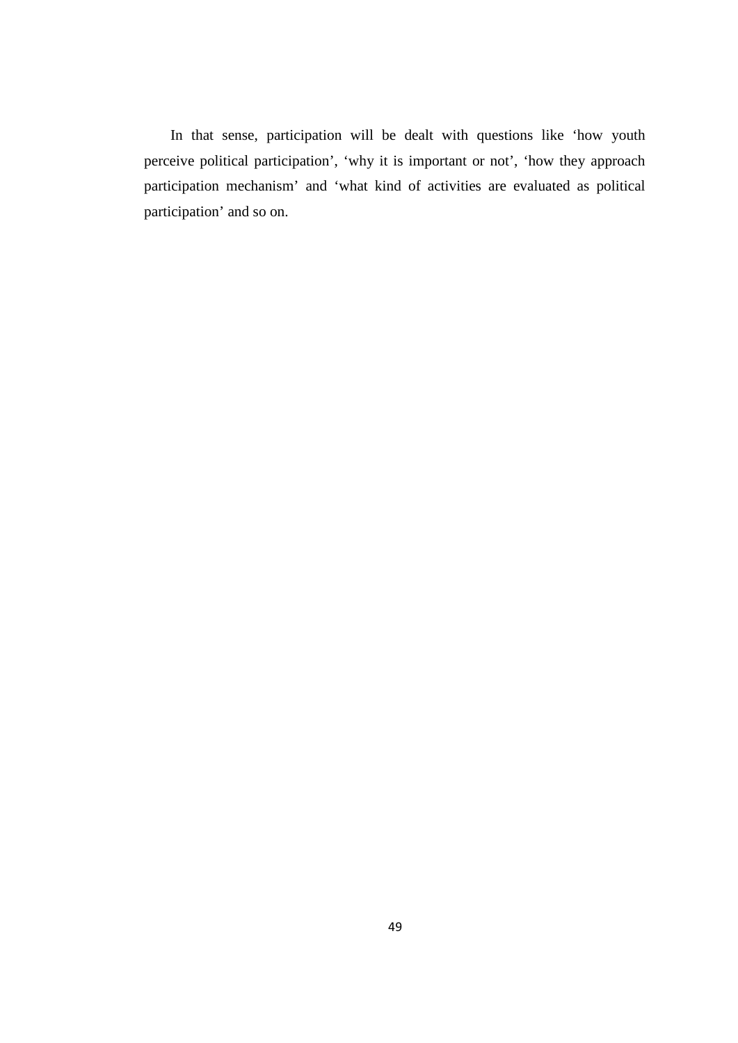In that sense, participation will be dealt with questions like 'how youth perceive political participation', 'why it is important or not', 'how they approach participation mechanism' and 'what kind of activities are evaluated as political participation' and so on.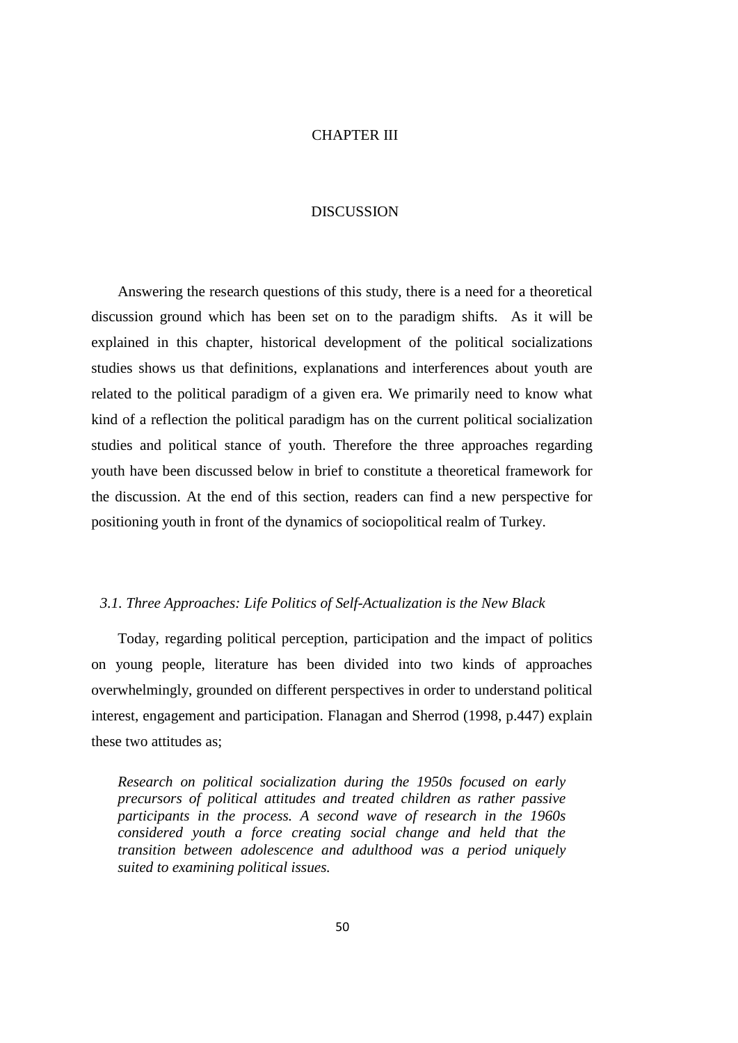# CHAPTER III

#### **DISCUSSION**

Answering the research questions of this study, there is a need for a theoretical discussion ground which has been set on to the paradigm shifts. As it will be explained in this chapter, historical development of the political socializations studies shows us that definitions, explanations and interferences about youth are related to the political paradigm of a given era. We primarily need to know what kind of a reflection the political paradigm has on the current political socialization studies and political stance of youth. Therefore the three approaches regarding youth have been discussed below in brief to constitute a theoretical framework for the discussion. At the end of this section, readers can find a new perspective for positioning youth in front of the dynamics of sociopolitical realm of Turkey.

# *3.1. Three Approaches: Life Politics of Self-Actualization is the New Black*

Today, regarding political perception, participation and the impact of politics on young people, literature has been divided into two kinds of approaches overwhelmingly, grounded on different perspectives in order to understand political interest, engagement and participation. Flanagan and Sherrod (1998, p.447) explain these two attitudes as:

*Research on political socialization during the 1950s focused on early precursors of political attitudes and treated children as rather passive participants in the process. A second wave of research in the 1960s considered youth a force creating social change and held that the transition between adolescence and adulthood was a period uniquely suited to examining political issues.*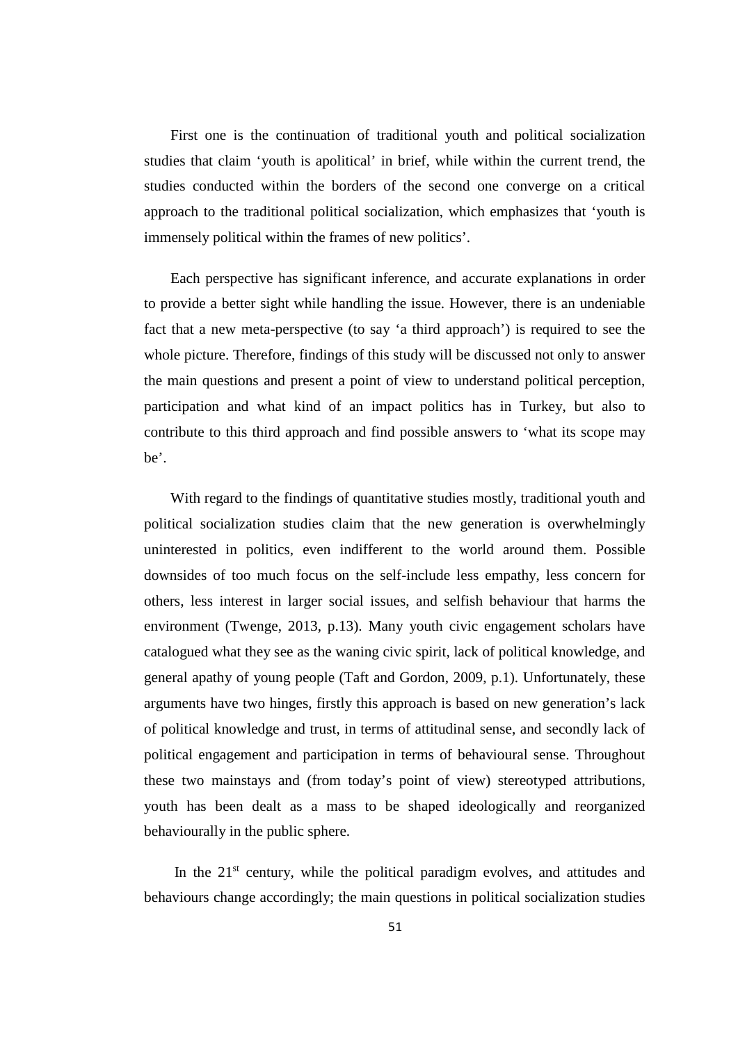First one is the continuation of traditional youth and political socialization studies that claim 'youth is apolitical' in brief, while within the current trend, the studies conducted within the borders of the second one converge on a critical approach to the traditional political socialization, which emphasizes that 'youth is immensely political within the frames of new politics'.

Each perspective has significant inference, and accurate explanations in order to provide a better sight while handling the issue. However, there is an undeniable fact that a new meta-perspective (to say 'a third approach') is required to see the whole picture. Therefore, findings of this study will be discussed not only to answer the main questions and present a point of view to understand political perception, participation and what kind of an impact politics has in Turkey, but also to contribute to this third approach and find possible answers to 'what its scope may be'.

With regard to the findings of quantitative studies mostly, traditional youth and political socialization studies claim that the new generation is overwhelmingly uninterested in politics, even indifferent to the world around them. Possible downsides of too much focus on the self-include less empathy, less concern for others, less interest in larger social issues, and selfish behaviour that harms the environment (Twenge, 2013, p.13). Many youth civic engagement scholars have catalogued what they see as the waning civic spirit, lack of political knowledge, and general apathy of young people (Taft and Gordon, 2009, p.1). Unfortunately, these arguments have two hinges, firstly this approach is based on new generation's lack of political knowledge and trust, in terms of [attitudinal](http://tureng.com/search/attitudinal) sense, and secondly lack of political engagement and participation in terms of behavioural sense. Throughout these two mainstays and (from today's point of view) stereotyped attributions, youth has been dealt as a mass to be shaped ideologically and reorganized behaviourally in the public sphere.

In the  $21<sup>st</sup>$  century, while the political paradigm evolves, and attitudes and behaviours change accordingly; the main questions in political socialization studies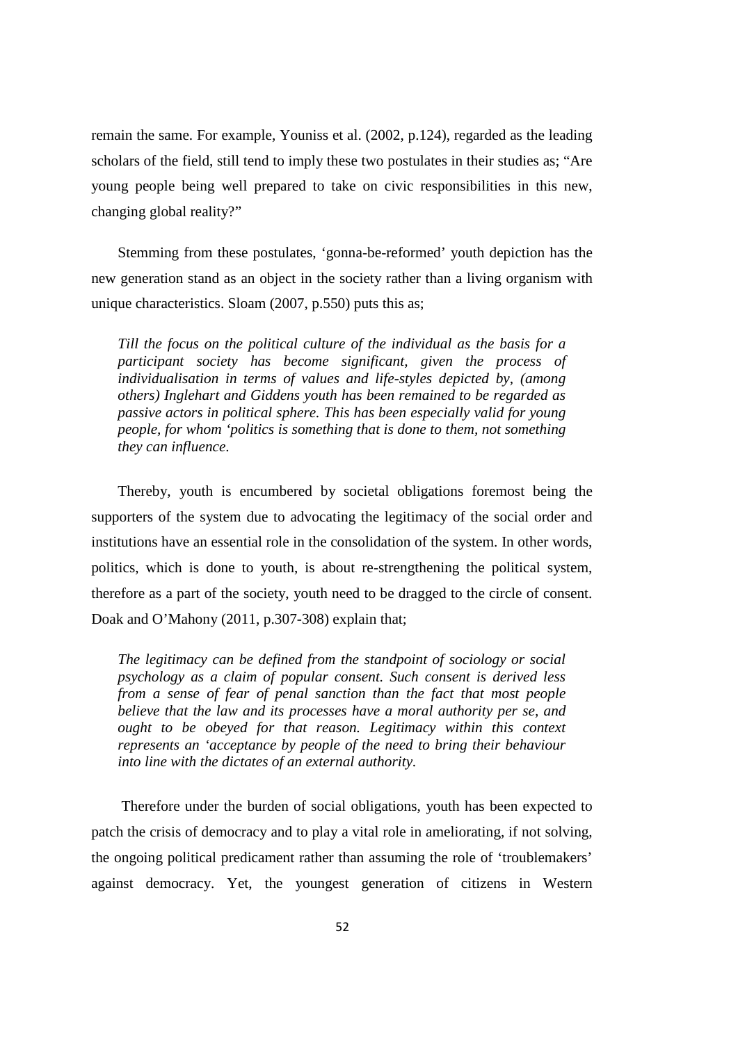remain the same. For example, Youniss et al. (2002, p.124), regarded as the leading scholars of the field, still tend to imply these two postulates in their studies as; "Are young people being well prepared to take on civic responsibilities in this new, changing global reality?"

Stemming from these postulates, 'gonna-be-reformed' youth depiction has the new generation stand as an object in the society rather than a living organism with unique characteristics. Sloam (2007, p.550) puts this as;

*Till the focus on the political culture of the individual as the basis for a participant society has become significant, given the process of individualisation in terms of values and life-styles depicted by, (among others) Inglehart and Giddens youth has been remained to be regarded as passive actors in political sphere. This has been especially valid for young people, for whom 'politics is something that is done to them, not something they can influence.* 

Thereby, youth is encumbered by societal obligations foremost being the supporters of the system due to advocating the legitimacy of the social order and institutions have an essential role in the consolidation of the system. In other words, politics, which is done to youth, is about re-strengthening the political system, therefore as a part of the society, youth need to be dragged to the circle of consent. Doak and O'Mahony (2011, p.307-308) explain that;

*The legitimacy can be defined from the standpoint of sociology or social psychology as a claim of popular consent. Such consent is derived less from a sense of fear of penal sanction than the fact that most people believe that the law and its processes have a moral authority per se, and ought to be obeyed for that reason. Legitimacy within this context represents an 'acceptance by people of the need to bring their behaviour into line with the dictates of an external authority.*

Therefore under the burden of social obligations, youth has been expected to patch the crisis of democracy and to play a vital role in ameliorating, if not solving, the ongoing political predicament rather than assuming the role of 'troublemakers' against democracy. Yet, the youngest generation of citizens in Western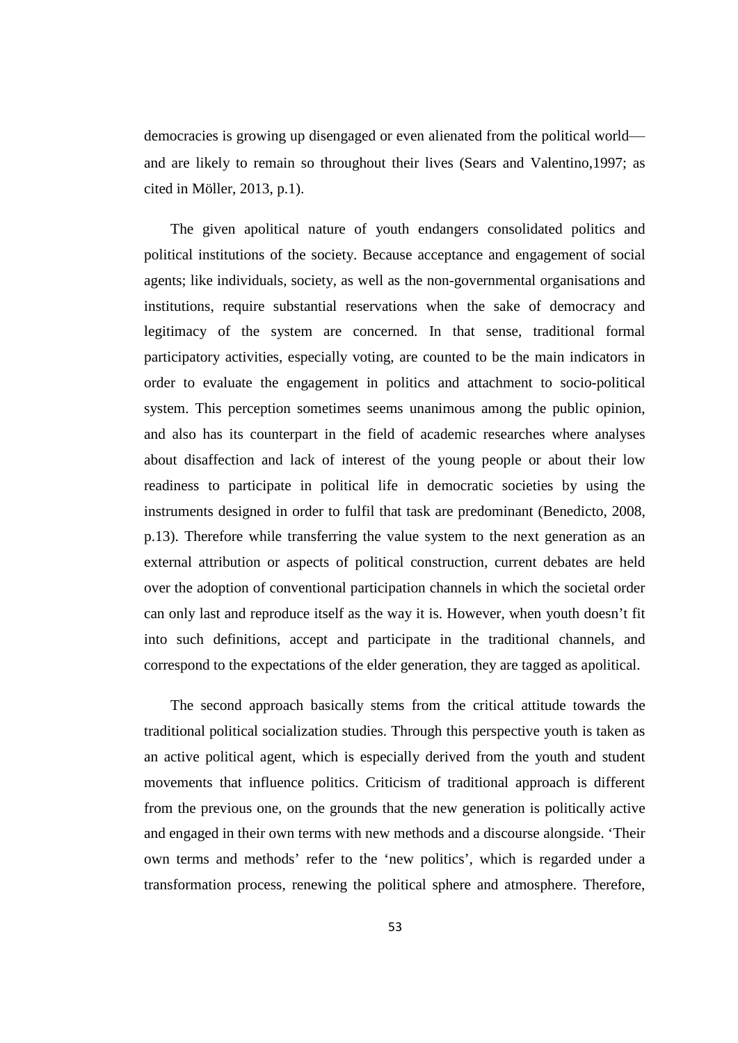democracies is growing up disengaged or even alienated from the political world and are likely to remain so throughout their lives (Sears and Valentino,1997; as cited in Möller, 2013, p.1).

The given apolitical nature of youth endangers consolidated politics and political institutions of the society. Because acceptance and engagement of social agents; like individuals, society, as well as the non-governmental organisations and institutions, require substantial reservations when the sake of democracy and legitimacy of the system are concerned. In that sense, traditional formal participatory activities, especially voting, are counted to be the main indicators in order to evaluate the engagement in politics and attachment to socio-political system. This perception sometimes seems unanimous among the public opinion, and also has its counterpart in the field of academic researches where analyses about disaffection and lack of interest of the young people or about their low readiness to participate in political life in democratic societies by using the instruments designed in order to fulfil that task are predominant (Benedicto, 2008, p.13). Therefore while transferring the value system to the next generation as an external attribution or aspects of political construction, current debates are held over the adoption of conventional participation channels in which the societal order can only last and reproduce itself as the way it is. However, when youth doesn't fit into such definitions, accept and participate in the traditional channels, and correspond to the expectations of the elder generation, they are tagged as apolitical.

The second approach basically stems from the critical attitude towards the traditional political socialization studies. Through this perspective youth is taken as an active political agent, which is especially derived from the youth and student movements that influence politics. Criticism of traditional approach is different from the previous one, on the grounds that the new generation is politically active and engaged in their own terms with new methods and a discourse alongside. 'Their own terms and methods' refer to the 'new politics', which is regarded under a transformation process, renewing the political sphere and atmosphere. Therefore,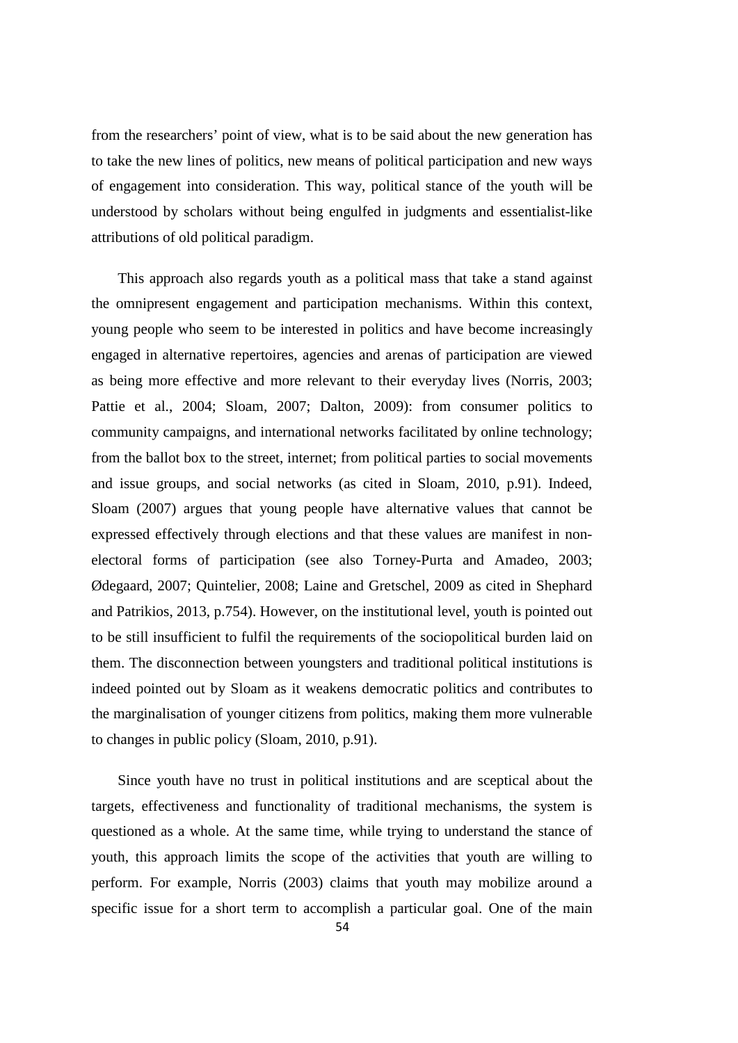from the researchers' point of view, what is to be said about the new generation has to take the new lines of politics, new means of political participation and new ways of engagement into consideration. This way, political stance of the youth will be understood by scholars without being engulfed in judgments and essentialist-like attributions of old political paradigm.

This approach also regards youth as a political mass that take a stand against the omnipresent engagement and participation mechanisms. Within this context, young people who seem to be interested in politics and have become increasingly engaged in alternative repertoires, agencies and arenas of participation are viewed as being more effective and more relevant to their everyday lives (Norris, 2003; Pattie et al., 2004; Sloam, 2007; Dalton, 2009): from consumer politics to community campaigns, and international networks facilitated by online technology; from the ballot box to the street, internet; from political parties to social movements and issue groups, and social networks (as cited in Sloam, 2010, p.91). Indeed, Sloam (2007) argues that young people have alternative values that cannot be expressed effectively through elections and that these values are manifest in nonelectoral forms of participation (see also Torney-Purta and Amadeo, 2003; Ødegaard, 2007; Quintelier, 2008; Laine and Gretschel, 2009 as cited in Shephard and Patrikios, 2013, p.754). However, on the institutional level, youth is pointed out to be still insufficient to fulfil the requirements of the sociopolitical burden laid on them. The disconnection between youngsters and traditional political institutions is indeed pointed out by Sloam as it weakens democratic politics and contributes to the marginalisation of younger citizens from politics, making them more vulnerable to changes in public policy (Sloam, 2010, p.91).

Since youth have no trust in political institutions and are sceptical about the targets, effectiveness and functionality of traditional mechanisms, the system is questioned as a whole. At the same time, while trying to understand the stance of youth, this approach limits the scope of the activities that youth are willing to perform. For example, Norris (2003) claims that youth may mobilize around a specific issue for a short term to accomplish a particular goal. One of the main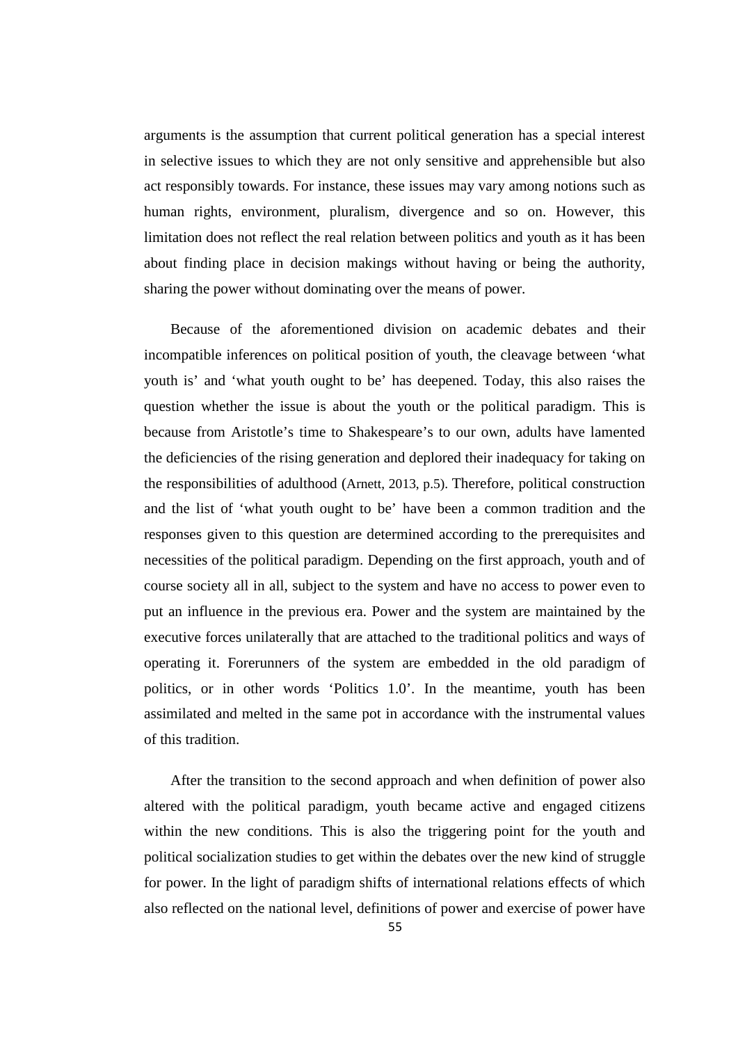arguments is the assumption that current political generation has a special interest in selective issues to which they are not only sensitive and apprehensible but also act responsibly towards. For instance, these issues may vary among notions such as human rights, environment, pluralism, divergence and so on. However, this limitation does not reflect the real relation between politics and youth as it has been about finding place in decision makings without having or being the authority, sharing the power without dominating over the means of power.

Because of the aforementioned division on academic debates and their incompatible inferences on political position of youth, the cleavage between 'what youth is' and 'what youth ought to be' has deepened. Today, this also raises the question whether the issue is about the youth or the political paradigm. This is because from Aristotle's time to Shakespeare's to our own, adults have lamented the deficiencies of the rising generation and deplored their inadequacy for taking on the responsibilities of adulthood (Arnett, 2013, p.5). Therefore, political construction and the list of 'what youth ought to be' have been a common tradition and the responses given to this question are determined according to the prerequisites and necessities of the political paradigm. Depending on the first approach, youth and of course society all in all, subject to the system and have no access to power even to put an influence in the previous era. Power and the system are maintained by the executive forces unilaterally that are attached to the traditional politics and ways of operating it. Forerunners of the system are embedded in the old paradigm of politics, or in other words 'Politics 1.0'. In the meantime, youth has been assimilated and melted in the same pot in accordance with the instrumental values of this tradition.

After the transition to the second approach and when definition of power also altered with the political paradigm, youth became active and engaged citizens within the new conditions. This is also the triggering point for the youth and political socialization studies to get within the debates over the new kind of struggle for power. In the light of paradigm shifts of international relations effects of which also reflected on the national level, definitions of power and exercise of power have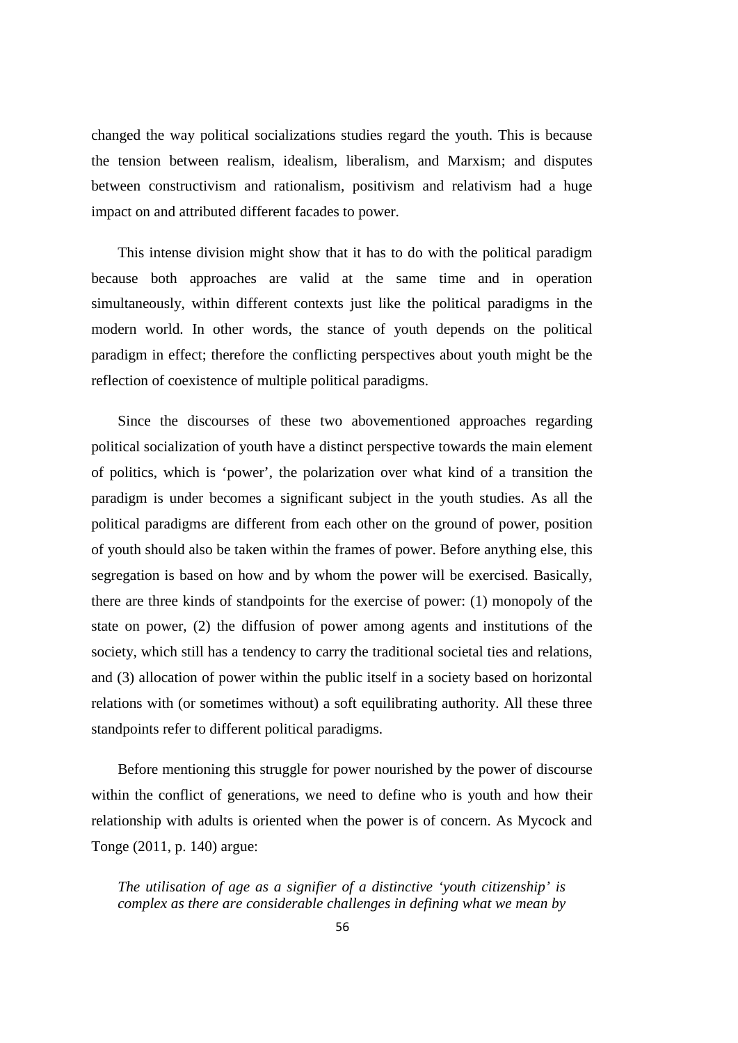changed the way political socializations studies regard the youth. This is because the tension between realism, idealism, liberalism, and Marxism; and disputes between constructivism and rationalism, positivism and relativism had a huge impact on and attributed different facades to power.

This intense division might show that it has to do with the political paradigm because both approaches are valid at the same time and in operation simultaneously, within different contexts just like the political paradigms in the modern world. In other words, the stance of youth depends on the political paradigm in effect; therefore the conflicting perspectives about youth might be the reflection of coexistence of multiple political paradigms.

Since the discourses of these two abovementioned approaches regarding political socialization of youth have a distinct perspective towards the main element of politics, which is 'power', the polarization over what kind of a transition the paradigm is under becomes a significant subject in the youth studies. As all the political paradigms are different from each other on the ground of power, position of youth should also be taken within the frames of power. Before anything else, this segregation is [based on h](http://tureng.com/search/be%20based%20on%20the%20ground%20of)ow and by whom the power will be exercised. Basically, there are three kinds of standpoints for the exercise of power: (1) monopoly of the state on power, (2) the diffusion of power among agents and institutions of the society, which still has a tendency to carry the traditional societal ties and relations, and (3) allocation of power within the public itself in a society based on horizontal relations with (or sometimes without) a soft equilibrating authority. All these three standpoints refer to different political paradigms.

Before mentioning this struggle for power nourished by the power of discourse within the conflict of generations, we need to define who is youth and how their relationship with adults is oriented when the power is of concern. As Mycock and Tonge (2011, p. 140) argue:

*The utilisation of age as a signifier of a distinctive 'youth citizenship' is complex as there are considerable challenges in defining what we mean by*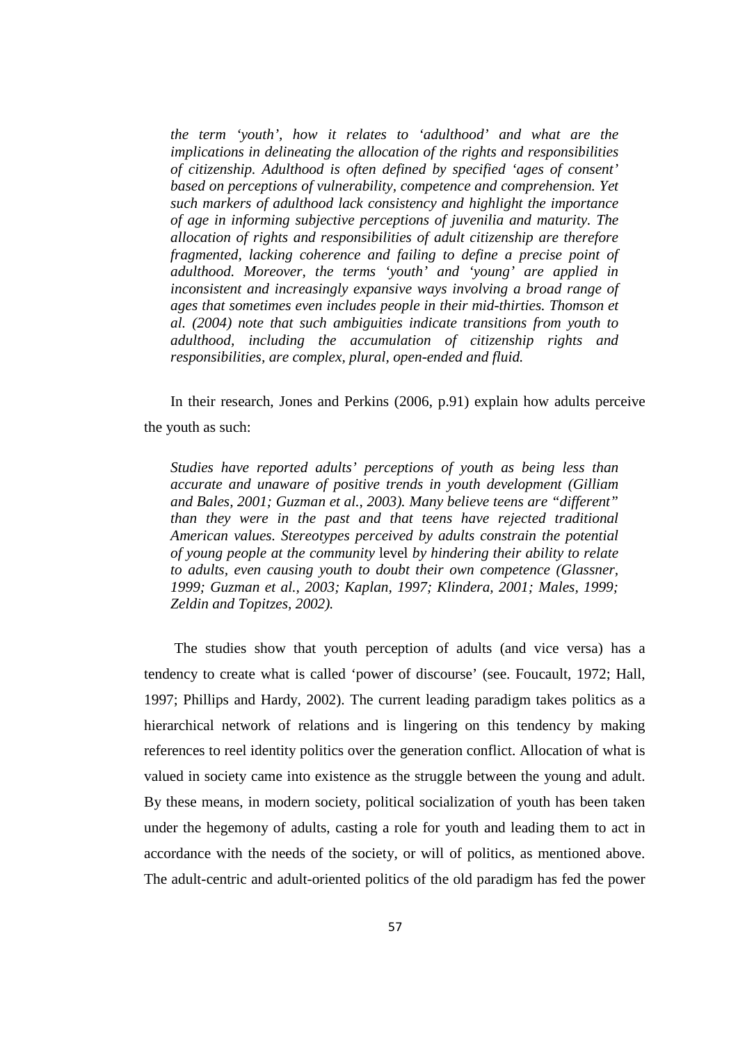*the term 'youth', how it relates to 'adulthood' and what are the implications in delineating the allocation of the rights and responsibilities of citizenship. Adulthood is often defined by specified 'ages of consent' based on perceptions of vulnerability, competence and comprehension. Yet such markers of adulthood lack consistency and highlight the importance of age in informing subjective perceptions of juvenilia and maturity. The allocation of rights and responsibilities of adult citizenship are therefore fragmented, lacking coherence and failing to define a precise point of adulthood. Moreover, the terms 'youth' and 'young' are applied in inconsistent and increasingly expansive ways involving a broad range of ages that sometimes even includes people in their mid-thirties. Thomson et al. (2004) note that such ambiguities indicate transitions from youth to adulthood, including the accumulation of citizenship rights and responsibilities, are complex, plural, open-ended and fluid.*

In their research, Jones and Perkins (2006, p.91) explain how adults perceive the youth as such:

*Studies have reported adults' perceptions of youth as being less than accurate and unaware of positive trends in youth development (Gilliam and Bales, 2001; Guzman et al., 2003). Many believe teens are "different" than they were in the past and that teens have rejected traditional American values. Stereotypes perceived by adults constrain the potential of young people at the community* level *by hindering their ability to relate to adults, even causing youth to doubt their own competence (Glassner, 1999; Guzman et al., 2003; Kaplan, 1997; Klindera, 2001; Males, 1999; Zeldin and Topitzes, 2002).*

The studies show that youth perception of adults (and vice versa) has a tendency to create what is called 'power of discourse' (see. Foucault, 1972; Hall, 1997; Phillips and Hardy, 2002). The current leading paradigm takes politics as a [hierarchical](http://tureng.com/search/hierarchical) network of relations and is lingering on this tendency by making references to reel identity politics over the generation conflict. Allocation of what is valued in society came into existence as the struggle between the young and adult. By these means, in modern society, political socialization of youth has been taken under the hegemony of adults, casting a role for youth and leading them to act in accordance with the needs of the society, or will of politics, as mentioned above. The adult-centric and adult-oriented politics of the old paradigm has fed the power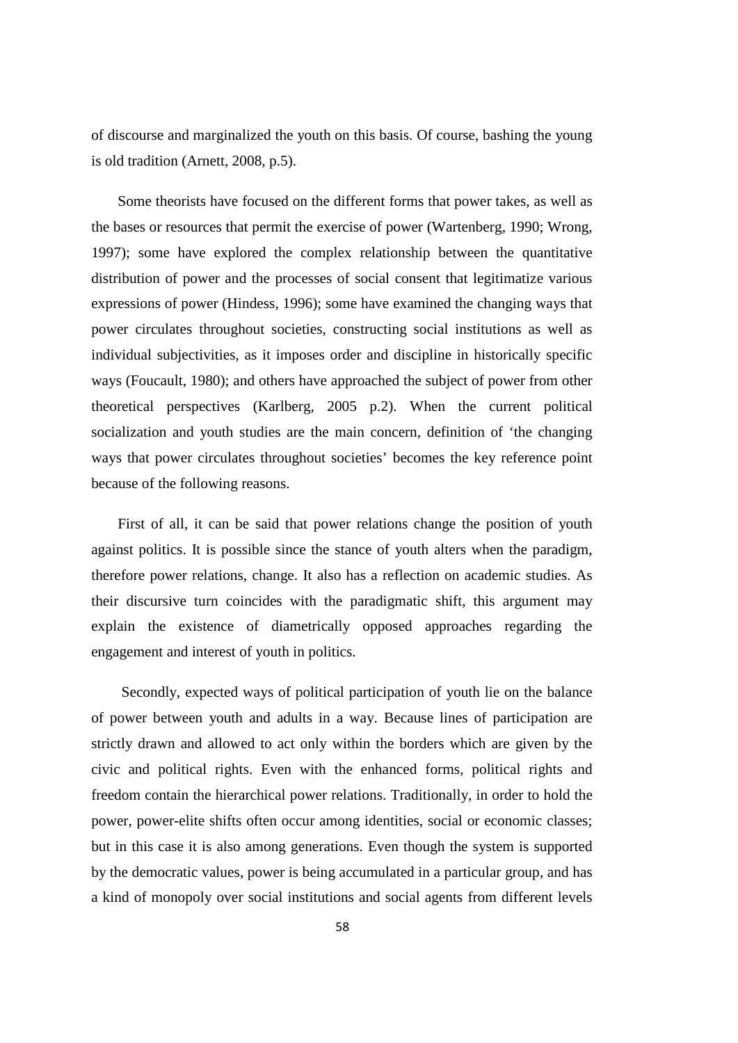of discourse and marginalized the youth on this basis. Of course, bashing the young is old tradition (Arnett, 2008, p.5).

Some theorists have focused on the different forms that power takes, as well as the bases or resources that permit the exercise of power (Wartenberg, 1990; Wrong, 1997); some have explored the complex relationship between the quantitative distribution of power and the processes of social consent that legitimatize various expressions of power (Hindess, 1996); some have examined the changing ways that power circulates throughout societies, constructing social institutions as well as individual subjectivities, as it imposes order and discipline in historically specific ways (Foucault, 1980); and others have approached the subject of power from other theoretical perspectives (Karlberg, 2005 p.2). When the current political socialization and youth studies are the main concern, definition of 'the changing ways that power circulates throughout societies' becomes the key reference point because of the following reasons.

First of all, it can be said that power relations change the position of youth against politics. It is possible since the stance of youth alters when the paradigm, therefore power relations, change. It also has a reflection on academic studies. As their discursive turn coincides with the paradigmatic shift, this argument may explain the existence of diametrically opposed approaches regarding the engagement and interest of youth in politics.

Secondly, expected ways of political participation of youth lie on the balance of power between youth and adults in a way. Because lines of participation are strictly drawn and allowed to act only within the borders which are given by the civic and political rights. Even with the enhanced forms, political rights and freedom contain the hierarchical power relations. Traditionally, in order to hold the power, power-elite shifts often occur among identities, social or economic classes; but in this case it is also among generations. Even though the system is supported by the democratic values, power is being accumulated in a particular group, and has a kind of monopoly over social institutions and social agents from different levels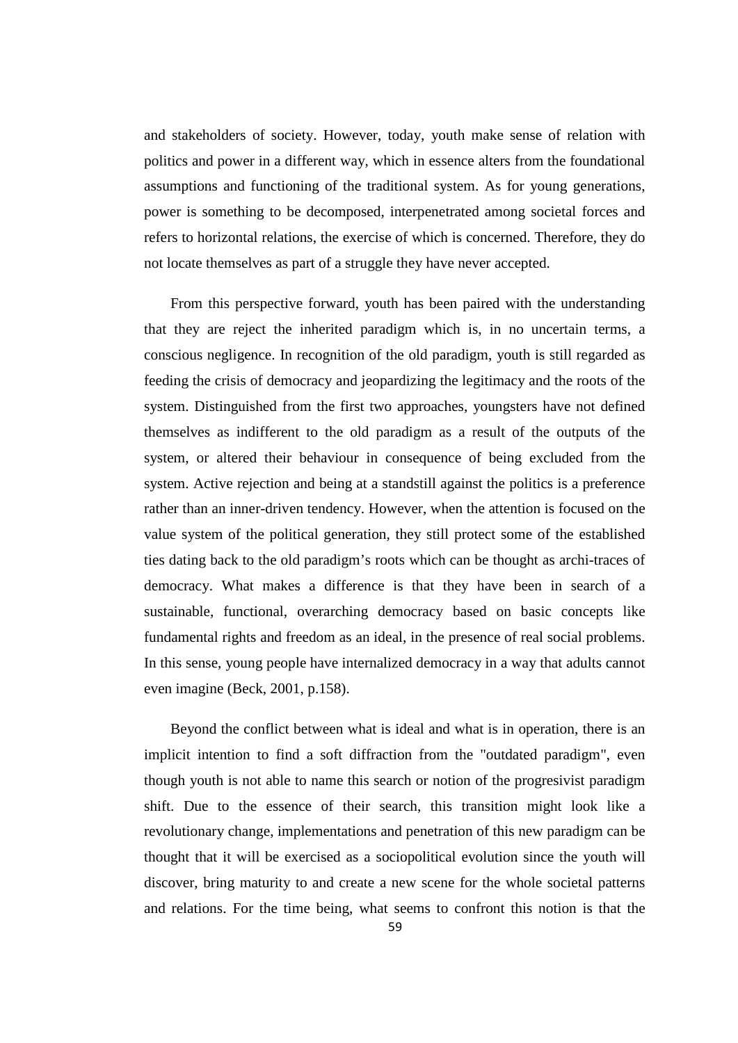and stakeholders of society. However, today, youth make sense of relation with politics and power in a different way, which in essence alters from the foundational assumptions and functioning of the traditional system. As for young generations, power is something to be decomposed, interpenetrated among societal forces and refers to horizontal relations, the exercise of which is concerned. Therefore, they do not locate themselves as part of a struggle they have never accepted.

From this perspective forward, youth has been paired with the understanding that they are reject the inherited paradigm which is, in no uncertain terms, a conscious negligence. In recognition of the old paradigm, youth is still regarded as feeding the crisis of democracy and jeopardizing the legitimacy and the roots of the system. Distinguished from the first two approaches, youngsters have not defined themselves as indifferent to the old paradigm as a result of the outputs of the system, or altered their behaviour in consequence of being excluded from the system. Active rejection and being at a standstill against the politics is a preference rather than an inner-driven tendency. However, when the attention is focused on the value system of the political generation, they still protect some of the established ties dating back to the old paradigm's roots which can be thought as archi-traces of democracy. What makes a difference is that they have been in search of a sustainable, functional, overarching democracy based on basic concepts like fundamental rights and freedom as an ideal, in the presence of real social problems. In this sense, young people have internalized democracy in a way that adults cannot even imagine (Beck, 2001, p.158).

Beyond the conflict between what is ideal and what is in operation, there is an implicit intention to find a soft diffraction from the "outdated paradigm", even though youth is not able to name this search or notion of the progresivist paradigm shift. Due to the essence of their search, this transition might look like a revolutionary change, implementations and penetration of this new paradigm can be thought that it will be exercised as a sociopolitical evolution since the youth will discover, bring maturity to and create a new scene for the whole societal patterns and relations. For the time being, what seems to confront this notion is that the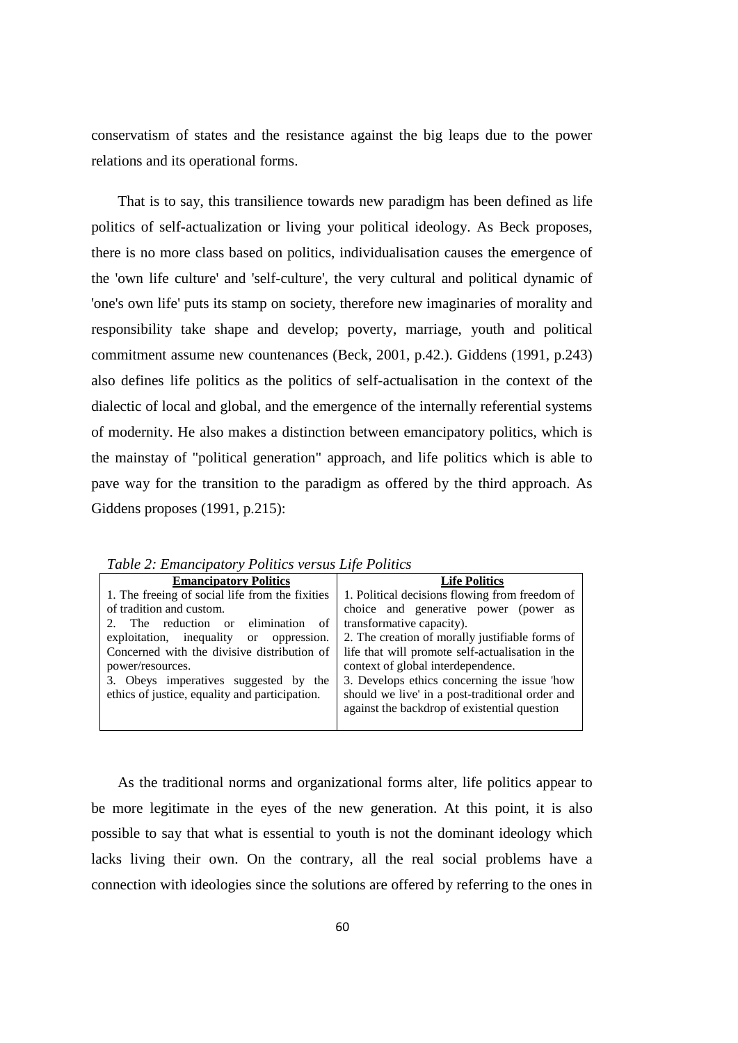conservatism of states and the resistance against the big leaps due to the power relations and its operational forms.

That is to say, this transilience towards new paradigm has been defined as life politics of self-actualization or living your political ideology. As Beck proposes, there is no more class based on politics, individualisation causes the emergence of the 'own life culture' and 'self-culture', the very cultural and political dynamic of 'one's own life' puts its stamp on society, therefore new imaginaries of morality and responsibility take shape and develop; poverty, marriage, youth and political commitment assume new countenances (Beck, 2001, p.42.). Giddens (1991, p.243) also defines life politics as the politics of self-actualisation in the context of the dialectic of local and global, and the emergence of the internally referential systems of modernity. He also makes a distinction between emancipatory politics, which is the mainstay of "political generation" approach, and life politics which is able to pave way for the transition to the paradigm as offered by the third approach. As Giddens proposes (1991, p.215):

| <b>Emancipatory Politics</b>                             | <b>Life Politics</b>                             |  |  |  |  |  |
|----------------------------------------------------------|--------------------------------------------------|--|--|--|--|--|
| 1. The freeing of social life from the fixities          | 1. Political decisions flowing from freedom of   |  |  |  |  |  |
| of tradition and custom.                                 | choice and generative power (power as            |  |  |  |  |  |
| The reduction or elimination<br>of                       | transformative capacity).                        |  |  |  |  |  |
| oppression.<br>exploitation, inequality<br><sub>or</sub> | 2. The creation of morally justifiable forms of  |  |  |  |  |  |
| Concerned with the divisive distribution of              | life that will promote self-actualisation in the |  |  |  |  |  |
| power/resources.                                         | context of global interdependence.               |  |  |  |  |  |
| 3. Obeys imperatives suggested by the                    | 3. Develops ethics concerning the issue 'how     |  |  |  |  |  |
| ethics of justice, equality and participation.           | should we live' in a post-traditional order and  |  |  |  |  |  |
|                                                          | against the backdrop of existential question     |  |  |  |  |  |
|                                                          |                                                  |  |  |  |  |  |

*Table 2: Emancipatory Politics versus Life Politics*

As the traditional norms and organizational forms alter, life politics appear to be more legitimate in the eyes of the new generation. At this point, it is also possible to say that what is essential to youth is not the dominant ideology which lacks living their own. On the contrary, all the real social problems have a connection with ideologies since the solutions are offered by referring to the ones in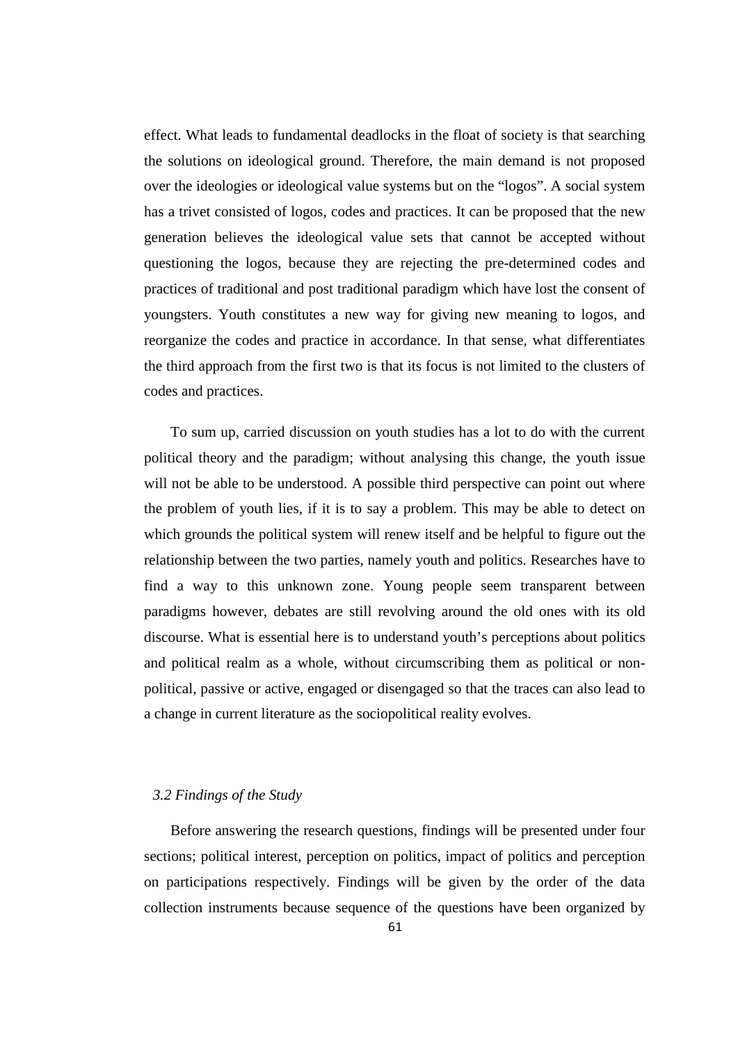effect. What leads to fundamental deadlocks in the float of society is that searching the solutions on ideological ground. Therefore, the main demand is not proposed over the ideologies or ideological value systems but on the "logos". A social system has a trivet consisted of logos, codes and practices. It can be proposed that the new generation believes the ideological value sets that cannot be accepted without questioning the logos, because they are rejecting the pre-determined codes and practices of traditional and post traditional paradigm which have lost the consent of youngsters. Youth constitutes a new way for giving new meaning to logos, and reorganize the codes and practice in accordance. In that sense, what differentiates the third approach from the first two is that its focus is not limited to the clusters of codes and practices.

To sum up, carried discussion on youth studies has a lot to do with the current political theory and the paradigm; without analysing this change, the youth issue will not be able to be understood. A possible third perspective can point out where the problem of youth lies, if it is to say a problem. This may be able to detect on which grounds the political system will renew itself and be helpful to figure out the relationship between the two parties, namely youth and politics. Researches have to find a way to this unknown zone. Young people seem transparent between paradigms however, debates are still revolving around the old ones with its old discourse. What is essential here is to understand youth's perceptions about politics and political realm as a whole, without circumscribing them as political or nonpolitical, passive or active, engaged or disengaged so that the traces can also lead to a change in current literature as the sociopolitical reality evolves.

# *3.2 Findings of the Study*

Before answering the research questions, findings will be presented under four sections; political interest, perception on politics, impact of politics and perception on participations respectively. Findings will be given by the order of the data collection instruments because sequence of the questions have been organized by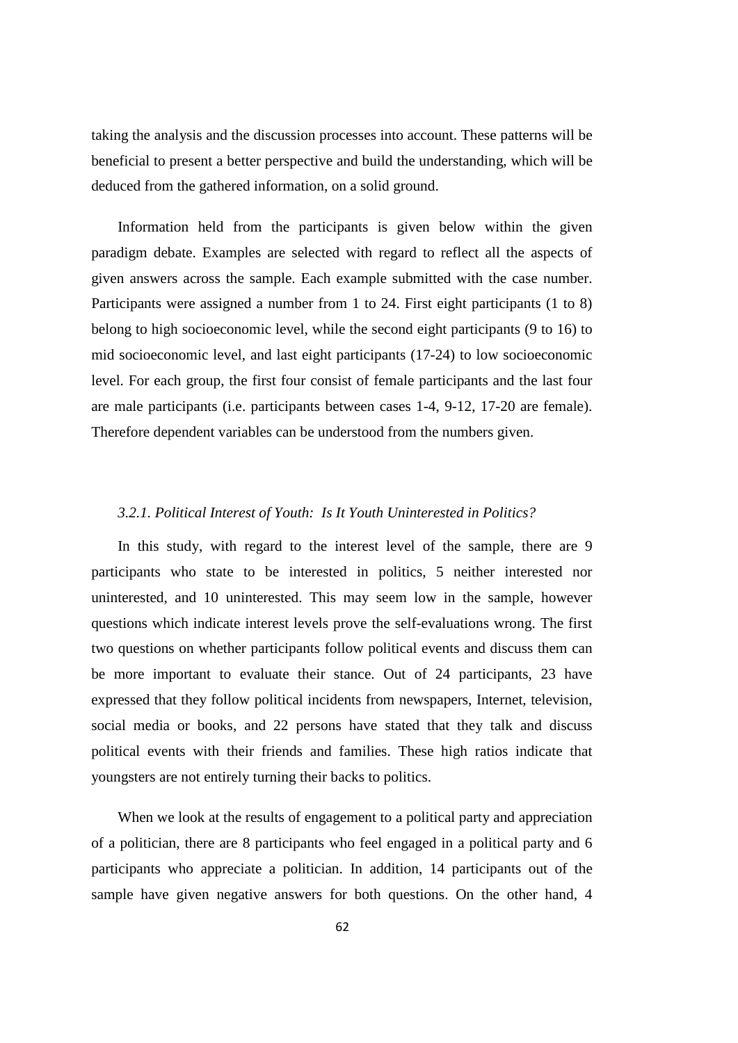taking the analysis and the discussion processes into account. These patterns will be beneficial to present a better perspective and build the understanding, which will be deduced from the gathered information, on a solid ground.

Information held from the participants is given below within the given paradigm debate. Examples are selected with regard to reflect all the aspects of given answers across the sample. Each example submitted with the case number. Participants were assigned a number from 1 to 24. First eight participants (1 to 8) belong to high socioeconomic level, while the second eight participants (9 to 16) to mid socioeconomic level, and last eight participants (17-24) to low socioeconomic level. For each group, the first four consist of female participants and the last four are male participants (i.e. participants between cases 1-4, 9-12, 17-20 are female). Therefore dependent variables can be understood from the numbers given.

# *3.2.1. Political Interest of Youth: Is It Youth Uninterested in Politics?*

In this study, with regard to the interest level of the sample, there are 9 participants who state to be interested in politics, 5 neither interested nor uninterested, and 10 uninterested. This may seem low in the sample, however questions which indicate interest levels prove the self-evaluations wrong. The first two questions on whether participants follow political events and discuss them can be more important to evaluate their stance. Out of 24 participants, 23 have expressed that they follow political incidents from newspapers, Internet, television, social media or books, and 22 persons have stated that they talk and discuss political events with their friends and families. These high ratios indicate that youngsters are not entirely turning their backs to politics.

When we look at the results of engagement to a political party and appreciation of a politician, there are 8 participants who feel engaged in a political party and 6 participants who appreciate a politician. In addition, 14 participants out of the sample have given negative answers for both questions. On the other hand, 4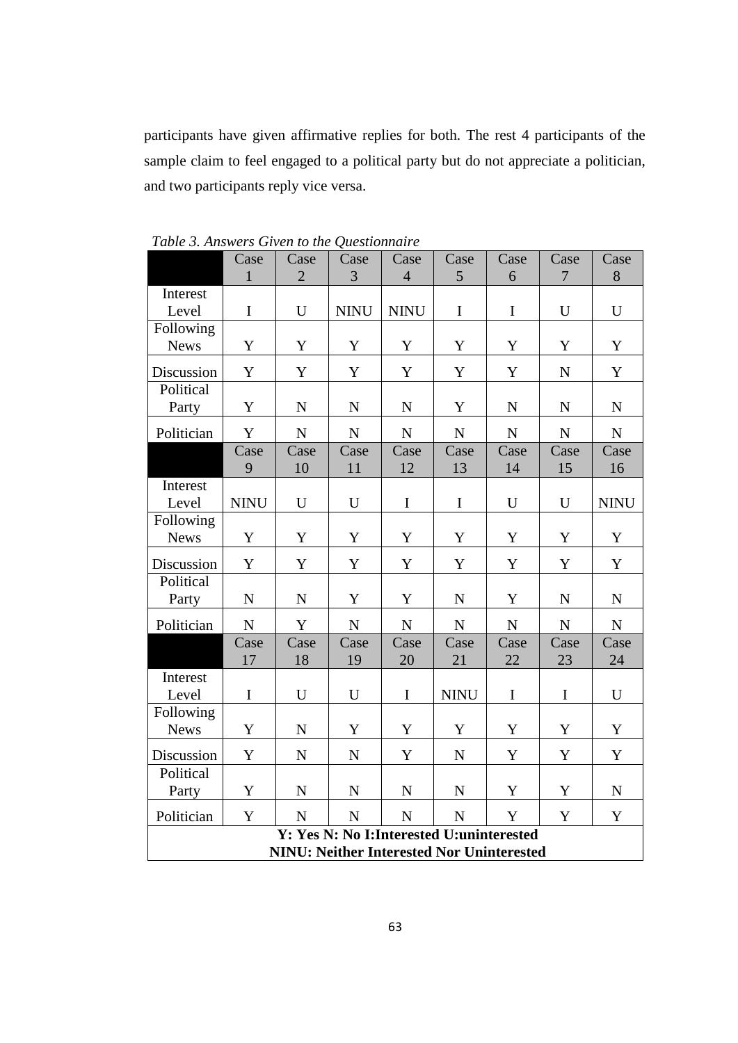participants have given affirmative replies for both. The rest 4 participants of the sample claim to feel engaged to a political party but do not appreciate a politician, and two participants reply vice versa.

|                                                  | Case         | Case           | Case        | Case           | Case         | Case        | Case           | Case        |  |
|--------------------------------------------------|--------------|----------------|-------------|----------------|--------------|-------------|----------------|-------------|--|
|                                                  | $\mathbf{1}$ | $\overline{2}$ | 3           | $\overline{4}$ | 5            | 6           | $\overline{7}$ | 8           |  |
| Interest                                         |              |                |             |                |              |             |                |             |  |
| Level                                            | $\mathbf I$  | U              | <b>NINU</b> | <b>NINU</b>    | $\mathbf I$  | $\mathbf I$ | U              | U           |  |
| Following                                        |              |                |             |                |              |             |                |             |  |
| <b>News</b>                                      | Y            | Y              | Y           | Y              | Y            | Y           | Y              | Y           |  |
| Discussion                                       | Y            | Y              | Y           | Y              | Y            | Y           | $\mathbf N$    | Y           |  |
| Political                                        |              |                |             |                |              |             |                |             |  |
| Party                                            | Y            | $\mathbf N$    | $\mathbf N$ | $\mathbf N$    | Y            | $\mathbf N$ | ${\bf N}$      | ${\bf N}$   |  |
| Politician                                       | Y            | $\mathbf N$    | $\mathbf N$ | $\mathbf N$    | ${\bf N}$    | $\mathbf N$ | ${\bf N}$      | ${\bf N}$   |  |
|                                                  | Case         | Case           | Case        | Case           | Case         | Case        | Case           | Case        |  |
|                                                  | 9            | 10             | 11          | 12             | 13           | 14          | 15             | 16          |  |
| Interest                                         |              |                |             |                |              |             |                |             |  |
| Level                                            | <b>NINU</b>  | U              | U           | $\mathbf I$    | $\mathbf{I}$ | $\mathbf U$ | U              | <b>NINU</b> |  |
| Following                                        |              |                |             |                |              |             |                |             |  |
| <b>News</b>                                      | Y            | Y              | Y           | $\mathbf Y$    | Y            | Y           | Y              | Y           |  |
| Discussion                                       | Y            | Y              | Y           | Y              | Y            | Y           | Y              | Y           |  |
| Political                                        |              |                |             |                |              |             |                |             |  |
| Party                                            | $\mathbf N$  | $\mathbf N$    | Y           | $\mathbf Y$    | ${\bf N}$    | Y           | $\mathbf N$    | ${\bf N}$   |  |
| Politician                                       | $\mathbf N$  | Y              | $\mathbf N$ | $\mathbf N$    | ${\bf N}$    | ${\bf N}$   | $\mathbf N$    | $\mathbf N$ |  |
|                                                  | Case         | Case           | Case        | Case           | Case         | Case        | Case           | Case        |  |
|                                                  | 17           | 18             | 19          | 20             | 21           | 22          | 23             | 24          |  |
| Interest                                         |              |                |             |                |              |             |                |             |  |
| Level                                            | $\mathbf I$  | U              | U           | $\mathbf I$    | <b>NINU</b>  | $\mathbf I$ | $\mathbf I$    | U           |  |
| Following                                        |              |                |             |                |              |             |                |             |  |
| <b>News</b>                                      | Y            | $\mathbf N$    | $\mathbf Y$ | $\mathbf Y$    | Y            | Y           | Y              | Y           |  |
| Discussion                                       | Y            | $\mathbf N$    | $\mathbf N$ | Y              | $\mathbf N$  | Y           | Y              | Y           |  |
| Political                                        |              |                |             |                |              |             |                |             |  |
| Party                                            | Y            | ${\bf N}$      | ${\bf N}$   | ${\bf N}$      | ${\bf N}$    | Y           | $\mathbf Y$    | ${\bf N}$   |  |
| Politician                                       | Y            | $\mathbf N$    | N           | $\mathbf N$    | N            | Y           | $\mathbf Y$    | $\mathbf Y$ |  |
| Y: Yes N: No I: Interested U: uninterested       |              |                |             |                |              |             |                |             |  |
| <b>NINU: Neither Interested Nor Uninterested</b> |              |                |             |                |              |             |                |             |  |

*Table 3. Answers Given to the Questionnaire*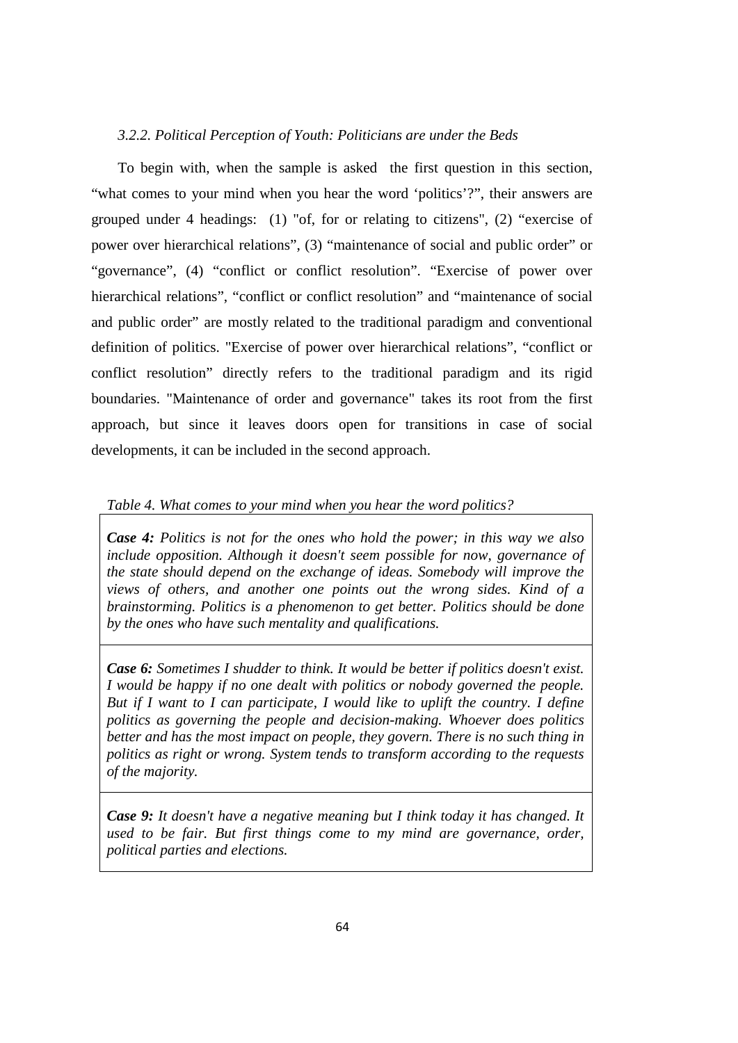#### *3.2.2. Political Perception of Youth: Politicians are under the Beds*

To begin with, when the sample is asked the first question in this section, "what comes to your mind when you hear the word 'politics'?", their answers are grouped under 4 headings: (1) "of, for or relating to citizens", (2) "exercise of power over hierarchical relations", (3) "maintenance of social and public order" or "governance", (4) "conflict or conflict resolution". "Exercise of power over hierarchical relations", "conflict or conflict resolution" and "maintenance of social and public order" are mostly related to the traditional paradigm and conventional definition of politics. "Exercise of power over hierarchical relations", "conflict or conflict resolution" directly refers to the traditional paradigm and its rigid boundaries. "Maintenance of order and governance" takes its root from the first approach, but since it leaves doors open for transitions in case of social developments, it can be included in the second approach.

#### *Table 4. What comes to your mind when you hear the word politics?*

*Case 4: Politics is not for the ones who hold the power; in this way we also include opposition. Although it doesn't seem possible for now, governance of the state should depend on the exchange of ideas. Somebody will improve the views of others, and another one points out the wrong sides. Kind of a brainstorming. Politics is a phenomenon to get better. Politics should be done by the ones who have such mentality and qualifications.* 

*Case 6: Sometimes I shudder to think. It would be better if politics doesn't exist. I would be happy if no one dealt with politics or nobody governed the people. But if I want to I can participate, I would like to uplift the country. I define politics as governing the people and decision-making. Whoever does politics better and has the most impact on people, they govern. There is no such thing in politics as right or wrong. System tends to transform according to the requests of the majority.* 

*Case 9: It doesn't have a negative meaning but I think today it has changed. It used to be fair. But first things come to my mind are governance, order, political parties and elections.*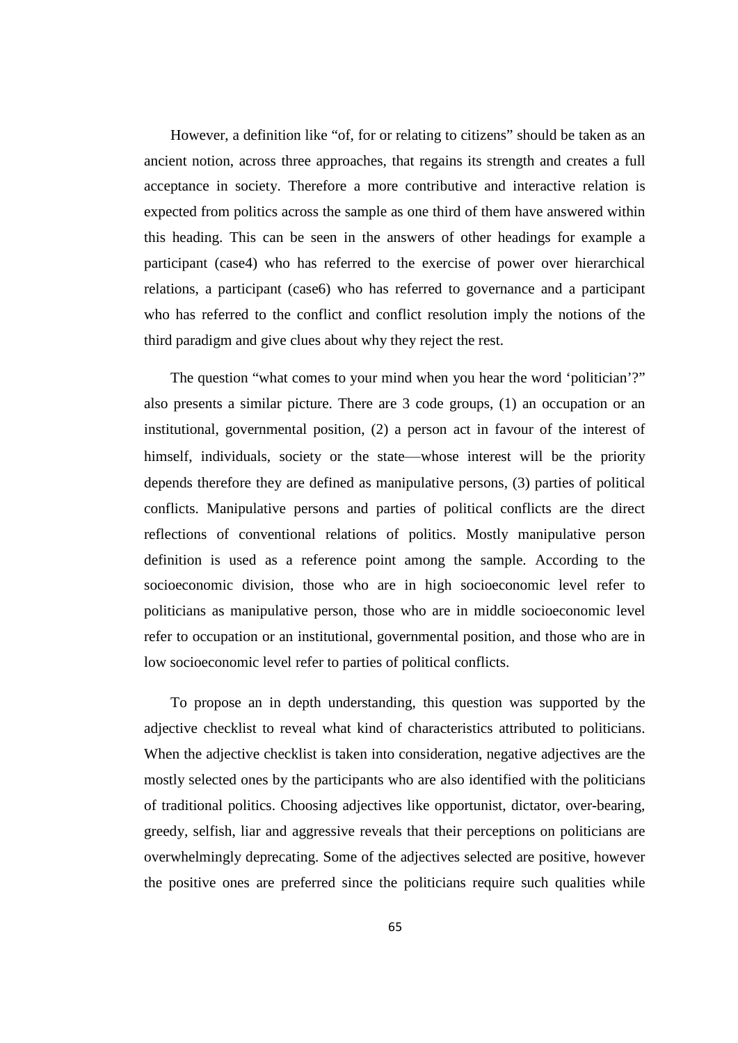However, a definition like "of, for or relating to citizens" should be taken as an ancient notion, across three approaches, that regains its strength and creates a full acceptance in society. Therefore a more contributive and interactive relation is expected from politics across the sample as one third of them have answered within this heading. This can be seen in the answers of other headings for example a participant (case4) who has referred to the exercise of power over hierarchical relations, a participant (case6) who has referred to governance and a participant who has referred to the conflict and conflict resolution imply the notions of the third paradigm and give clues about why they reject the rest.

The question "what comes to your mind when you hear the word 'politician'?" also presents a similar picture. There are 3 code groups, (1) an occupation or an institutional, governmental position, (2) a person act in favour of the interest of himself, individuals, society or the state—whose interest will be the priority depends therefore they are defined as manipulative persons, (3) parties of political conflicts. Manipulative persons and parties of political conflicts are the direct reflections of conventional relations of politics. Mostly manipulative person definition is used as a reference point among the sample. According to the socioeconomic division, those who are in high socioeconomic level refer to politicians as manipulative person, those who are in middle socioeconomic level refer to occupation or an institutional, governmental position, and those who are in low socioeconomic level refer to parties of political conflicts.

To propose an in depth understanding, this question was supported by the adjective checklist to reveal what kind of characteristics attributed to politicians. When the adjective checklist is taken into consideration, negative adjectives are the mostly selected ones by the participants who are also identified with the politicians of traditional politics. Choosing adjectives like opportunist, dictator, over-bearing, greedy, selfish, liar and aggressive reveals that their perceptions on politicians are overwhelmingly deprecating. Some of the adjectives selected are positive, however the positive ones are preferred since the politicians require such qualities while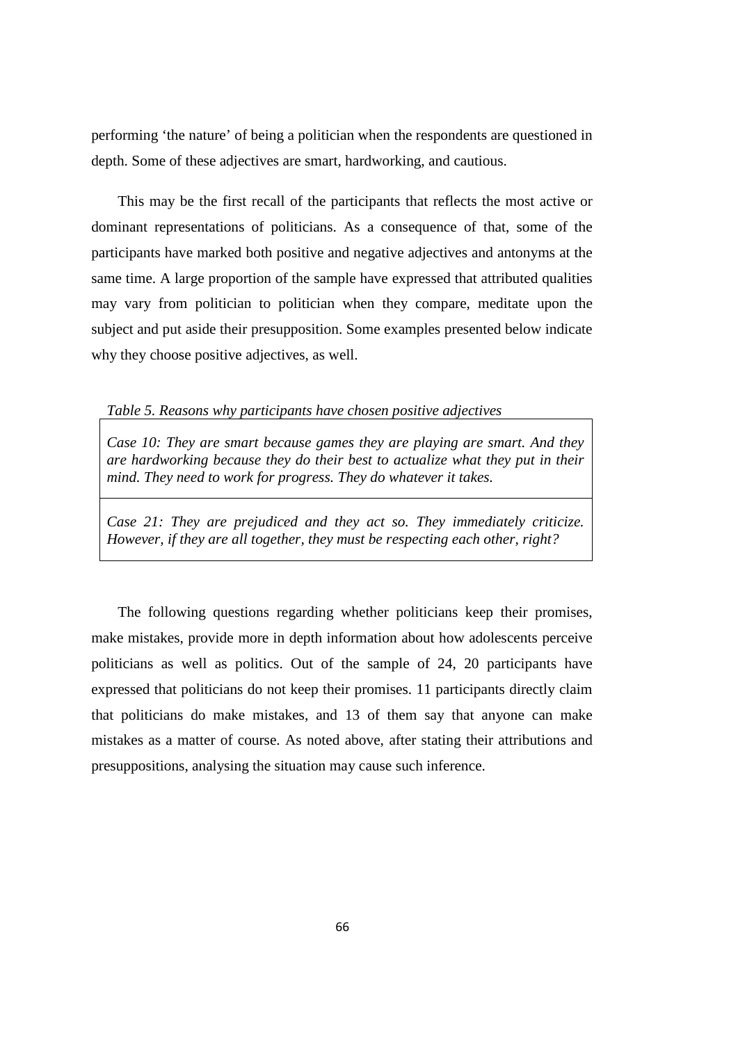performing 'the nature' of being a politician when the respondents are questioned in depth. Some of these adjectives are smart, hardworking, and cautious.

This may be the first recall of the participants that reflects the most active or dominant representations of politicians. As a consequence of that, some of the participants have marked both positive and negative adjectives and antonyms at the same time. A large proportion of the sample have expressed that attributed qualities may vary from politician to politician when they compare, meditate upon the subject and put aside their presupposition. Some examples presented below indicate why they choose positive adjectives, as well.

### *Table 5. Reasons why participants have chosen positive adjectives*

*Case 10: They are smart because games they are playing are smart. And they are hardworking because they do their best to actualize what they put in their mind. They need to work for progress. They do whatever it takes.*

*Case 21: They are prejudiced and they act so. They immediately criticize. However, if they are all together, they must be respecting each other, right?*

The following questions regarding whether politicians keep their promises, make mistakes, provide more in depth information about how adolescents perceive politicians as well as politics. Out of the sample of 24, 20 participants have expressed that politicians do not keep their promises. 11 participants directly claim that politicians do make mistakes, and 13 of them say that anyone can make mistakes as a matter of course. As noted above, after stating their attributions and presuppositions, analysing the situation may cause such inference.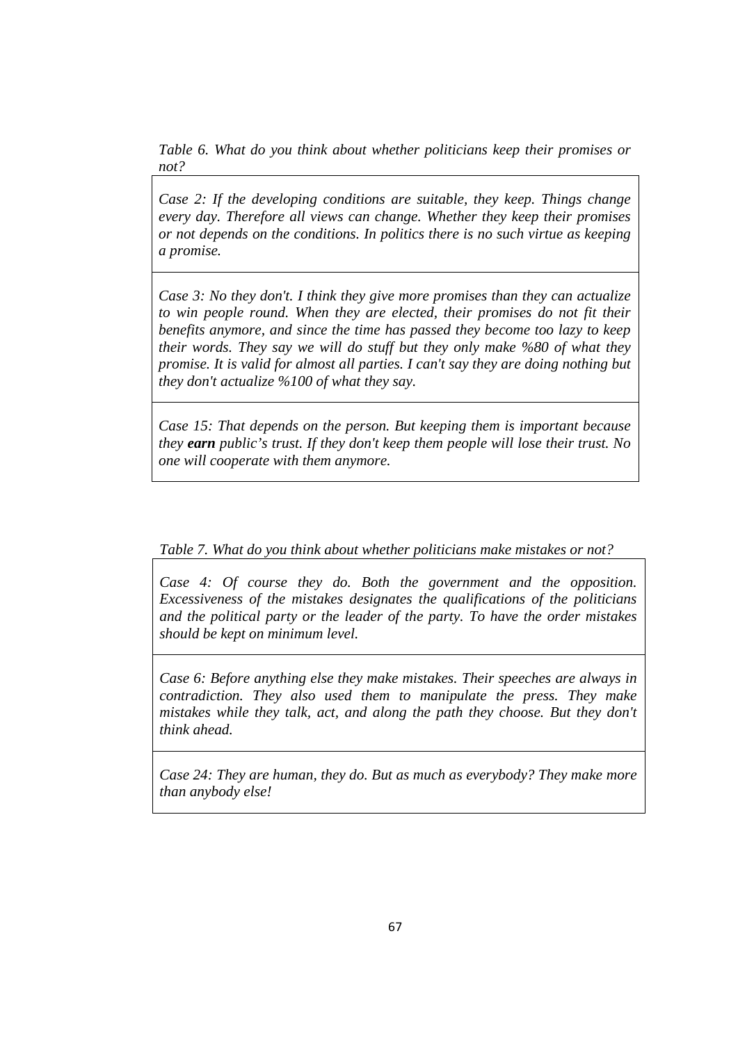*Table 6. What do you think about whether politicians keep their promises or not?*

*Case 2: If the developing conditions are suitable, they keep. Things change every day. Therefore all views can change. Whether they keep their promises or not depends on the conditions. In politics there is no such virtue as keeping a promise.* 

*Case 3: No they don't. I think they give more promises than they can actualize to win people round. When they are elected, their promises do not fit their benefits anymore, and since the time has passed they become too lazy to keep their words. They say we will do stuff but they only make %80 of what they promise. It is valid for almost all parties. I can't say they are doing nothing but they don't actualize %100 of what they say.*

*Case 15: That depends on the person. But keeping them is important because they earn public's trust. If they don't keep them people will lose their trust. No one will cooperate with them anymore.* 

*Table 7. What do you think about whether politicians make mistakes or not?*

*Case 4: Of course they do. Both the government and the opposition. Excessiveness of the mistakes designates the qualifications of the politicians and the political party or the leader of the party. To have the order mistakes should be kept on minimum level.*

*Case 6: Before anything else they make mistakes. Their speeches are always in contradiction. They also used them to manipulate the press. They make mistakes while they talk, act, and along the path they choose. But they don't think ahead.*

*Case 24: They are human, they do. But as much as everybody? They make more than anybody else!*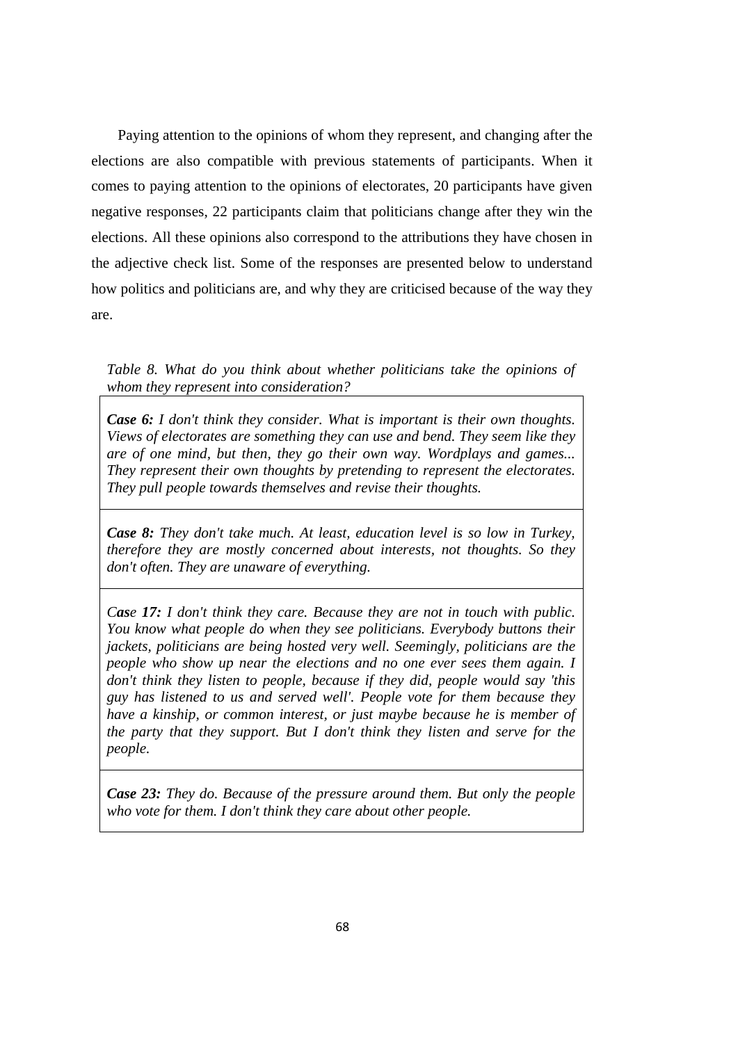Paying attention to the opinions of whom they represent, and changing after the elections are also compatible with previous statements of participants. When it comes to paying attention to the opinions of electorates, 20 participants have given negative responses, 22 participants claim that politicians change after they win the elections. All these opinions also correspond to the attributions they have chosen in the adjective check list. Some of the responses are presented below to understand how politics and politicians are, and why they are criticised because of the way they are.

*Table 8. What do you think about whether politicians take the opinions of whom they represent into consideration?*

*Case 6: I don't think they consider. What is important is their own thoughts. Views of electorates are something they can use and bend. They seem like they are of one mind, but then, they go their own way. Wordplays and games... They represent their own thoughts by pretending to represent the electorates. They pull people towards themselves and revise their thoughts.*

*Case 8: They don't take much. At least, education level is so low in Turkey, therefore they are mostly concerned about interests, not thoughts. So they don't often. They are unaware of everything.* 

*Case 17: I don't think they care. Because they are not in touch with public. You know what people do when they see politicians. Everybody buttons their jackets, politicians are being hosted very well. Seemingly, politicians are the people who show up near the elections and no one ever sees them again. I don't think they listen to people, because if they did, people would say 'this guy has listened to us and served well'. People vote for them because they have a kinship, or common interest, or just maybe because he is member of the party that they support. But I don't think they listen and serve for the people.*

*Case 23: They do. Because of the pressure around them. But only the people who vote for them. I don't think they care about other people.*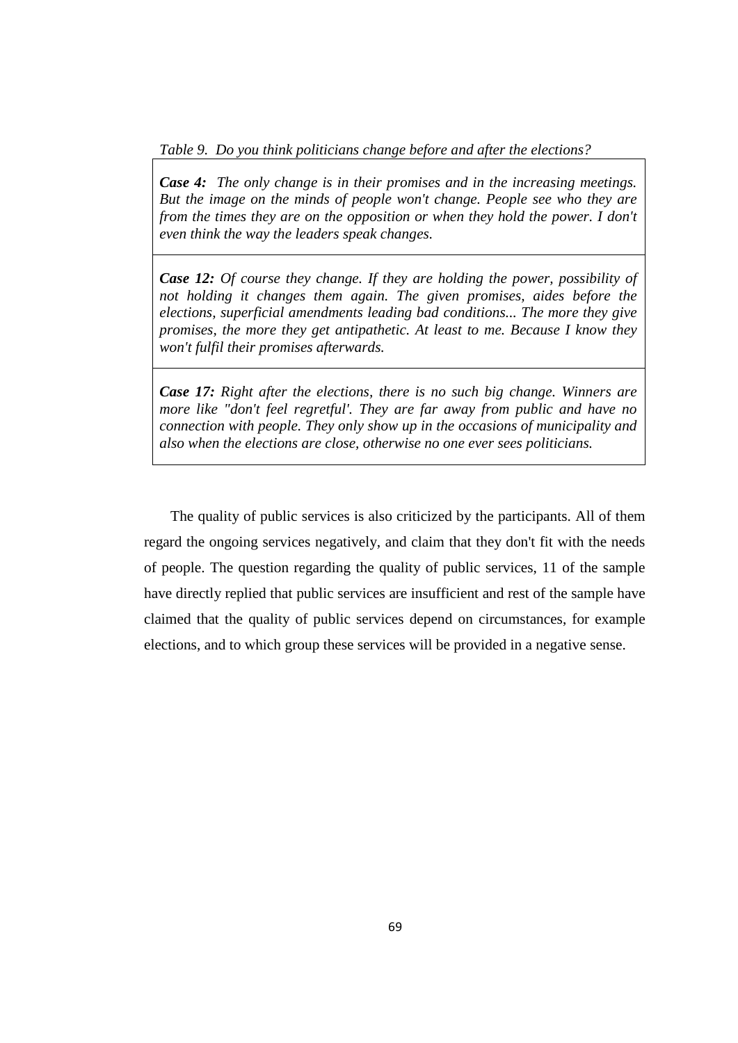*Table 9. Do you think politicians change before and after the elections?*

*Case 4: The only change is in their promises and in the increasing meetings. But the image on the minds of people won't change. People see who they are from the times they are on the opposition or when they hold the power. I don't even think the way the leaders speak changes.*

*Case 12: Of course they change. If they are holding the power, possibility of not holding it changes them again. The given promises, aides before the elections, superficial amendments leading bad conditions... The more they give promises, the more they get antipathetic. At least to me. Because I know they won't fulfil their promises afterwards.*

*Case 17: Right after the elections, there is no such big change. Winners are more like "don't feel regretful'. They are far away from public and have no connection with people. They only show up in the occasions of municipality and also when the elections are close, otherwise no one ever sees politicians.*

The quality of public services is also criticized by the participants. All of them regard the ongoing services negatively, and claim that they don't fit with the needs of people. The question regarding the quality of public services, 11 of the sample have directly replied that public services are insufficient and rest of the sample have claimed that the quality of public services depend on circumstances, for example elections, and to which group these services will be provided in a negative sense.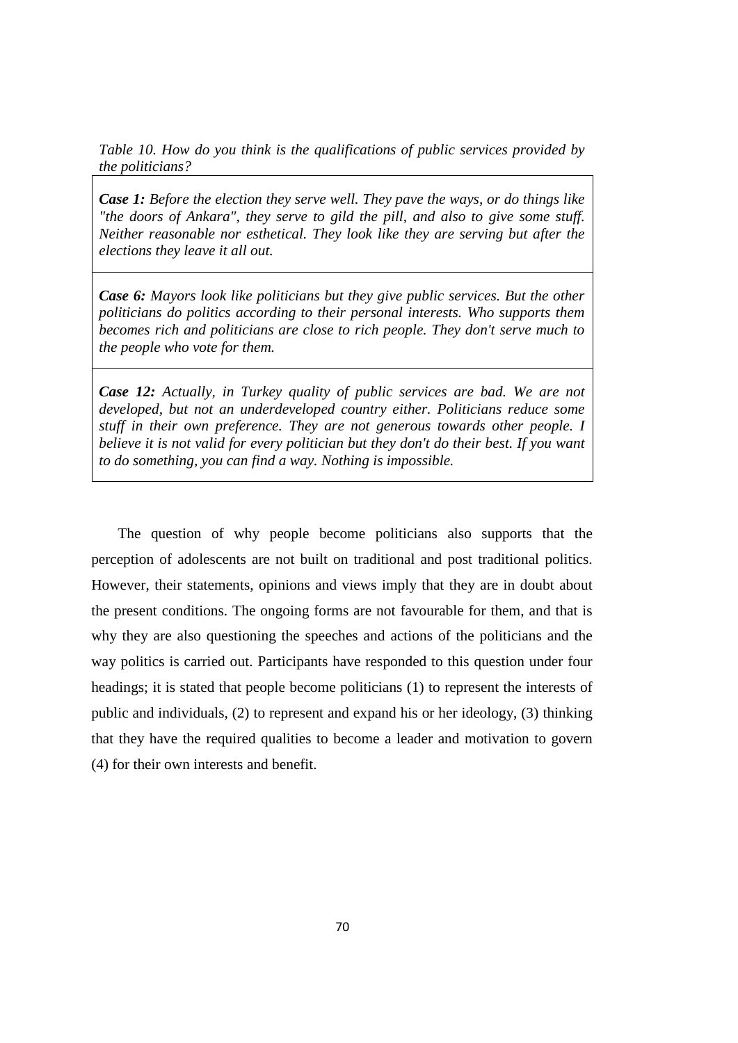*Table 10. How do you think is the qualifications of public services provided by the politicians?*

*Case 1: Before the election they serve well. They pave the ways, or do things like "the doors of Ankara", they serve to gild the pill, and also to give some stuff. Neither reasonable nor esthetical. They look like they are serving but after the elections they leave it all out.*

*Case 6: Mayors look like politicians but they give public services. But the other politicians do politics according to their personal interests. Who supports them becomes rich and politicians are close to rich people. They don't serve much to the people who vote for them.*

*Case 12: Actually, in Turkey quality of public services are bad. We are not developed, but not an underdeveloped country either. Politicians reduce some stuff in their own preference. They are not generous towards other people. I believe it is not valid for every politician but they don't do their best. If you want to do something, you can find a way. Nothing is impossible.*

The question of why people become politicians also supports that the perception of adolescents are not built on traditional and post traditional politics. However, their statements, opinions and views imply that they are in doubt about the present conditions. The ongoing forms are not favourable for them, and that is why they are also questioning the speeches and actions of the politicians and the way politics is carried out. Participants have responded to this question under four headings; it is stated that people become politicians (1) to represent the interests of public and individuals, (2) to represent and expand his or her ideology, (3) thinking that they have the required qualities to become a leader and motivation to govern (4) for their own interests and benefit.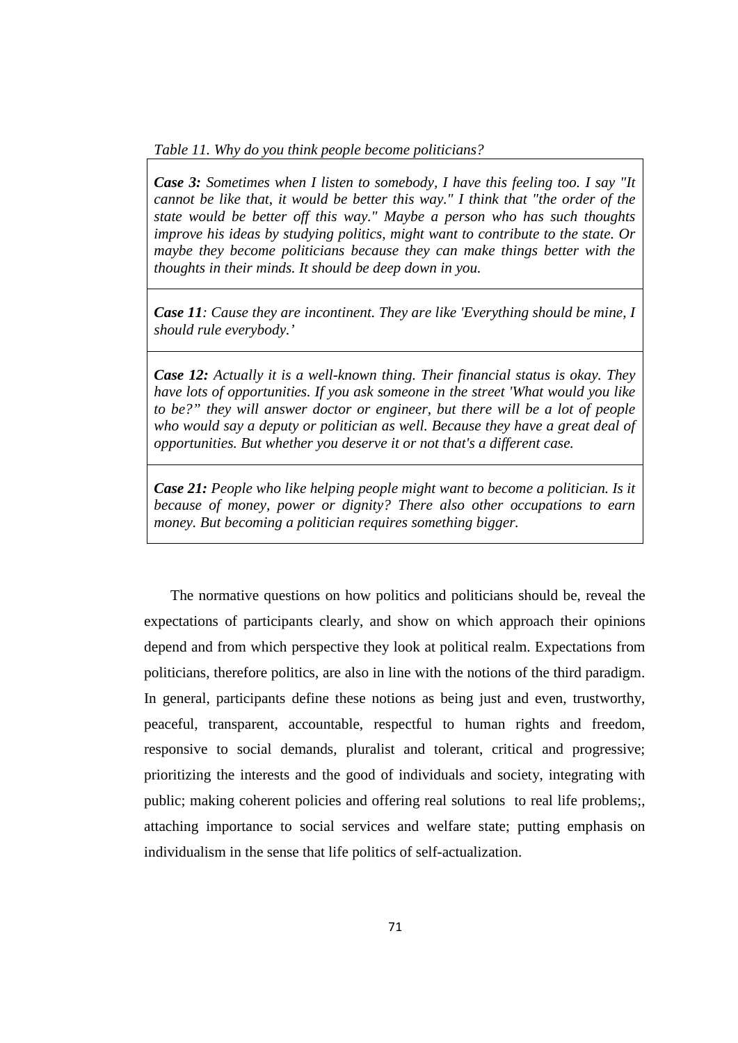*Case 3: Sometimes when I listen to somebody, I have this feeling too. I say "It cannot be like that, it would be better this way." I think that "the order of the state would be better off this way." Maybe a person who has such thoughts improve his ideas by studying politics, might want to contribute to the state. Or maybe they become politicians because they can make things better with the thoughts in their minds. It should be deep down in you.* 

*Case 11: Cause they are incontinent. They are like 'Everything should be mine, I should rule everybody.'*

*Case 12: Actually it is a well-known thing. Their financial status is okay. They have lots of opportunities. If you ask someone in the street 'What would you like to be?" they will answer doctor or engineer, but there will be a lot of people who would say a deputy or politician as well. Because they have a great deal of opportunities. But whether you deserve it or not that's a different case.*

*Case 21: People who like helping people might want to become a politician. Is it because of money, power or dignity? There also other occupations to earn money. But becoming a politician requires something bigger.*

The normative questions on how politics and politicians should be, reveal the expectations of participants clearly, and show on which approach their opinions depend and from which perspective they look at political realm. Expectations from politicians, therefore politics, are also in line with the notions of the third paradigm. In general, participants define these notions as being just and even, trustworthy, peaceful, transparent, accountable, respectful to human rights and freedom, responsive to social demands, pluralist and tolerant, critical and progressive; prioritizing the interests and the good of individuals and society, integrating with public; making coherent policies and offering real solutions to real life problems;, attaching importance to social services and welfare state; putting emphasis on individualism in the sense that life politics of self-actualization.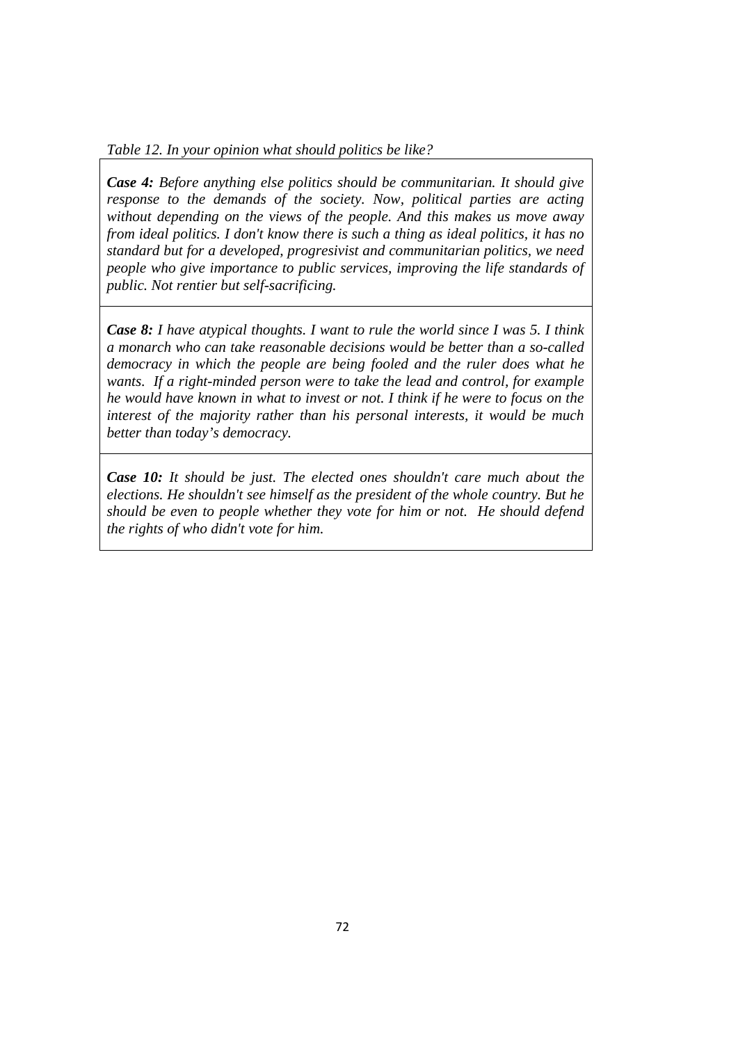*Case 4: Before anything else politics should be communitarian. It should give response to the demands of the society. Now, political parties are acting without depending on the views of the people. And this makes us move away from ideal politics. I don't know there is such a thing as ideal politics, it has no standard but for a developed, progresivist and communitarian politics, we need people who give importance to public services, improving the life standards of public. Not rentier but self-sacrificing.* 

*Case 8: I have atypical thoughts. I want to rule the world since I was 5. I think a monarch who can take reasonable decisions would be better than a so-called democracy in which the people are being fooled and the ruler does what he wants. If a right-minded person were to take the lead and control, for example he would have known in what to invest or not. I think if he were to focus on the interest of the majority rather than his personal interests, it would be much better than today's democracy.*

*Case 10: It should be just. The elected ones shouldn't care much about the elections. He shouldn't see himself as the president of the whole country. But he should be even to people whether they vote for him or not. He should defend the rights of who didn't vote for him.*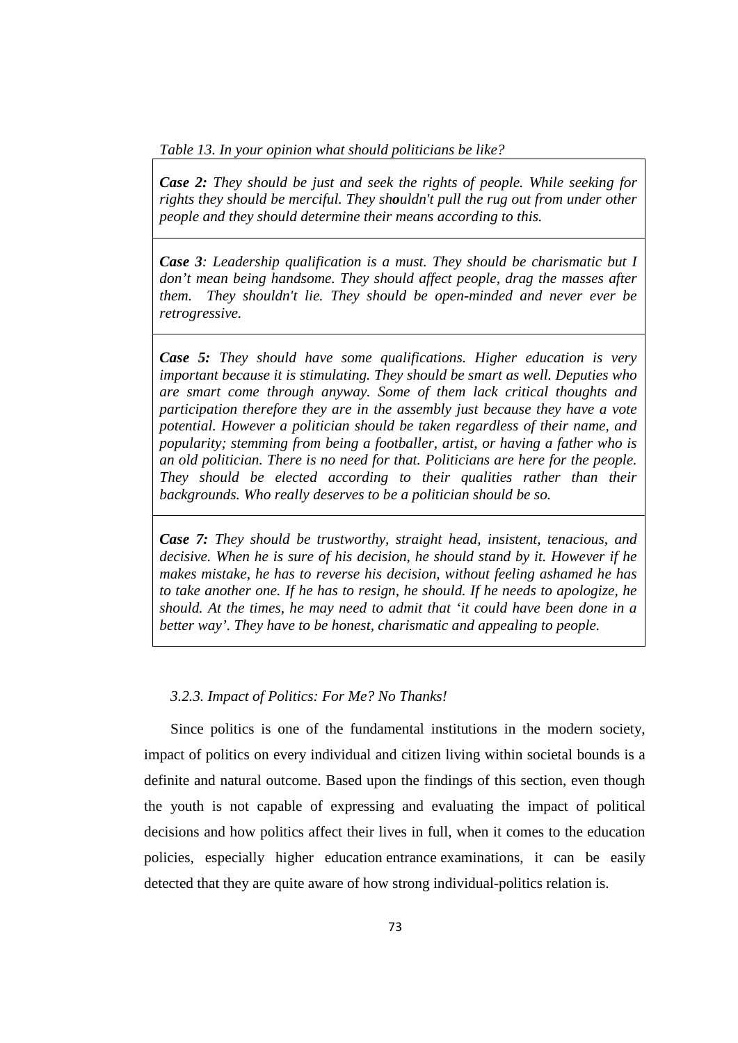*Table 13. In your opinion what should politicians be like?*

*Case 2: They should be just and seek the rights of people. While seeking for rights they should be merciful. They shouldn't pull the rug out from under other people and they should determine their means according to this.*

*Case 3: Leadership qualification is a must. They should be charismatic but I don't mean being handsome. They should affect people, drag the masses after them. They shouldn't lie. They should be open-minded and never ever be retrogressive.*

*Case 5: They should have some qualifications. Higher education is very important because it is stimulating. They should be smart as well. Deputies who are smart come through anyway. Some of them lack critical thoughts and participation therefore they are in the assembly just because they have a vote potential. However a politician should be taken regardless of their name, and popularity; stemming from being a footballer, artist, or having a father who is an old politician. There is no need for that. Politicians are here for the people. They should be elected according to their qualities rather than their backgrounds. Who really deserves to be a politician should be so.* 

*Case 7: They should be trustworthy, straight head, insistent, tenacious, and decisive. When he is sure of his decision, he should stand by it. However if he makes mistake, he has to reverse his decision, without feeling ashamed he has to take another one. If he has to resign, he should. If he needs to apologize, he should. At the times, he may need to admit that 'it could have been done in a better way'. They have to be honest, charismatic and appealing to people.* 

## *3.2.3. Impact of Politics: For Me? No Thanks!*

Since politics is one of the fundamental institutions in the modern society, impact of politics on every individual and citizen living within societal bounds is a definite and natural outcome. Based upon the findings of this section, even though the youth is not capable of expressing and evaluating the impact of political decisions and how politics affect their lives in full, when it comes to the education policies, especially higher education entrance examinations, it can be easily detected that they are quite aware of how strong individual-politics relation is.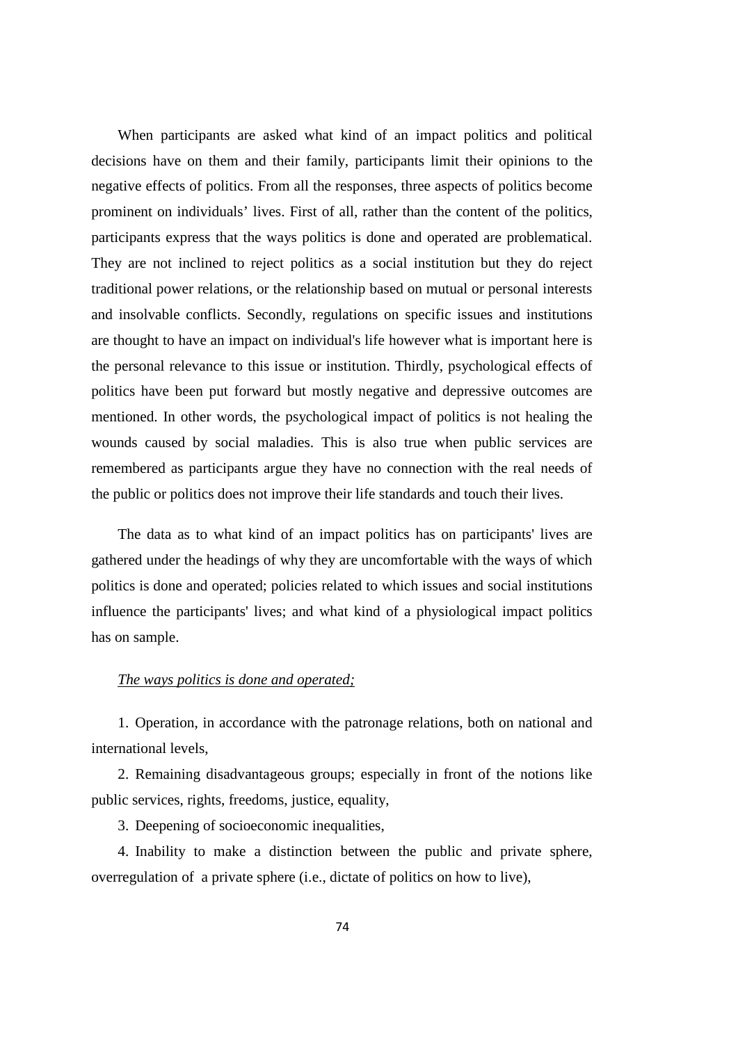When participants are asked what kind of an impact politics and political decisions have on them and their family, participants limit their opinions to the negative effects of politics. From all the responses, three aspects of politics become prominent on individuals' lives. First of all, rather than the content of the politics, participants express that the ways politics is done and operated are problematical. They are not inclined to reject politics as a social institution but they do reject traditional power relations, or the relationship based on mutual or personal interests and insolvable conflicts. Secondly, regulations on specific issues and institutions are thought to have an impact on individual's life however what is important here is the personal relevance to this issue or institution. Thirdly, psychological effects of politics have been put forward but mostly negative and depressive outcomes are mentioned. In other words, the psychological impact of politics is not healing the wounds caused by social maladies. This is also true when public services are remembered as participants argue they have no connection with the real needs of the public or politics does not improve their life standards and touch their lives.

The data as to what kind of an impact politics has on participants' lives are gathered under the headings of why they are uncomfortable with the ways of which politics is done and operated; policies related to which issues and social institutions influence the participants' lives; and what kind of a physiological impact politics has on sample.

## *The ways politics is done and operated;*

1. Operation, in accordance with the patronage relations, both on national and international levels,

2. Remaining disadvantageous groups; especially in front of the notions like public services, rights, freedoms, justice, equality,

3. Deepening of socioeconomic inequalities,

4. Inability to make a distinction between the public and private sphere, overregulation of a private sphere (i.e., dictate of politics on how to live),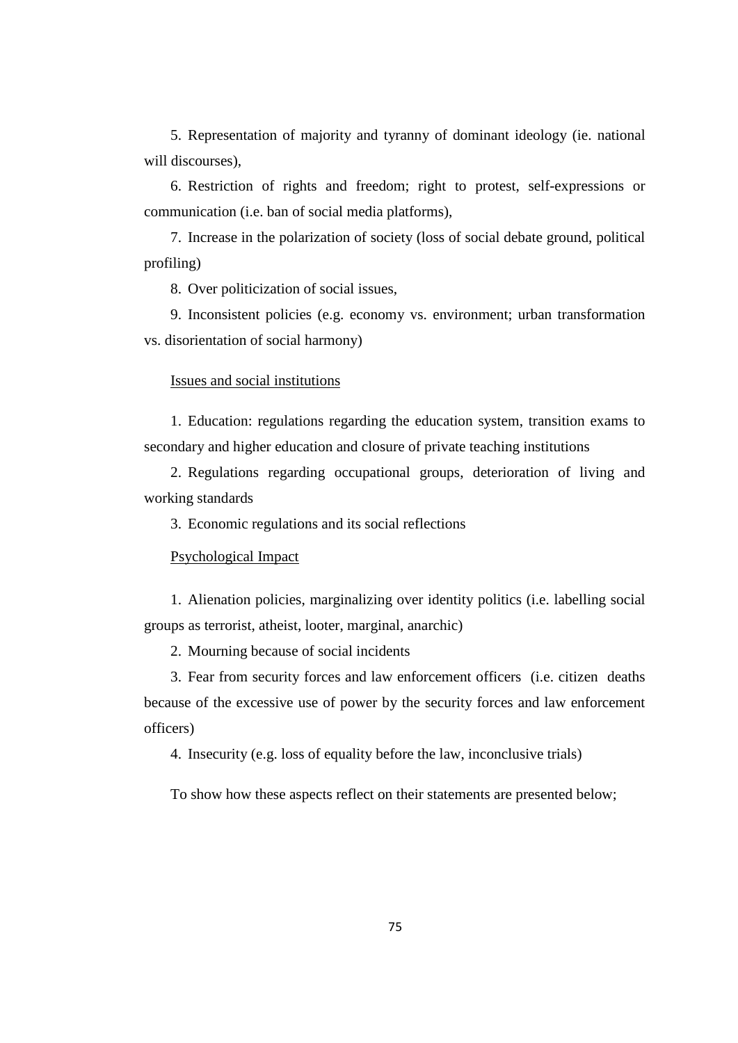5. Representation of majority and tyranny of dominant ideology (ie. national will discourses),

6. Restriction of rights and freedom; right to protest, self-expressions or communication (i.e. ban of social media platforms),

7. Increase in the polarization of society (loss of social debate ground, political profiling)

8. Over politicization of social issues,

9. Inconsistent policies (e.g. economy vs. environment; urban transformation vs. disorientation of social harmony)

### Issues and social institutions

1. Education: regulations regarding the education system, transition exams to secondary and higher education and closure of private teaching institutions

2. Regulations regarding occupational groups, deterioration of living and working standards

3. Economic regulations and its social reflections

## Psychological Impact

1. Alienation policies, marginalizing over identity politics (i.e. labelling social groups as terrorist, atheist, looter, marginal, anarchic)

2. Mourning because of social incidents

3. Fear from security forces and law enforcement officers (i.e. citizen deaths because of the excessive use of power by the security forces and law enforcement officers)

4. Insecurity (e.g. loss of equality before the law, inconclusive trials)

To show how these aspects reflect on their statements are presented below;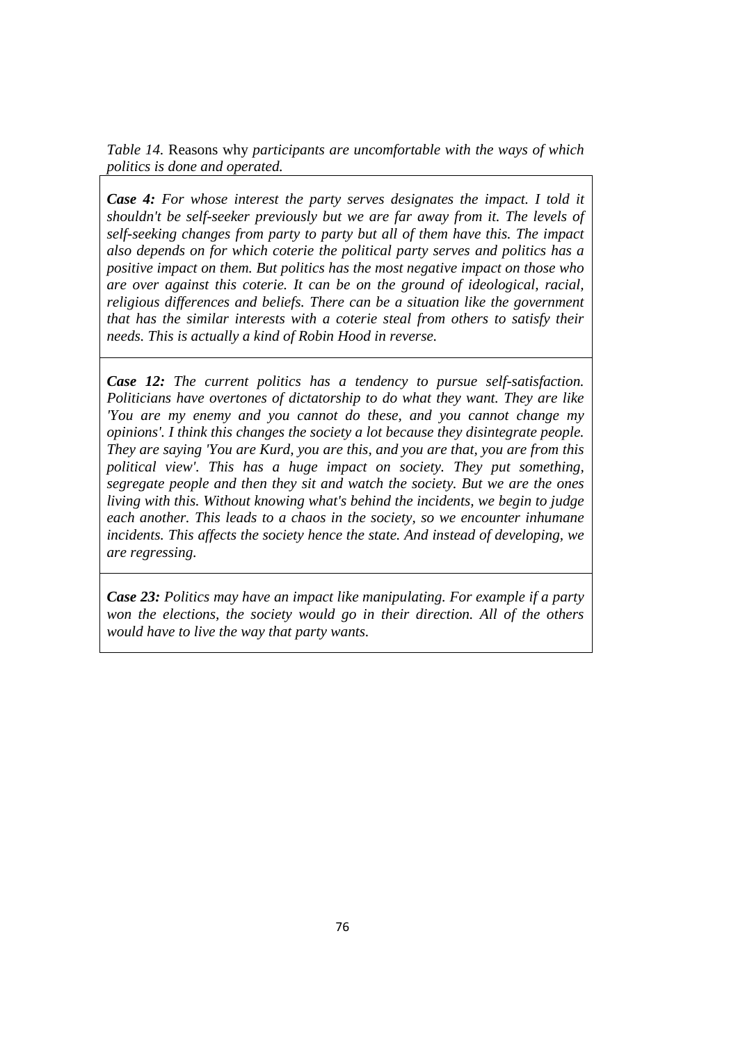*Table 14.* Reasons why *participants are uncomfortable with the ways of which politics is done and operated.*

*Case 4: For whose interest the party serves designates the impact. I told it shouldn't be self-seeker previously but we are far away from it. The levels of self-seeking changes from party to party but all of them have this. The impact also depends on for which coterie the political party serves and politics has a positive impact on them. But politics has the most negative impact on those who are over against this coterie. It can be on the ground of ideological, racial, religious differences and beliefs. There can be a situation like the government that has the similar interests with a coterie steal from others to satisfy their needs. This is actually a kind of Robin Hood in reverse.*

*Case 12: The current politics has a tendency to pursue self-satisfaction. Politicians have overtones of dictatorship to do what they want. They are like 'You are my enemy and you cannot do these, and you cannot change my opinions'. I think this changes the society a lot because they disintegrate people. They are saying 'You are Kurd, you are this, and you are that, you are from this political view'. This has a huge impact on society. They put something, segregate people and then they sit and watch the society. But we are the ones living with this. Without knowing what's behind the incidents, we begin to judge each another. This leads to a chaos in the society, so we encounter inhumane incidents. This affects the society hence the state. And instead of developing, we are regressing.*

*Case 23: Politics may have an impact like manipulating. For example if a party won the elections, the society would go in their direction. All of the others would have to live the way that party wants.*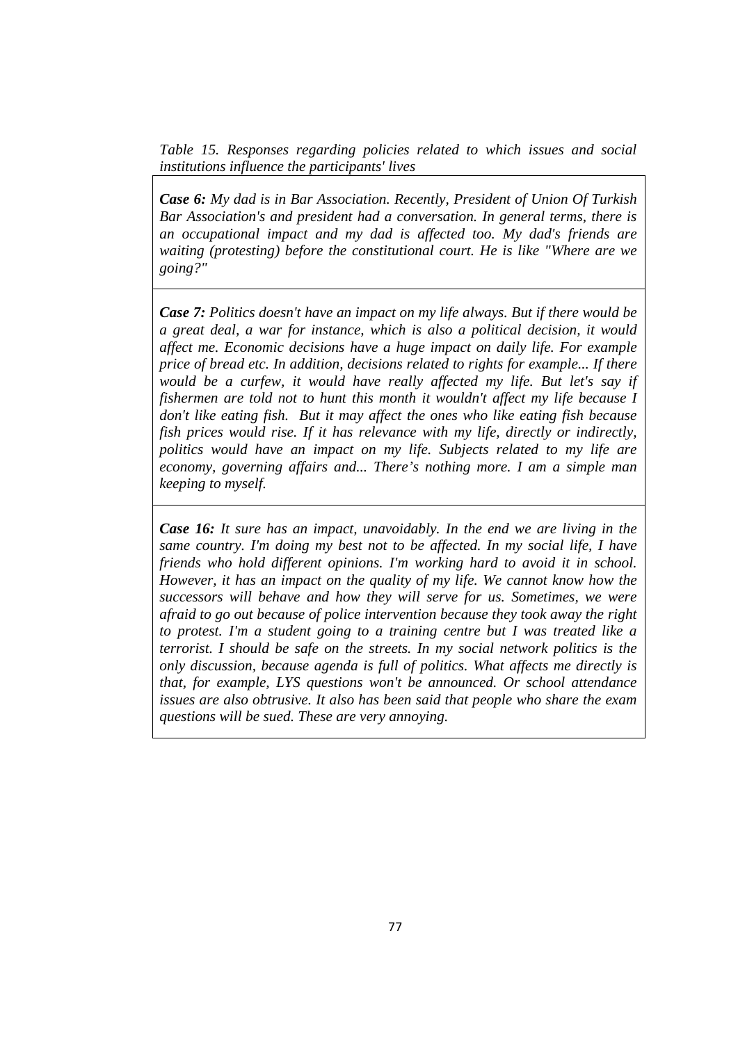*Table 15. Responses regarding policies related to which issues and social institutions influence the participants' lives*

*Case 6: My dad is in Bar Association. Recently, President of Union Of Turkish Bar Association's and president had a conversation. In general terms, there is an occupational impact and my dad is affected too. My dad's friends are waiting (protesting) before the constitutional court. He is like "Where are we going?"*

*Case 7: Politics doesn't have an impact on my life always. But if there would be a great deal, a war for instance, which is also a political decision, it would affect me. Economic decisions have a huge impact on daily life. For example price of bread etc. In addition, decisions related to rights for example... If there would be a curfew, it would have really affected my life. But let's say if fishermen are told not to hunt this month it wouldn't affect my life because I don't like eating fish. But it may affect the ones who like eating fish because fish prices would rise. If it has relevance with my life, directly or indirectly, politics would have an impact on my life. Subjects related to my life are economy, governing affairs and... There's nothing more. I am a simple man keeping to myself.* 

*Case 16: It sure has an impact, unavoidably. In the end we are living in the same country. I'm doing my best not to be affected. In my social life, I have friends who hold different opinions. I'm working hard to avoid it in school. However, it has an impact on the quality of my life. We cannot know how the successors will behave and how they will serve for us. Sometimes, we were afraid to go out because of police intervention because they took away the right to protest. I'm a student going to a training centre but I was treated like a terrorist. I should be safe on the streets. In my social network politics is the only discussion, because agenda is full of politics. What affects me directly is that, for example, LYS questions won't be announced. Or school attendance issues are also obtrusive. It also has been said that people who share the exam questions will be sued. These are very annoying.*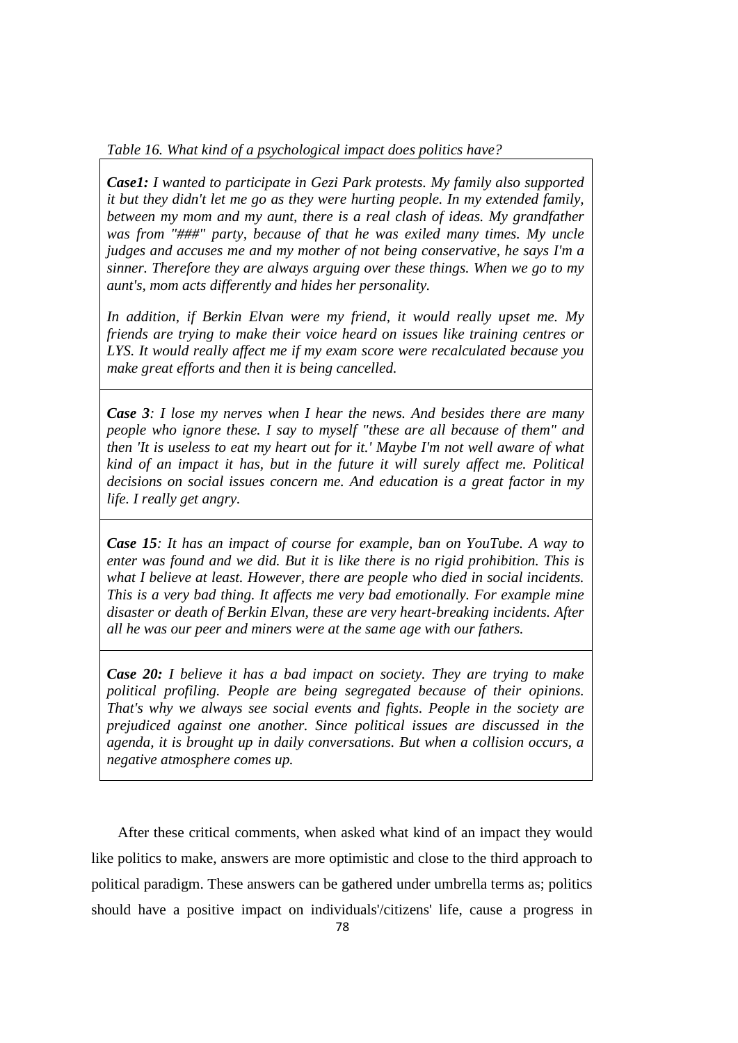*Case1: I wanted to participate in Gezi Park protests. My family also supported it but they didn't let me go as they were hurting people. In my extended family, between my mom and my aunt, there is a real clash of ideas. My grandfather was from "###" party, because of that he was exiled many times. My uncle judges and accuses me and my mother of not being conservative, he says I'm a sinner. Therefore they are always arguing over these things. When we go to my aunt's, mom acts differently and hides her personality.*

*In addition, if Berkin Elvan were my friend, it would really upset me. My friends are trying to make their voice heard on issues like training centres or LYS. It would really affect me if my exam score were recalculated because you make great efforts and then it is being cancelled.* 

*Case 3: I lose my nerves when I hear the news. And besides there are many people who ignore these. I say to myself "these are all because of them" and then 'It is useless to eat my heart out for it.' Maybe I'm not well aware of what kind of an impact it has, but in the future it will surely affect me. Political decisions on social issues concern me. And education is a great factor in my life. I really get angry.* 

*Case 15: It has an impact of course for example, ban on YouTube. A way to enter was found and we did. But it is like there is no rigid prohibition. This is what I believe at least. However, there are people who died in social incidents. This is a very bad thing. It affects me very bad emotionally. For example mine disaster or death of Berkin Elvan, these are very heart-breaking incidents. After all he was our peer and miners were at the same age with our fathers.* 

*Case 20: I believe it has a bad impact on society. They are trying to make political profiling. People are being segregated because of their opinions. That's why we always see social events and fights. People in the society are prejudiced against one another. Since political issues are discussed in the agenda, it is brought up in daily conversations. But when a collision occurs, a negative atmosphere comes up.*

After these critical comments, when asked what kind of an impact they would like politics to make, answers are more optimistic and close to the third approach to political paradigm. These answers can be gathered under umbrella terms as; politics should have a positive impact on individuals'/citizens' life, cause a progress in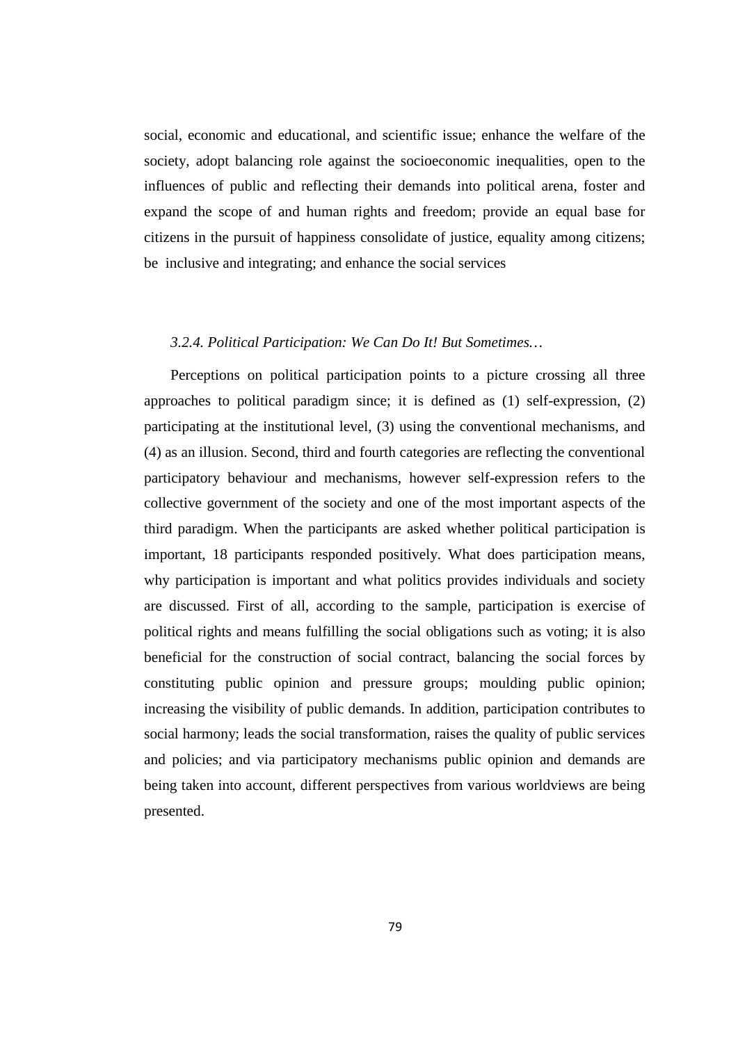social, economic and educational, and scientific issue; enhance the welfare of the society, adopt balancing role against the socioeconomic inequalities, open to the influences of public and reflecting their demands into political arena, foster and expand the scope of and human rights and freedom; provide an equal base for citizens in the pursuit of happiness consolidate of justice, equality among citizens; be inclusive and integrating; and enhance the social services

## *3.2.4. Political Participation: We Can Do It! But Sometimes…*

Perceptions on political participation points to a picture crossing all three approaches to political paradigm since; it is defined as (1) self-expression, (2) participating at the institutional level, (3) using the conventional mechanisms, and (4) as an illusion. Second, third and fourth categories are reflecting the conventional participatory behaviour and mechanisms, however self-expression refers to the collective government of the society and one of the most important aspects of the third paradigm. When the participants are asked whether political participation is important, 18 participants responded positively. What does participation means, why participation is important and what politics provides individuals and society are discussed. First of all, according to the sample, participation is exercise of political rights and means fulfilling the social obligations such as voting; it is also beneficial for the construction of social contract, balancing the social forces by constituting public opinion and pressure groups; moulding public opinion; increasing the visibility of public demands. In addition, participation contributes to social harmony; leads the social transformation, raises the quality of public services and policies; and via participatory mechanisms public opinion and demands are being taken into account, different perspectives from various worldviews are being presented.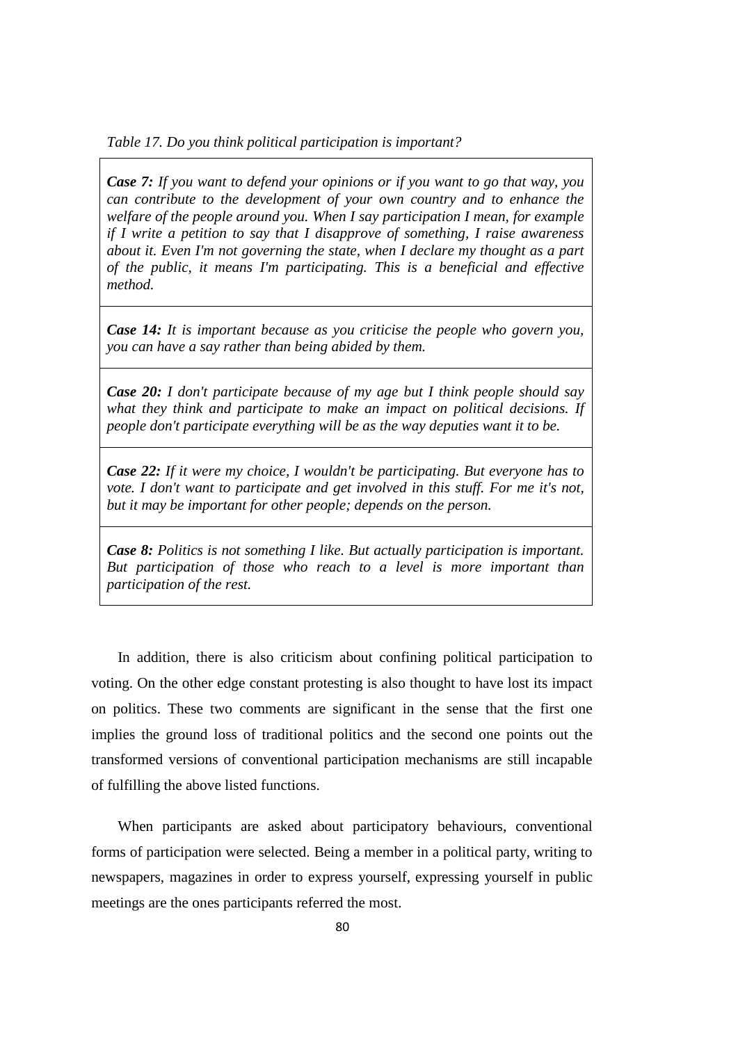*Table 17. Do you think political participation is important?*

*Case 7: If you want to defend your opinions or if you want to go that way, you can contribute to the development of your own country and to enhance the welfare of the people around you. When I say participation I mean, for example if I write a petition to say that I disapprove of something, I raise awareness about it. Even I'm not governing the state, when I declare my thought as a part of the public, it means I'm participating. This is a beneficial and effective method.* 

*Case 14: It is important because as you criticise the people who govern you, you can have a say rather than being abided by them.*

*Case 20: I don't participate because of my age but I think people should say what they think and participate to make an impact on political decisions. If people don't participate everything will be as the way deputies want it to be.*

*Case 22: If it were my choice, I wouldn't be participating. But everyone has to vote. I don't want to participate and get involved in this stuff. For me it's not, but it may be important for other people; depends on the person.* 

*Case 8: Politics is not something I like. But actually participation is important. But participation of those who reach to a level is more important than participation of the rest.* 

In addition, there is also criticism about confining political participation to voting. On the other edge constant protesting is also thought to have lost its impact on politics. These two comments are significant in the sense that the first one implies the ground loss of traditional politics and the second one points out the transformed versions of conventional participation mechanisms are still incapable of fulfilling the above listed functions.

When participants are asked about participatory behaviours, conventional forms of participation were selected. Being a member in a political party, writing to newspapers, magazines in order to express yourself, expressing yourself in public meetings are the ones participants referred the most.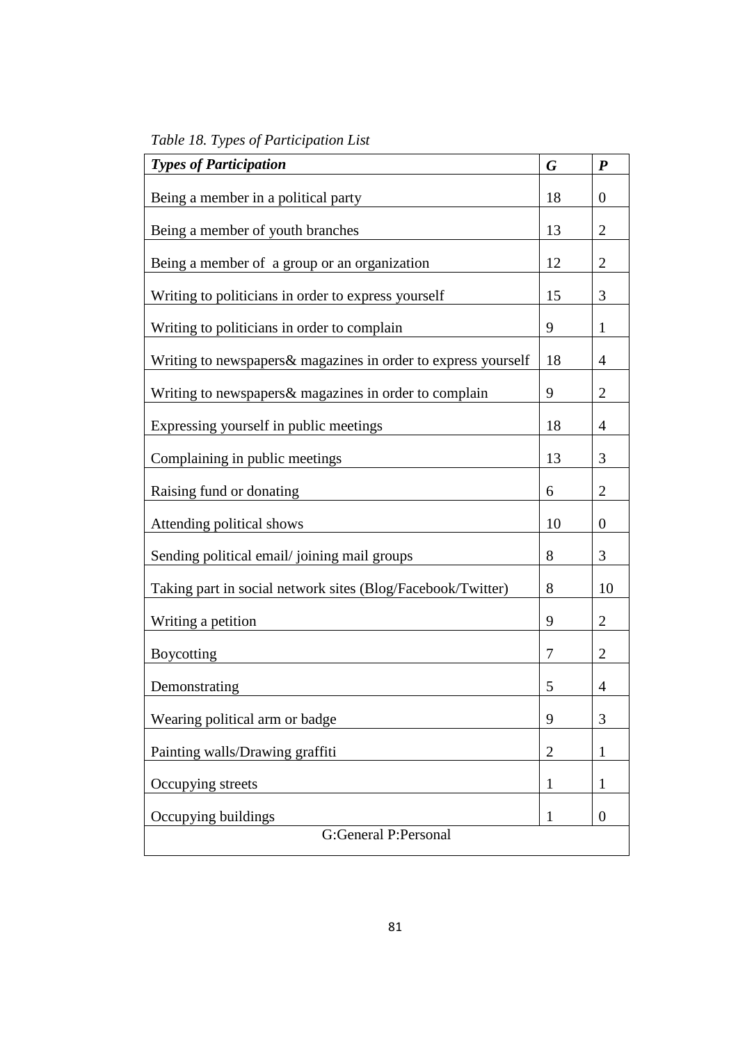*Table 18. Types of Participation List*

| <b>Types of Participation</b>                                  | G              | $\boldsymbol{P}$ |  |  |  |  |
|----------------------------------------------------------------|----------------|------------------|--|--|--|--|
| Being a member in a political party                            | 18             | $\theta$         |  |  |  |  |
| Being a member of youth branches                               | 13             | $\overline{2}$   |  |  |  |  |
| Being a member of a group or an organization                   | 12             | $\overline{2}$   |  |  |  |  |
| Writing to politicians in order to express yourself            | 15             | 3                |  |  |  |  |
| Writing to politicians in order to complain                    | 9              | $\mathbf{1}$     |  |  |  |  |
| Writing to newspapers & magazines in order to express yourself | 18             | $\overline{4}$   |  |  |  |  |
| Writing to newspapers & magazines in order to complain         | 9              | $\overline{2}$   |  |  |  |  |
| Expressing yourself in public meetings                         | 18             | $\overline{4}$   |  |  |  |  |
| Complaining in public meetings                                 | 13             | 3                |  |  |  |  |
| Raising fund or donating                                       | 6              | $\overline{2}$   |  |  |  |  |
| Attending political shows                                      | 10             | $\overline{0}$   |  |  |  |  |
| Sending political email/joining mail groups                    | 8              | 3                |  |  |  |  |
| Taking part in social network sites (Blog/Facebook/Twitter)    | 8              | 10               |  |  |  |  |
| Writing a petition                                             | 9              | $\overline{2}$   |  |  |  |  |
| Boycotting                                                     | 7              | 2                |  |  |  |  |
| Demonstrating                                                  | 5              | 4                |  |  |  |  |
| Wearing political arm or badge                                 | 9              | 3                |  |  |  |  |
| Painting walls/Drawing graffiti                                | $\overline{2}$ | 1                |  |  |  |  |
| Occupying streets                                              | 1              | 1                |  |  |  |  |
| Occupying buildings                                            | 1              | $\theta$         |  |  |  |  |
| <b>G:General P:Personal</b>                                    |                |                  |  |  |  |  |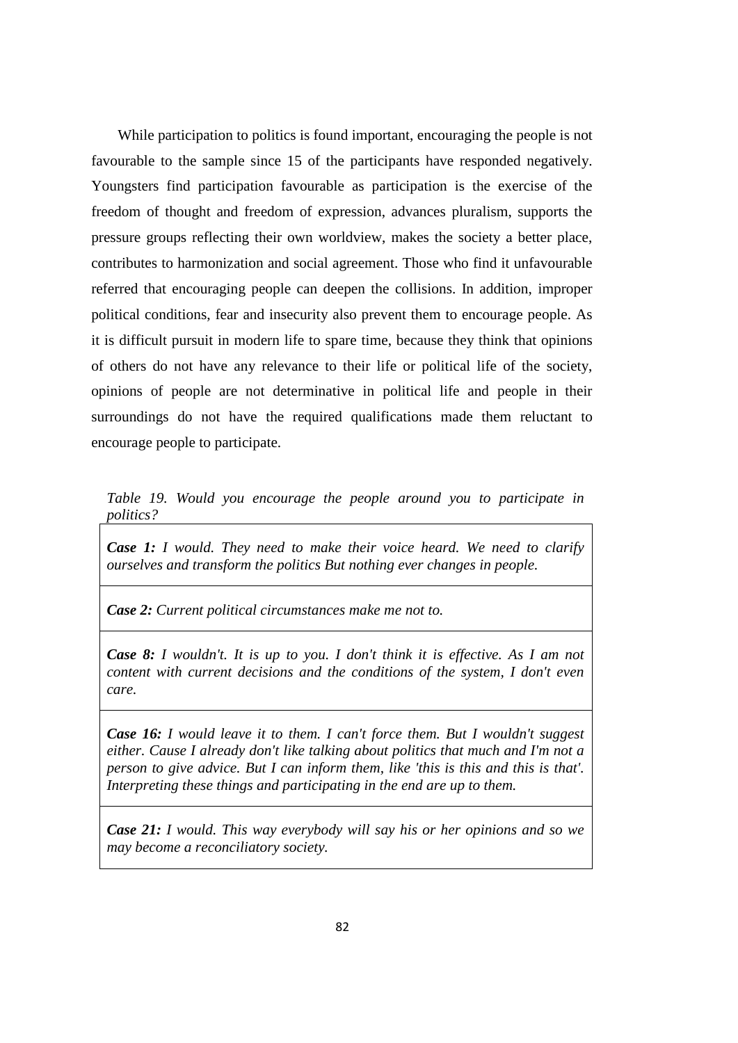While participation to politics is found important, encouraging the people is not favourable to the sample since 15 of the participants have responded negatively. Youngsters find participation favourable as participation is the exercise of the freedom of thought and freedom of expression, advances pluralism, supports the pressure groups reflecting their own worldview, makes the society a better place, contributes to harmonization and social agreement. Those who find it unfavourable referred that encouraging people can deepen the collisions. In addition, improper political conditions, fear and insecurity also prevent them to encourage people. As it is difficult pursuit in modern life to spare time, because they think that opinions of others do not have any relevance to their life or political life of the society, opinions of people are not determinative in political life and people in their surroundings do not have the required qualifications made them reluctant to encourage people to participate.

*Table 19. Would you encourage the people around you to participate in politics?*

*Case 1: I would. They need to make their voice heard. We need to clarify ourselves and transform the politics But nothing ever changes in people.*

*Case 2: Current political circumstances make me not to.* 

*Case 8: I wouldn't. It is up to you. I don't think it is effective. As I am not content with current decisions and the conditions of the system, I don't even care.* 

*Case 16: I would leave it to them. I can't force them. But I wouldn't suggest either. Cause I already don't like talking about politics that much and I'm not a person to give advice. But I can inform them, like 'this is this and this is that'. Interpreting these things and participating in the end are up to them.*

*Case 21: I would. This way everybody will say his or her opinions and so we may become a reconciliatory society.*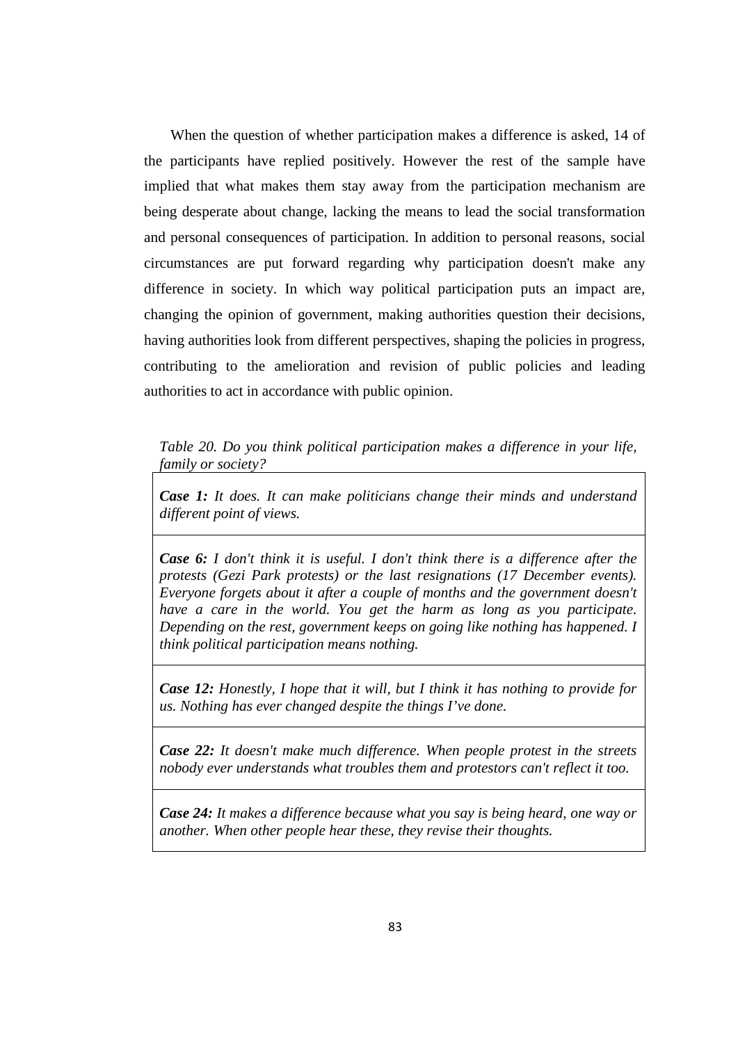When the question of whether participation makes a difference is asked, 14 of the participants have replied positively. However the rest of the sample have implied that what makes them stay away from the participation mechanism are being desperate about change, lacking the means to lead the social transformation and personal consequences of participation. In addition to personal reasons, social circumstances are put forward regarding why participation doesn't make any difference in society. In which way political participation puts an impact are, changing the opinion of government, making authorities question their decisions, having authorities look from different perspectives, shaping the policies in progress, contributing to the amelioration and revision of public policies and leading authorities to act in accordance with public opinion.

# *Table 20. Do you think political participation makes a difference in your life, family or society?*

*Case 1: It does. It can make politicians change their minds and understand different point of views.*

*Case 6: I don't think it is useful. I don't think there is a difference after the protests (Gezi Park protests) or the last resignations (17 December events). Everyone forgets about it after a couple of months and the government doesn't have a care in the world. You get the harm as long as you participate. Depending on the rest, government keeps on going like nothing has happened. I think political participation means nothing.* 

*Case 12: Honestly, I hope that it will, but I think it has nothing to provide for us. Nothing has ever changed despite the things I've done.*

*Case 22: It doesn't make much difference. When people protest in the streets nobody ever understands what troubles them and protestors can't reflect it too.*

*Case 24: It makes a difference because what you say is being heard, one way or another. When other people hear these, they revise their thoughts.*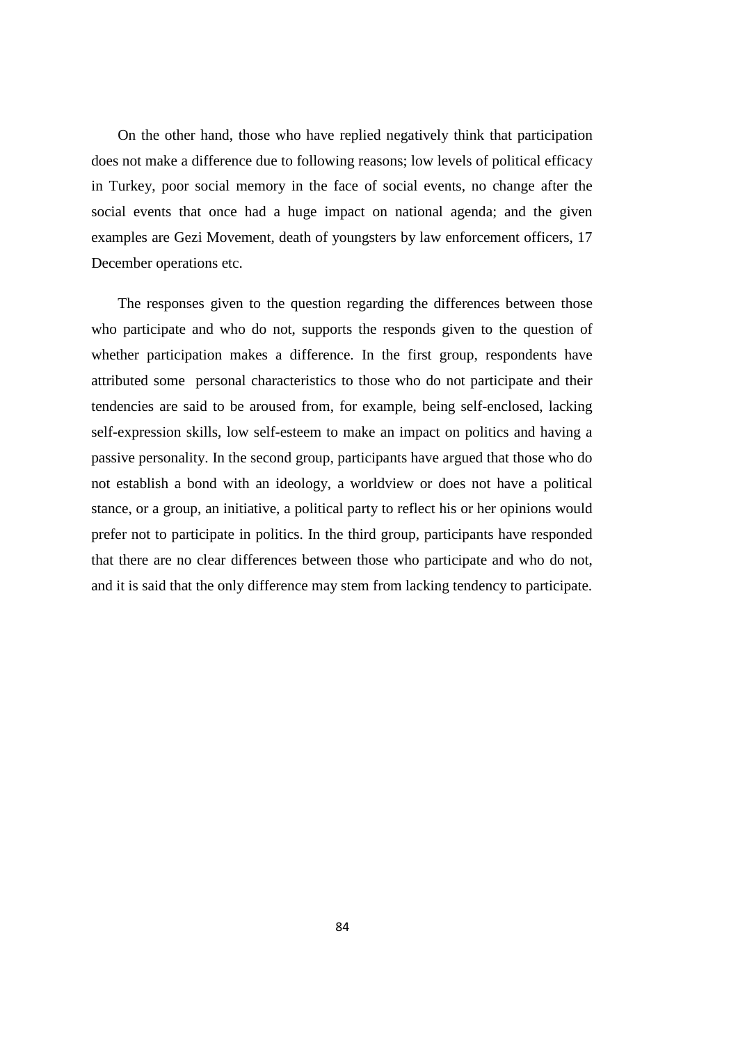On the other hand, those who have replied negatively think that participation does not make a difference due to following reasons; low levels of political efficacy in Turkey, poor social memory in the face of social events, no change after the social events that once had a huge impact on national agenda; and the given examples are Gezi Movement, death of youngsters by law enforcement officers, 17 December operations etc.

The responses given to the question regarding the differences between those who participate and who do not, supports the responds given to the question of whether participation makes a difference. In the first group, respondents have attributed some personal characteristics to those who do not participate and their tendencies are said to be aroused from, for example, being self-enclosed, lacking self-expression skills, low self-esteem to make an impact on politics and having a passive personality. In the second group, participants have argued that those who do not establish a bond with an ideology, a worldview or does not have a political stance, or a group, an initiative, a political party to reflect his or her opinions would prefer not to participate in politics. In the third group, participants have responded that there are no clear differences between those who participate and who do not, and it is said that the only difference may stem from lacking tendency to participate.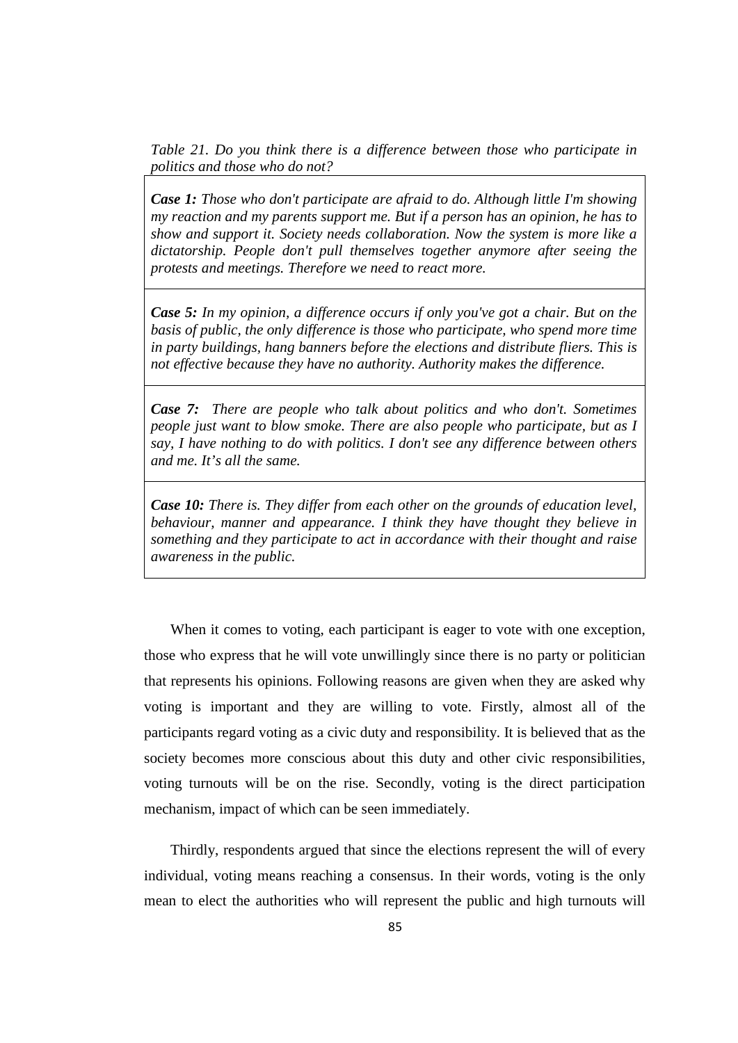*Table 21. Do you think there is a difference between those who participate in politics and those who do not?*

*Case 1: Those who don't participate are afraid to do. Although little I'm showing my reaction and my parents support me. But if a person has an opinion, he has to show and support it. Society needs collaboration. Now the system is more like a dictatorship. People don't pull themselves together anymore after seeing the protests and meetings. Therefore we need to react more.* 

*Case 5: In my opinion, a difference occurs if only you've got a chair. But on the basis of public, the only difference is those who participate, who spend more time in party buildings, hang banners before the elections and distribute fliers. This is not effective because they have no authority. Authority makes the difference.* 

*Case 7: There are people who talk about politics and who don't. Sometimes people just want to blow smoke. There are also people who participate, but as I say, I have nothing to do with politics. I don't see any difference between others and me. It's all the same.* 

*Case 10: There is. They differ from each other on the grounds of education level, behaviour, manner and appearance. I think they have thought they believe in something and they participate to act in accordance with their thought and raise awareness in the public.* 

When it comes to voting, each participant is eager to vote with one exception, those who express that he will vote unwillingly since there is no party or politician that represents his opinions. Following reasons are given when they are asked why voting is important and they are willing to vote. Firstly, almost all of the participants regard voting as a civic duty and responsibility. It is believed that as the society becomes more conscious about this duty and other civic responsibilities, voting turnouts will be on the rise. Secondly, voting is the direct participation mechanism, impact of which can be seen immediately.

Thirdly, respondents argued that since the elections represent the will of every individual, voting means reaching a consensus. In their words, voting is the only mean to elect the authorities who will represent the public and high turnouts will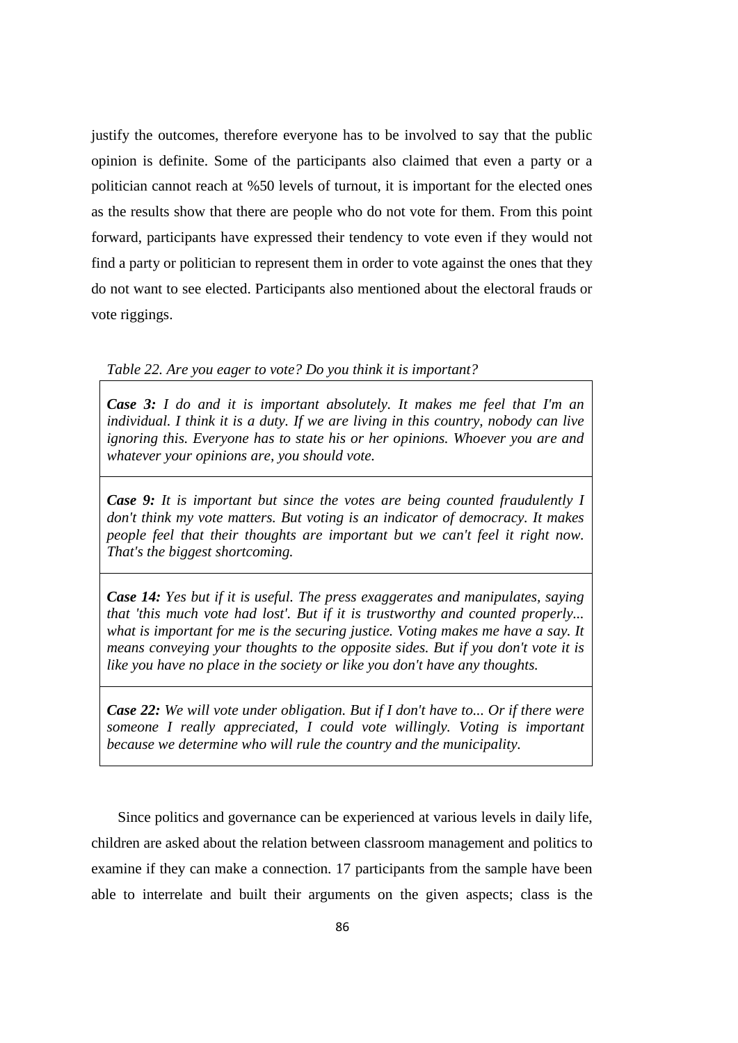justify the outcomes, therefore everyone has to be involved to say that the public opinion is definite. Some of the participants also claimed that even a party or a politician cannot reach at %50 levels of turnout, it is important for the elected ones as the results show that there are people who do not vote for them. From this point forward, participants have expressed their tendency to vote even if they would not find a party or politician to represent them in order to vote against the ones that they do not want to see elected. Participants also mentioned about the electoral frauds or vote riggings.

### *Table 22. Are you eager to vote? Do you think it is important?*

*Case 3: I do and it is important absolutely. It makes me feel that I'm an individual. I think it is a duty. If we are living in this country, nobody can live ignoring this. Everyone has to state his or her opinions. Whoever you are and whatever your opinions are, you should vote.*

*Case 9: It is important but since the votes are being counted fraudulently I don't think my vote matters. But voting is an indicator of democracy. It makes people feel that their thoughts are important but we can't feel it right now. That's the biggest shortcoming.* 

*Case 14: Yes but if it is useful. The press exaggerates and manipulates, saying that 'this much vote had lost'. But if it is trustworthy and counted properly... what is important for me is the securing justice. Voting makes me have a say. It means conveying your thoughts to the opposite sides. But if you don't vote it is like you have no place in the society or like you don't have any thoughts.* 

*Case 22: We will vote under obligation. But if I don't have to... Or if there were someone I really appreciated, I could vote willingly. Voting is important because we determine who will rule the country and the municipality.* 

Since politics and governance can be experienced at various levels in daily life, children are asked about the relation between classroom management and politics to examine if they can make a connection. 17 participants from the sample have been able to interrelate and built their arguments on the given aspects; class is the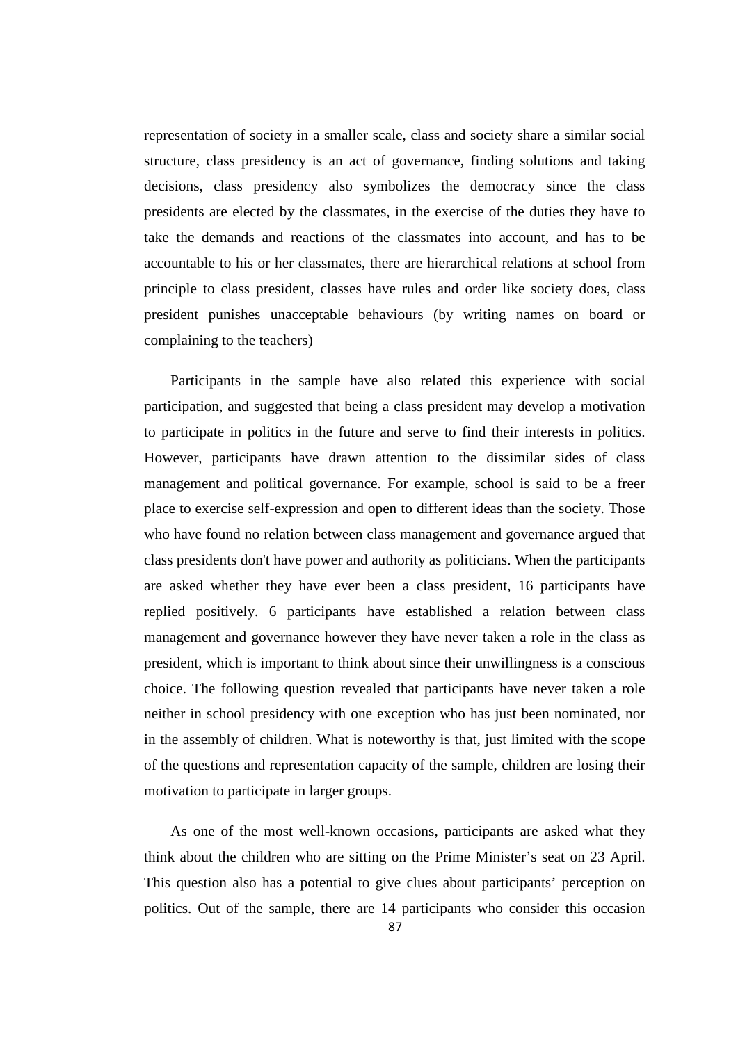representation of society in a smaller scale, class and society share a similar social structure, class presidency is an act of governance, finding solutions and taking decisions, class presidency also symbolizes the democracy since the class presidents are elected by the classmates, in the exercise of the duties they have to take the demands and reactions of the classmates into account, and has to be accountable to his or her classmates, there are hierarchical relations at school from principle to class president, classes have rules and order like society does, class president punishes unacceptable behaviours (by writing names on board or complaining to the teachers)

Participants in the sample have also related this experience with social participation, and suggested that being a class president may develop a motivation to participate in politics in the future and serve to find their interests in politics. However, participants have drawn attention to the dissimilar sides of class management and political governance. For example, school is said to be a freer place to exercise self-expression and open to different ideas than the society. Those who have found no relation between class management and governance argued that class presidents don't have power and authority as politicians. When the participants are asked whether they have ever been a class president, 16 participants have replied positively. 6 participants have established a relation between class management and governance however they have never taken a role in the class as president, which is important to think about since their unwillingness is a conscious choice. The following question revealed that participants have never taken a role neither in school presidency with one exception who has just been nominated, nor in the assembly of children. What is noteworthy is that, just limited with the scope of the questions and representation capacity of the sample, children are losing their motivation to participate in larger groups.

As one of the most well-known occasions, participants are asked what they think about the children who are sitting on the Prime Minister's seat on 23 April. This question also has a potential to give clues about participants' perception on politics. Out of the sample, there are 14 participants who consider this occasion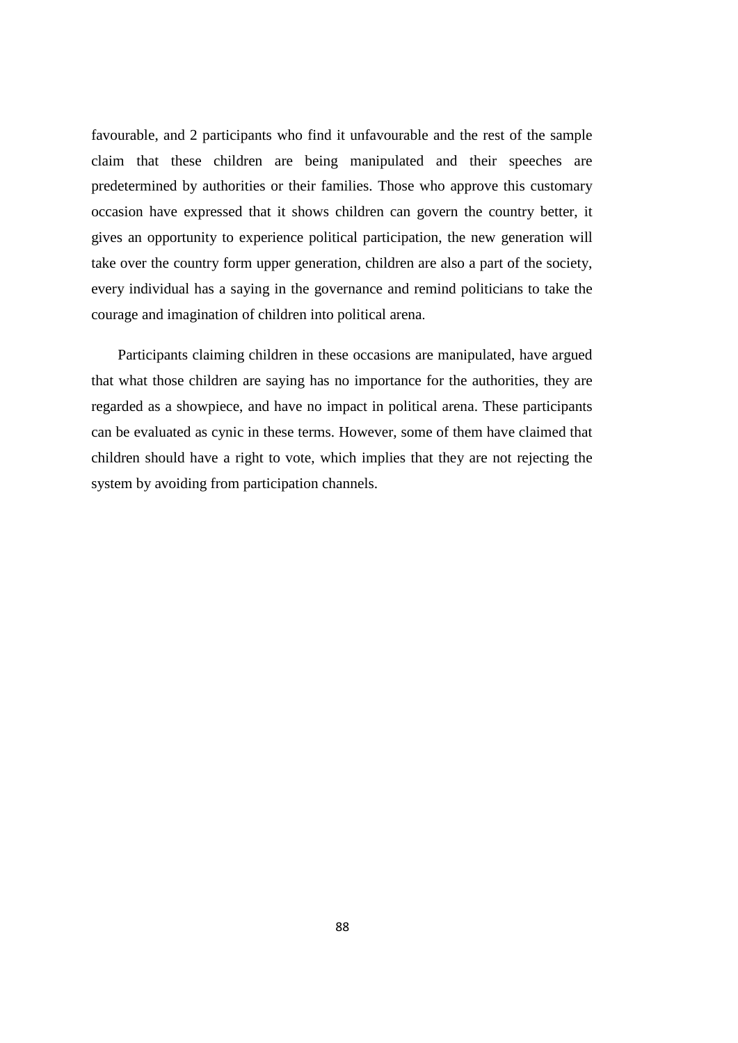favourable, and 2 participants who find it unfavourable and the rest of the sample claim that these children are being manipulated and their speeches are predetermined by authorities or their families. Those who approve this customary occasion have expressed that it shows children can govern the country better, it gives an opportunity to experience political participation, the new generation will take over the country form upper generation, children are also a part of the society, every individual has a saying in the governance and remind politicians to take the courage and imagination of children into political arena.

Participants claiming children in these occasions are manipulated, have argued that what those children are saying has no importance for the authorities, they are regarded as a showpiece, and have no impact in political arena. These participants can be evaluated as cynic in these terms. However, some of them have claimed that children should have a right to vote, which implies that they are not rejecting the system by avoiding from participation channels.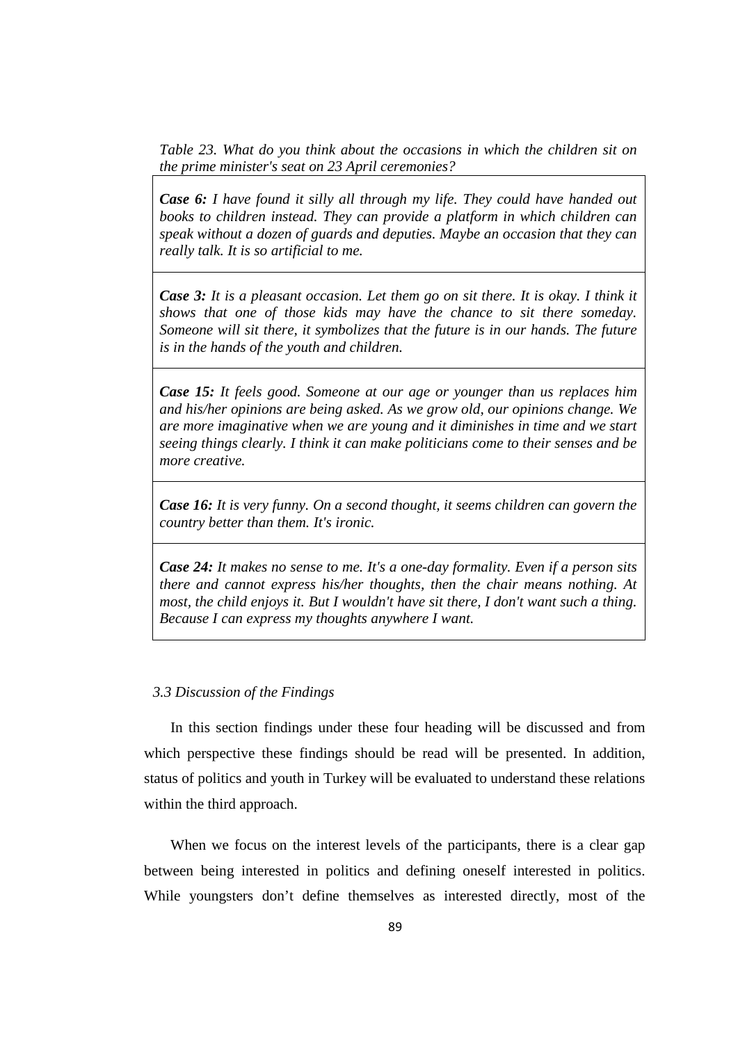*Table 23. What do you think about the occasions in which the children sit on the prime minister's seat on 23 April ceremonies?*

*Case 6: I have found it silly all through my life. They could have handed out books to children instead. They can provide a platform in which children can speak without a dozen of guards and deputies. Maybe an occasion that they can really talk. It is so artificial to me.*

*Case 3: It is a pleasant occasion. Let them go on sit there. It is okay. I think it shows that one of those kids may have the chance to sit there someday. Someone will sit there, it symbolizes that the future is in our hands. The future is in the hands of the youth and children.*

*Case 15: It feels good. Someone at our age or younger than us replaces him and his/her opinions are being asked. As we grow old, our opinions change. We are more imaginative when we are young and it diminishes in time and we start seeing things clearly. I think it can make politicians come to their senses and be more creative.* 

*Case 16: It is very funny. On a second thought, it seems children can govern the country better than them. It's ironic.* 

*Case 24: It makes no sense to me. It's a one-day formality. Even if a person sits there and cannot express his/her thoughts, then the chair means nothing. At most, the child enjoys it. But I wouldn't have sit there, I don't want such a thing. Because I can express my thoughts anywhere I want.* 

#### *3.3 Discussion of the Findings*

In this section findings under these four heading will be discussed and from which perspective these findings should be read will be presented. In addition, status of politics and youth in Turkey will be evaluated to understand these relations within the third approach.

When we focus on the interest levels of the participants, there is a clear gap between being interested in politics and defining oneself interested in politics. While youngsters don't define themselves as interested directly, most of the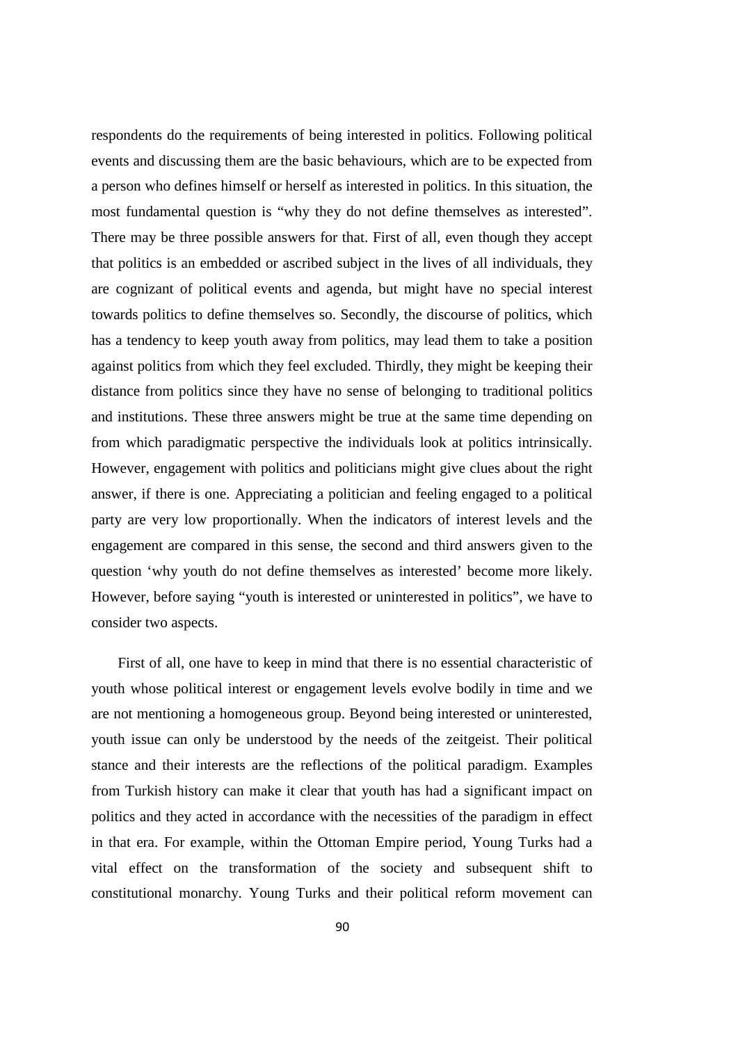respondents do the requirements of being interested in politics. Following political events and discussing them are the basic behaviours, which are to be expected from a person who defines himself or herself as interested in politics. In this situation, the most fundamental question is "why they do not define themselves as interested". There may be three possible answers for that. First of all, even though they accept that politics is an embedded or ascribed subject in the lives of all individuals, they are cognizant of political events and agenda, but might have no special interest towards politics to define themselves so. Secondly, the discourse of politics, which has a tendency to keep youth away from politics, may lead them to take a position against politics from which they feel excluded. Thirdly, they might be keeping their distance from politics since they have no sense of belonging to traditional politics and institutions. These three answers might be true at the same time depending on from which paradigmatic perspective the individuals look at politics intrinsically. However, engagement with politics and politicians might give clues about the right answer, if there is one. Appreciating a politician and feeling engaged to a political party are very low proportionally. When the indicators of interest levels and the engagement are compared in this sense, the second and third answers given to the question 'why youth do not define themselves as interested' become more likely. However, before saying "youth is interested or uninterested in politics", we have to consider two aspects.

First of all, one have to keep in mind that there is no essential characteristic of youth whose political interest or engagement levels evolve bodily in time and we are not mentioning a homogeneous group. Beyond being interested or uninterested, youth issue can only be understood by the needs of the zeitgeist. Their political stance and their interests are the reflections of the political paradigm. Examples from Turkish history can make it clear that youth has had a significant impact on politics and they acted in accordance with the necessities of the paradigm in effect in that era. For example, within the Ottoman Empire period, Young Turks had a vital effect on the transformation of the society and subsequent shift to constitutional monarchy. Young Turks and their political reform movement can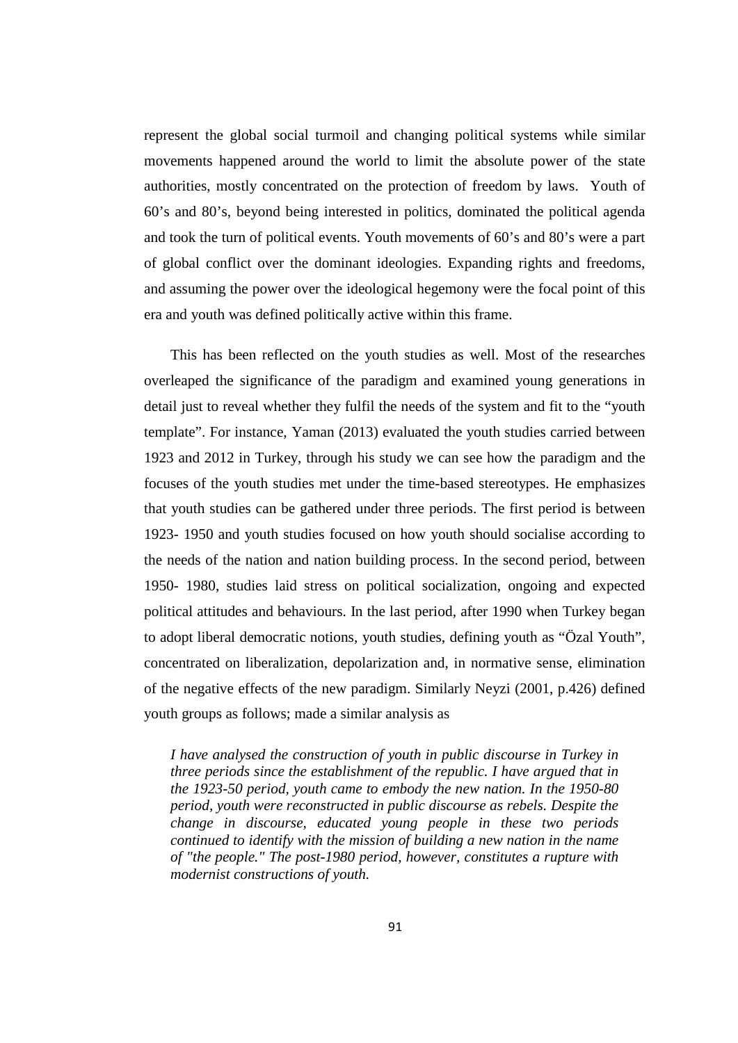represent the global social turmoil and changing political systems while similar movements happened around the world to limit the absolute power of the state authorities, mostly concentrated on the protection of freedom by laws. Youth of 60's and 80's, beyond being interested in politics, dominated the political agenda and took the turn of political events. Youth movements of 60's and 80's were a part of global conflict over the dominant ideologies. Expanding rights and freedoms, and assuming the power over the ideological hegemony were the focal point of this era and youth was defined politically active within this frame.

This has been reflected on the youth studies as well. Most of the researches overleaped the significance of the paradigm and examined young generations in detail just to reveal whether they fulfil the needs of the system and fit to the "youth template". For instance, Yaman (2013) evaluated the youth studies carried between 1923 and 2012 in Turkey, through his study we can see how the paradigm and the focuses of the youth studies met under the time-based stereotypes. He emphasizes that youth studies can be gathered under three periods. The first period is between 1923- 1950 and youth studies focused on how youth should socialise according to the needs of the nation and nation building process. In the second period, between 1950- 1980, studies laid stress on political socialization, ongoing and expected political attitudes and behaviours. In the last period, after 1990 when Turkey began to adopt liberal democratic notions, youth studies, defining youth as "Özal Youth", concentrated on liberalization, depolarization and, in normative sense, elimination of the negative effects of the new paradigm. Similarly Neyzi (2001, p.426) defined youth groups as follows; made a similar analysis as

*I have analysed the construction of youth in public discourse in Turkey in three periods since the establishment of the republic. I have argued that in the 1923-50 period, youth came to embody the new nation. In the 1950-80 period, youth were reconstructed in public discourse as rebels. Despite the change in discourse, educated young people in these two periods continued to identify with the mission of building a new nation in the name of "the people." The post-1980 period, however, constitutes a rupture with modernist constructions of youth.*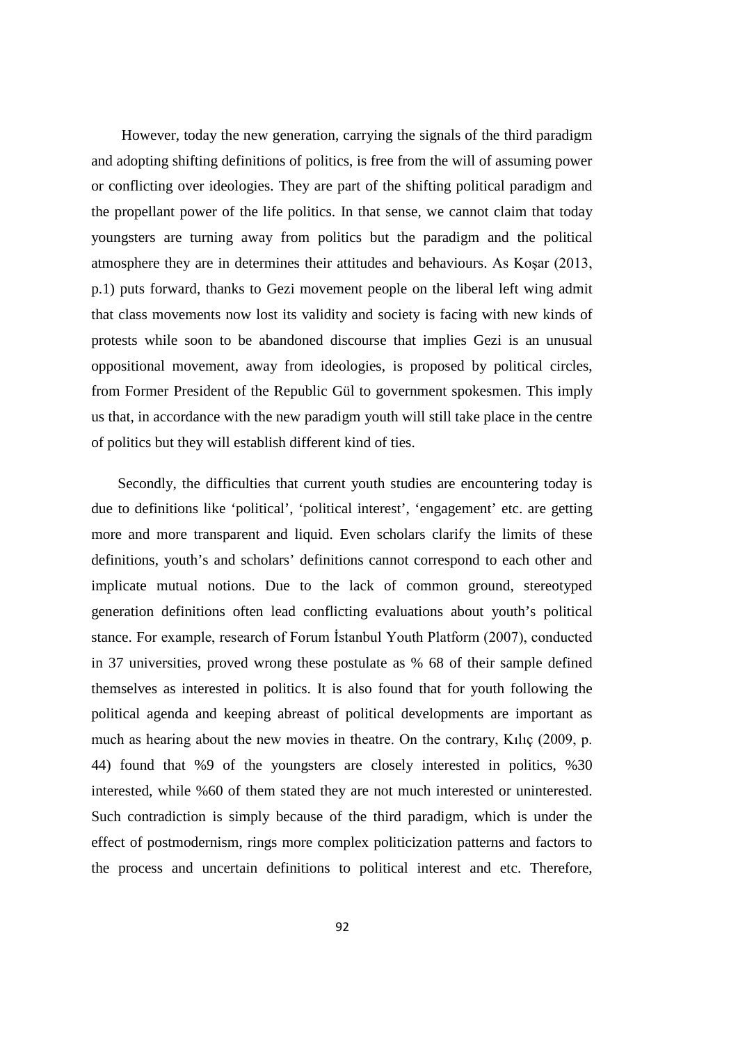However, today the new generation, carrying the signals of the third paradigm and adopting shifting definitions of politics, is free from the will of assuming power or conflicting over ideologies. They are part of the shifting political paradigm and the propellant power of the life politics. In that sense, we cannot claim that today youngsters are turning away from politics but the paradigm and the political atmosphere they are in determines their attitudes and behaviours. As Koşar (2013, p.1) puts forward, thanks to Gezi movement people on the liberal left wing admit that class movements now lost its validity and society is facing with new kinds of protests while soon to be abandoned discourse that implies Gezi is an unusual oppositional movement, away from ideologies, is proposed by political circles, from Former President of the Republic Gül to government spokesmen. This imply us that, in accordance with the new paradigm youth will still take place in the centre of politics but they will establish different kind of ties.

Secondly, the difficulties that current youth studies are encountering today is due to definitions like 'political', 'political interest', 'engagement' etc. are getting more and more transparent and liquid. Even scholars clarify the limits of these definitions, youth's and scholars' definitions cannot correspond to each other and implicate mutual notions. Due to the lack of common ground, stereotyped generation definitions often lead conflicting evaluations about youth's political stance. For example, research of Forum İstanbul Youth Platform (2007), conducted in 37 universities, proved wrong these postulate as % 68 of their sample defined themselves as interested in politics. It is also found that for youth following the political agenda and keeping abreast of political developments are important as much as hearing about the new movies in theatre. On the contrary, Kılıç (2009, p. 44) found that %9 of the youngsters are closely interested in politics, %30 interested, while %60 of them stated they are not much interested or uninterested. Such contradiction is simply because of the third paradigm, which is under the effect of postmodernism, rings more complex politicization patterns and factors to the process and uncertain definitions to political interest and etc. Therefore,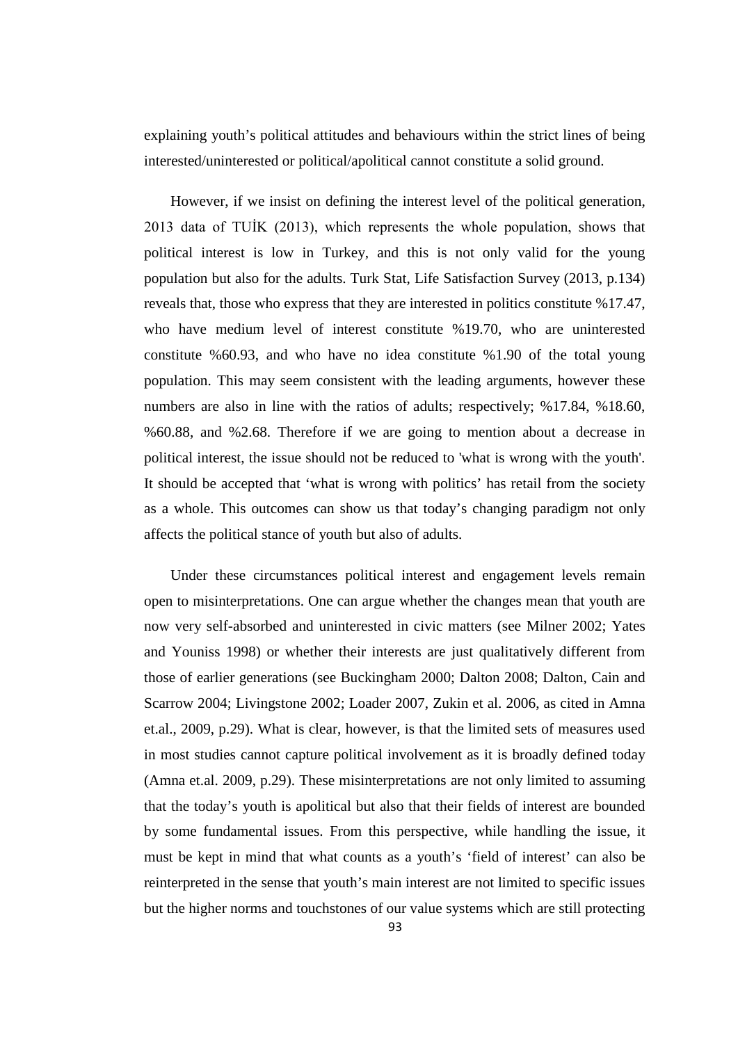explaining youth's political attitudes and behaviours within the strict lines of being interested/uninterested or political/apolitical cannot constitute a solid ground.

However, if we insist on defining the interest level of the political generation, 2013 data of TUİK (2013), which represents the whole population, shows that political interest is low in Turkey, and this is not only valid for the young population but also for the adults. Turk Stat, Life Satisfaction Survey (2013, p.134) reveals that, those who express that they are interested in politics constitute %17.47, who have medium level of interest constitute %19.70, who are uninterested constitute %60.93, and who have no idea constitute %1.90 of the total young population. This may seem consistent with the leading arguments, however these numbers are also in line with the ratios of adults; respectively; %17.84, %18.60, %60.88, and %2.68. Therefore if we are going to mention about a decrease in political interest, the issue should not be reduced to 'what is wrong with the youth'. It should be accepted that 'what is wrong with politics' has retail from the society as a whole. This outcomes can show us that today's changing paradigm not only affects the political stance of youth but also of adults.

[Under these circumstances](http://tureng.com/search/under%20these%20circumstances) political interest and engagement levels remain open to misinterpretations. One can argue whether the changes mean that youth are now very self-absorbed and uninterested in civic matters (see Milner 2002; Yates and Youniss 1998) or whether their interests are just qualitatively different from those of earlier generations (see Buckingham 2000; Dalton 2008; Dalton, Cain and Scarrow 2004; Livingstone 2002; Loader 2007, Zukin et al. 2006, as cited in Amna et.al., 2009, p.29). What is clear, however, is that the limited sets of measures used in most studies cannot capture political involvement as it is broadly defined today (Amna et.al. 2009, p.29). These misinterpretations are not only limited to assuming that the today's youth is apolitical but also that their fields of interest are bounded by some fundamental issues. From this perspective, while handling the issue, it must be kept in mind that what counts as a youth's 'field of interest' can also be reinterpreted in the sense that youth's main interest are not limited to specific issues but the higher norms and touchstones of our value systems which are still protecting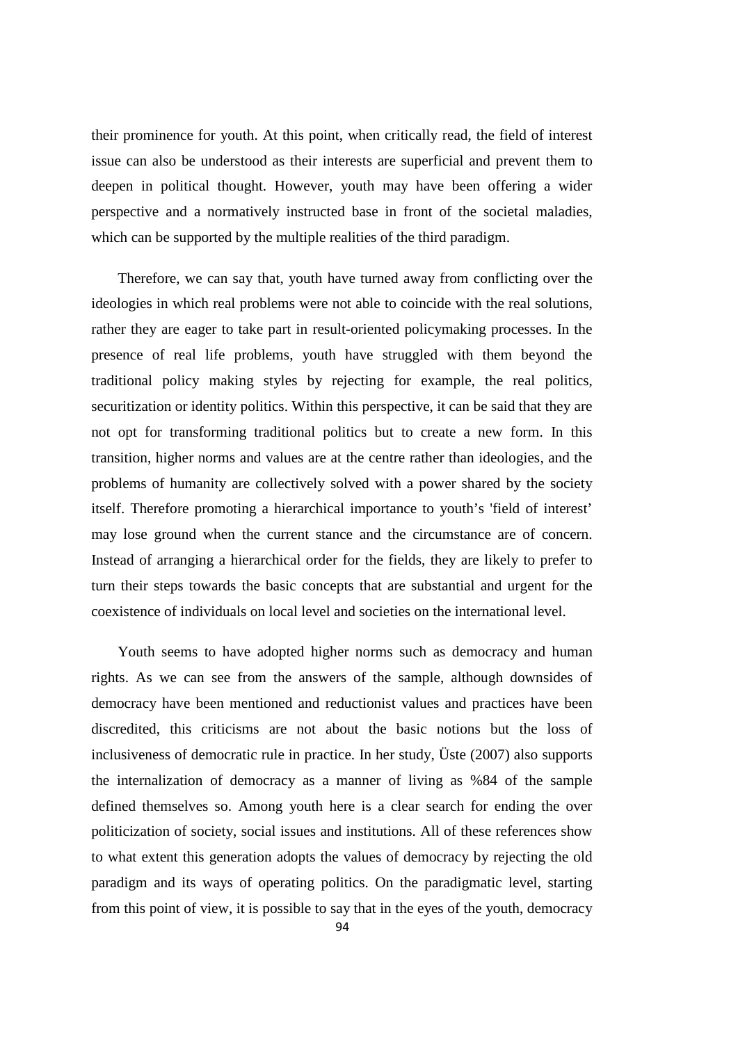their prominence for youth. At this point, when critically read, the field of interest issue can also be understood as their interests are superficial and prevent them to deepen in political thought. However, youth may have been offering a wider perspective and a normatively instructed base in front of the societal maladies, which can be supported by the multiple realities of the third paradigm.

Therefore, we can say that, youth have turned away from conflicting over the ideologies in which real problems were not able to coincide with the real solutions, rather they are eager to take part in result-oriented policymaking processes. In the presence of real life problems, youth have struggled with them beyond the traditional policy making styles by rejecting for example, the real politics, securitization or identity politics. Within this perspective, it can be said that they are not opt for transforming traditional politics but to create a new form. In this transition, higher norms and values are at the centre rather than ideologies, and the problems of humanity are collectively solved with a power shared by the society itself. Therefore promoting a hierarchical importance to youth's 'field of interest' may lose ground when the current stance and the circumstance are of concern. Instead of arranging a hierarchical order for the fields, they are likely to prefer to turn their steps towards the basic concepts that are substantial and urgent for the coexistence of individuals on local level and societies on the international level.

Youth seems to have adopted higher norms such as democracy and human rights. As we can see from the answers of the sample, although downsides of democracy have been mentioned and reductionist values and practices have been discredited, this criticisms are not about the basic notions but the loss of inclusiveness of democratic rule in practice. In her study, Üste (2007) also supports the internalization of democracy as a manner of living as %84 of the sample defined themselves so. Among youth here is a clear search for ending the over politicization of society, social issues and institutions. All of these references show to what extent this generation adopts the values of democracy by rejecting the old paradigm and its ways of operating politics. On the paradigmatic level, starting from this point of view, it is possible to say that in the eyes of the youth, democracy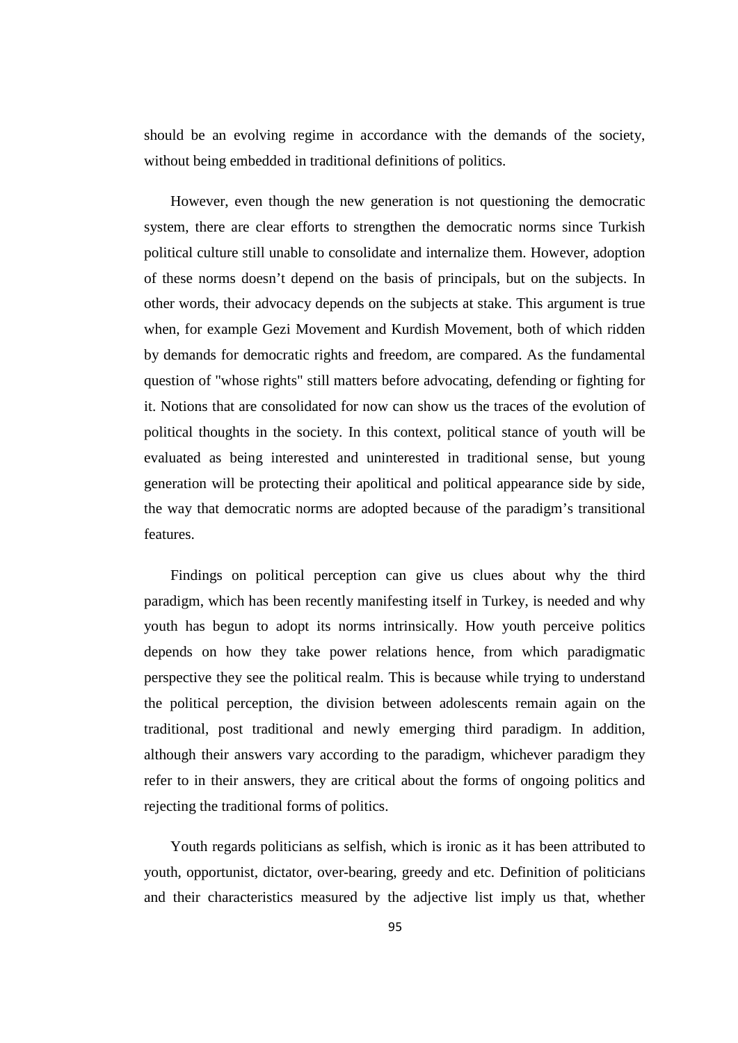should be an evolving regime in accordance with the demands of the society, without being embedded in traditional definitions of politics.

However, even though the new generation is not questioning the democratic system, there are clear efforts to strengthen the democratic norms since Turkish political culture still unable to consolidate and internalize them. However, adoption of these norms doesn't depend on the basis of principals, but on the subjects. In other words, their advocacy depends on the subjects at stake. This argument is true when, for example Gezi Movement and Kurdish Movement, both of which ridden by demands for democratic rights and freedom, are compared. As the fundamental question of "whose rights" still matters before advocating, defending or fighting for it. Notions that are consolidated for now can show us the traces of the evolution of political thoughts in the society. In this context, political stance of youth will be evaluated as being interested and uninterested in traditional sense, but young generation will be protecting their apolitical and political appearance side by side, the way that democratic norms are adopted because of the paradigm's transitional features.

Findings on political perception can give us clues about why the third paradigm, which has been recently manifesting itself in Turkey, is needed and why youth has begun to adopt its norms intrinsically. How youth perceive politics depends on how they take power relations hence, from which paradigmatic perspective they see the political realm. This is because while trying to understand the political perception, the division between adolescents remain again on the traditional, post traditional and newly emerging third paradigm. In addition, although their answers vary according to the paradigm, whichever paradigm they refer to in their answers, they are critical about the forms of ongoing politics and rejecting the traditional forms of politics.

Youth regards politicians as selfish, which is ironic as it has been attributed to youth, opportunist, dictator, over-bearing, greedy and etc. Definition of politicians and their characteristics measured by the adjective list imply us that, whether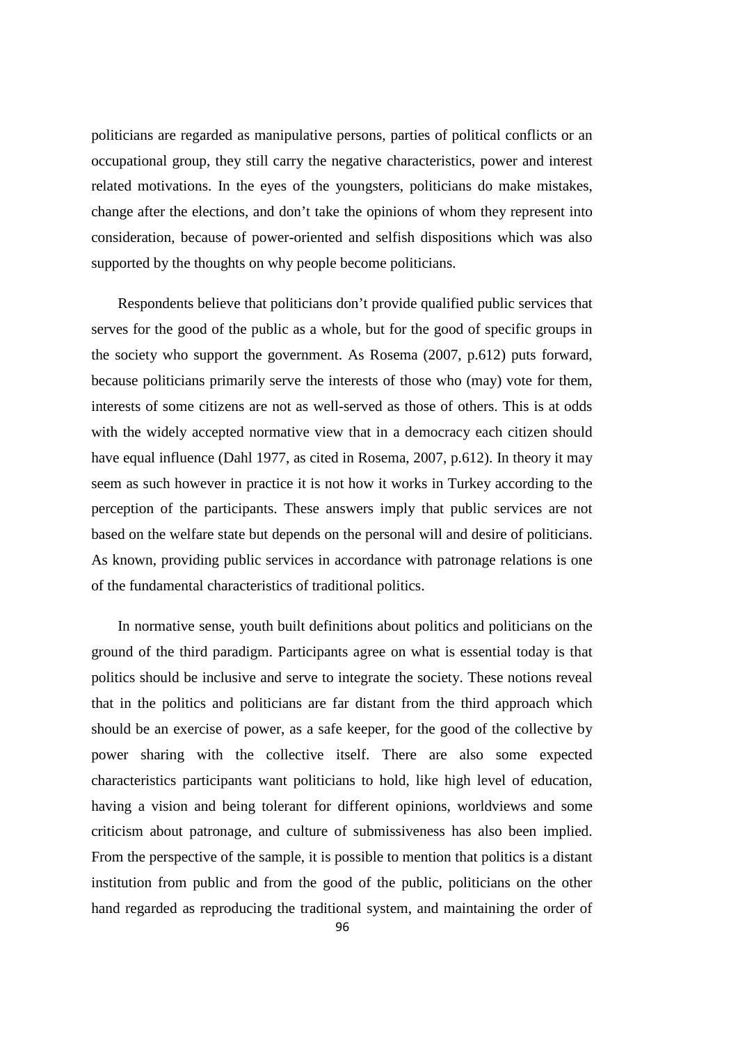politicians are regarded as manipulative persons, parties of political conflicts or an occupational group, they still carry the negative characteristics, power and interest related motivations. In the eyes of the youngsters, politicians do make mistakes, change after the elections, and don't take the opinions of whom they represent into consideration, because of power-oriented and selfish dispositions which was also supported by the thoughts on why people become politicians.

Respondents believe that politicians don't provide qualified public services that serves for the good of the public as a whole, but for the good of specific groups in the society who support the government. As Rosema (2007, p.612) puts forward, because politicians primarily serve the interests of those who (may) vote for them, interests of some citizens are not as well-served as those of others. This is at odds with the widely accepted normative view that in a democracy each citizen should have equal influence (Dahl 1977, as cited in Rosema, 2007, p.612). In theory it may seem as such however in practice it is not how it works in Turkey according to the perception of the participants. These answers imply that public services are not based on the welfare state but depends on the personal will and desire of politicians. As known, providing public services in accordance with patronage relations is one of the fundamental characteristics of traditional politics.

In normative sense, youth built definitions about politics and politicians on the ground of the third paradigm. Participants agree on what is essential today is that politics should be inclusive and serve to integrate the society. These notions reveal that in the politics and politicians are far distant from the third approach which should be an exercise of power, as a safe keeper, for the good of the collective by power sharing with the collective itself. There are also some expected characteristics participants want politicians to hold, like high level of education, having a vision and being tolerant for different opinions, worldviews and some criticism about patronage, and culture of submissiveness has also been implied. From the perspective of the sample, it is possible to mention that politics is a distant institution from public and from the good of the public, politicians on the other hand regarded as reproducing the traditional system, and maintaining the order of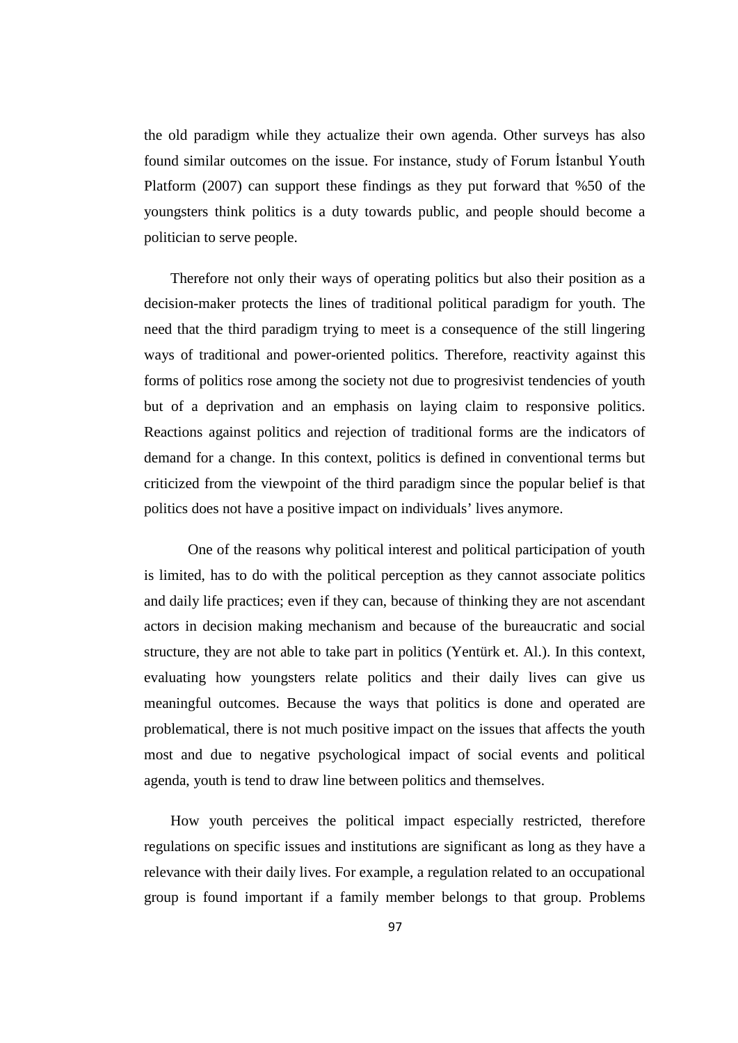the old paradigm while they actualize their own agenda. Other surveys has also found similar outcomes on the issue. For instance, study of Forum İstanbul Youth Platform (2007) can support these findings as they put forward that %50 of the youngsters think politics is a duty towards public, and people should become a politician to serve people.

Therefore not only their ways of operating politics but also their position as a decision-maker protects the lines of traditional political paradigm for youth. The need that the third paradigm trying to meet is a consequence of the still lingering ways of traditional and power-oriented politics. Therefore, reactivity against this forms of politics rose among the society not due to progresivist tendencies of youth but of a deprivation and an emphasis on laying claim to responsive politics. Reactions against politics and rejection of traditional forms are the indicators of demand for a change. In this context, politics is defined in conventional terms but criticized from the viewpoint of the third paradigm since the popular belief is that politics does not have a positive impact on individuals' lives anymore.

One of the reasons why political interest and political participation of youth is limited, has to do with the political perception as they cannot associate politics and daily life practices; even if they can, because of thinking they are not ascendant actors in decision making mechanism and because of the bureaucratic and social structure, they are not able to take part in politics (Yentürk et. Al.). In this context, evaluating how youngsters relate politics and their daily lives can give us meaningful outcomes. Because the ways that politics is done and operated are problematical, there is not much positive impact on the issues that affects the youth most and due to negative psychological impact of social events and political agenda, youth is tend to draw line between politics and themselves.

How youth perceives the political impact especially restricted, therefore regulations on specific issues and institutions are significant as long as they have a relevance with their daily lives. For example, a regulation related to an occupational group is found important if a family member belongs to that group. Problems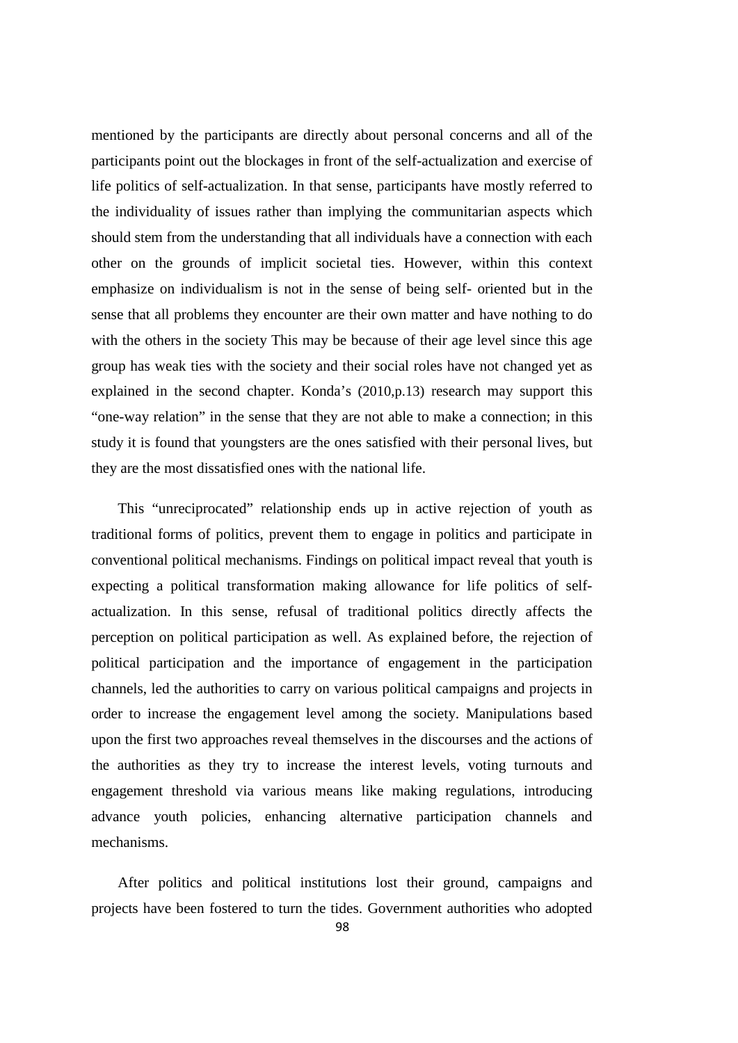mentioned by the participants are directly about personal concerns and all of the participants point out the blockages in front of the self-actualization and exercise of life politics of self-actualization. In that sense, participants have mostly referred to the individuality of issues rather than implying the communitarian aspects which should stem from the understanding that all individuals have a connection with each other on the grounds of implicit societal ties. However, within this context emphasize on individualism is not in the sense of being self- oriented but in the sense that all problems they encounter are their own matter and have nothing to do with the others in the society This may be because of their age level since this age group has weak ties with the society and their social roles have not changed yet as explained in the second chapter. Konda's (2010,p.13) research may support this "one-way relation" in the sense that they are not able to make a connection; in this study it is found that youngsters are the ones satisfied with their personal lives, but they are the most dissatisfied ones with the national life.

This "unreciprocated" relationship ends up in active rejection of youth as traditional forms of politics, prevent them to engage in politics and participate in conventional political mechanisms. Findings on political impact reveal that youth is expecting a political transformation making allowance for life politics of selfactualization. In this sense, refusal of traditional politics directly affects the perception on political participation as well. As explained before, the rejection of political participation and the importance of engagement in the participation channels, led the authorities to carry on various political campaigns and projects in order to increase the engagement level among the society. Manipulations based upon the first two approaches reveal themselves in the discourses and the actions of the authorities as they try to increase the interest levels, voting turnouts and engagement threshold via various means like making regulations, introducing advance youth policies, enhancing alternative participation channels and mechanisms.

After politics and political institutions lost their ground, campaigns and projects have been fostered to turn the tides. Government authorities who adopted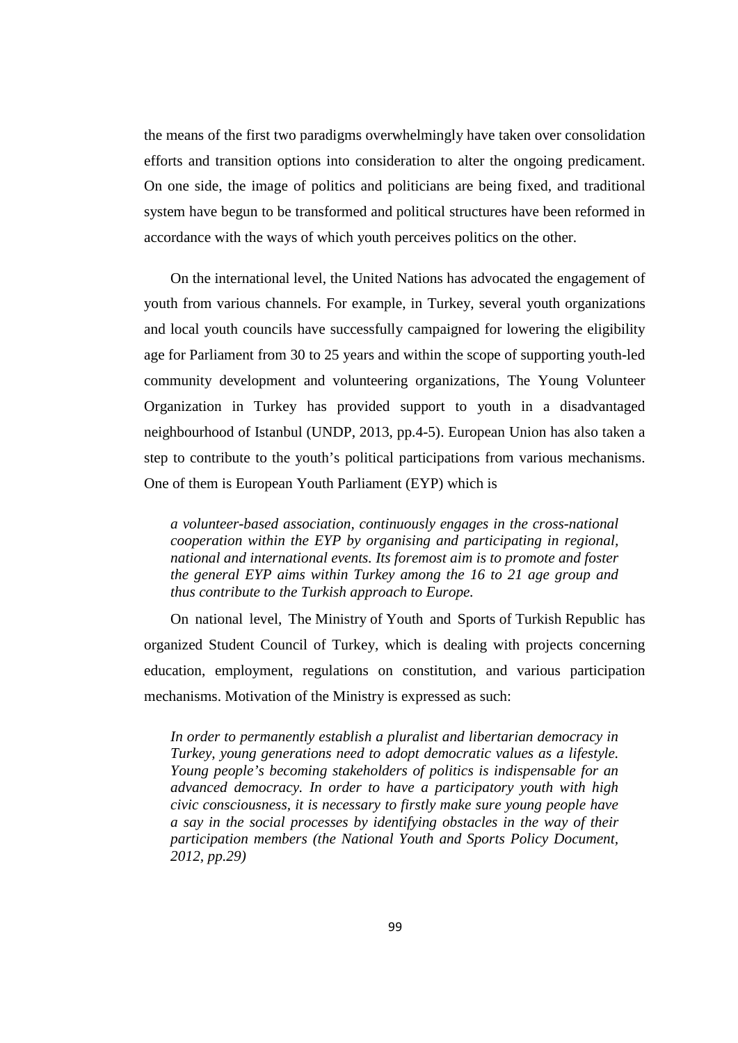the means of the first two paradigms overwhelmingly have taken over consolidation efforts and transition options into consideration to alter the ongoing predicament. On one side, the image of politics and politicians are being fixed, and traditional system have begun to be transformed and political structures have been reformed in accordance with the ways of which youth perceives politics on the other.

On the international level, the United Nations has advocated the engagement of youth from various channels. For example, in Turkey, several youth organizations and local youth councils have successfully campaigned for lowering the eligibility age for Parliament from 30 to 25 years and within the scope of supporting youth-led community development and volunteering organizations, The Young Volunteer Organization in Turkey has provided support to youth in a disadvantaged neighbourhood of Istanbul (UNDP, 2013, pp.4-5). European Union has also taken a step to contribute to the youth's political participations from various mechanisms. One of them is European Youth Parliament (EYP) which is

*a volunteer-based association, continuously engages in the cross-national cooperation within the EYP by organising and participating in regional, national and international events. Its foremost aim is to promote and foster the general EYP aims within Turkey among the 16 to 21 age group and thus contribute to the Turkish approach to Europe.*

On national level, The Ministry of Youth and Sports of Turkish Republic has organized Student Council of Turkey, which is dealing with projects concerning education, employment, regulations on constitution, and various participation mechanisms. Motivation of the Ministry is expressed as such:

*In order to permanently establish a pluralist and libertarian democracy in Turkey, young generations need to adopt democratic values as a lifestyle. Young people's becoming stakeholders of politics is indispensable for an advanced democracy. In order to have a participatory youth with high civic consciousness, it is necessary to firstly make sure young people have a say in the social processes by identifying obstacles in the way of their participation members (the National Youth and Sports Policy Document, 2012, pp.29)*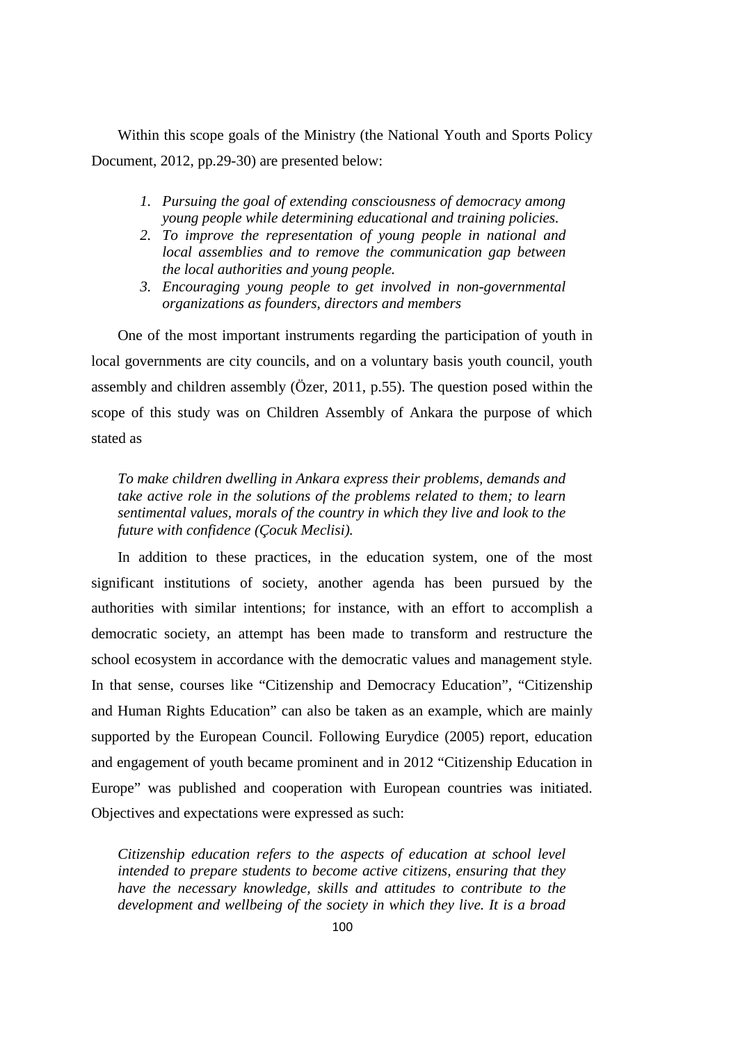Within this scope goals of the Ministry (the National Youth and Sports Policy Document, 2012, pp.29-30) are presented below:

- *1. Pursuing the goal of extending consciousness of democracy among young people while determining educational and training policies.*
- *2. To improve the representation of young people in national and local assemblies and to remove the communication gap between the local authorities and young people.*
- *3. Encouraging young people to get involved in non-governmental organizations as founders, directors and members*

One of the most important instruments regarding the participation of youth in local governments are city councils, and on a voluntary basis youth council, youth assembly and children assembly (Özer, 2011, p.55). The question posed within the scope of this study was on Children Assembly of Ankara the purpose of which stated as

*To make children dwelling in Ankara express their problems, demands and take active role in the solutions of the problems related to them; to learn sentimental values, morals of the country in which they live and look to the future with confidence (Çocuk Meclisi).*

In addition to these practices, in the education system, one of the most significant institutions of society, another agenda has been pursued by the authorities with similar intentions; for instance, with an effort to accomplish a democratic society, an attempt has been made to transform and restructure the school ecosystem in accordance with the democratic values and management style. In that sense, courses like "Citizenship and Democracy Education", "Citizenship and Human Rights Education" can also be taken as an example, which are mainly supported by the European Council. Following Eurydice (2005) report, education and engagement of youth became prominent and in 2012 "Citizenship Education in Europe" was published and cooperation with European countries was initiated. Objectives and expectations were expressed as such:

*Citizenship education refers to the aspects of education at school level intended to prepare students to become active citizens, ensuring that they have the necessary knowledge, skills and attitudes to contribute to the development and wellbeing of the society in which they live. It is a broad*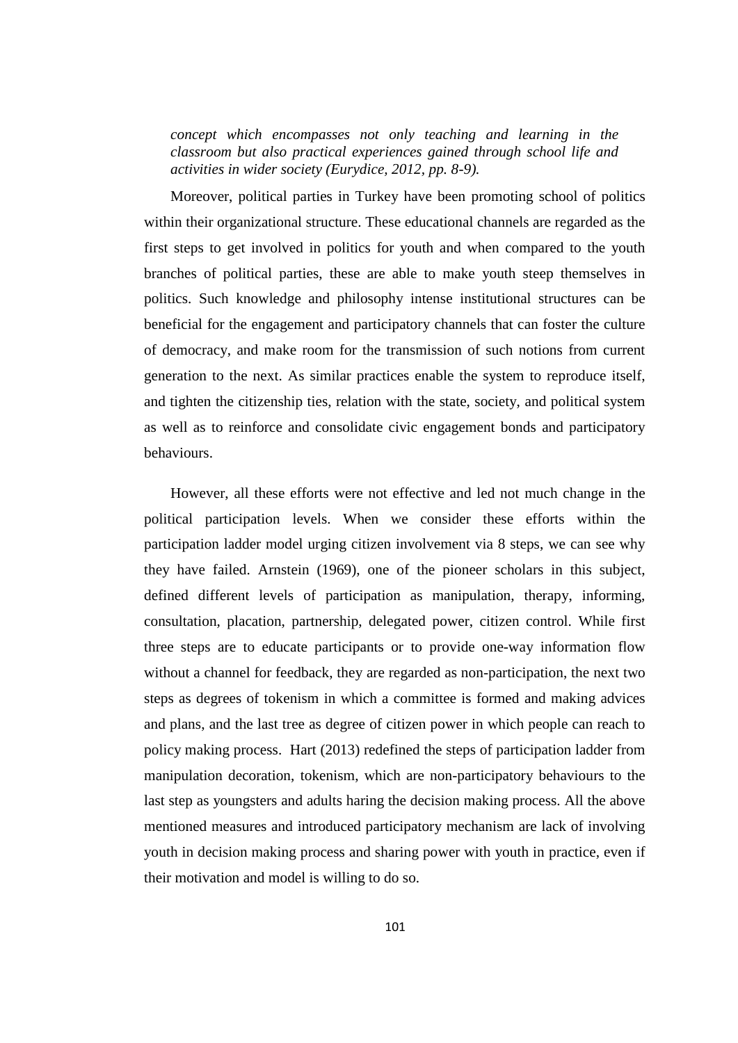*concept which encompasses not only teaching and learning in the classroom but also practical experiences gained through school life and activities in wider society (Eurydice, 2012, pp. 8-9).* 

Moreover, political parties in Turkey have been promoting school of politics within their organizational structure. These educational channels are regarded as the first steps to get involved in politics for youth and when compared to the youth branches of political parties, these are able to make youth steep themselves in politics. Such knowledge and philosophy intense institutional structures can be beneficial for the engagement and participatory channels that can foster the culture of democracy, and make room for the transmission of such notions from current generation to the next. As similar practices enable the system to reproduce itself, and tighten the citizenship ties, relation with the state, society, and political system as well as to reinforce and consolidate civic engagement bonds and participatory behaviours.

However, all these efforts were not effective and led not much change in the political participation levels. When we consider these efforts within the participation ladder model urging citizen involvement via 8 steps, we can see why they have failed. Arnstein (1969), one of the pioneer scholars in this subject, defined different levels of participation as manipulation, therapy, informing, consultation, placation, partnership, delegated power, citizen control. While first three steps are to educate participants or to provide one-way information flow without a channel for feedback, they are regarded as non-participation, the next two steps as degrees of tokenism in which a committee is formed and making advices and plans, and the last tree as degree of citizen power in which people can reach to policy making process. Hart (2013) redefined the steps of participation ladder from manipulation decoration, tokenism, which are non-participatory behaviours to the last step as youngsters and adults haring the decision making process. All the above mentioned measures and introduced participatory mechanism are lack of involving youth in decision making process and sharing power with youth in practice, even if their motivation and model is willing to do so.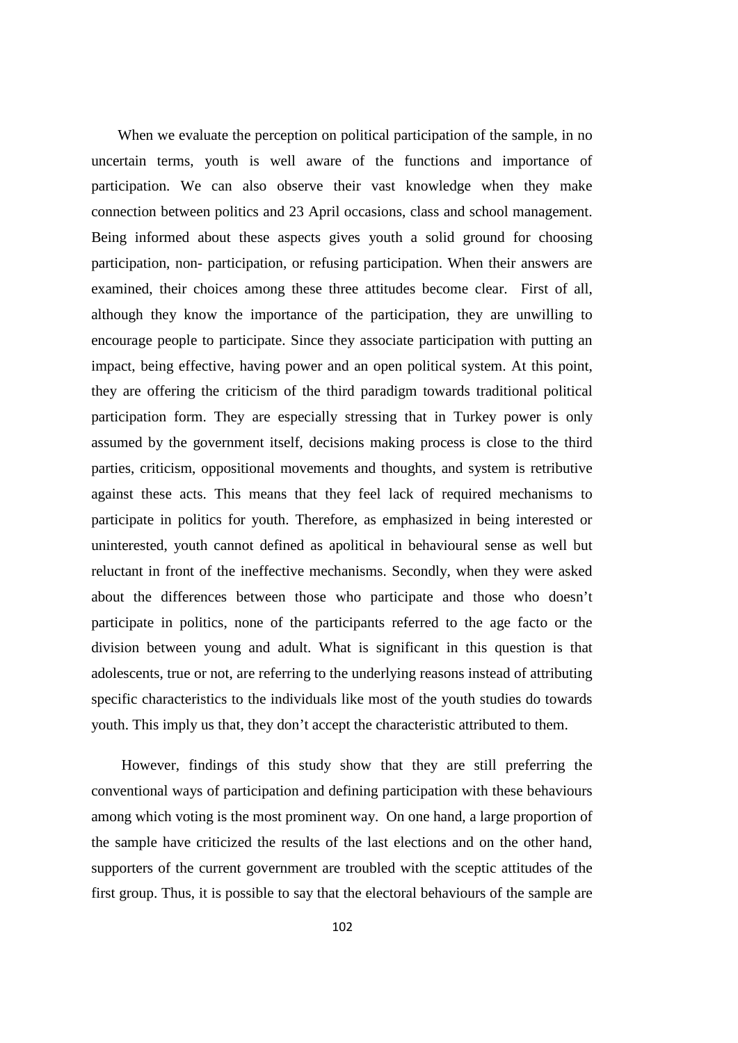When we evaluate the perception on political participation of the sample, in no uncertain terms, youth is well aware of the functions and importance of participation. We can also observe their vast knowledge when they make connection between politics and 23 April occasions, class and school management. Being informed about these aspects gives youth a solid ground for choosing participation, non- participation, or refusing participation. When their answers are examined, their choices among these three attitudes become clear. First of all, although they know the importance of the participation, they are unwilling to encourage people to participate. Since they associate participation with putting an impact, being effective, having power and an open political system. At this point, they are offering the criticism of the third paradigm towards traditional political participation form. They are especially stressing that in Turkey power is only assumed by the government itself, decisions making process is close to the third parties, criticism, oppositional movements and thoughts, and system is retributive against these acts. This means that they feel lack of required mechanisms to participate in politics for youth. Therefore, as emphasized in being interested or uninterested, youth cannot defined as apolitical in behavioural sense as well but reluctant in front of the ineffective mechanisms. Secondly, when they were asked about the differences between those who participate and those who doesn't participate in politics, none of the participants referred to the age facto or the division between young and adult. What is significant in this question is that adolescents, true or not, are referring to the underlying reasons instead of attributing specific characteristics to the individuals like most of the youth studies do towards youth. This imply us that, they don't accept the characteristic attributed to them.

However, findings of this study show that they are still preferring the conventional ways of participation and defining participation with these behaviours among which voting is the most prominent way. On one hand, a large proportion of the sample have criticized the results of the last elections and on the other hand, supporters of the current government are troubled with the sceptic attitudes of the first group. Thus, it is possible to say that the electoral behaviours of the sample are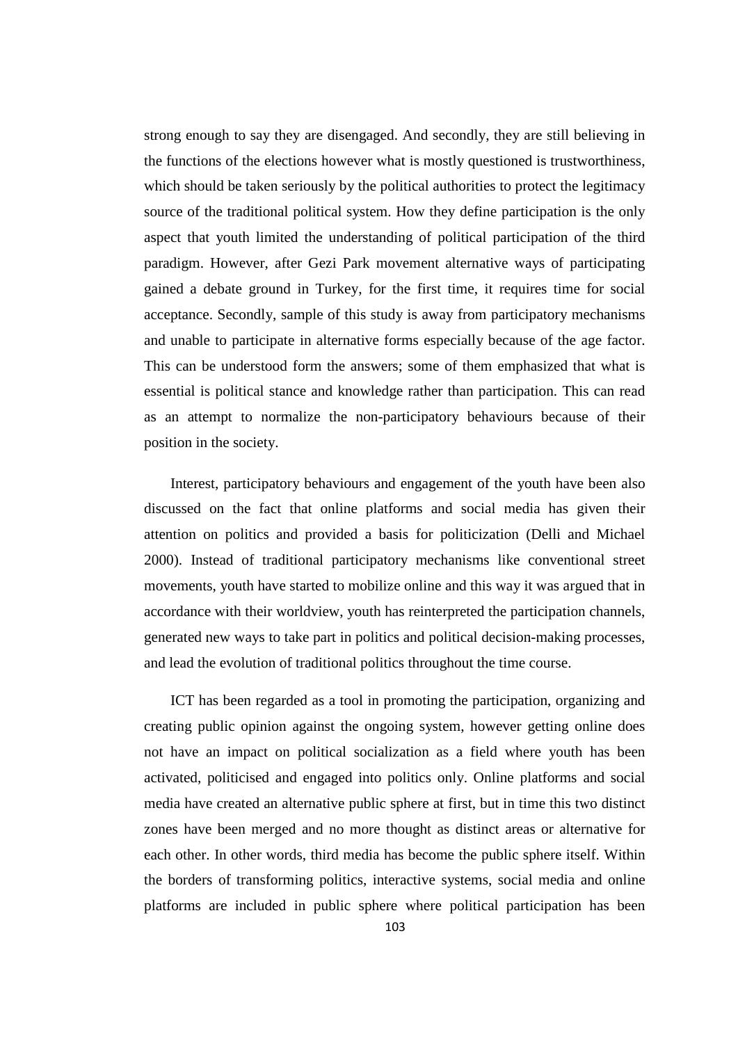strong enough to say they are disengaged. And secondly, they are still believing in the functions of the elections however what is mostly questioned is trustworthiness, which should be taken seriously by the political authorities to protect the legitimacy source of the traditional political system. How they define participation is the only aspect that youth limited the understanding of political participation of the third paradigm. However, after Gezi Park movement alternative ways of participating gained a debate ground in Turkey, for the first time, it requires time for social acceptance. Secondly, sample of this study is away from participatory mechanisms and unable to participate in alternative forms especially because of the age factor. This can be understood form the answers; some of them emphasized that what is essential is political stance and knowledge rather than participation. This can read as an attempt to normalize the non-participatory behaviours because of their position in the society.

Interest, participatory behaviours and engagement of the youth have been also discussed on the fact that online platforms and social media has given their attention on politics and provided a basis for politicization (Delli and Michael 2000). Instead of traditional participatory mechanisms like conventional street movements, youth have started to mobilize online and this way it was argued that in accordance with their worldview, youth has reinterpreted the participation channels, generated new ways to take part in politics and political decision-making processes, and lead the evolution of traditional politics throughout the time course.

ICT has been regarded as a tool in promoting the participation, organizing and creating public opinion against the ongoing system, however getting online does not have an impact on political socialization as a field where youth has been activated, politicised and engaged into politics only. Online platforms and social media have created an alternative public sphere at first, but in time this two distinct zones have been merged and no more thought as distinct areas or alternative for each other. In other words, third media has become the public sphere itself. Within the borders of transforming politics, interactive systems, social media and online platforms are included in public sphere where political participation has been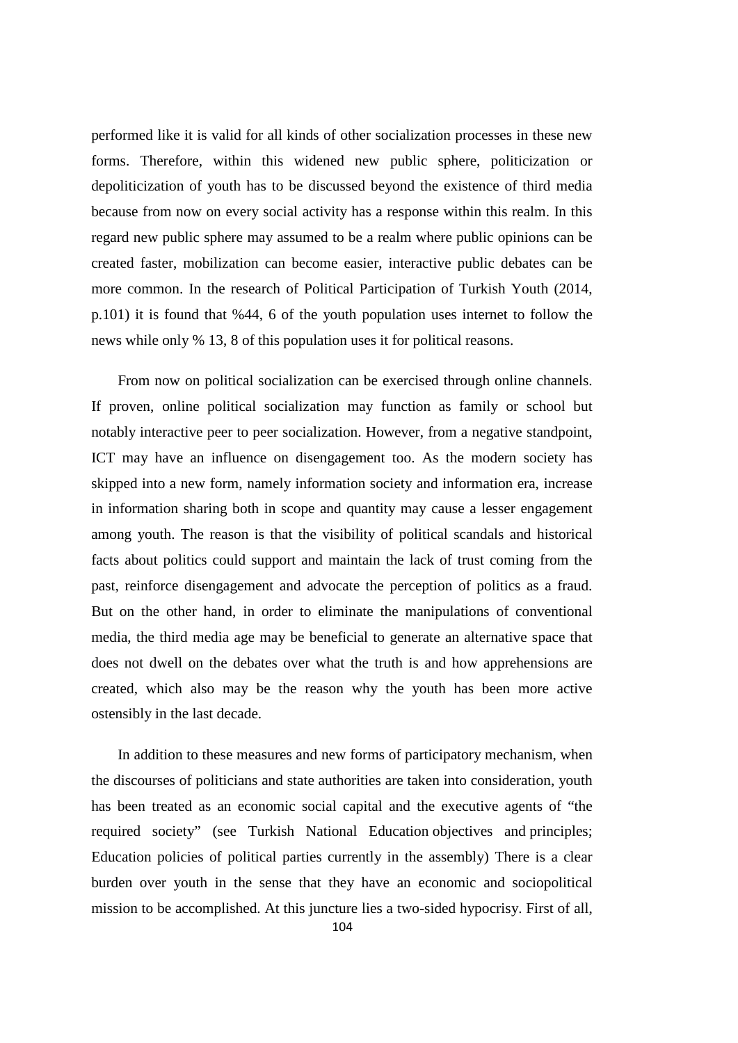performed like it is valid for all kinds of other socialization processes in these new forms. Therefore, within this widened new public sphere, politicization or depoliticization of youth has to be discussed beyond the existence of third media because from now on every social activity has a response within this realm. In this regard new public sphere may assumed to be a realm where public opinions can be created faster, mobilization can become easier, interactive public debates can be more common. In the research of Political Participation of Turkish Youth (2014, p.101) it is found that %44, 6 of the youth population uses internet to follow the news while only % 13, 8 of this population uses it for political reasons.

From now on political socialization can be exercised through online channels. If proven, online political socialization may function as family or school but notably interactive peer to peer socialization. However, from a negative standpoint, ICT may have an influence on disengagement too. As the modern society has skipped into a new form, namely information society and information era, increase in information sharing both in scope and quantity may cause a lesser engagement among youth. The reason is that the visibility of political scandals and historical facts about politics could support and maintain the lack of trust coming from the past, reinforce disengagement and advocate the perception of politics as a fraud. But on the other hand, in order to eliminate the manipulations of conventional media, the third media age may be beneficial to generate an alternative space that does not dwell on the debates over what the truth is and how apprehensions are created, which also may be the reason why the youth has been more active ostensibly in the last decade.

In addition to these measures and new forms of participatory mechanism, when the discourses of politicians and state authorities are taken into consideration, youth has been treated as an economic social capital and the executive agents of "the required society" (see Turkish National Education objectives and principles; Education policies of political parties currently in the assembly) There is a clear burden over youth in the sense that they have an economic and sociopolitical mission to be accomplished. At this juncture lies a two-sided hypocrisy. First of all,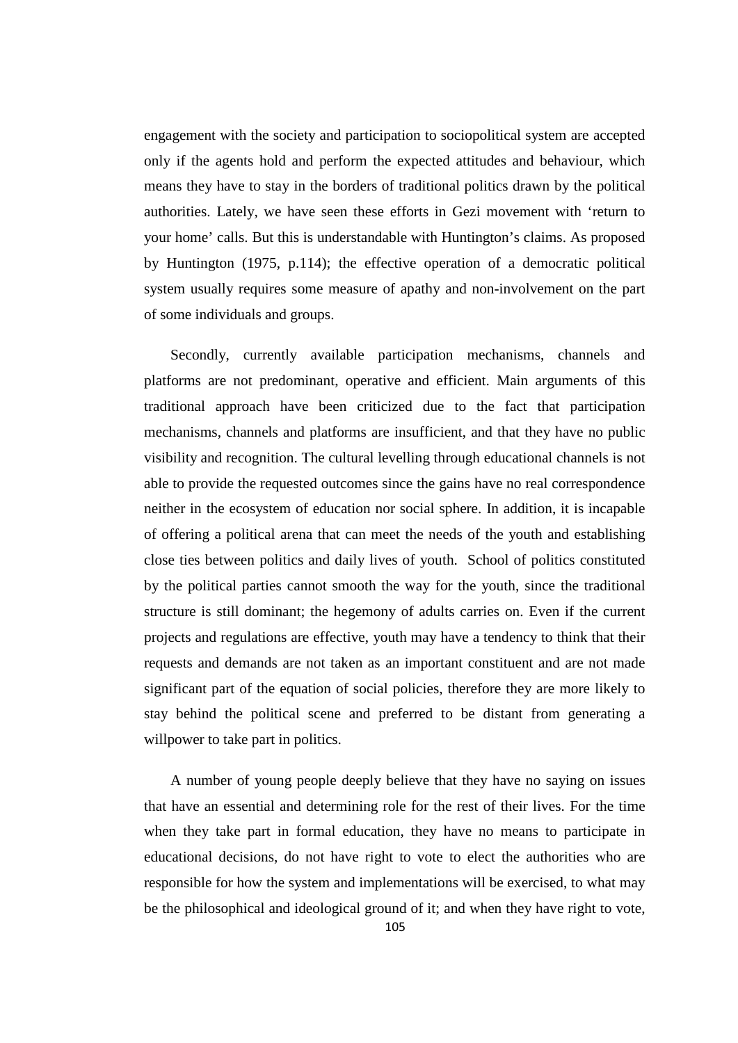engagement with the society and participation to sociopolitical system are accepted only if the agents hold and perform the expected attitudes and behaviour, which means they have to stay in the borders of traditional politics drawn by the political authorities. Lately, we have seen these efforts in Gezi movement with 'return to your home' calls. But this is understandable with Huntington's claims. As proposed by Huntington (1975, p.114); the effective operation of a democratic political system usually requires some measure of apathy and non-involvement on the part of some individuals and groups.

Secondly, currently available participation mechanisms, channels and platforms are not predominant, operative and efficient. Main arguments of this traditional approach have been criticized due to the fact that participation mechanisms, channels and platforms are insufficient, and that they have no public visibility and recognition. The cultural levelling through educational channels is not able to provide the requested outcomes since the gains have no real correspondence neither in the ecosystem of education nor social sphere. In addition, it is incapable of offering a political arena that can meet the needs of the youth and establishing close ties between politics and daily lives of youth. School of politics constituted by the political parties cannot smooth the way for the youth, since the traditional structure is still dominant; the hegemony of adults carries on. Even if the current projects and regulations are effective, youth may have a tendency to think that their requests and demands are not taken [as an important constituent](http://tureng.com/search/as%20an%20important%20constituent) and are not made significant part of the equation of social policies, therefore they are more likely to stay behind the political scene and preferred to be distant from generating a willpower to take part in politics.

A number of young people deeply believe that they have no saying on issues that have an essential and determining role for the rest of their lives. For the time when they take part in formal education, they have no means to participate in educational decisions, do not have right to vote to elect the authorities who are responsible for how the system and implementations will be exercised, to what may be the philosophical and ideological ground of it; and when they have right to vote,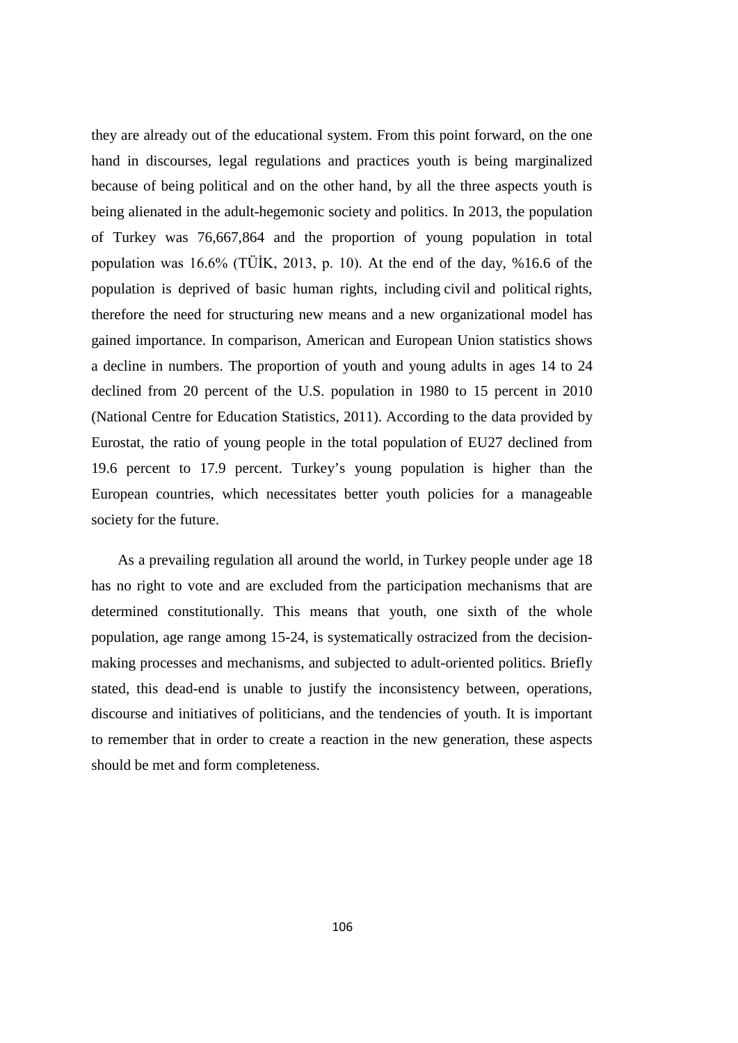they are already out of the educational system. From this point forward, on the one hand in discourses, legal regulations and practices youth is being marginalized because of being political and on the other hand, by all the three aspects youth is being alienated in the adult-hegemonic society and politics. In 2013, the population of Turkey was 76,667,864 and the proportion of young population in total population was 16.6% (TÜİK, 2013, p. 10). At the end of the day, %16.6 of the population is deprived of basic human rights, including civil and political rights, therefore the need for structuring new means and a new organizational model has gained importance. In comparison, American and European Union statistics shows a decline in numbers. The proportion of youth and young adults in ages 14 to 24 declined from 20 percent of the U.S. population in 1980 to 15 percent in 2010 (National Centre for Education Statistics, 2011). According to the data provided by Eurostat, the ratio of young people in the total population of EU27 declined from 19.6 percent to 17.9 percent. Turkey's young population is higher than the European countries, which necessitates better youth policies for a manageable society for the future.

As a prevailing regulation all around the world, in Turkey people under age 18 has no right to vote and are excluded from the participation mechanisms that are determined [constitutionally.](http://tureng.com/search/constitutionally) This means that youth, one sixth of the whole population, age range among 15-24, is systematically ostracized from the decisionmaking processes and mechanisms, and subjected to adult-oriented politics. [Briefly](http://tureng.com/search/briefly%20stated)  [stated,](http://tureng.com/search/briefly%20stated) this dead-end is unable to justify the inconsistency between, operations, discourse and initiatives of politicians, and the tendencies of youth. It is important to remember that in order to create a reaction in the new generation, these aspects should be met and [form completeness.](http://tureng.com/search/form%20completeness)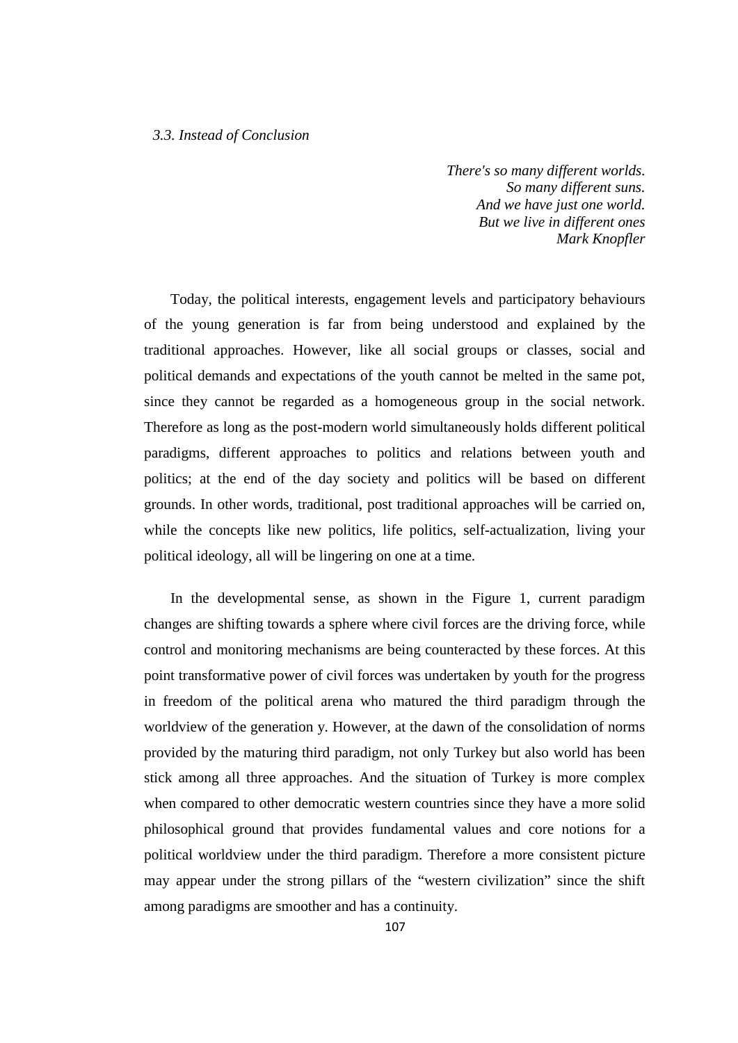#### *3.3. Instead of Conclusion*

*There's so many different worlds. So many different suns. And we have just one world. But we live in different ones Mark Knopfler*

Today, the political interests, engagement levels and participatory behaviours of the young generation is far from being understood and explained by the traditional approaches. However, like all social groups or classes, social and political demands and expectations of the youth cannot be melted in the same pot, since they cannot be regarded as a homogeneous group in the social network. Therefore as long as the post-modern world simultaneously holds different political paradigms, different approaches to politics and relations between youth and politics; at the end of the day society and politics will be based on different grounds. In other words, traditional, post traditional approaches will be carried on, while the concepts like new politics, life politics, self-actualization, living your political ideology, all will be lingering on one at a time.

In the developmental sense, as shown in the Figure 1, current paradigm changes are shifting towards a sphere where civil forces are the driving force, while control and monitoring mechanisms are being counteracted by these forces. At this point transformative power of civil forces was undertaken by youth for the progress in freedom of the political arena who matured the third paradigm through the worldview of the generation y. However, at the dawn of the consolidation of norms provided by the maturing third paradigm, not only Turkey but also world has been stick among all three approaches. And the situation of Turkey is more complex when compared to other democratic western countries since they have a more solid philosophical ground that provides fundamental values and core notions for a political worldview under the third paradigm. Therefore a more consistent picture may appear under the strong pillars of the "western civilization" since the shift among paradigms are smoother and has a continuity.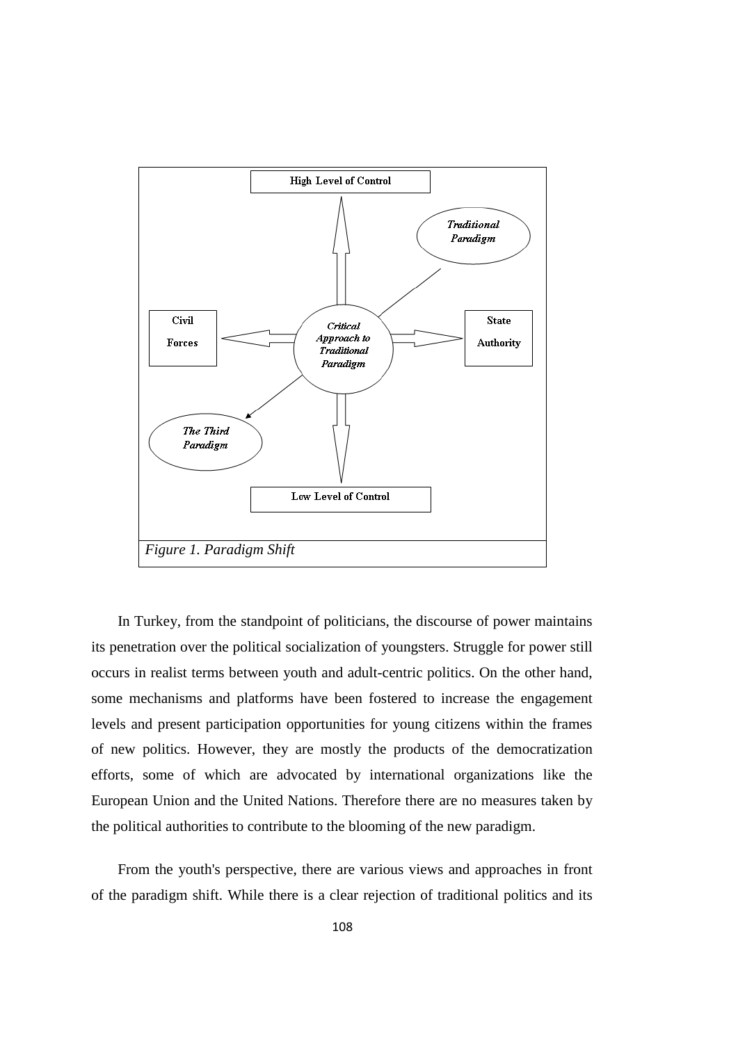

In Turkey, from the standpoint of politicians, the discourse of power maintains its penetration over the political socialization of youngsters. Struggle for power still occurs in realist terms between youth and adult-centric politics. On the other hand, some mechanisms and platforms have been fostered to increase the engagement levels and present participation opportunities for young citizens within the frames of new politics. However, they are mostly the products of the democratization efforts, some of which are advocated by international organizations like the European Union and the United Nations. Therefore there are no measures taken by the political authorities to contribute to the blooming of the new paradigm.

From the youth's perspective, there are various views and approaches in front of the paradigm shift. While there is a clear rejection of traditional politics and its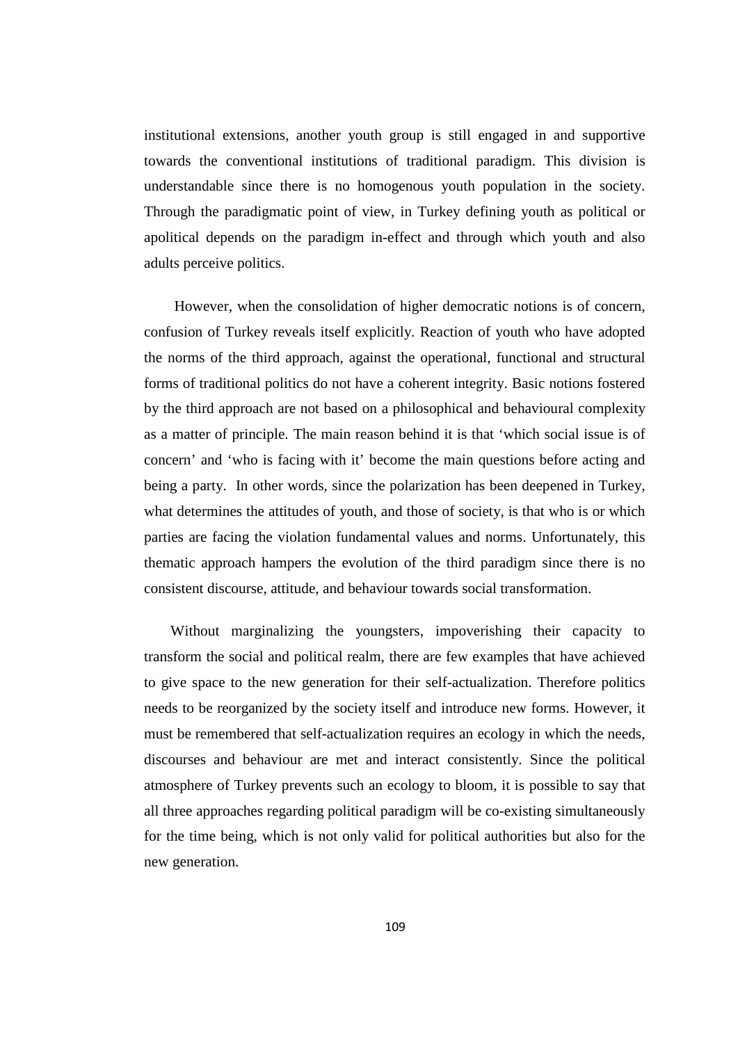institutional extensions, another youth group is still engaged in and supportive towards the conventional institutions of traditional paradigm. This division is understandable since there is no homogenous youth population in the society. Through the paradigmatic point of view, in Turkey defining youth as political or apolitical depends on the paradigm in-effect and through which youth and also adults perceive politics.

However, when the consolidation of higher democratic notions is of concern, confusion of Turkey reveals itself explicitly. Reaction of youth who have adopted the norms of the third approach, against the operational, functional and structural forms of traditional politics do not have a coherent integrity. Basic notions fostered by the third approach are not based on a philosophical and behavioural complexity as a matter of principle. The main reason behind it is that 'which social issue is of concern' and 'who is facing with it' become the main questions before acting and being a party. In other words, since the polarization has been deepened in Turkey, what determines the attitudes of youth, and those of society, is that who is or which parties are facing the violation fundamental values and norms. Unfortunately, this thematic approach hampers the evolution of the third paradigm since there is no consistent discourse, attitude, and behaviour towards social transformation.

Without marginalizing the youngsters, impoverishing their capacity to transform the social and political realm, there are few examples that have achieved to give space to the new generation for their self-actualization. Therefore politics needs to be reorganized by the society itself and introduce new forms. However, it must be remembered that self-actualization requires an ecology in which the needs, discourses and behaviour are met and interact consistently. Since the political atmosphere of Turkey prevents such an ecology to bloom, it is possible to say that all three approaches regarding political paradigm will be co-existing simultaneously for the time being, which is not only valid for political authorities but also for the new generation.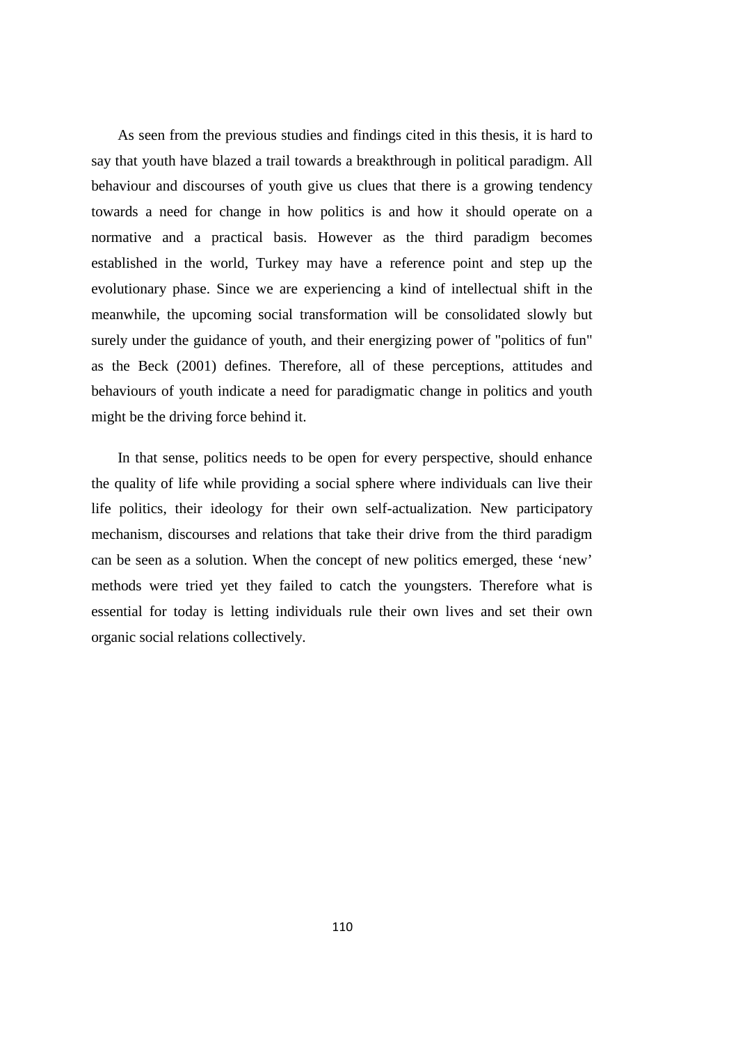As seen from the previous studies and findings cited in this thesis, it is hard to say that youth have blazed a trail towards a breakthrough in political paradigm. All behaviour and discourses of youth give us clues that there is a growing tendency towards a need for change in how politics is and how it should operate on a normative and a practical basis. However as the third paradigm becomes established in the world, Turkey may have a reference point and step up the evolutionary phase. Since we are experiencing a kind of intellectual shift in the meanwhile, the upcoming social transformation will be consolidated slowly but surely under the guidance of youth, and their energizing power of "politics of fun" as the Beck (2001) defines. Therefore, all of these perceptions, attitudes and behaviours of youth indicate a need for paradigmatic change in politics and youth might be the driving force behind it.

In that sense, politics needs to be open for every perspective, should enhance the quality of life while providing a social sphere where individuals can live their life politics, their ideology for their own self-actualization. New participatory mechanism, discourses and relations that take their drive from the third paradigm can be seen as a solution. When the concept of new politics emerged, these 'new' methods were tried yet they failed to catch the youngsters. Therefore what is essential for today is letting individuals rule their own lives and set their own organic social relations collectively.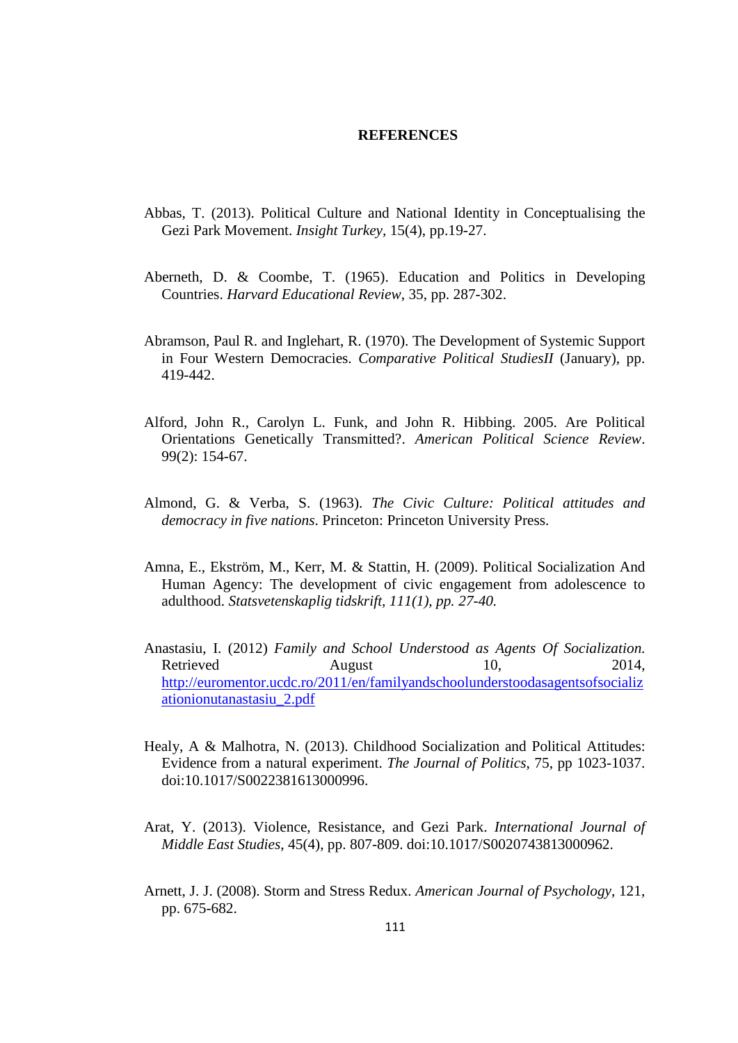#### **REFERENCES**

- Abbas, T. (2013). Political Culture and National Identity in Conceptualising the Gezi Park Movement. *Insight Turkey,* 15(4), pp.19-27.
- Aberneth, D. & Coombe, T. (1965). Education and Politics in Developing Countries. *Harvard Educational Review*, 35, pp. 287-302.
- Abramson, Paul R. and Inglehart, R. (1970). The Development of Systemic Support in Four Western Democracies. *Comparative Political StudiesII* (January), pp. 419-442.
- Alford, John R., Carolyn L. Funk, and John R. Hibbing. 2005. Are Political Orientations Genetically Transmitted?. *American Political Science Review*. 99(2): 154-67.
- Almond, G. & Verba, S. (1963). *The Civic Culture: Political attitudes and democracy in five nations*. Princeton: Princeton University Press.
- Amna, E., Ekström, M., Kerr, M. & Stattin, H. (2009). Political Socialization And Human Agency: The development of civic engagement from adolescence to adulthood. *Statsvetenskaplig tidskrift, 111(1), pp. 27-40.*
- Anastasiu, I. (2012) *Family and School Understood as Agents Of Socialization.*  Retrieved August 10, 2014, [http://euromentor.ucdc.ro/2011/en/familyandschoolunderstoodasagentsofsocializ](http://euromentor.ucdc.ro/2011/en/familyandschoolunderstoodasagentsofsocializationionutanastasiu_2.pdf) [ationionutanastasiu\\_2.pdf](http://euromentor.ucdc.ro/2011/en/familyandschoolunderstoodasagentsofsocializationionutanastasiu_2.pdf)
- Healy, A & Malhotra, N. (2013). Childhood Socialization and Political Attitudes: Evidence from a natural experiment. *The Journal of Politics*, 75, pp 1023-1037. doi:10.1017/S0022381613000996.
- Arat, Y. (2013). Violence, Resistance, and Gezi Park. *International Journal of Middle East Studies*, 45(4), pp. 807-809. doi:10.1017/S0020743813000962.
- Arnett, J. J. (2008). Storm and Stress Redux. *American Journal of Psychology*, 121, pp. 675-682.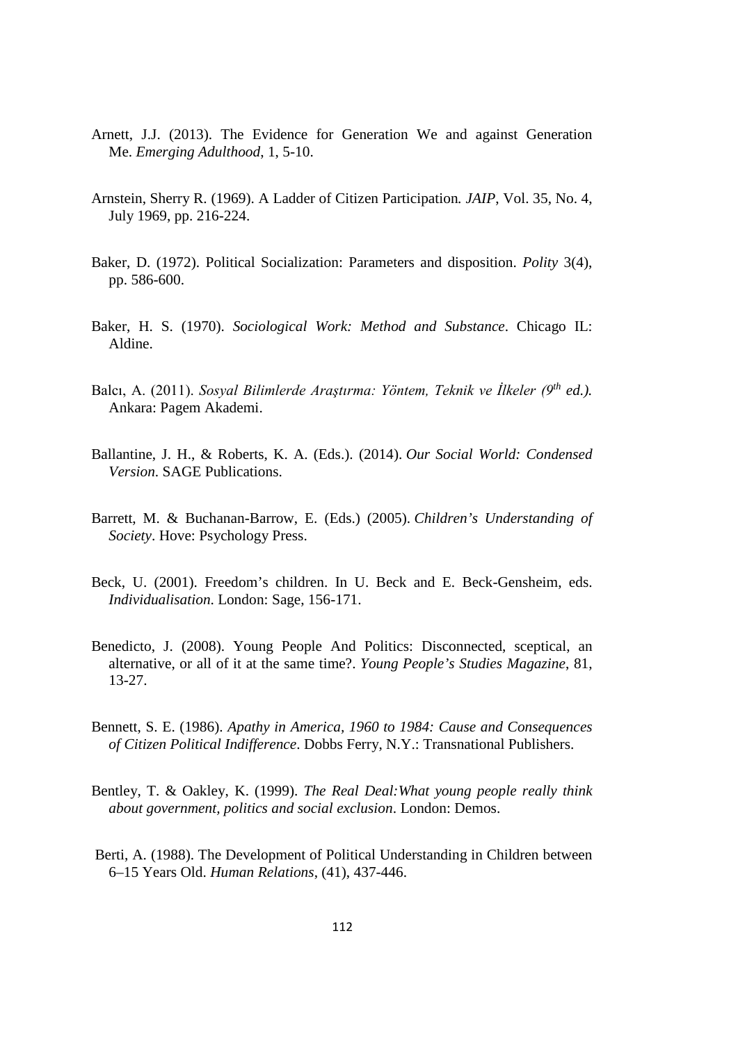- Arnett, J.J. (2013). The Evidence for Generation We and against Generation Me. *Emerging Adulthood*, 1, 5-10.
- Arnstein, Sherry R. (1969). A Ladder of Citizen Participation*. JAIP*, Vol. 35, No. 4, July 1969, pp. 216-224.
- Baker, D. (1972). Political Socialization: Parameters and disposition. *Polity* 3(4), pp. 586-600.
- Baker, H. S. (1970). *Sociological Work: Method and Substance*. Chicago IL: Aldine.
- Balcı, A. (2011). *Sosyal Bilimlerde Araştırma: Yöntem, Teknik ve İlkeler (9th ed.).* Ankara: Pagem Akademi.
- Ballantine, J. H., & Roberts, K. A. (Eds.). (2014). *Our Social World: Condensed Version*. SAGE Publications.
- Barrett, M. & Buchanan-Barrow, E. (Eds.) (2005). *Children's Understanding of Society*. Hove: Psychology Press.
- Beck, U. (2001). Freedom's children. In U. Beck and E. Beck-Gensheim, eds. *Individualisation*. London: Sage, 156-171.
- Benedicto, J. (2008). Young People And Politics: Disconnected, sceptical, an alternative, or all of it at the same time?. *Young People's Studies Magazine*, 81, 13-27.
- Bennett, S. E. (1986). *Apathy in America, 1960 to 1984: Cause and Consequences of Citizen Political Indifference*. Dobbs Ferry, N.Y.: Transnational Publishers.
- Bentley, T. & Oakley, K. (1999). *The Real Deal:What young people really think about government, politics and social exclusion*. London: Demos.
- Berti, A. (1988). The Development of Political Understanding in Children between 6–15 Years Old. *Human Relations*, (41), 437-446.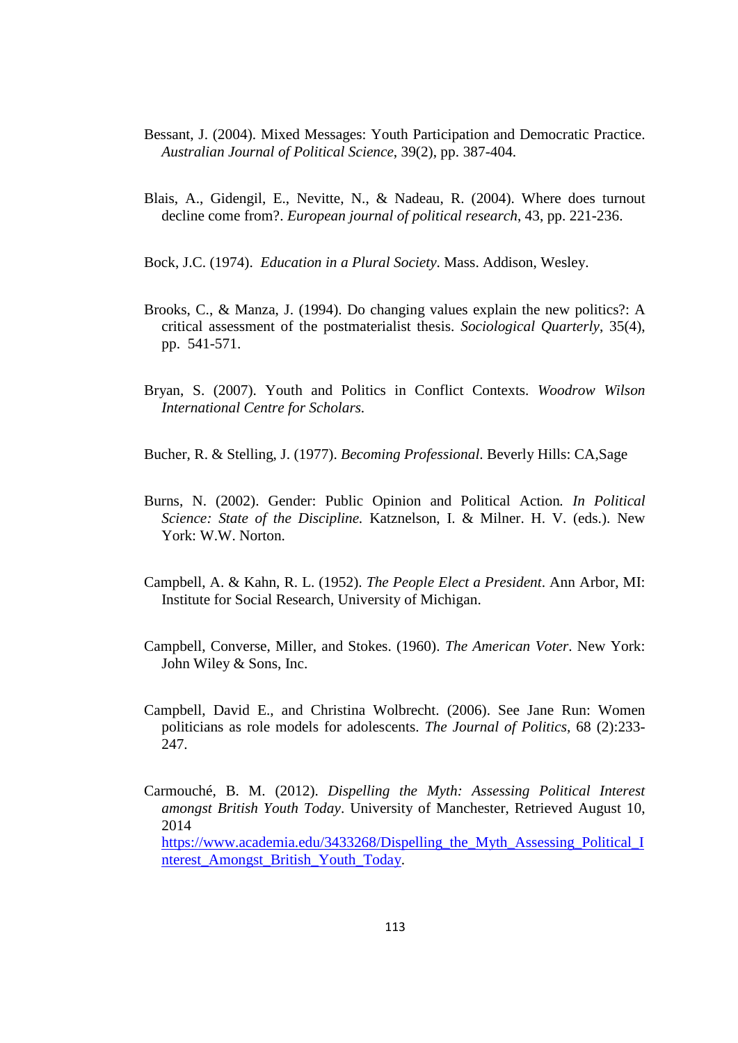- Bessant, J. (2004). Mixed Messages: Youth Participation and Democratic Practice. *Australian Journal of Political Science*, 39(2), pp. 387-404.
- Blais, A., Gidengil, E., Nevitte, N., & Nadeau, R. (2004). Where does turnout decline come from?. *European journal of political research*, 43, pp. 221-236.
- Bock, J.C. (1974). *Education in a Plural Society*. Mass. Addison, Wesley.
- Brooks, C., & Manza, J. (1994). Do changing values explain the new politics?: A critical assessment of the postmaterialist thesis. *Sociological Quarterly*, 35(4), pp. 541-571.
- Bryan, S. (2007). Youth and Politics in Conflict Contexts. *Woodrow Wilson International Centre for Scholars.*
- Bucher, R. & Stelling, J. (1977). *Becoming Professional*. Beverly Hills: CA,Sage
- Burns, N. (2002). Gender: Public Opinion and Political Action*. In Political Science: State of the Discipline.* Katznelson, I. & Milner. H. V. (eds.). New York: W.W. Norton.
- Campbell, A. & Kahn, R. L. (1952). *The People Elect a President*. Ann Arbor, MI: Institute for Social Research, University of Michigan.
- Campbell, Converse, Miller, and Stokes. (1960). *The American Voter*. New York: John Wiley & Sons, Inc.
- Campbell, David E., and Christina Wolbrecht. (2006). See Jane Run: Women politicians as role models for adolescents. *The Journal of Politics,* 68 (2):233- 247.
- Carmouché, B. M. (2012). *Dispelling the Myth: Assessing Political Interest amongst British Youth Today*. University of Manchester, Retrieved August 10, 2014 https://www.academia.edu/3433268/Dispelling the Myth Assessing Political I [nterest\\_Amongst\\_British\\_Youth\\_Today.](https://www.academia.edu/3433268/Dispelling_the_Myth_Assessing_Political_Interest_Amongst_British_Youth_Today)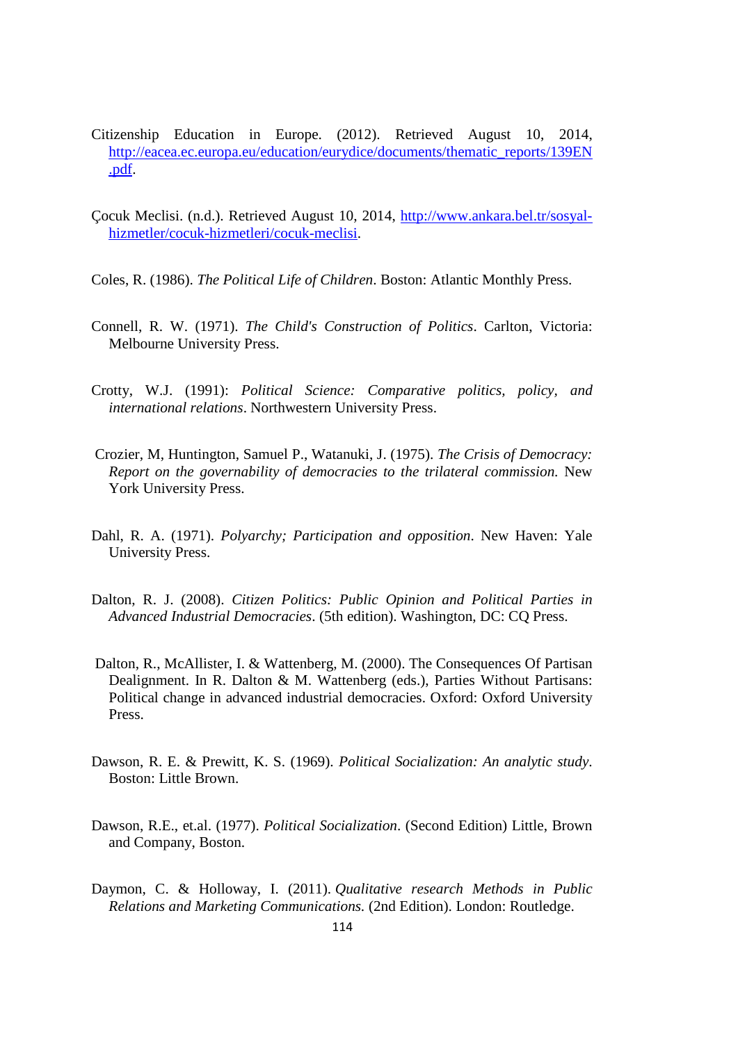- Citizenship Education in Europe. (2012). Retrieved August 10, 2014, [http://eacea.ec.europa.eu/education/eurydice/documents/thematic\\_reports/139EN](http://eacea.ec.europa.eu/education/eurydice/documents/thematic_reports/139EN.pdf) [.pdf.](http://eacea.ec.europa.eu/education/eurydice/documents/thematic_reports/139EN.pdf)
- Çocuk Meclisi. (n.d.). Retrieved August 10, 2014, [http://www.ankara.bel.tr/sosyal](http://www.ankara.bel.tr/sosyal-hizmetler/cocuk-hizmetleri/cocuk-meclisi)[hizmetler/cocuk-hizmetleri/cocuk-meclisi.](http://www.ankara.bel.tr/sosyal-hizmetler/cocuk-hizmetleri/cocuk-meclisi)
- Coles, R. (1986). *The Political Life of Children*. Boston: Atlantic Monthly Press.
- Connell, R. W. (1971). *The Child's Construction of Politics*. Carlton, Victoria: Melbourne University Press.
- Crotty, W.J. (1991): *Political Science: Comparative politics, policy, and international relations*. Northwestern University Press.
- [Crozier,](http://www.amazon.com/s/ref=dp_byline_sr_book_1?ie=UTF8&field-author=Michel+Crozier&search-alias=books&text=Michel+Crozier&sort=relevancerank) M, [Huntington,](http://www.amazon.com/s/ref=dp_byline_sr_book_2?ie=UTF8&field-author=Samuel+P.+Huntington&search-alias=books&text=Samuel+P.+Huntington&sort=relevancerank) Samuel P., [Watanuki,](http://www.amazon.com/s/ref=dp_byline_sr_book_3?ie=UTF8&field-author=Joji+Watanuki&search-alias=books&text=Joji+Watanuki&sort=relevancerank) J. (1975). *The Crisis of Democracy: Report on the governability of democracies to the trilateral commission.* New York University Press.
- Dahl, R. A. (1971). *Polyarchy; Participation and opposition*. New Haven: Yale University Press.
- Dalton, R. J. (2008). *Citizen Politics: Public Opinion and Political Parties in Advanced Industrial Democracies*. (5th edition). Washington, DC: CQ Press.
- Dalton, R., McAllister, I. & Wattenberg, M. (2000). The Consequences Of Partisan Dealignment. In R. Dalton & M. Wattenberg (eds.), Parties Without Partisans: Political change in advanced industrial democracies. Oxford: Oxford University Press.
- Dawson, R. E. & Prewitt, K. S. (1969). *Political Socialization: An analytic study*. Boston: Little Brown.
- Dawson, R.E., et.al. (1977). *Political Socialization*. (Second Edition) Little, Brown and Company, Boston.
- Daymon, C. & Holloway, I. (2011). *Qualitative research Methods in Public Relations and Marketing Communications.* (2nd Edition). London: Routledge.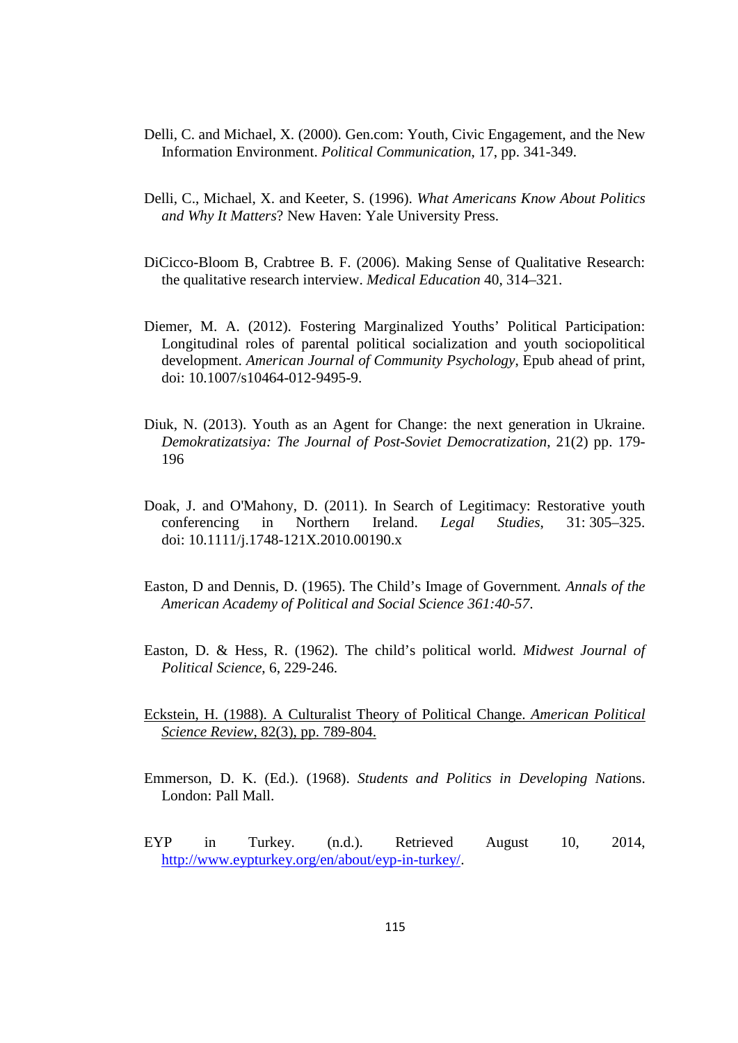- Delli, C. and Michael, X. (2000). Gen.com: Youth, Civic Engagement, and the New Information Environment. *Political Communication*, 17, pp. 341-349.
- Delli, C., Michael, X. and Keeter, S. (1996). *What Americans Know About Politics and Why It Matters*? New Haven: Yale University Press.
- DiCicco-Bloom B, Crabtree B. F. (2006). Making Sense of Qualitative Research: the qualitative research interview. *Medical Education* 40, 314–321.
- Diemer, M. A. (2012). Fostering Marginalized Youths' Political Participation: Longitudinal roles of parental political socialization and youth sociopolitical development. *American Journal of Community Psychology*, Epub ahead of print, doi: 10.1007/s10464-012-9495-9.
- Diuk, N. (2013). Youth as an Agent for Change: the next generation in Ukraine. *Demokratizatsiya: The Journal of Post-Soviet Democratization*, 21(2) pp. 179- 196
- Doak, J. and O'Mahony, D. (2011). In Search of Legitimacy: Restorative youth conferencing in Northern Ireland. *Legal Studies*, 31: 305–325. doi: 10.1111/j.1748-121X.2010.00190.x
- Easton, D and Dennis, D. (1965). The Child's Image of Government*. Annals of the American Academy of Political and Social Science 361:40-57*.
- Easton, D. & Hess, R. (1962). The child's political world. *Midwest Journal of Political Science*, 6, 229-246.
- Eckstein, H. (1988). A Culturalist Theory of Political Change. *American Political Science Review*, 82(3), pp. 789-804.
- Emmerson, D. K. (Ed.). (1968). *Students and Politics in Developing Natio*ns. London: Pall Mall.
- EYP in Turkey. (n.d.). Retrieved August 10, 2014, [http://www.eypturkey.org/en/about/eyp-in-turkey/.](http://www.eypturkey.org/en/about/eyp-in-turkey/)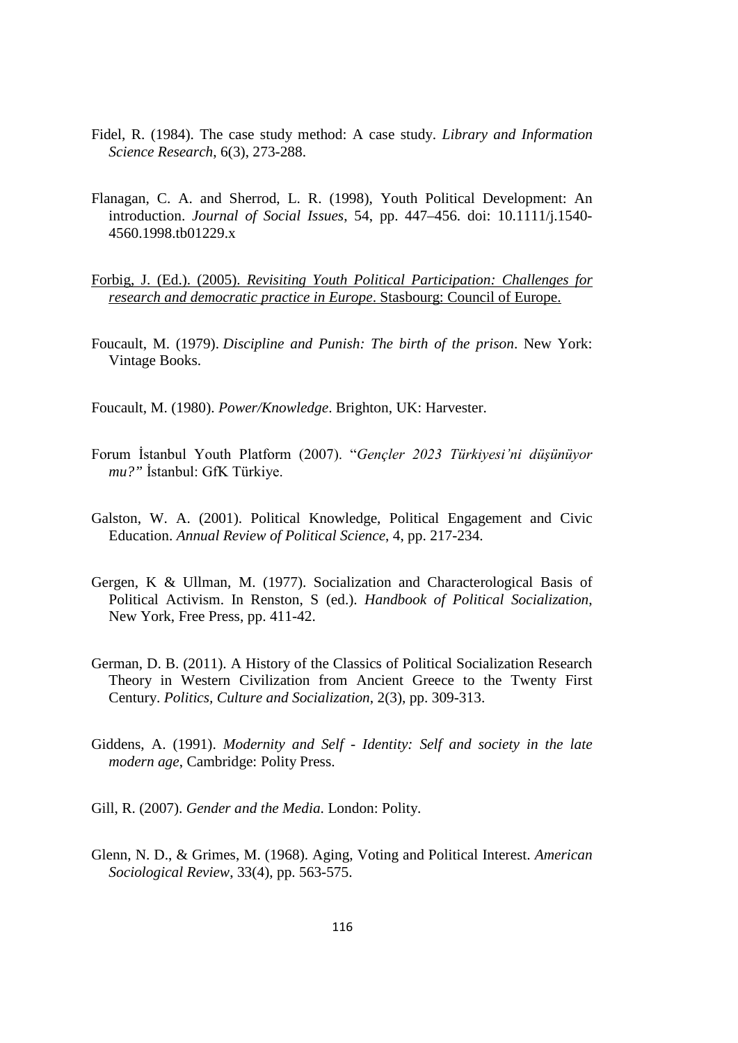- Fidel, R. (1984). The case study method: A case study. *Library and Information Science Research*, 6(3), 273-288.
- Flanagan, C. A. and Sherrod, L. R. (1998), Youth Political Development: An introduction. *Journal of Social Issues*, 54, pp. 447–456. doi: 10.1111/j.1540- 4560.1998.tb01229.x
- Forbig, J. (Ed.). (2005). *Revisiting Youth Political Participation: Challenges for research and democratic practice in Europe*. Stasbourg: Council of Europe.
- Foucault, M. (1979). *Discipline and Punish: The birth of the prison*. New York: Vintage Books.
- Foucault, M. (1980). *Power/Knowledge*. Brighton, UK: Harvester.
- Forum İstanbul Youth Platform (2007). "*Gençler 2023 Türkiyesi'ni düşünüyor mu?"* İstanbul: GfK Türkiye.
- Galston, W. A. (2001). Political Knowledge, Political Engagement and Civic Education. *Annual Review of Political Science*, 4, pp. 217-234.
- Gergen, K & Ullman, M. (1977). Socialization and Characterological Basis of Political Activism. In Renston, S (ed.). *Handbook of Political Socialization*, New York, Free Press, pp. 411-42.
- German, D. B. (2011). A History of the Classics of Political Socialization Research Theory in Western Civilization from Ancient Greece to the Twenty First Century. *Politics, Culture and Socialization*, 2(3), pp. 309-313.
- Giddens, A. (1991). *Modernity and Self - Identity: Self and society in the late modern age*, Cambridge: Polity Press.
- Gill, R. (2007). *Gender and the Media*. London: Polity.
- Glenn, N. D., & Grimes, M. (1968). Aging, Voting and Political Interest. *American Sociological Review*, 33(4), pp. 563-575.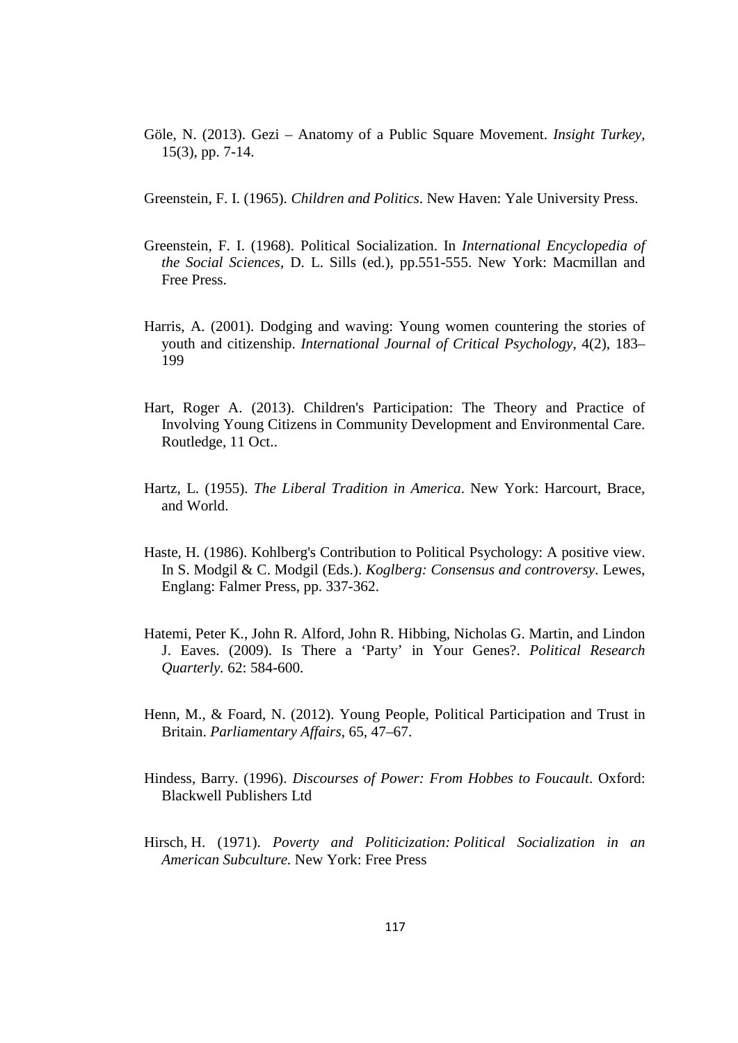Göle, N. (2013). Gezi – Anatomy of a Public Square Movement. *Insight Turkey*, 15(3), pp. 7-14.

Greenstein, F. I. (1965). *Children and Politics*. New Haven: Yale University Press.

- Greenstein, F. I. (1968). Political Socialization. In *International Encyclopedia of the Social Sciences*, D. L. Sills (ed.), pp.551-555. New York: Macmillan and Free Press.
- Harris, A. (2001). Dodging and waving: Young women countering the stories of youth and citizenship. *International Journal of Critical Psychology*, 4(2), 183– 199
- Hart, Roger A. (2013). Children's Participation: The Theory and Practice of Involving Young Citizens in Community Development and Environmental Care. Routledge, 11 Oct..
- Hartz, L. (1955). *The Liberal Tradition in America*. New York: Harcourt, Brace, and World.
- Haste, H. (1986). Kohlberg's Contribution to Political Psychology: A positive view. In S. Modgil & C. Modgil (Eds.). *Koglberg: Consensus and controversy*. Lewes, Englang: Falmer Press, pp. 337-362.
- Hatemi, Peter K., John R. Alford, John R. Hibbing, Nicholas G. Martin, and Lindon J. Eaves. (2009). Is There a 'Party' in Your Genes?. *Political Research Quarterly.* 62: 584-600.
- Henn, M., & Foard, N. (2012). Young People, Political Participation and Trust in Britain. *Parliamentary Affairs*, 65, 47–67.
- Hindess, Barry. (1996). *Discourses of Power: From Hobbes to Foucault*. Oxford: Blackwell Publishers Ltd
- Hirsch, H. (1971). *Poverty and Politicization: Political Socialization in an American Subculture.* New York: Free Press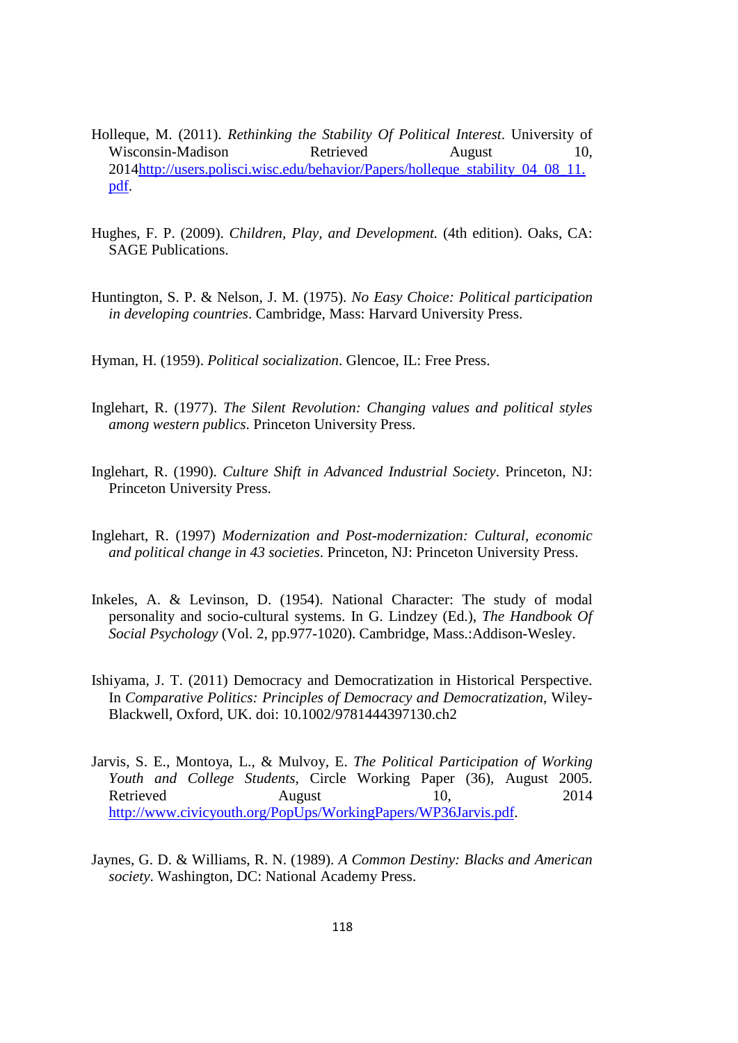- Holleque, M. (2011). *Rethinking the Stability Of Political Interest*. University of Wisconsin-Madison Retrieved August 10, 201[4http://users.polisci.wisc.edu/behavior/Papers/holleque\\_stability\\_04\\_08\\_11.](http://users.polisci.wisc.edu/behavior/Papers/holleque_stability_04_08_11.pdf) [pdf.](http://users.polisci.wisc.edu/behavior/Papers/holleque_stability_04_08_11.pdf)
- Hughes, F. P. (2009). *Children, Play, and Development.* (4th edition). Oaks, CA: SAGE Publications.
- Huntington, S. P. & Nelson, J. M. (1975). *No Easy Choice: Political participation in developing countries*. Cambridge, Mass: Harvard University Press.
- Hyman, H. (1959). *Political socialization*. Glencoe, IL: Free Press.
- Inglehart, R. (1977). *The Silent Revolution: Changing values and political styles among western publics*. Princeton University Press.
- Inglehart, R. (1990). *Culture Shift in Advanced Industrial Society*. Princeton, NJ: Princeton University Press.
- Inglehart, R. (1997) *Modernization and Post-modernization: Cultural, economic and political change in 43 societies*. Princeton, NJ: Princeton University Press.
- Inkeles, A. & Levinson, D. (1954). National Character: The study of modal personality and socio-cultural systems. In G. Lindzey (Ed.), *The Handbook Of Social Psychology* (Vol. 2, pp.977-1020). Cambridge, Mass.:Addison-Wesley.
- Ishiyama, J. T. (2011) Democracy and Democratization in Historical Perspective. In *Comparative Politics: Principles of Democracy and Democratization*, Wiley-Blackwell, Oxford, UK. doi: 10.1002/9781444397130.ch2
- Jarvis, S. E., Montoya, L., & Mulvoy, E. *The Political Participation of Working Youth and College Students*, Circle Working Paper (36), August 2005. Retrieved August 10, 2014 [http://www.civicyouth.org/PopUps/WorkingPapers/WP36Jarvis.pdf.](http://www.civicyouth.org/PopUps/WorkingPapers/WP36Jarvis.pdf)
- Jaynes, G. D. & Williams, R. N. (1989). *A Common Destiny: Blacks and American society*. Washington, DC: National Academy Press.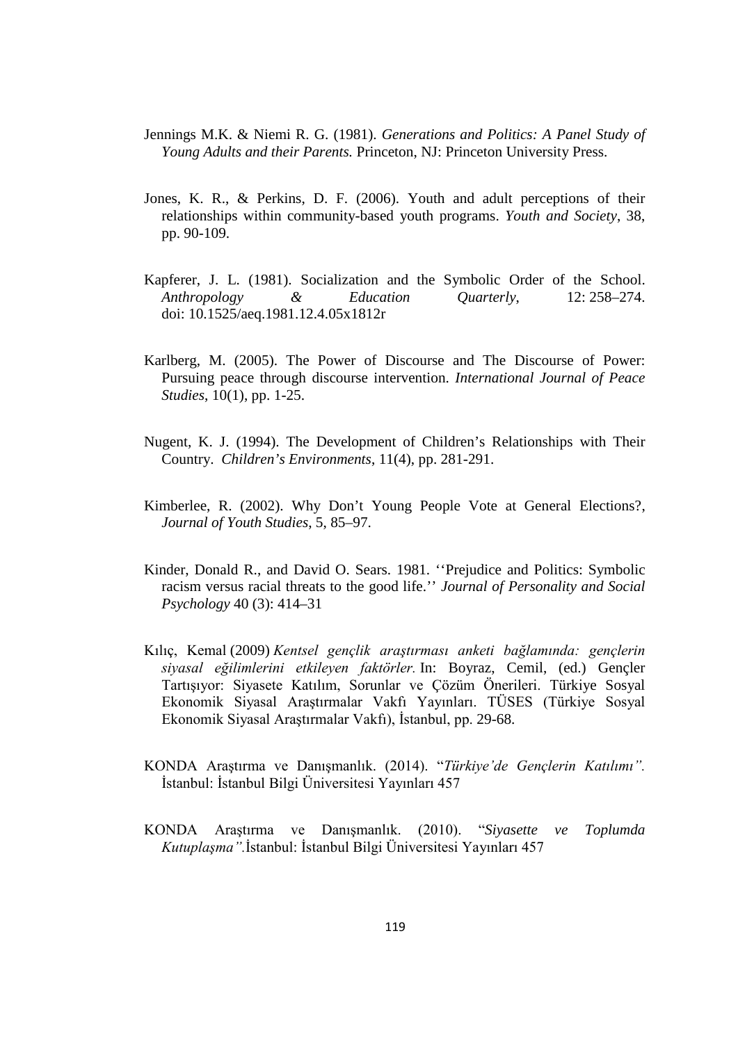- Jennings M.K. & Niemi R. G. (1981). *Generations and Politics: A Panel Study of Young Adults and their Parents.* Princeton, NJ: Princeton University Press.
- Jones, K. R., & Perkins, D. F. (2006). Youth and adult perceptions of their relationships within community-based youth programs. *Youth and Society*, 38, pp. 90-109.
- Kapferer, J. L. (1981). Socialization and the Symbolic Order of the School. *Anthropology & Education Quarterly*, 12: 258–274. doi: 10.1525/aeq.1981.12.4.05x1812r
- Karlberg, M. (2005). The Power of Discourse and The Discourse of Power: Pursuing peace through discourse intervention. *International Journal of Peace Studies*, 10(1), pp. 1-25.
- Nugent, K. J. (1994). The Development of Children's Relationships with Their Country. *Children's Environments*, 11(4), pp. 281-291.
- Kimberlee, R. (2002). Why Don't Young People Vote at General Elections?, *Journal of Youth Studies*, 5, 85–97.
- Kinder, Donald R., and David O. Sears. 1981. ''Prejudice and Politics: Symbolic racism versus racial threats to the good life.'' *Journal of Personality and Social Psychology* 40 (3): 414–31
- Kılıç, Kemal (2009) *Kentsel gençlik araştırması anketi bağlamında: gençlerin siyasal eğilimlerini etkileyen faktörler.* In: Boyraz, Cemil, (ed.) Gençler Tartışıyor: Siyasete Katılım, Sorunlar ve Çözüm Önerileri. Türkiye Sosyal Ekonomik Siyasal Araştırmalar Vakfı Yayınları. TÜSES (Türkiye Sosyal Ekonomik Siyasal Araştırmalar Vakfı), İstanbul, pp. 29-68.
- KONDA Araştırma ve Danışmanlık. (2014). "*Türkiye'de Gençlerin Katılımı".*  İstanbul: İstanbul Bilgi Üniversitesi Yayınları 457
- KONDA Araştırma ve Danışmanlık. (2010). "*Siyasette ve Toplumda Kutuplaşma".*İstanbul: İstanbul Bilgi Üniversitesi Yayınları 457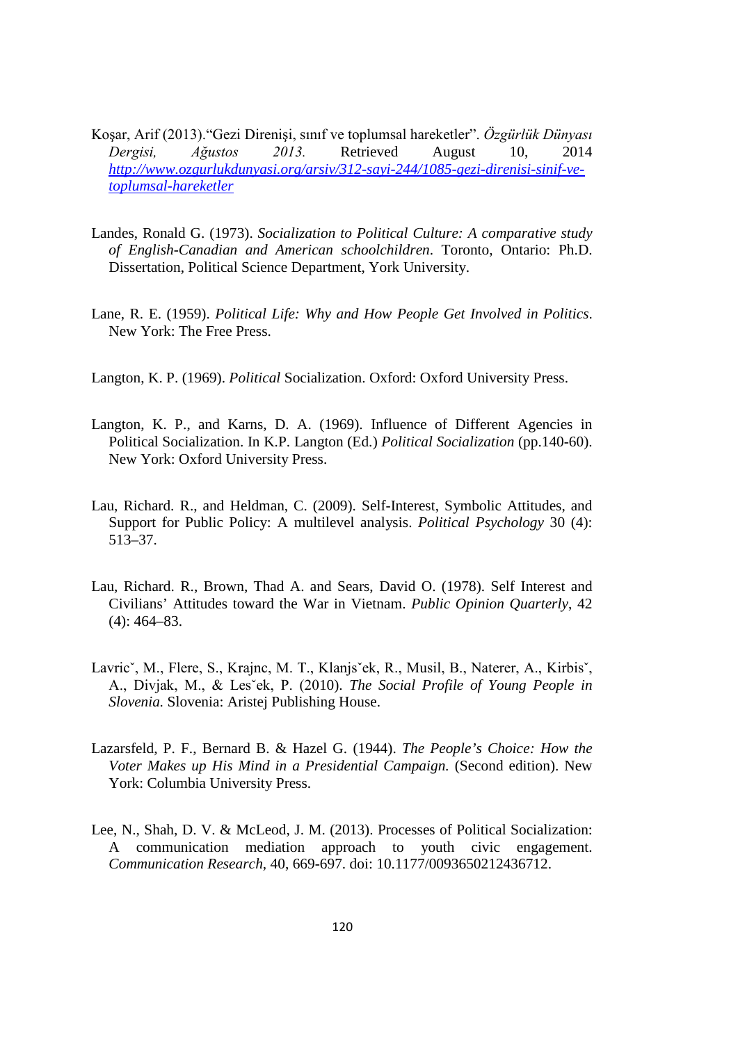- Koşar, Arif (2013)."Gezi Direnişi, sınıf ve toplumsal hareketler". *Özgürlük Dünyası Dergisi, Ağustos 2013.* Retrieved August 10, 2014 *[http://www.ozgurlukdunyasi.org/arsiv/312-sayi-244/1085-gezi-direnisi-sinif-ve](http://www.ozgurlukdunyasi.org/arsiv/312-sayi-244/1085-gezi-direnisi-sinif-ve-toplumsal-hareketler)[toplumsal-hareketler](http://www.ozgurlukdunyasi.org/arsiv/312-sayi-244/1085-gezi-direnisi-sinif-ve-toplumsal-hareketler)*
- Landes, Ronald G. (1973). *Socialization to Political Culture: A comparative study of English-Canadian and American schoolchildren*. Toronto, Ontario: Ph.D. Dissertation, Political Science Department, York University.
- Lane, R. E. (1959). *Political Life: Why and How People Get Involved in Politics*. New York: The Free Press.
- Langton, K. P. (1969). *Political* Socialization. Oxford: Oxford University Press.
- Langton, K. P., and Karns, D. A. (1969). Influence of Different Agencies in Political Socialization. In K.P. Langton (Ed.) *Political Socialization* (pp.140-60). New York: Oxford University Press.
- Lau, Richard. R., and Heldman, C. (2009). Self-Interest, Symbolic Attitudes, and Support for Public Policy: A multilevel analysis. *Political Psychology* 30 (4): 513–37.
- Lau, Richard. R., Brown, Thad A. and Sears, David O. (1978). Self Interest and Civilians' Attitudes toward the War in Vietnam. *Public Opinion Quarterly*, 42 (4): 464–83.
- Lavric`, M., Flere, S., Krajnc, M. T., Klanjs`ek, R., Musil, B., Naterer, A., Kirbis`, A., Divjak, M., & Lesˇek, P. (2010). *The Social Profile of Young People in Slovenia.* Slovenia: Aristej Publishing House.
- Lazarsfeld, P. F., Bernard B. & Hazel G. (1944). *The People's Choice: How the Voter Makes up His Mind in a Presidential Campaign.* (Second edition). New York: Columbia University Press.
- Lee, N., Shah, D. V. & McLeod, J. M. (2013). Processes of Political Socialization: A communication mediation approach to youth civic engagement. *Communication Research*, 40, 669-697. doi: 10.1177/0093650212436712.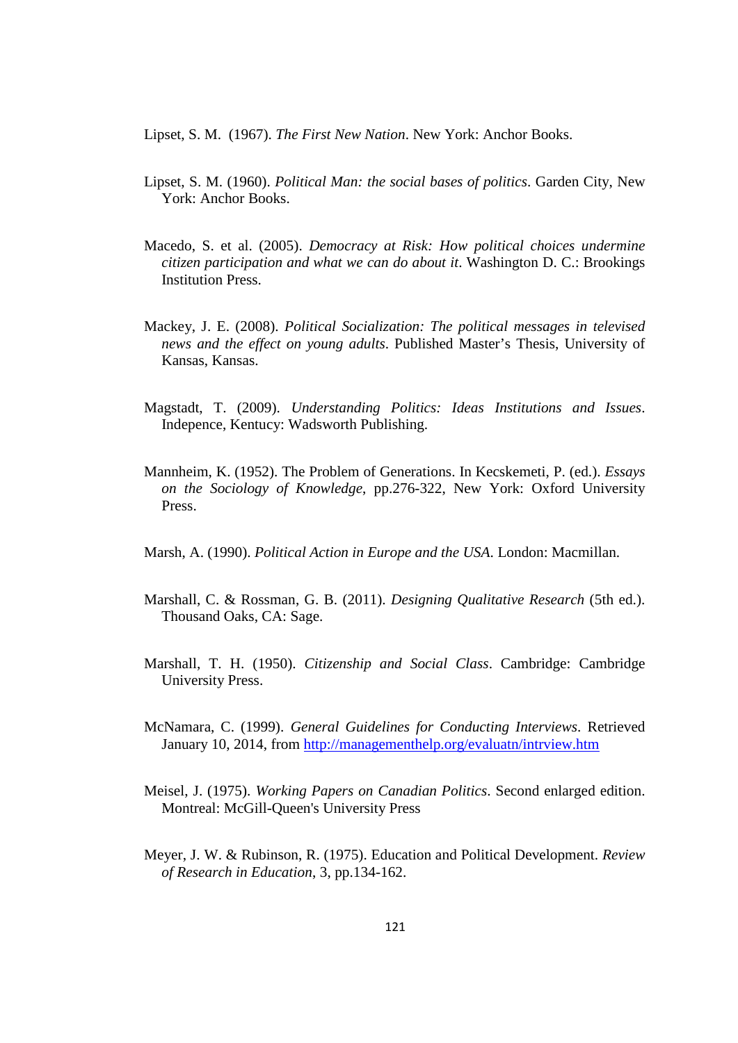Lipset, S. M. (1967). *The First New Nation*. New York: Anchor Books.

- Lipset, S. M. (1960). *Political Man: the social bases of politics*. Garden City, New York: Anchor Books.
- Macedo, S. et al. (2005). *Democracy at Risk: How political choices undermine citizen participation and what we can do about it*. Washington D. C.: Brookings Institution Press.
- Mackey, J. E. (2008). *Political Socialization: The political messages in televised news and the effect on young adults*. Published Master's Thesis, University of Kansas, Kansas.
- Magstadt, T. (2009). *Understanding Politics: Ideas Institutions and Issues*. Indepence, Kentucy: Wadsworth Publishing.
- Mannheim, K. (1952). The Problem of Generations. In Kecskemeti, P. (ed.). *Essays on the Sociology of Knowledge*, pp.276-322, New York: Oxford University Press.
- Marsh, A. (1990). *Political Action in Europe and the USA*. London: Macmillan.
- Marshall, C. & Rossman, G. B. (2011). *Designing Qualitative Research* (5th ed.). Thousand Oaks, CA: Sage.
- Marshall, T. H. (1950). *Citizenship and Social Class*. Cambridge: Cambridge University Press.
- McNamara, C. (1999). *General Guidelines for Conducting Interviews*. Retrieved January 10, 2014, from<http://managementhelp.org/evaluatn/intrview.htm>
- Meisel, J. (1975). *Working Papers on Canadian Politics*. Second enlarged edition. Montreal: McGill-Queen's University Press
- Meyer, J. W. & Rubinson, R. (1975). Education and Political Development. *Review of Research in Education*, 3, pp.134-162.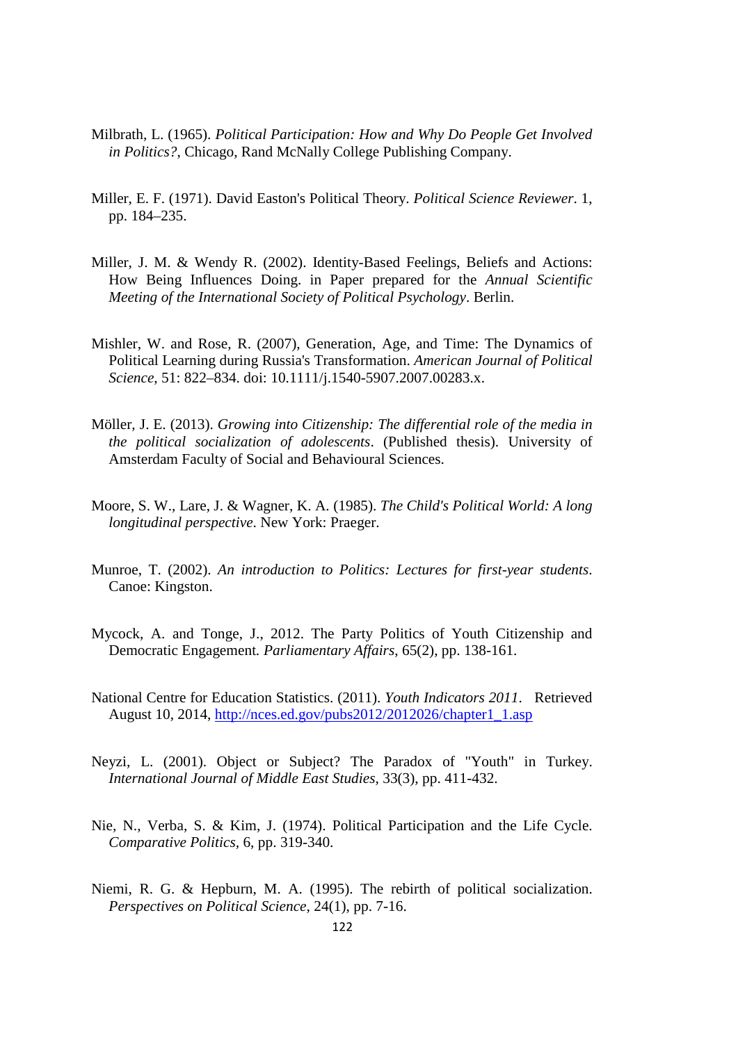- Milbrath, L. (1965). *Political Participation: How and Why Do People Get Involved in Politics?*, Chicago, Rand McNally College Publishing Company.
- Miller, E. F. (1971). David Easton's Political Theory. *Political Science Reviewer*. 1, pp. 184–235.
- Miller, J. M. & Wendy R. (2002). Identity-Based Feelings, Beliefs and Actions: How Being Influences Doing. in Paper prepared for the *Annual Scientific Meeting of the International Society of Political Psychology*. Berlin.
- Mishler, W. and Rose, R. (2007), Generation, Age, and Time: The Dynamics of Political Learning during Russia's Transformation. *American Journal of Political Science*, 51: 822–834. doi: 10.1111/j.1540-5907.2007.00283.x.
- Möller, J. E. (2013). *Growing into Citizenship: The differential role of the media in the political socialization of adolescents*. (Published thesis). University of Amsterdam Faculty of Social and Behavioural Sciences.
- Moore, S. W., Lare, J. & Wagner, K. A. (1985). *The Child's Political World: A long longitudinal perspective*. New York: Praeger.
- Munroe, T. (2002). *An introduction to Politics: Lectures for first-year students*. Canoe: Kingston.
- Mycock, A. and Tonge, J., 2012. The Party Politics of Youth Citizenship and Democratic Engagement*. Parliamentary Affairs*, 65(2), pp. 138-161.
- National Centre for Education Statistics. (2011). *Youth Indicators 2011*. Retrieved August 10, 2014, [http://nces.ed.gov/pubs2012/2012026/chapter1\\_1.asp](http://nces.ed.gov/pubs2012/2012026/chapter1_1.asp)
- Neyzi, L. (2001). Object or Subject? The Paradox of "Youth" in Turkey. *International Journal of Middle East Studies*, 33(3), pp. 411-432.
- Nie, N., Verba, S. & Kim, J. (1974). Political Participation and the Life Cycle. *Comparative Politics,* 6, pp. 319-340.
- Niemi, R. G. & Hepburn, M. A. (1995). The rebirth of political socialization. *Perspectives on Political Science*, 24(1), pp. 7-16.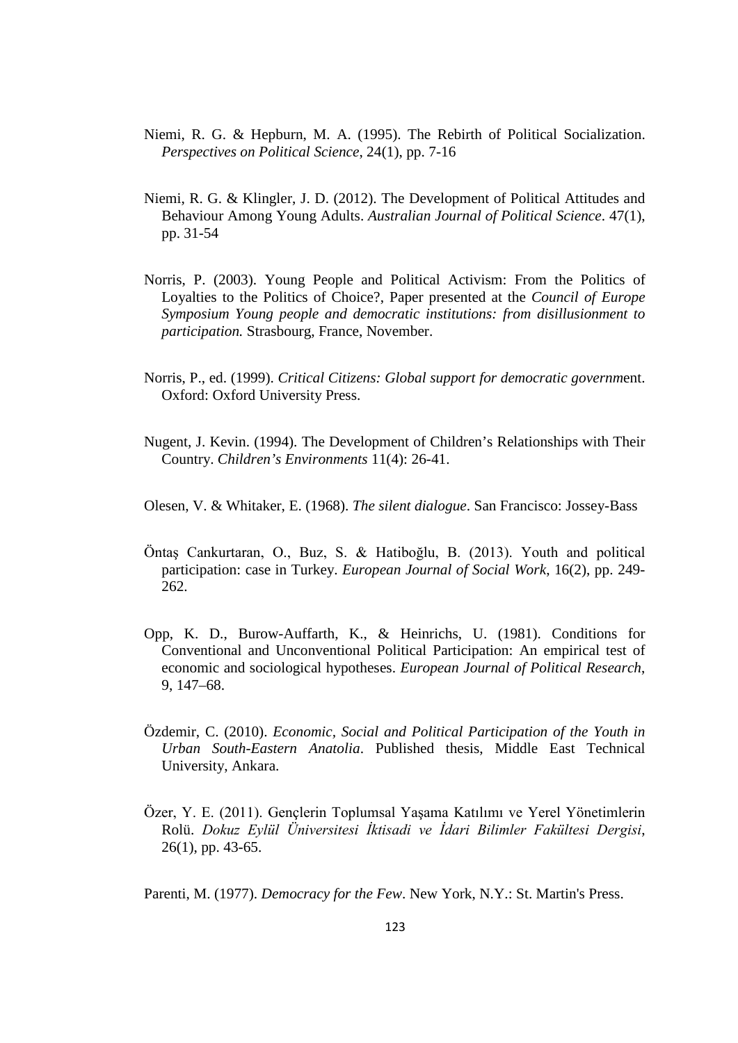- Niemi, R. G. & Hepburn, M. A. (1995). The Rebirth of Political Socialization. *Perspectives on Political Science*, 24(1), pp. 7-16
- Niemi, R. G. & Klingler, J. D. (2012). The Development of Political Attitudes and Behaviour Among Young Adults. *Australian Journal of Political Science*. 47(1), pp. 31-54
- Norris, P. (2003). Young People and Political Activism: From the Politics of Loyalties to the Politics of Choice?, Paper presented at the *Council of Europe Symposium Young people and democratic institutions: from disillusionment to participation.* Strasbourg, France, November.
- Norris, P., ed. (1999). *Critical Citizens: Global support for democratic governm*ent. Oxford: Oxford University Press.
- Nugent, J. Kevin. (1994). The Development of Children's Relationships with Their Country. *Children's Environments* 11(4): 26-41.
- Olesen, V. & Whitaker, E. (1968). *The silent dialogue*. San Francisco: Jossey-Bass
- Öntaş Cankurtaran, O., Buz, S. & Hatiboğlu, B. (2013). Youth and political participation: case in Turkey. *European Journal of Social Work*, 16(2), pp. 249- 262.
- Opp, K. D., Burow-Auffarth, K., & Heinrichs, U. (1981). Conditions for Conventional and Unconventional Political Participation: An empirical test of economic and sociological hypotheses. *European Journal of Political Research*, 9, 147–68.
- Özdemir, C. (2010). *Economic, Social and Political Participation of the Youth in Urban South-Eastern Anatolia*. Published thesis, Middle East Technical University, Ankara.
- Özer, Y. E. (2011). Gençlerin Toplumsal Yaşama Katılımı ve Yerel Yönetimlerin Rolü. *Dokuz Eylül Üniversitesi İktisadi ve İdari Bilimler Fakültesi Dergisi*, 26(1), pp. 43-65.

Parenti, M. (1977). *Democracy for the Few*. New York, N.Y.: St. Martin's Press.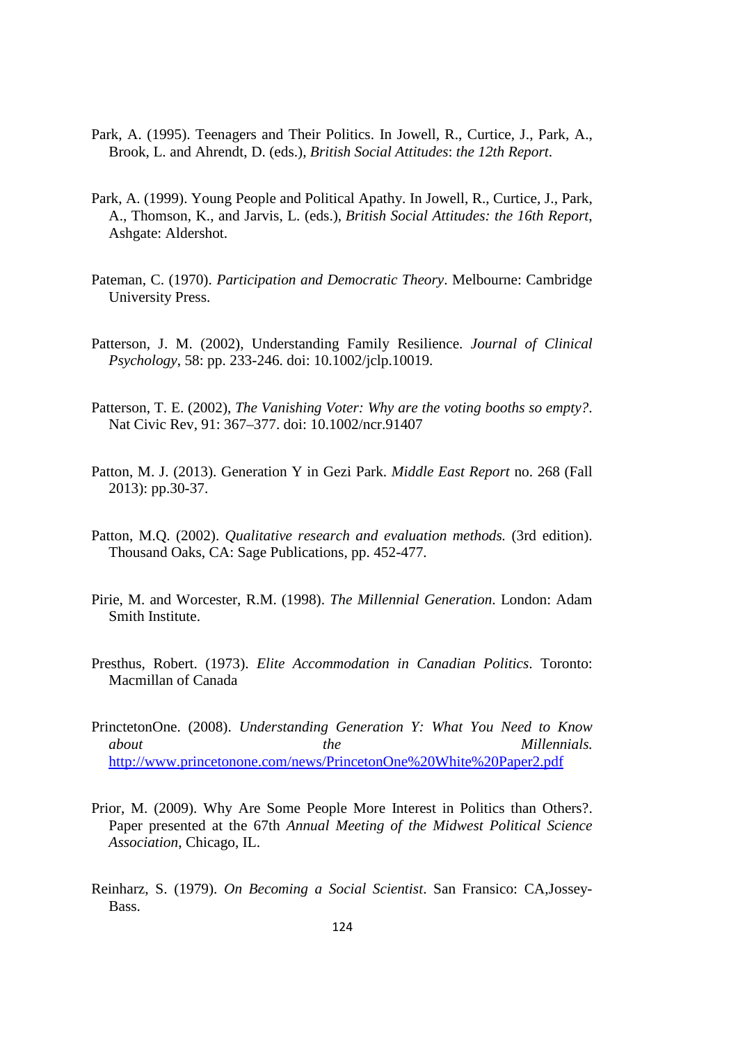- Park, A. (1995). Teenagers and Their Politics. In Jowell, R., Curtice, J., Park, A., Brook, L. and Ahrendt, D. (eds.), *British Social Attitudes*: *the 12th Report*.
- Park, A. (1999). Young People and Political Apathy. In Jowell, R., Curtice, J., Park, A., Thomson, K., and Jarvis, L. (eds.), *British Social Attitudes: the 16th Report*, Ashgate: Aldershot.
- Pateman, C. (1970). *Participation and Democratic Theory*. Melbourne: Cambridge University Press.
- Patterson, J. M. (2002), Understanding Family Resilience. *Journal of Clinical Psychology*, 58: pp. 233-246. doi: 10.1002/jclp.10019.
- Patterson, T. E. (2002), *The Vanishing Voter: Why are the voting booths so empty?*. Nat Civic Rev, 91: 367–377. doi: 10.1002/ncr.91407
- Patton, M. J. (2013). Generation Y in Gezi Park. *Middle East Report* no. 268 (Fall 2013): pp.30-37.
- Patton, M.Q. (2002). *Qualitative research and evaluation methods.* (3rd edition). Thousand Oaks, CA: Sage Publications, pp. 452-477.
- Pirie, M. and Worcester, R.M. (1998). *The Millennial Generation*. London: Adam Smith Institute.
- Presthus, Robert. (1973). *Elite Accommodation in Canadian Politics*. Toronto: Macmillan of Canada
- PrinctetonOne. (2008). *Understanding Generation Y: What You Need to Know about the Millennials.*  <http://www.princetonone.com/news/PrincetonOne%20White%20Paper2.pdf>
- Prior, M. (2009). Why Are Some People More Interest in Politics than Others?. Paper presented at the 67th *Annual Meeting of the Midwest Political Science Association*, Chicago, IL.
- Reinharz, S. (1979). *On Becoming a Social Scientist*. San Fransico: CA,Jossey-Bass.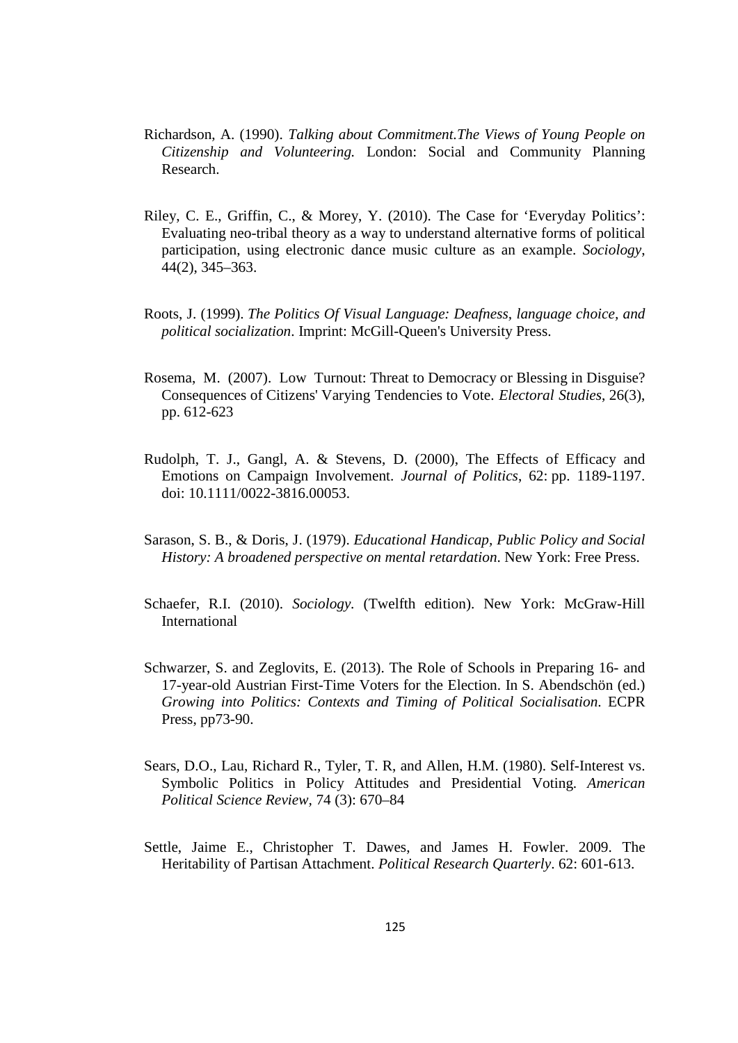- Richardson, A. (1990). *Talking about Commitment.The Views of Young People on Citizenship and Volunteering.* London: Social and Community Planning Research.
- Riley, C. E., Griffin, C., & Morey, Y. (2010). The Case for 'Everyday Politics': Evaluating neo-tribal theory as a way to understand alternative forms of political participation, using electronic dance music culture as an example. *Sociology*, 44(2), 345–363.
- Roots, J. (1999). *The Politics Of Visual Language: Deafness, language choice, and political socialization*. Imprint: McGill-Queen's University Press.
- Rosema, M. (2007). Low Turnout: Threat to Democracy or Blessing in Disguise? Consequences of Citizens' Varying Tendencies to Vote. *Electoral Studies*, 26(3), pp. 612-623
- Rudolph, T. J., Gangl, A. & Stevens, D. (2000), The Effects of Efficacy and Emotions on Campaign Involvement. *Journal of Politics*, 62: pp. 1189-1197. doi: 10.1111/0022-3816.00053.
- Sarason, S. B., & Doris, J. (1979). *Educational Handicap, Public Policy and Social History: A broadened perspective on mental retardation*. New York: Free Press.
- Schaefer, R.I. (2010). *Sociology.* (Twelfth edition). New York: McGraw-Hill International
- Schwarzer, S. and Zeglovits, E. (2013). The Role of Schools in Preparing 16- and 17-year-old Austrian First-Time Voters for the Election. In S. Abendschön (ed.) *Growing into Politics: Contexts and Timing of Political Socialisation*. ECPR Press, pp73-90.
- Sears, D.O., Lau, Richard R., Tyler, T. R, and Allen, H.M. (1980). Self-Interest vs. Symbolic Politics in Policy Attitudes and Presidential Voting. *American Political Science Review,* 74 (3): 670–84
- Settle, Jaime E., Christopher T. Dawes, and James H. Fowler. 2009. The Heritability of Partisan Attachment. *Political Research Quarterly*. 62: 601-613.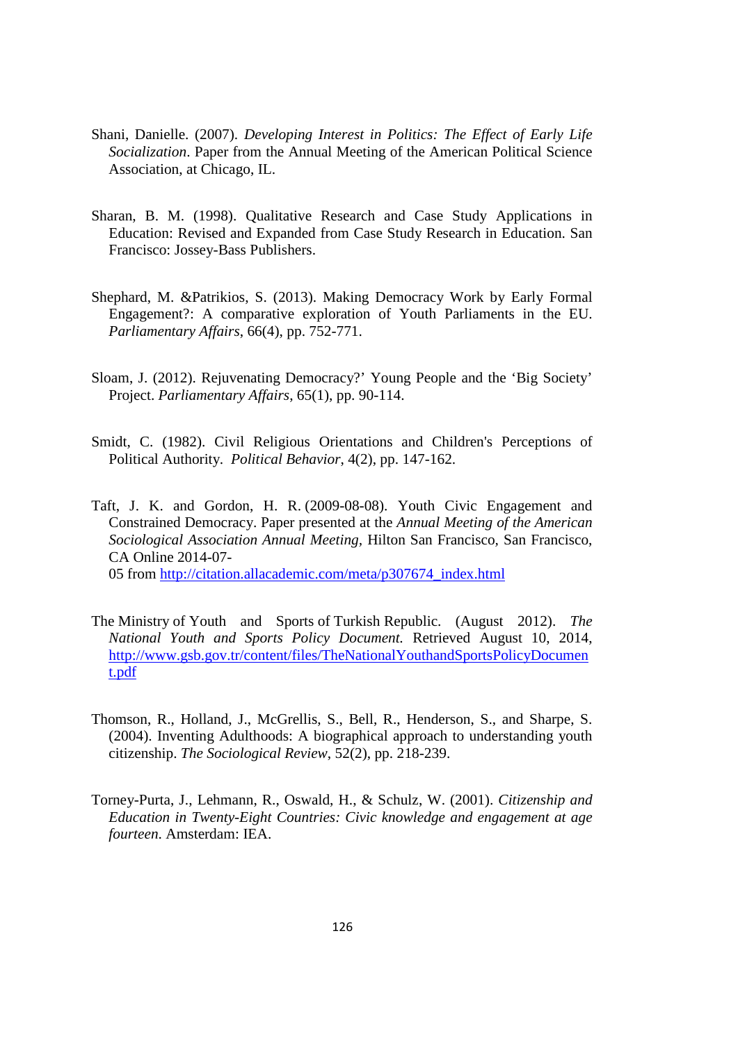- Shani, Danielle. (2007). *Developing Interest in Politics: The Effect of Early Life Socialization*. Paper from the Annual Meeting of the American Political Science Association, at Chicago, IL.
- Sharan, B. M. (1998). Qualitative Research and Case Study Applications in Education: Revised and Expanded from Case Study Research in Education. San Francisco: Jossey-Bass Publishers.
- Shephard, M. &Patrikios, S. (2013). Making Democracy Work by Early Formal Engagement?: A comparative exploration of Youth Parliaments in the EU. *Parliamentary Affairs*, 66(4), pp. 752-771.
- Sloam, J. (2012). Rejuvenating Democracy?' Young People and the 'Big Society' Project. *Parliamentary Affairs*, 65(1), pp. 90-114.
- Smidt, C. (1982). Civil Religious Orientations and Children's Perceptions of Political Authority. *Political Behavior*, 4(2), pp. 147-162.
- Taft, J. K. and Gordon, H. R. (2009-08-08). Youth Civic Engagement and Constrained Democracy. Paper presented at the *Annual Meeting of the American Sociological Association Annual Meeting,* Hilton San Francisco*,* San Francisco, CA Online 2014-07- 05 from [http://citation.allacademic.com/meta/p307674\\_index.html](http://citation.allacademic.com/meta/p307674_index.html)
- 
- The Ministry of Youth and Sports of Turkish Republic. (August 2012). *The National Youth and Sports Policy Document.* Retrieved August 10, 2014, [http://www.gsb.gov.tr/content/files/TheNationalYouthandSportsPolicyDocumen](http://www.gsb.gov.tr/content/files/TheNationalYouthandSportsPolicyDocument.pdf) [t.pdf](http://www.gsb.gov.tr/content/files/TheNationalYouthandSportsPolicyDocument.pdf)
- Thomson, R., Holland, J., McGrellis, S., Bell, R., Henderson, S., and Sharpe, S. (2004). Inventing Adulthoods: A biographical approach to understanding youth citizenship. *The Sociological Review*, 52(2), pp. 218-239.
- Torney-Purta, J., Lehmann, R., Oswald, H., & Schulz, W. (2001). *Citizenship and Education in Twenty-Eight Countries: Civic knowledge and engagement at age fourteen*. Amsterdam: IEA.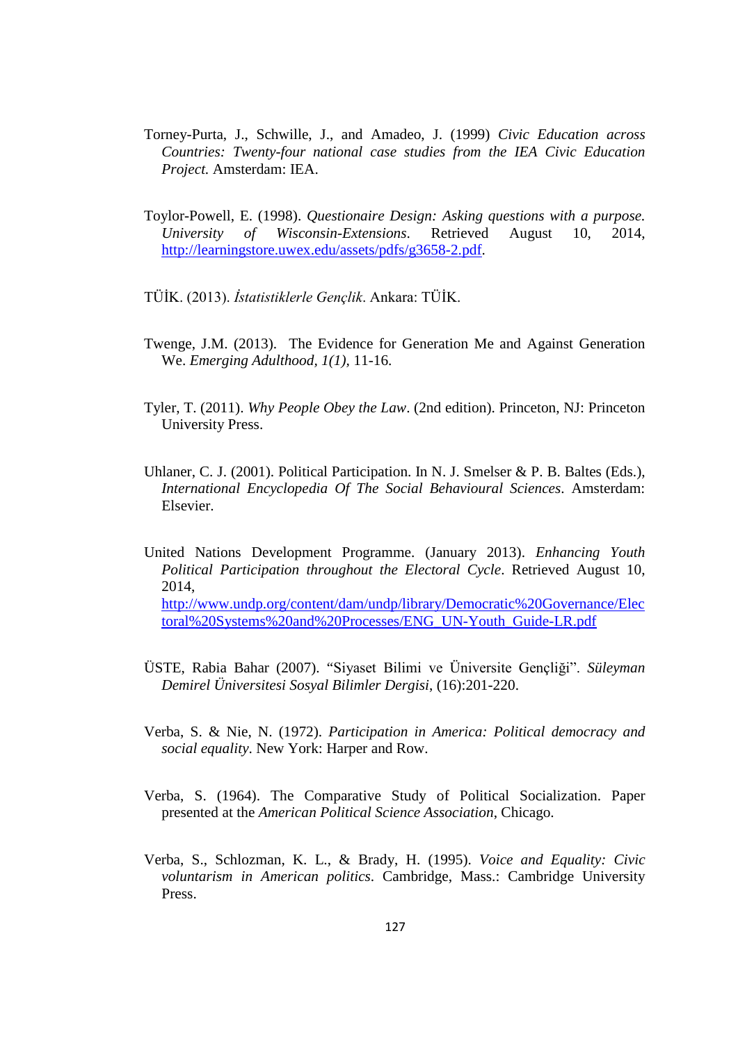- Torney-Purta, J., Schwille, J., and Amadeo, J. (1999) *Civic Education across Countries: Twenty-four national case studies from the IEA Civic Education Project.* Amsterdam: IEA.
- Toylor-Powell, E. (1998). *Questionaire Design: Asking questions with a purpose. University of Wisconsin-Extensions*. Retrieved August 10, 2014, [http://learningstore.uwex.edu/assets/pdfs/g3658-2.pdf.](http://learningstore.uwex.edu/assets/pdfs/g3658-2.pdf)
- TÜİK. (2013). *İstatistiklerle Gençlik*. Ankara: TÜİK.
- Twenge, J.M. (2013). The Evidence for Generation Me and Against Generation We. *Emerging Adulthood, 1(1),* 11-16.
- Tyler, T. (2011). *Why People Obey the Law*. (2nd edition). Princeton, NJ: Princeton University Press.
- Uhlaner, C. J. (2001). Political Participation. In N. J. Smelser & P. B. Baltes (Eds.), *International Encyclopedia Of The Social Behavioural Sciences*. Amsterdam: Elsevier.
- United Nations Development Programme. (January 2013). *Enhancing Youth Political Participation throughout the Electoral Cycle*. Retrieved August 10, 2014, [http://www.undp.org/content/dam/undp/library/Democratic%20Governance/Elec](http://www.undp.org/content/dam/undp/library/Democratic%20Governance/Electoral%20Systems%20and%20Processes/ENG_UN-Youth_Guide-LR.pdf) [toral%20Systems%20and%20Processes/ENG\\_UN-Youth\\_Guide-LR.pdf](http://www.undp.org/content/dam/undp/library/Democratic%20Governance/Electoral%20Systems%20and%20Processes/ENG_UN-Youth_Guide-LR.pdf)
- ÜSTE, Rabia Bahar (2007). "Siyaset Bilimi ve Üniversite Gençliği". *Süleyman Demirel Üniversitesi Sosyal Bilimler Dergisi*, (16):201-220.
- Verba, S. & Nie, N. (1972). *Participation in America: Political democracy and social equality*. New York: Harper and Row.
- Verba, S. (1964). The Comparative Study of Political Socialization. Paper presented at the *American Political Science Association*, Chicago.
- Verba, S., Schlozman, K. L., & Brady, H. (1995). *Voice and Equality: Civic voluntarism in American politics*. Cambridge, Mass.: Cambridge University Press.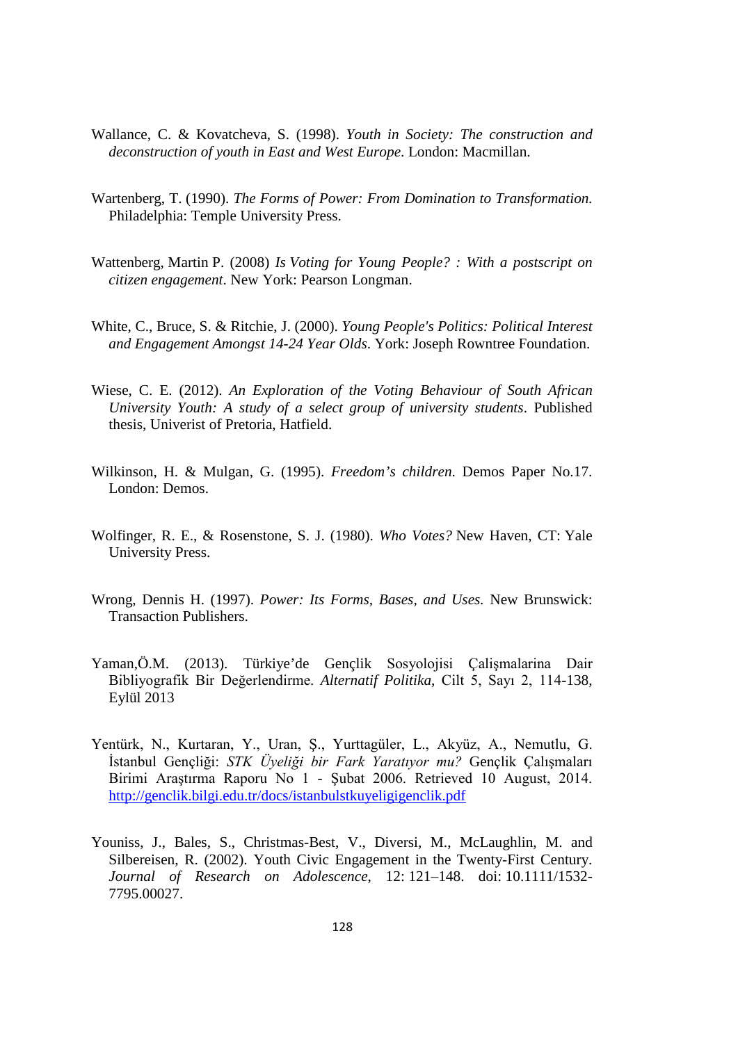- Wallance, C. & Kovatcheva, S. (1998). *Youth in Society: The construction and deconstruction of youth in East and West Europe*. London: Macmillan.
- Wartenberg, T. (1990). *The Forms of Power: From Domination to Transformation.* Philadelphia: Temple University Press.
- Wattenberg, Martin P. (2008) *Is Voting for Young People? : With a postscript on citizen engagement*. New York: Pearson Longman.
- White, C., Bruce, S. & Ritchie, J. (2000). *Young People's Politics: Political Interest and Engagement Amongst 14-24 Year Olds*. York: Joseph Rowntree Foundation.
- Wiese, C. E. (2012). *An Exploration of the Voting Behaviour of South African University Youth: A study of a select group of university students*. Published thesis, Univerist of Pretoria, Hatfield.
- Wilkinson, H. & Mulgan, G. (1995). *Freedom's children*. Demos Paper No.17. London: Demos.
- Wolfinger, R. E., & Rosenstone, S. J. (1980). *Who Votes?* New Haven, CT: Yale University Press.
- Wrong, Dennis H. (1997). *Power: Its Forms, Bases, and Uses.* New Brunswick: Transaction Publishers.
- Yaman,Ö.M. (2013). Türkiye'de Gençlik Sosyolojisi Çalişmalarina Dair Bibliyografik Bir Değerlendirme. *Alternatif Politika*, Cilt 5, Sayı 2, 114-138, Eylül 2013
- Yentürk, N., Kurtaran, Y., Uran, Ş., Yurttagüler, L., Akyüz, A., Nemutlu, G. İstanbul Gençliği: *STK Üyeliği bir Fark Yaratıyor mu?* Gençlik Çalışmaları Birimi Araştırma Raporu No 1 - Şubat 2006. Retrieved 10 August, 2014. <http://genclik.bilgi.edu.tr/docs/istanbulstkuyeligigenclik.pdf>
- Youniss, J., Bales, S., Christmas-Best, V., Diversi, M., McLaughlin, M. and Silbereisen, R. (2002). Youth Civic Engagement in the Twenty-First Century. *Journal of Research on Adolescence*, 12: 121–148. doi: 10.1111/1532- 7795.00027.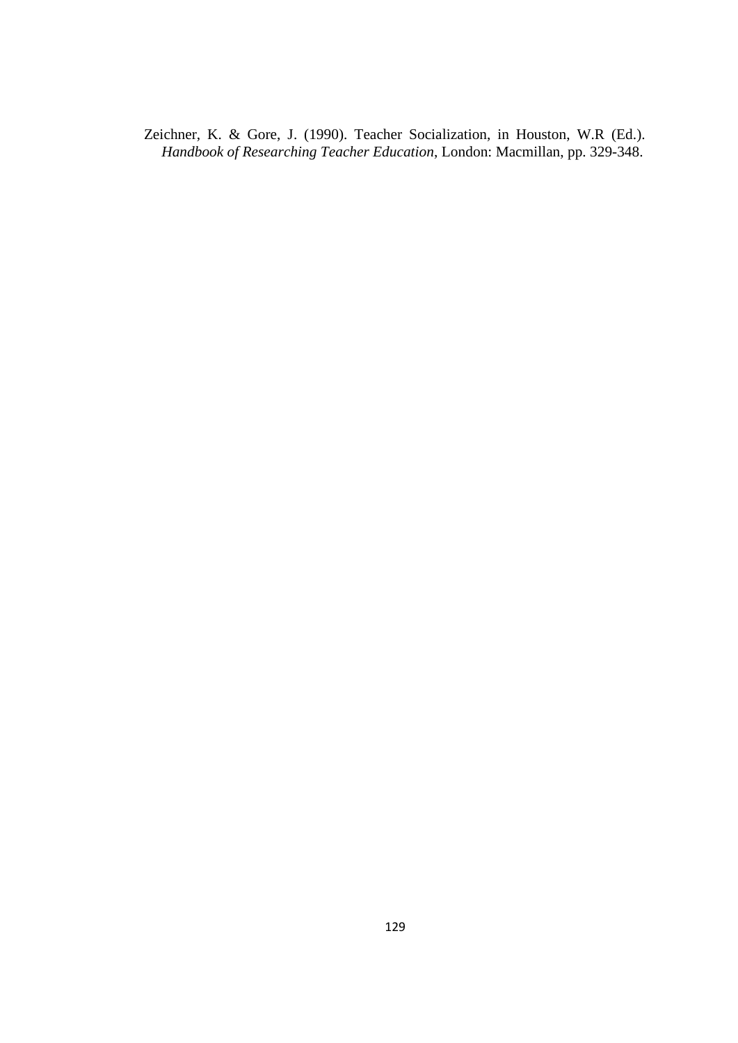Zeichner, K. & Gore, J. (1990). Teacher Socialization, in Houston, W.R (Ed.). *Handbook of Researching Teacher Education*, London: Macmillan, pp. 329-348.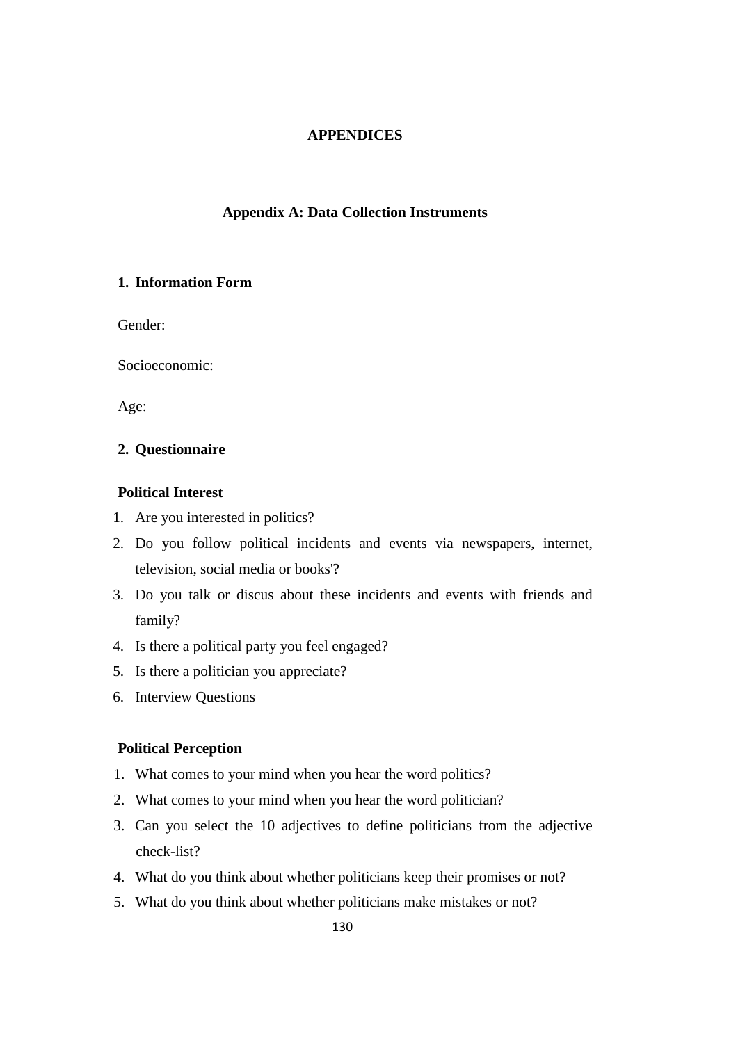# **APPENDICES**

### **Appendix A: Data Collection Instruments**

## **1. Information Form**

Gender:

Socioeconomic:

Age:

## **2. Questionnaire**

## **Political Interest**

- 1. Are you interested in politics?
- 2. Do you follow political incidents and events via newspapers, internet, television, social media or books'?
- 3. Do you talk or discus about these incidents and events with friends and family?
- 4. Is there a political party you feel engaged?
- 5. Is there a politician you appreciate?
- 6. Interview Questions

## **Political Perception**

- 1. What comes to your mind when you hear the word politics?
- 2. What comes to your mind when you hear the word politician?
- 3. Can you select the 10 adjectives to define politicians from the adjective check-list?
- 4. What do you think about whether politicians keep their promises or not?
- 5. What do you think about whether politicians make mistakes or not?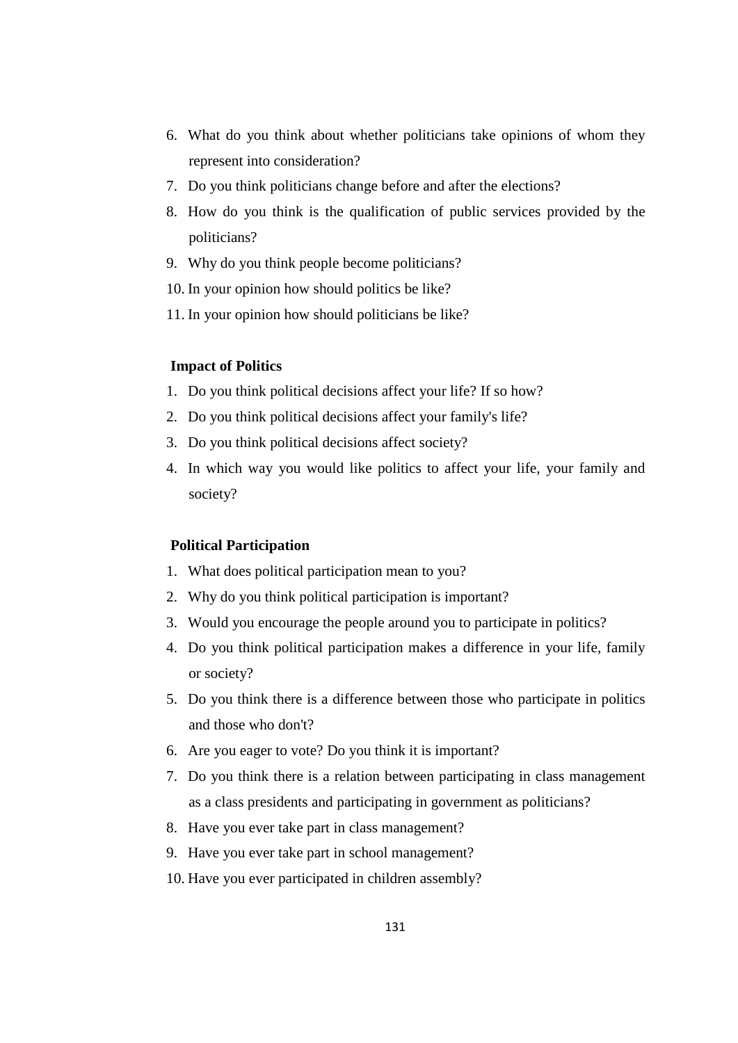- 6. What do you think about whether politicians take opinions of whom they represent into consideration?
- 7. Do you think politicians change before and after the elections?
- 8. How do you think is the qualification of public services provided by the politicians?
- 9. Why do you think people become politicians?
- 10. In your opinion how should politics be like?
- 11. In your opinion how should politicians be like?

#### **Impact of Politics**

- 1. Do you think political decisions affect your life? If so how?
- 2. Do you think political decisions affect your family's life?
- 3. Do you think political decisions affect society?
- 4. In which way you would like politics to affect your life, your family and society?

#### **Political Participation**

- 1. What does political participation mean to you?
- 2. Why do you think political participation is important?
- 3. Would you encourage the people around you to participate in politics?
- 4. Do you think political participation makes a difference in your life, family or society?
- 5. Do you think there is a difference between those who participate in politics and those who don't?
- 6. Are you eager to vote? Do you think it is important?
- 7. Do you think there is a relation between participating in class management as a class presidents and participating in government as politicians?
- 8. Have you ever take part in class management?
- 9. Have you ever take part in school management?
- 10. Have you ever participated in children assembly?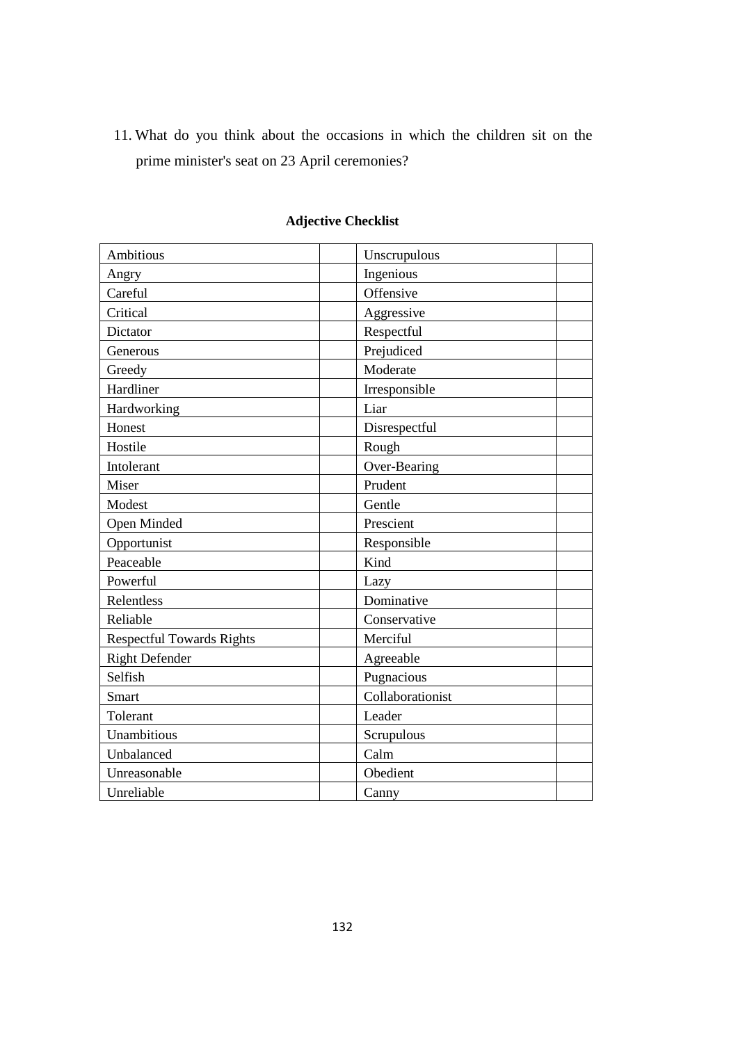11. What do you think about the occasions in which the children sit on the prime minister's seat on 23 April ceremonies?

| <b>Ambitious</b>                 | Unscrupulous     |  |  |
|----------------------------------|------------------|--|--|
| Angry                            | Ingenious        |  |  |
| Careful                          | Offensive        |  |  |
| Critical                         | Aggressive       |  |  |
| Dictator                         | Respectful       |  |  |
| Generous                         | Prejudiced       |  |  |
| Greedy                           | Moderate         |  |  |
| Hardliner                        | Irresponsible    |  |  |
| Hardworking                      | Liar             |  |  |
| Honest                           | Disrespectful    |  |  |
| Hostile                          | Rough            |  |  |
| Intolerant                       | Over-Bearing     |  |  |
| Miser                            | Prudent          |  |  |
| Modest                           | Gentle           |  |  |
| Open Minded                      | Prescient        |  |  |
| Opportunist                      | Responsible      |  |  |
| Peaceable                        | Kind             |  |  |
| Powerful                         | Lazy             |  |  |
| Relentless                       | Dominative       |  |  |
| Reliable                         | Conservative     |  |  |
| <b>Respectful Towards Rights</b> | Merciful         |  |  |
| <b>Right Defender</b>            | Agreeable        |  |  |
| Selfish                          | Pugnacious       |  |  |
| Smart                            | Collaborationist |  |  |
| Tolerant                         | Leader           |  |  |
| Unambitious                      | Scrupulous       |  |  |
| Unbalanced                       | Calm             |  |  |
| Unreasonable                     | Obedient         |  |  |
| Unreliable                       | Canny            |  |  |

## **Adjective Checklist**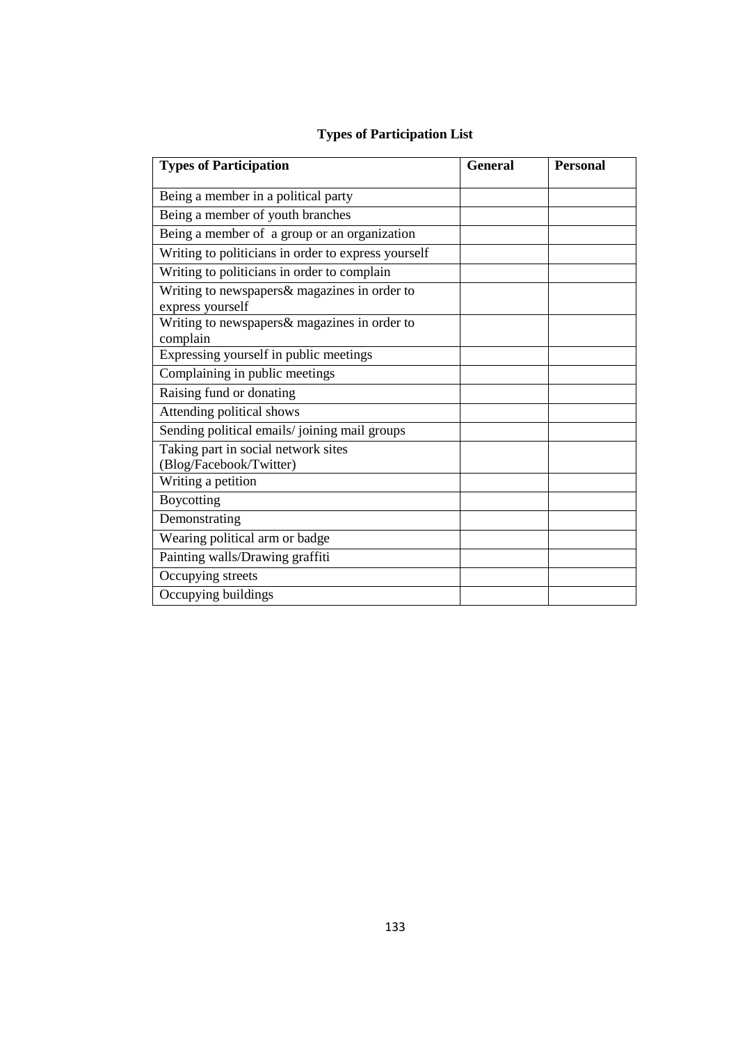# **Types of Participation List**

| <b>Types of Participation</b>                                    | <b>General</b> | <b>Personal</b> |  |
|------------------------------------------------------------------|----------------|-----------------|--|
| Being a member in a political party                              |                |                 |  |
| Being a member of youth branches                                 |                |                 |  |
| Being a member of a group or an organization                     |                |                 |  |
| Writing to politicians in order to express yourself              |                |                 |  |
| Writing to politicians in order to complain                      |                |                 |  |
| Writing to newspapers& magazines in order to<br>express yourself |                |                 |  |
| Writing to newspapers& magazines in order to<br>complain         |                |                 |  |
| Expressing yourself in public meetings                           |                |                 |  |
| Complaining in public meetings                                   |                |                 |  |
| Raising fund or donating                                         |                |                 |  |
| Attending political shows                                        |                |                 |  |
| Sending political emails/joining mail groups                     |                |                 |  |
| Taking part in social network sites<br>(Blog/Facebook/Twitter)   |                |                 |  |
| Writing a petition                                               |                |                 |  |
| Boycotting                                                       |                |                 |  |
| Demonstrating                                                    |                |                 |  |
| Wearing political arm or badge                                   |                |                 |  |
| Painting walls/Drawing graffiti                                  |                |                 |  |
| Occupying streets                                                |                |                 |  |
| Occupying buildings                                              |                |                 |  |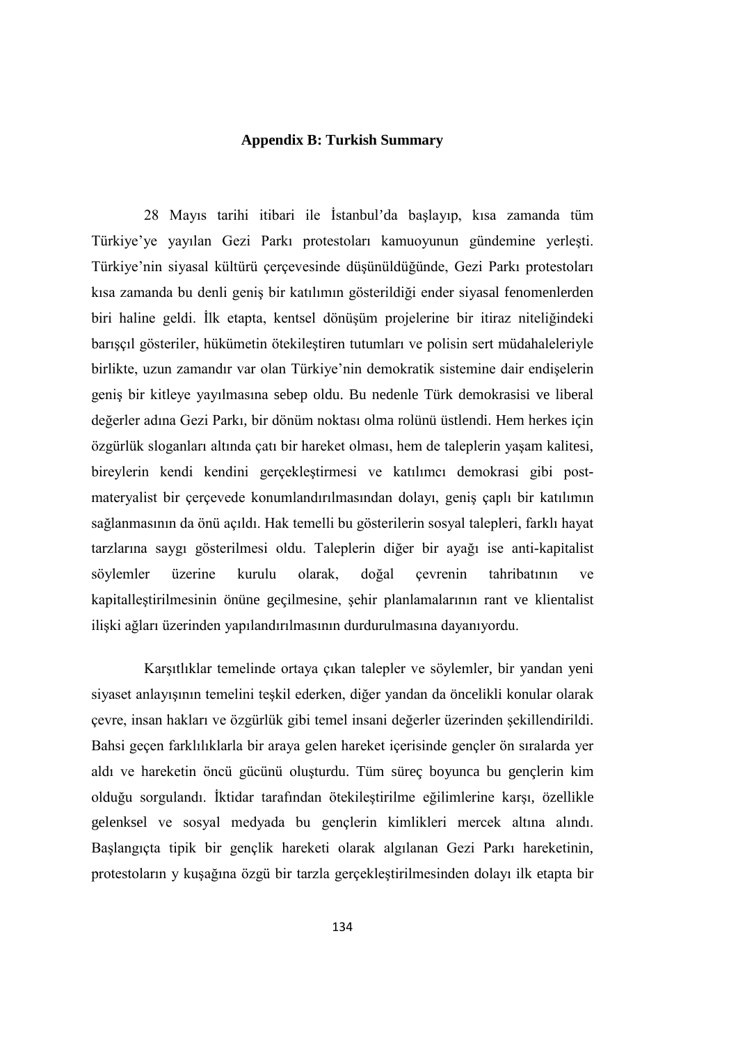#### **Appendix B: Turkish Summary**

28 Mayıs tarihi itibari ile İstanbul'da başlayıp, kısa zamanda tüm Türkiye'ye yayılan Gezi Parkı protestoları kamuoyunun gündemine yerleşti. Türkiye'nin siyasal kültürü çerçevesinde düşünüldüğünde, Gezi Parkı protestoları kısa zamanda bu denli geniş bir katılımın gösterildiği ender siyasal fenomenlerden biri haline geldi. İlk etapta, kentsel dönüşüm projelerine bir itiraz niteliğindeki barışçıl gösteriler, hükümetin ötekileştiren tutumları ve polisin sert müdahaleleriyle birlikte, uzun zamandır var olan Türkiye'nin demokratik sistemine dair endişelerin geniş bir kitleye yayılmasına sebep oldu. Bu nedenle Türk demokrasisi ve liberal değerler adına Gezi Parkı, bir dönüm noktası olma rolünü üstlendi. Hem herkes için özgürlük sloganları altında çatı bir hareket olması, hem de taleplerin yaşam kalitesi, bireylerin kendi kendini gerçekleştirmesi ve katılımcı demokrasi gibi postmateryalist bir çerçevede konumlandırılmasından dolayı, geniş çaplı bir katılımın sağlanmasının da önü açıldı. Hak temelli bu gösterilerin sosyal talepleri, farklı hayat tarzlarına saygı gösterilmesi oldu. Taleplerin diğer bir ayağı ise anti-kapitalist söylemler üzerine kurulu olarak, doğal çevrenin tahribatının ve kapitalleştirilmesinin önüne geçilmesine, şehir planlamalarının rant ve klientalist ilişki ağları üzerinden yapılandırılmasının durdurulmasına dayanıyordu.

Karşıtlıklar temelinde ortaya çıkan talepler ve söylemler, bir yandan yeni siyaset anlayışının temelini teşkil ederken, diğer yandan da öncelikli konular olarak çevre, insan hakları ve özgürlük gibi temel insani değerler üzerinden şekillendirildi. Bahsi geçen farklılıklarla bir araya gelen hareket içerisinde gençler ön sıralarda yer aldı ve hareketin öncü gücünü oluşturdu. Tüm süreç boyunca bu gençlerin kim olduğu sorgulandı. İktidar tarafından ötekileştirilme eğilimlerine karşı, özellikle gelenksel ve sosyal medyada bu gençlerin kimlikleri mercek altına alındı. Başlangıçta tipik bir gençlik hareketi olarak algılanan Gezi Parkı hareketinin, protestoların y kuşağına özgü bir tarzla gerçekleştirilmesinden dolayı ilk etapta bir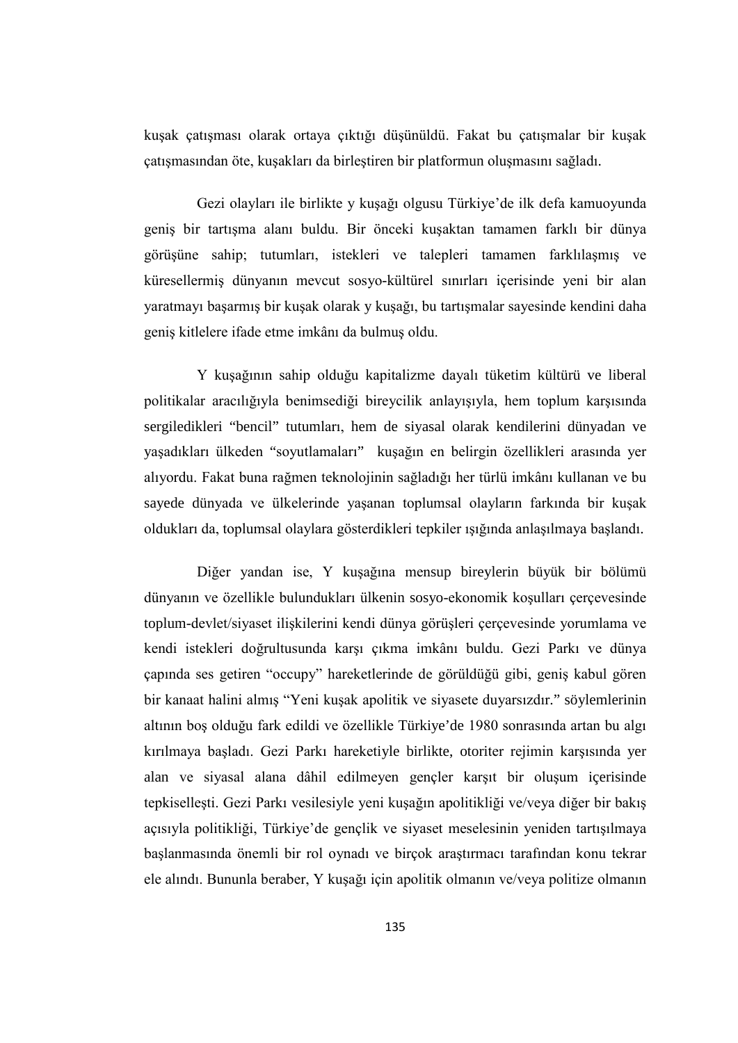kuşak çatışması olarak ortaya çıktığı düşünüldü. Fakat bu çatışmalar bir kuşak çatışmasından öte, kuşakları da birleştiren bir platformun oluşmasını sağladı.

Gezi olayları ile birlikte y kuşağı olgusu Türkiye'de ilk defa kamuoyunda geniş bir tartışma alanı buldu. Bir önceki kuşaktan tamamen farklı bir dünya görüşüne sahip; tutumları, istekleri ve talepleri tamamen farklılaşmış ve küresellermiş dünyanın mevcut sosyo-kültürel sınırları içerisinde yeni bir alan yaratmayı başarmış bir kuşak olarak y kuşağı, bu tartışmalar sayesinde kendini daha geniş kitlelere ifade etme imkânı da bulmuş oldu.

Y kuşağının sahip olduğu kapitalizme dayalı tüketim kültürü ve liberal politikalar aracılığıyla benimsediği bireycilik anlayışıyla, hem toplum karşısında sergiledikleri "bencil" tutumları, hem de siyasal olarak kendilerini dünyadan ve yaşadıkları ülkeden "soyutlamaları" kuşağın en belirgin özellikleri arasında yer alıyordu. Fakat buna rağmen teknolojinin sağladığı her türlü imkânı kullanan ve bu sayede dünyada ve ülkelerinde yaşanan toplumsal olayların farkında bir kuşak oldukları da, toplumsal olaylara gösterdikleri tepkiler ışığında anlaşılmaya başlandı.

Diğer yandan ise, Y kuşağına mensup bireylerin büyük bir bölümü dünyanın ve özellikle bulundukları ülkenin sosyo-ekonomik koşulları çerçevesinde toplum-devlet/siyaset ilişkilerini kendi dünya görüşleri çerçevesinde yorumlama ve kendi istekleri doğrultusunda karşı çıkma imkânı buldu. Gezi Parkı ve dünya çapında ses getiren "occupy" hareketlerinde de görüldüğü gibi, geniş kabul gören bir kanaat halini almış "Yeni kuşak apolitik ve siyasete duyarsızdır." söylemlerinin altının boş olduğu fark edildi ve özellikle Türkiye'de 1980 sonrasında artan bu algı kırılmaya başladı. Gezi Parkı hareketiyle birlikte, otoriter rejimin karşısında yer alan ve siyasal alana dâhil edilmeyen gençler karşıt bir oluşum içerisinde tepkiselleşti. Gezi Parkı vesilesiyle yeni kuşağın apolitikliği ve/veya diğer bir bakış açısıyla politikliği, Türkiye'de gençlik ve siyaset meselesinin yeniden tartışılmaya başlanmasında önemli bir rol oynadı ve birçok araştırmacı tarafından konu tekrar ele alındı. Bununla beraber, Y kuşağı için apolitik olmanın ve/veya politize olmanın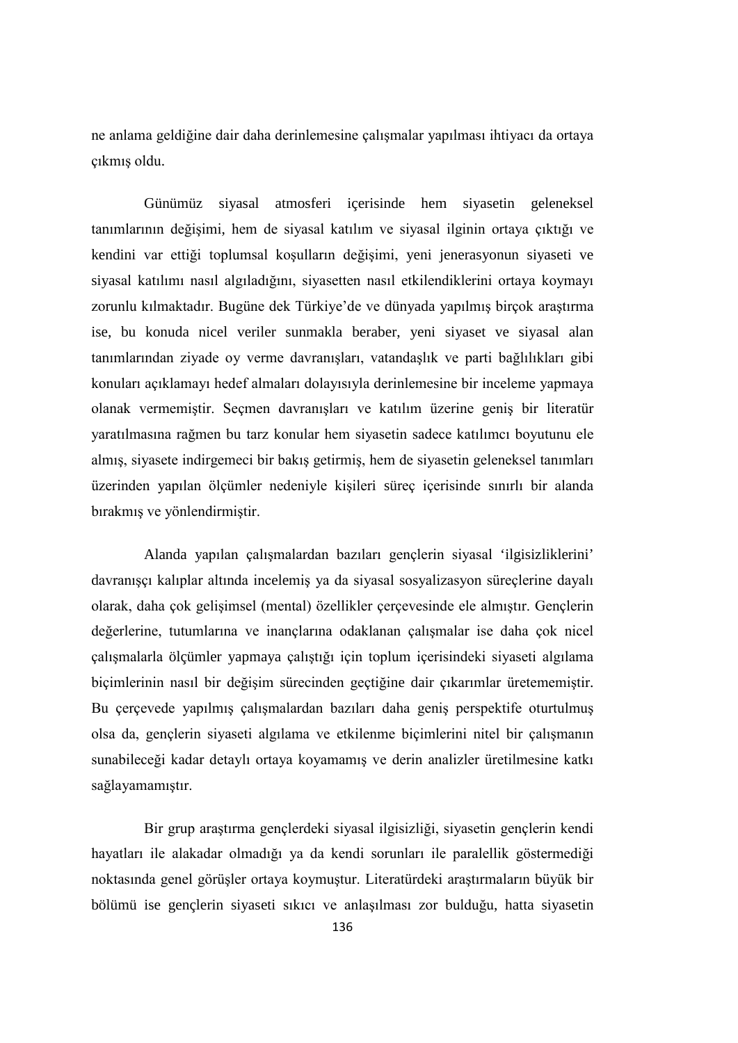ne anlama geldiğine dair daha derinlemesine çalışmalar yapılması ihtiyacı da ortaya çıkmış oldu.

Günümüz siyasal atmosferi içerisinde hem siyasetin geleneksel tanımlarının değişimi, hem de siyasal katılım ve siyasal ilginin ortaya çıktığı ve kendini var ettiği toplumsal koşulların değişimi, yeni jenerasyonun siyaseti ve siyasal katılımı nasıl algıladığını, siyasetten nasıl etkilendiklerini ortaya koymayı zorunlu kılmaktadır. Bugüne dek Türkiye'de ve dünyada yapılmış birçok araştırma ise, bu konuda nicel veriler sunmakla beraber, yeni siyaset ve siyasal alan tanımlarından ziyade oy verme davranışları, vatandaşlık ve parti bağlılıkları gibi konuları açıklamayı hedef almaları dolayısıyla derinlemesine bir inceleme yapmaya olanak vermemiştir. Seçmen davranışları ve katılım üzerine geniş bir literatür yaratılmasına rağmen bu tarz konular hem siyasetin sadece katılımcı boyutunu ele almış, siyasete indirgemeci bir bakış getirmiş, hem de siyasetin geleneksel tanımları üzerinden yapılan ölçümler nedeniyle kişileri süreç içerisinde sınırlı bir alanda bırakmış ve yönlendirmiştir.

Alanda yapılan çalışmalardan bazıları gençlerin siyasal 'ilgisizliklerini' davranışçı kalıplar altında incelemiş ya da siyasal sosyalizasyon süreçlerine dayalı olarak, daha çok gelişimsel (mental) özellikler çerçevesinde ele almıştır. Gençlerin değerlerine, tutumlarına ve inançlarına odaklanan çalışmalar ise daha çok nicel çalışmalarla ölçümler yapmaya çalıştığı için toplum içerisindeki siyaseti algılama biçimlerinin nasıl bir değişim sürecinden geçtiğine dair çıkarımlar üretememiştir. Bu çerçevede yapılmış çalışmalardan bazıları daha geniş perspektife oturtulmuş olsa da, gençlerin siyaseti algılama ve etkilenme biçimlerini nitel bir çalışmanın sunabileceği kadar detaylı ortaya koyamamış ve derin analizler üretilmesine katkı sağlayamamıştır.

Bir grup araştırma gençlerdeki siyasal ilgisizliği, siyasetin gençlerin kendi hayatları ile alakadar olmadığı ya da kendi sorunları ile paralellik göstermediği noktasında genel görüşler ortaya koymuştur. Literatürdeki araştırmaların büyük bir bölümü ise gençlerin siyaseti sıkıcı ve anlaşılması zor bulduğu, hatta siyasetin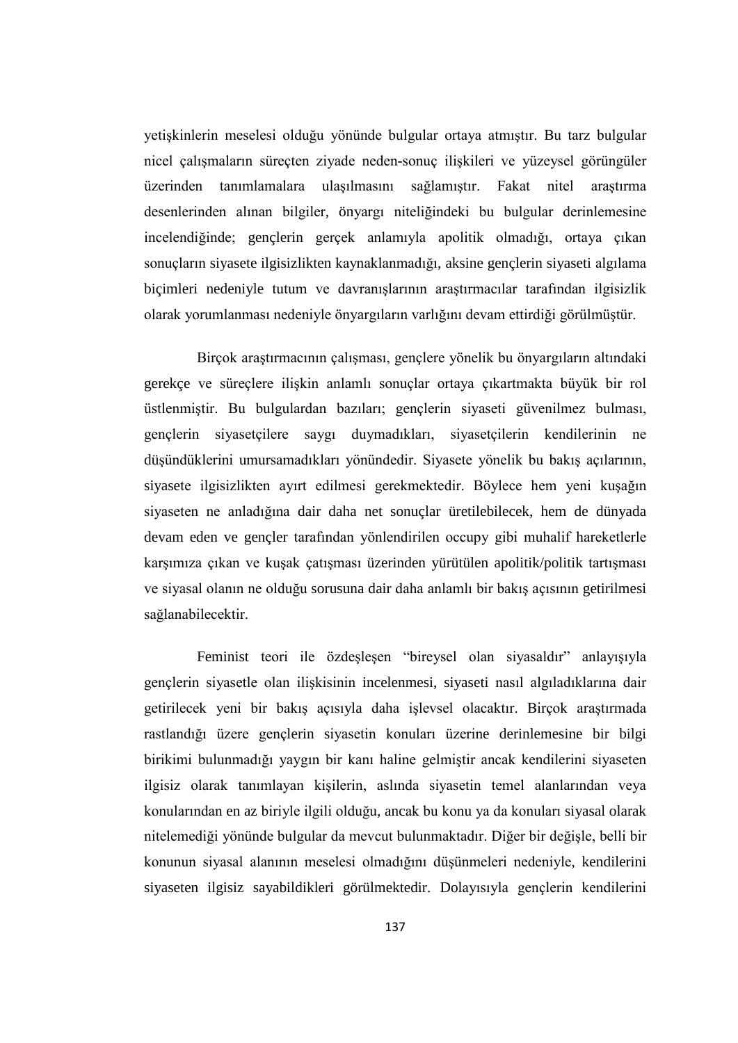yetişkinlerin meselesi olduğu yönünde bulgular ortaya atmıştır. Bu tarz bulgular nicel çalışmaların süreçten ziyade neden-sonuç ilişkileri ve yüzeysel görüngüler üzerinden tanımlamalara ulaşılmasını sağlamıştır. Fakat nitel araştırma desenlerinden alınan bilgiler, önyargı niteliğindeki bu bulgular derinlemesine incelendiğinde; gençlerin gerçek anlamıyla apolitik olmadığı, ortaya çıkan sonuçların siyasete ilgisizlikten kaynaklanmadığı, aksine gençlerin siyaseti algılama biçimleri nedeniyle tutum ve davranışlarının araştırmacılar tarafından ilgisizlik olarak yorumlanması nedeniyle önyargıların varlığını devam ettirdiği görülmüştür.

Birçok araştırmacının çalışması, gençlere yönelik bu önyargıların altındaki gerekçe ve süreçlere ilişkin anlamlı sonuçlar ortaya çıkartmakta büyük bir rol üstlenmiştir. Bu bulgulardan bazıları; gençlerin siyaseti güvenilmez bulması, gençlerin siyasetçilere saygı duymadıkları, siyasetçilerin kendilerinin ne düşündüklerini umursamadıkları yönündedir. Siyasete yönelik bu bakış açılarının, siyasete ilgisizlikten ayırt edilmesi gerekmektedir. Böylece hem yeni kuşağın siyaseten ne anladığına dair daha net sonuçlar üretilebilecek, hem de dünyada devam eden ve gençler tarafından yönlendirilen occupy gibi muhalif hareketlerle karşımıza çıkan ve kuşak çatışması üzerinden yürütülen apolitik/politik tartışması ve siyasal olanın ne olduğu sorusuna dair daha anlamlı bir bakış açısının getirilmesi sağlanabilecektir.

Feminist teori ile özdeşleşen "bireysel olan siyasaldır" anlayışıyla gençlerin siyasetle olan ilişkisinin incelenmesi, siyaseti nasıl algıladıklarına dair getirilecek yeni bir bakış açısıyla daha işlevsel olacaktır. Birçok araştırmada rastlandığı üzere gençlerin siyasetin konuları üzerine derinlemesine bir bilgi birikimi bulunmadığı yaygın bir kanı haline gelmiştir ancak kendilerini siyaseten ilgisiz olarak tanımlayan kişilerin, aslında siyasetin temel alanlarından veya konularından en az biriyle ilgili olduğu, ancak bu konu ya da konuları siyasal olarak nitelemediği yönünde bulgular da mevcut bulunmaktadır. Diğer bir değişle, belli bir konunun siyasal alanının meselesi olmadığını düşünmeleri nedeniyle, kendilerini siyaseten ilgisiz sayabildikleri görülmektedir. Dolayısıyla gençlerin kendilerini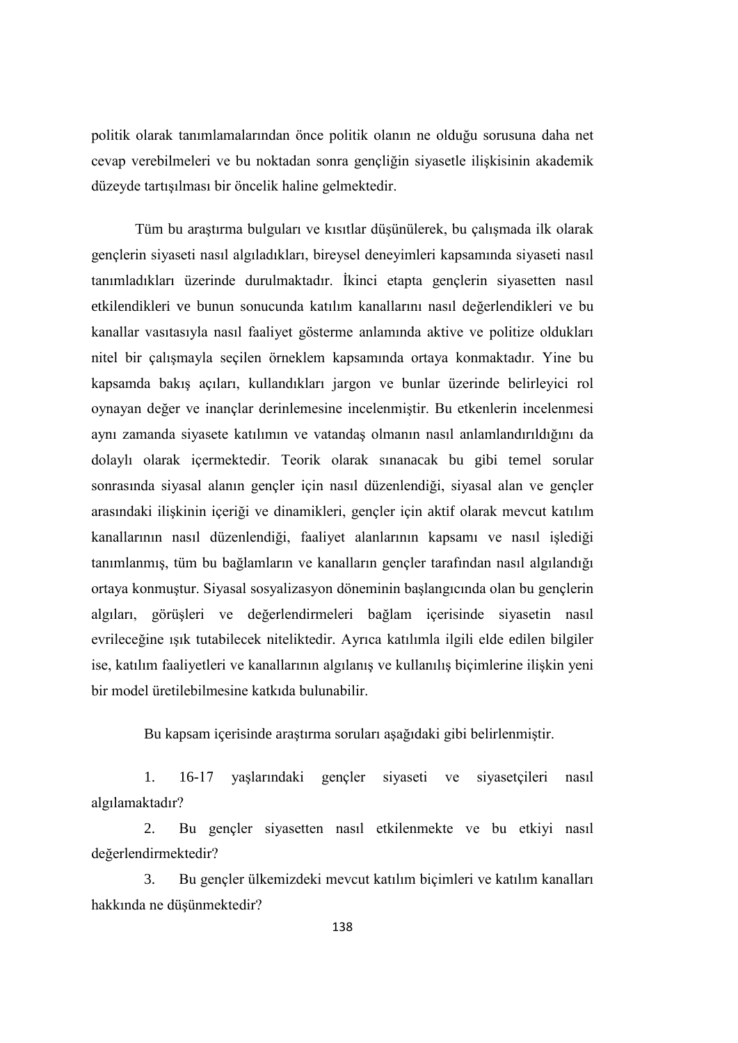politik olarak tanımlamalarından önce politik olanın ne olduğu sorusuna daha net cevap verebilmeleri ve bu noktadan sonra gençliğin siyasetle ilişkisinin akademik düzeyde tartışılması bir öncelik haline gelmektedir.

Tüm bu araştırma bulguları ve kısıtlar düşünülerek, bu çalışmada ilk olarak gençlerin siyaseti nasıl algıladıkları, bireysel deneyimleri kapsamında siyaseti nasıl tanımladıkları üzerinde durulmaktadır. İkinci etapta gençlerin siyasetten nasıl etkilendikleri ve bunun sonucunda katılım kanallarını nasıl değerlendikleri ve bu kanallar vasıtasıyla nasıl faaliyet gösterme anlamında aktive ve politize oldukları nitel bir çalışmayla seçilen örneklem kapsamında ortaya konmaktadır. Yine bu kapsamda bakış açıları, kullandıkları jargon ve bunlar üzerinde belirleyici rol oynayan değer ve inançlar derinlemesine incelenmiştir. Bu etkenlerin incelenmesi aynı zamanda siyasete katılımın ve vatandaş olmanın nasıl anlamlandırıldığını da dolaylı olarak içermektedir. Teorik olarak sınanacak bu gibi temel sorular sonrasında siyasal alanın gençler için nasıl düzenlendiği, siyasal alan ve gençler arasındaki ilişkinin içeriği ve dinamikleri, gençler için aktif olarak mevcut katılım kanallarının nasıl düzenlendiği, faaliyet alanlarının kapsamı ve nasıl işlediği tanımlanmış, tüm bu bağlamların ve kanalların gençler tarafından nasıl algılandığı ortaya konmuştur. Siyasal sosyalizasyon döneminin başlangıcında olan bu gençlerin algıları, görüşleri ve değerlendirmeleri bağlam içerisinde siyasetin nasıl evrileceğine ışık tutabilecek niteliktedir. Ayrıca katılımla ilgili elde edilen bilgiler ise, katılım faaliyetleri ve kanallarının algılanış ve kullanılış biçimlerine ilişkin yeni bir model üretilebilmesine katkıda bulunabilir.

Bu kapsam içerisinde araştırma soruları aşağıdaki gibi belirlenmiştir.

1. 16-17 yaşlarındaki gençler siyaseti ve siyasetçileri nasıl algılamaktadır?

2. Bu gençler siyasetten nasıl etkilenmekte ve bu etkiyi nasıl değerlendirmektedir?

3. Bu gençler ülkemizdeki mevcut katılım biçimleri ve katılım kanalları hakkında ne düşünmektedir?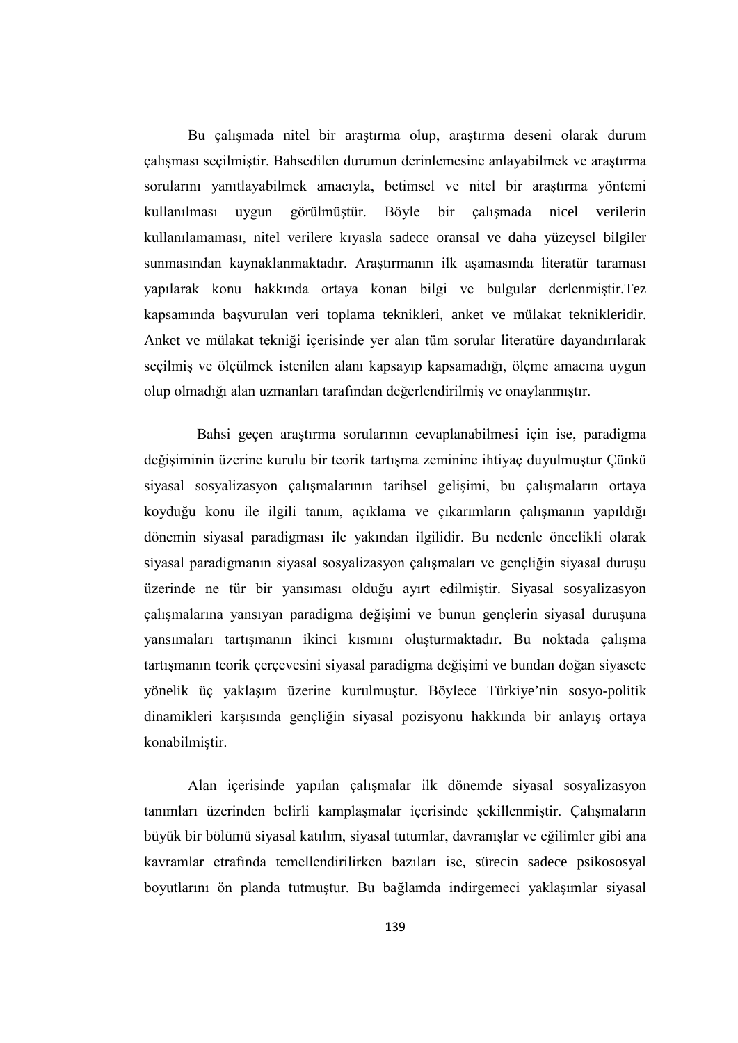Bu çalışmada nitel bir araştırma olup, araştırma deseni olarak durum çalışması seçilmiştir. Bahsedilen durumun derinlemesine anlayabilmek ve araştırma sorularını yanıtlayabilmek amacıyla, betimsel ve nitel bir araştırma yöntemi kullanılması uygun görülmüştür. Böyle bir çalışmada nicel verilerin kullanılamaması, nitel verilere kıyasla sadece oransal ve daha yüzeysel bilgiler sunmasından kaynaklanmaktadır. Araştırmanın ilk aşamasında literatür taraması yapılarak konu hakkında ortaya konan bilgi ve bulgular derlenmiştir.Tez kapsamında başvurulan veri toplama teknikleri, anket ve mülakat teknikleridir. Anket ve mülakat tekniği içerisinde yer alan tüm sorular literatüre dayandırılarak seçilmiş ve ölçülmek istenilen alanı kapsayıp kapsamadığı, ölçme amacına uygun olup olmadığı alan uzmanları tarafından değerlendirilmiş ve onaylanmıştır.

Bahsi geçen araştırma sorularının cevaplanabilmesi için ise, paradigma değişiminin üzerine kurulu bir teorik tartışma zeminine ihtiyaç duyulmuştur Çünkü siyasal sosyalizasyon çalışmalarının tarihsel gelişimi, bu çalışmaların ortaya koyduğu konu ile ilgili tanım, açıklama ve çıkarımların çalışmanın yapıldığı dönemin siyasal paradigması ile yakından ilgilidir. Bu nedenle öncelikli olarak siyasal paradigmanın siyasal sosyalizasyon çalışmaları ve gençliğin siyasal duruşu üzerinde ne tür bir yansıması olduğu ayırt edilmiştir. Siyasal sosyalizasyon çalışmalarına yansıyan paradigma değişimi ve bunun gençlerin siyasal duruşuna yansımaları tartışmanın ikinci kısmını oluşturmaktadır. Bu noktada çalışma tartışmanın teorik çerçevesini siyasal paradigma değişimi ve bundan doğan siyasete yönelik üç yaklaşım üzerine kurulmuştur. Böylece Türkiye'nin sosyo-politik dinamikleri karşısında gençliğin siyasal pozisyonu hakkında bir anlayış ortaya konabilmiştir.

Alan içerisinde yapılan çalışmalar ilk dönemde siyasal sosyalizasyon tanımları üzerinden belirli kamplaşmalar içerisinde şekillenmiştir. Çalışmaların büyük bir bölümü siyasal katılım, siyasal tutumlar, davranışlar ve eğilimler gibi ana kavramlar etrafında temellendirilirken bazıları ise, sürecin sadece psikososyal boyutlarını ön planda tutmuştur. Bu bağlamda indirgemeci yaklaşımlar siyasal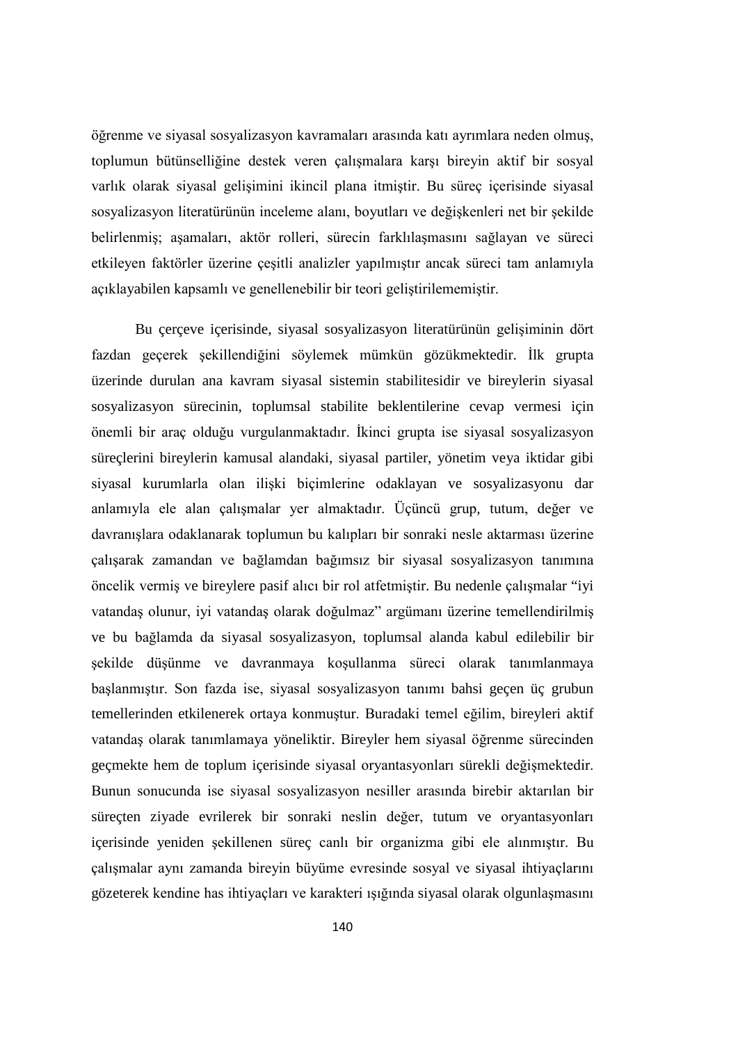öğrenme ve siyasal sosyalizasyon kavramaları arasında katı ayrımlara neden olmuş, toplumun bütünselliğine destek veren çalışmalara karşı bireyin aktif bir sosyal varlık olarak siyasal gelişimini ikincil plana itmiştir. Bu süreç içerisinde siyasal sosyalizasyon literatürünün inceleme alanı, boyutları ve değişkenleri net bir şekilde belirlenmiş; aşamaları, aktör rolleri, sürecin farklılaşmasını sağlayan ve süreci etkileyen faktörler üzerine çeşitli analizler yapılmıştır ancak süreci tam anlamıyla açıklayabilen kapsamlı ve genellenebilir bir teori geliştirilememiştir.

Bu çerçeve içerisinde, siyasal sosyalizasyon literatürünün gelişiminin dört fazdan geçerek şekillendiğini söylemek mümkün gözükmektedir. İlk grupta üzerinde durulan ana kavram siyasal sistemin stabilitesidir ve bireylerin siyasal sosyalizasyon sürecinin, toplumsal stabilite beklentilerine cevap vermesi için önemli bir araç olduğu vurgulanmaktadır. İkinci grupta ise siyasal sosyalizasyon süreçlerini bireylerin kamusal alandaki, siyasal partiler, yönetim veya iktidar gibi siyasal kurumlarla olan ilişki biçimlerine odaklayan ve sosyalizasyonu dar anlamıyla ele alan çalışmalar yer almaktadır. Üçüncü grup, tutum, değer ve davranışlara odaklanarak toplumun bu kalıpları bir sonraki nesle aktarması üzerine çalışarak zamandan ve bağlamdan bağımsız bir siyasal sosyalizasyon tanımına öncelik vermiş ve bireylere pasif alıcı bir rol atfetmiştir. Bu nedenle çalışmalar "iyi vatandaş olunur, iyi vatandaş olarak doğulmaz" argümanı üzerine temellendirilmiş ve bu bağlamda da siyasal sosyalizasyon, toplumsal alanda kabul edilebilir bir şekilde düşünme ve davranmaya koşullanma süreci olarak tanımlanmaya başlanmıştır. Son fazda ise, siyasal sosyalizasyon tanımı bahsi geçen üç grubun temellerinden etkilenerek ortaya konmuştur. Buradaki temel eğilim, bireyleri aktif vatandaş olarak tanımlamaya yöneliktir. Bireyler hem siyasal öğrenme sürecinden geçmekte hem de toplum içerisinde siyasal oryantasyonları sürekli değişmektedir. Bunun sonucunda ise siyasal sosyalizasyon nesiller arasında birebir aktarılan bir süreçten ziyade evrilerek bir sonraki neslin değer, tutum ve oryantasyonları içerisinde yeniden şekillenen süreç canlı bir organizma gibi ele alınmıştır. Bu çalışmalar aynı zamanda bireyin büyüme evresinde sosyal ve siyasal ihtiyaçlarını gözeterek kendine has ihtiyaçları ve karakteri ışığında siyasal olarak olgunlaşmasını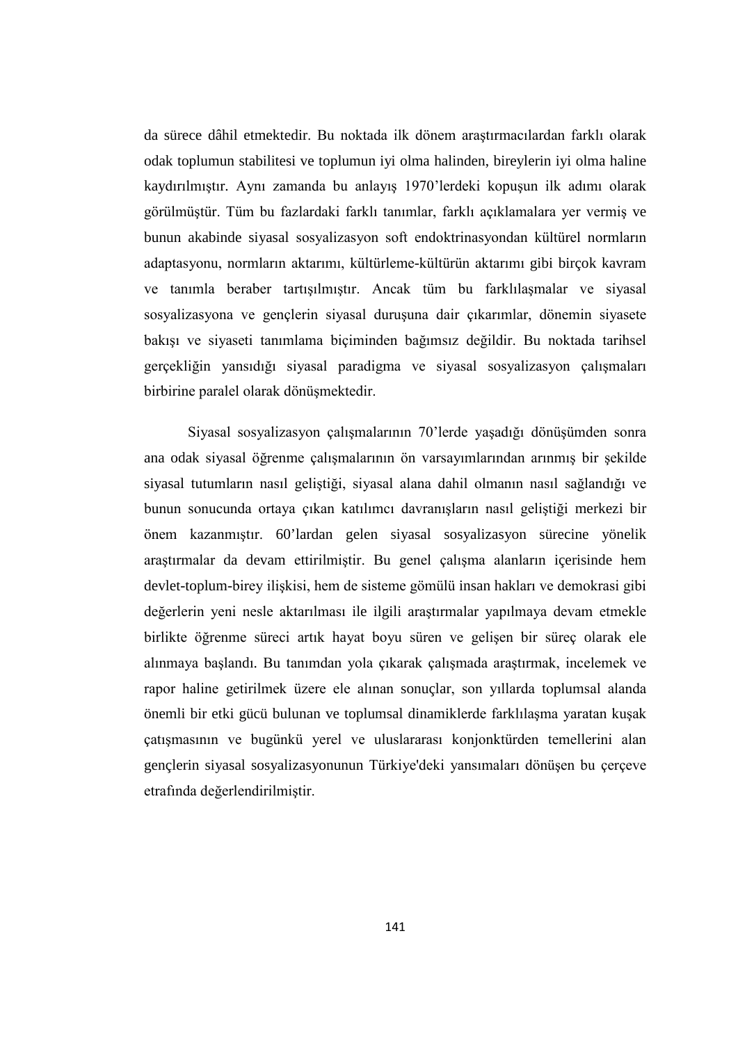da sürece dâhil etmektedir. Bu noktada ilk dönem araştırmacılardan farklı olarak odak toplumun stabilitesi ve toplumun iyi olma halinden, bireylerin iyi olma haline kaydırılmıştır. Aynı zamanda bu anlayış 1970'lerdeki kopuşun ilk adımı olarak görülmüştür. Tüm bu fazlardaki farklı tanımlar, farklı açıklamalara yer vermiş ve bunun akabinde siyasal sosyalizasyon soft endoktrinasyondan kültürel normların adaptasyonu, normların aktarımı, kültürleme-kültürün aktarımı gibi birçok kavram ve tanımla beraber tartışılmıştır. Ancak tüm bu farklılaşmalar ve siyasal sosyalizasyona ve gençlerin siyasal duruşuna dair çıkarımlar, dönemin siyasete bakışı ve siyaseti tanımlama biçiminden bağımsız değildir. Bu noktada tarihsel gerçekliğin yansıdığı siyasal paradigma ve siyasal sosyalizasyon çalışmaları birbirine paralel olarak dönüşmektedir.

Siyasal sosyalizasyon çalışmalarının 70'lerde yaşadığı dönüşümden sonra ana odak siyasal öğrenme çalışmalarının ön varsayımlarından arınmış bir şekilde siyasal tutumların nasıl geliştiği, siyasal alana dahil olmanın nasıl sağlandığı ve bunun sonucunda ortaya çıkan katılımcı davranışların nasıl geliştiği merkezi bir önem kazanmıştır. 60'lardan gelen siyasal sosyalizasyon sürecine yönelik araştırmalar da devam ettirilmiştir. Bu genel çalışma alanların içerisinde hem devlet-toplum-birey ilişkisi, hem de sisteme gömülü insan hakları ve demokrasi gibi değerlerin yeni nesle aktarılması ile ilgili araştırmalar yapılmaya devam etmekle birlikte öğrenme süreci artık hayat boyu süren ve gelişen bir süreç olarak ele alınmaya başlandı. Bu tanımdan yola çıkarak çalışmada araştırmak, incelemek ve rapor haline getirilmek üzere ele alınan sonuçlar, son yıllarda toplumsal alanda önemli bir etki gücü bulunan ve toplumsal dinamiklerde farklılaşma yaratan kuşak çatışmasının ve bugünkü yerel ve uluslararası konjonktürden temellerini alan gençlerin siyasal sosyalizasyonunun Türkiye'deki yansımaları dönüşen bu çerçeve etrafında değerlendirilmiştir.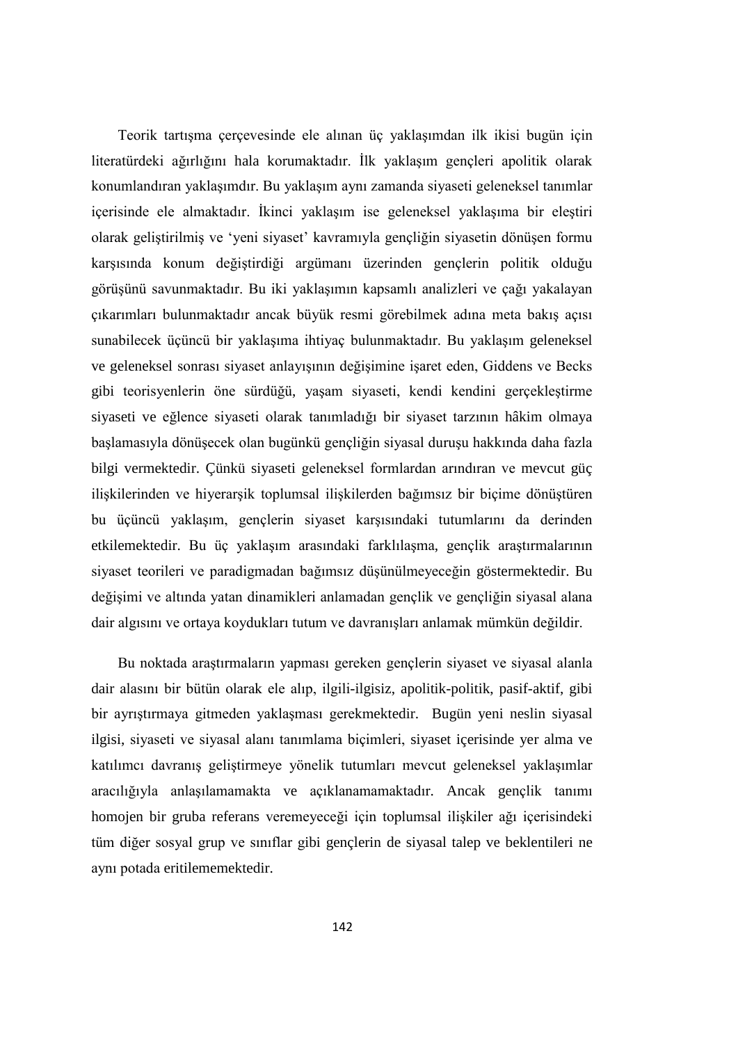Teorik tartışma çerçevesinde ele alınan üç yaklaşımdan ilk ikisi bugün için literatürdeki ağırlığını hala korumaktadır. İlk yaklaşım gençleri apolitik olarak konumlandıran yaklaşımdır. Bu yaklaşım aynı zamanda siyaseti geleneksel tanımlar içerisinde ele almaktadır. İkinci yaklaşım ise geleneksel yaklaşıma bir eleştiri olarak geliştirilmiş ve 'yeni siyaset' kavramıyla gençliğin siyasetin dönüşen formu karşısında konum değiştirdiği argümanı üzerinden gençlerin politik olduğu görüşünü savunmaktadır. Bu iki yaklaşımın kapsamlı analizleri ve çağı yakalayan çıkarımları bulunmaktadır ancak büyük resmi görebilmek adına meta bakış açısı sunabilecek üçüncü bir yaklaşıma ihtiyaç bulunmaktadır. Bu yaklaşım geleneksel ve geleneksel sonrası siyaset anlayışının değişimine işaret eden, Giddens ve Becks gibi teorisyenlerin öne sürdüğü, yaşam siyaseti, kendi kendini gerçekleştirme siyaseti ve eğlence siyaseti olarak tanımladığı bir siyaset tarzının hâkim olmaya başlamasıyla dönüşecek olan bugünkü gençliğin siyasal duruşu hakkında daha fazla bilgi vermektedir. Çünkü siyaseti geleneksel formlardan arındıran ve mevcut güç ilişkilerinden ve hiyerarşik toplumsal ilişkilerden bağımsız bir biçime dönüştüren bu üçüncü yaklaşım, gençlerin siyaset karşısındaki tutumlarını da derinden etkilemektedir. Bu üç yaklaşım arasındaki farklılaşma, gençlik araştırmalarının siyaset teorileri ve paradigmadan bağımsız düşünülmeyeceğin göstermektedir. Bu değişimi ve altında yatan dinamikleri anlamadan gençlik ve gençliğin siyasal alana dair algısını ve ortaya koydukları tutum ve davranışları anlamak mümkün değildir.

Bu noktada araştırmaların yapması gereken gençlerin siyaset ve siyasal alanla dair alasını bir bütün olarak ele alıp, ilgili-ilgisiz, apolitik-politik, pasif-aktif, gibi bir ayrıştırmaya gitmeden yaklaşması gerekmektedir. Bugün yeni neslin siyasal ilgisi, siyaseti ve siyasal alanı tanımlama biçimleri, siyaset içerisinde yer alma ve katılımcı davranış geliştirmeye yönelik tutumları mevcut geleneksel yaklaşımlar aracılığıyla anlaşılamamakta ve açıklanamamaktadır. Ancak gençlik tanımı homojen bir gruba referans veremeyeceği için toplumsal ilişkiler ağı içerisindeki tüm diğer sosyal grup ve sınıflar gibi gençlerin de siyasal talep ve beklentileri ne aynı potada eritilememektedir.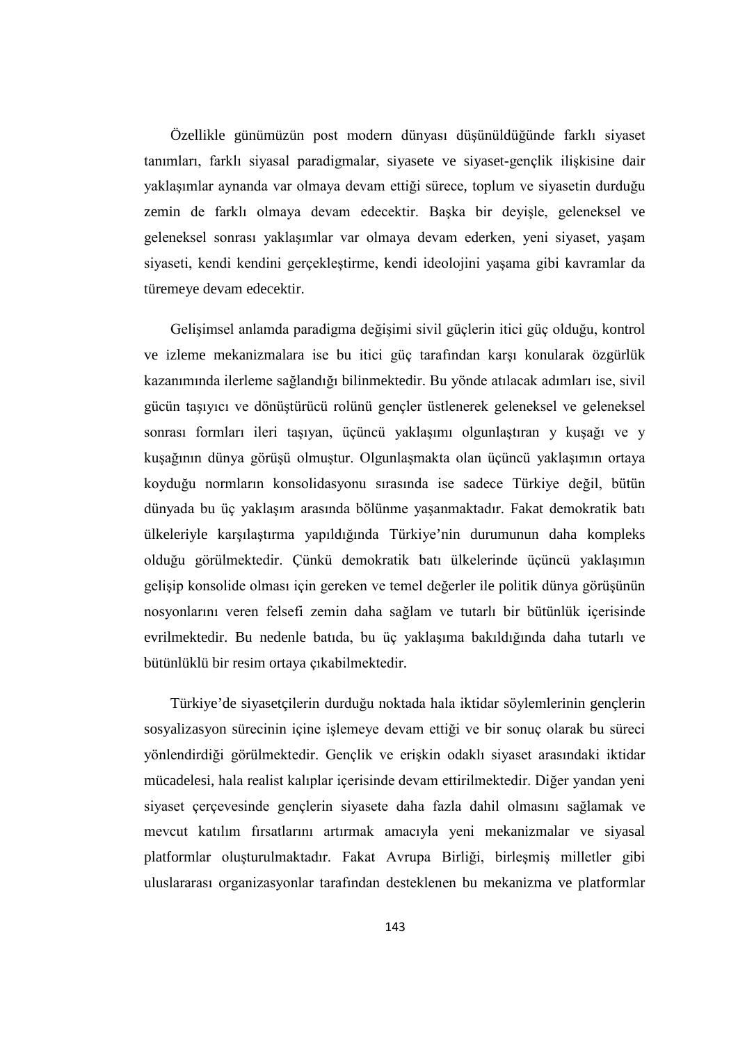Özellikle günümüzün post modern dünyası düşünüldüğünde farklı siyaset tanımları, farklı siyasal paradigmalar, siyasete ve siyaset-gençlik ilişkisine dair yaklaşımlar aynanda var olmaya devam ettiği sürece, toplum ve siyasetin durduğu zemin de farklı olmaya devam edecektir. Başka bir deyişle, geleneksel ve geleneksel sonrası yaklaşımlar var olmaya devam ederken, yeni siyaset, yaşam siyaseti, kendi kendini gerçekleştirme, kendi ideolojini yaşama gibi kavramlar da türemeye devam edecektir.

Gelişimsel anlamda paradigma değişimi sivil güçlerin itici güç olduğu, kontrol ve izleme mekanizmalara ise bu itici güç tarafından karşı konularak özgürlük kazanımında ilerleme sağlandığı bilinmektedir. Bu yönde atılacak adımları ise, sivil gücün taşıyıcı ve dönüştürücü rolünü gençler üstlenerek geleneksel ve geleneksel sonrası formları ileri taşıyan, üçüncü yaklaşımı olgunlaştıran y kuşağı ve y kuşağının dünya görüşü olmuştur. Olgunlaşmakta olan üçüncü yaklaşımın ortaya koyduğu normların konsolidasyonu sırasında ise sadece Türkiye değil, bütün dünyada bu üç yaklaşım arasında bölünme yaşanmaktadır. Fakat demokratik batı ülkeleriyle karşılaştırma yapıldığında Türkiye'nin durumunun daha kompleks olduğu görülmektedir. Çünkü demokratik batı ülkelerinde üçüncü yaklaşımın gelişip konsolide olması için gereken ve temel değerler ile politik dünya görüşünün nosyonlarını veren felsefi zemin daha sağlam ve tutarlı bir bütünlük içerisinde evrilmektedir. Bu nedenle batıda, bu üç yaklaşıma bakıldığında daha tutarlı ve bütünlüklü bir resim ortaya çıkabilmektedir.

Türkiye'de siyasetçilerin durduğu noktada hala iktidar söylemlerinin gençlerin sosyalizasyon sürecinin içine işlemeye devam ettiği ve bir sonuç olarak bu süreci yönlendirdiği görülmektedir. Gençlik ve erişkin odaklı siyaset arasındaki iktidar mücadelesi, hala realist kalıplar içerisinde devam ettirilmektedir. Diğer yandan yeni siyaset çerçevesinde gençlerin siyasete daha fazla dahil olmasını sağlamak ve mevcut katılım fırsatlarını artırmak amacıyla yeni mekanizmalar ve siyasal platformlar oluşturulmaktadır. Fakat Avrupa Birliği, birleşmiş milletler gibi uluslararası organizasyonlar tarafından desteklenen bu mekanizma ve platformlar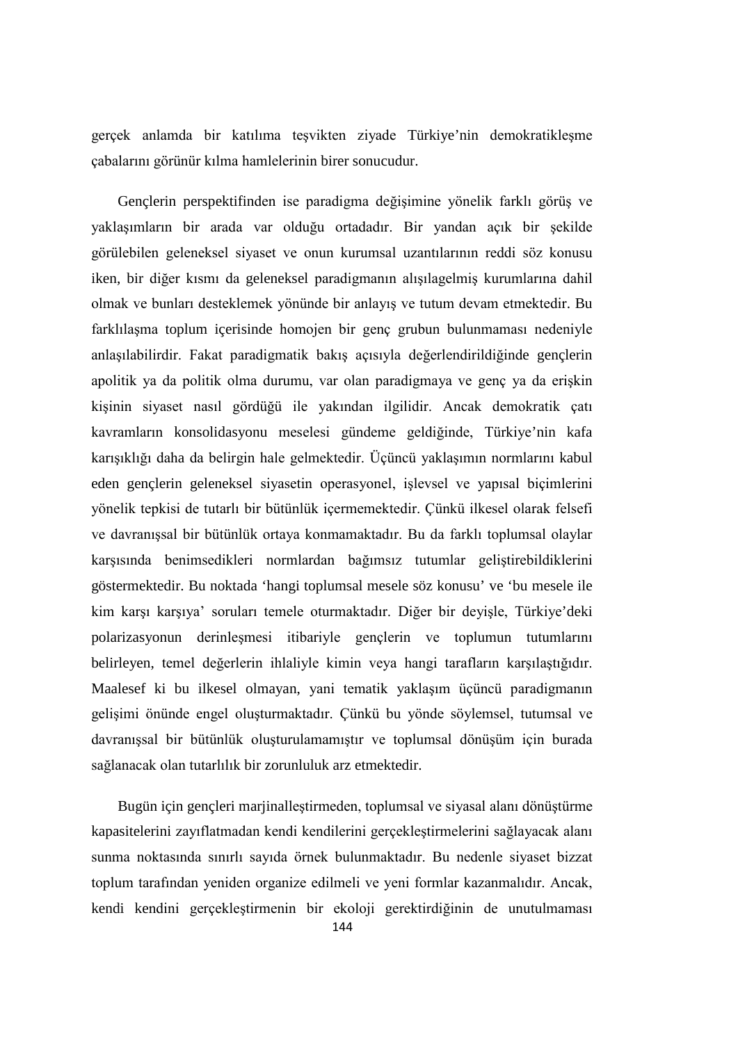gerçek anlamda bir katılıma teşvikten ziyade Türkiye'nin demokratikleşme çabalarını görünür kılma hamlelerinin birer sonucudur.

Gençlerin perspektifinden ise paradigma değişimine yönelik farklı görüş ve yaklaşımların bir arada var olduğu ortadadır. Bir yandan açık bir şekilde görülebilen geleneksel siyaset ve onun kurumsal uzantılarının reddi söz konusu iken, bir diğer kısmı da geleneksel paradigmanın alışılagelmiş kurumlarına dahil olmak ve bunları desteklemek yönünde bir anlayış ve tutum devam etmektedir. Bu farklılaşma toplum içerisinde homojen bir genç grubun bulunmaması nedeniyle anlaşılabilirdir. Fakat paradigmatik bakış açısıyla değerlendirildiğinde gençlerin apolitik ya da politik olma durumu, var olan paradigmaya ve genç ya da erişkin kişinin siyaset nasıl gördüğü ile yakından ilgilidir. Ancak demokratik çatı kavramların konsolidasyonu meselesi gündeme geldiğinde, Türkiye'nin kafa karışıklığı daha da belirgin hale gelmektedir. Üçüncü yaklaşımın normlarını kabul eden gençlerin geleneksel siyasetin operasyonel, işlevsel ve yapısal biçimlerini yönelik tepkisi de tutarlı bir bütünlük içermemektedir. Çünkü ilkesel olarak felsefi ve davranışsal bir bütünlük ortaya konmamaktadır. Bu da farklı toplumsal olaylar karşısında benimsedikleri normlardan bağımsız tutumlar geliştirebildiklerini göstermektedir. Bu noktada 'hangi toplumsal mesele söz konusu' ve 'bu mesele ile kim karşı karşıya' soruları temele oturmaktadır. Diğer bir deyişle, Türkiye'deki polarizasyonun derinleşmesi itibariyle gençlerin ve toplumun tutumlarını belirleyen, temel değerlerin ihlaliyle kimin veya hangi tarafların karşılaştığıdır. Maalesef ki bu ilkesel olmayan, yani tematik yaklaşım üçüncü paradigmanın gelişimi önünde engel oluşturmaktadır. Çünkü bu yönde söylemsel, tutumsal ve davranışsal bir bütünlük oluşturulamamıştır ve toplumsal dönüşüm için burada sağlanacak olan tutarlılık bir zorunluluk arz etmektedir.

Bugün için gençleri marjinalleştirmeden, toplumsal ve siyasal alanı dönüştürme kapasitelerini zayıflatmadan kendi kendilerini gerçekleştirmelerini sağlayacak alanı sunma noktasında sınırlı sayıda örnek bulunmaktadır. Bu nedenle siyaset bizzat toplum tarafından yeniden organize edilmeli ve yeni formlar kazanmalıdır. Ancak, kendi kendini gerçekleştirmenin bir ekoloji gerektirdiğinin de unutulmaması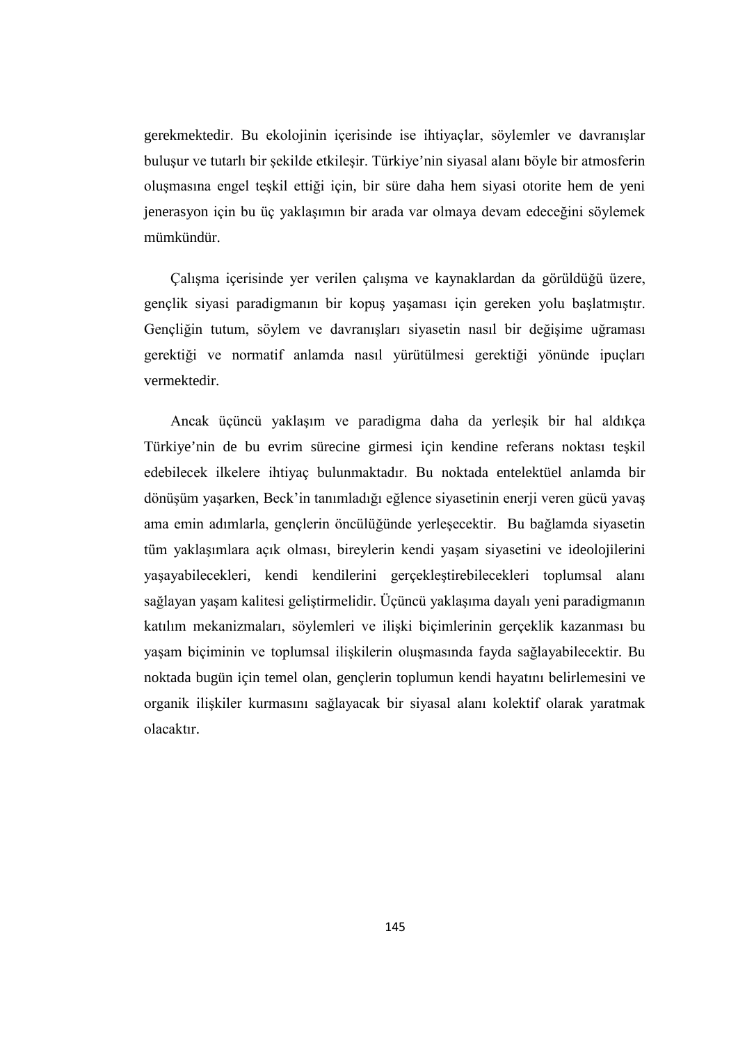gerekmektedir. Bu ekolojinin içerisinde ise ihtiyaçlar, söylemler ve davranışlar buluşur ve tutarlı bir şekilde etkileşir. Türkiye'nin siyasal alanı böyle bir atmosferin oluşmasına engel teşkil ettiği için, bir süre daha hem siyasi otorite hem de yeni jenerasyon için bu üç yaklaşımın bir arada var olmaya devam edeceğini söylemek mümkündür.

Çalışma içerisinde yer verilen çalışma ve kaynaklardan da görüldüğü üzere, gençlik siyasi paradigmanın bir kopuş yaşaması için gereken yolu başlatmıştır. Gençliğin tutum, söylem ve davranışları siyasetin nasıl bir değişime uğraması gerektiği ve normatif anlamda nasıl yürütülmesi gerektiği yönünde ipuçları vermektedir.

Ancak üçüncü yaklaşım ve paradigma daha da yerleşik bir hal aldıkça Türkiye'nin de bu evrim sürecine girmesi için kendine referans noktası teşkil edebilecek ilkelere ihtiyaç bulunmaktadır. Bu noktada entelektüel anlamda bir dönüşüm yaşarken, Beck'in tanımladığı eğlence siyasetinin enerji veren gücü yavaş ama emin adımlarla, gençlerin öncülüğünde yerleşecektir. Bu bağlamda siyasetin tüm yaklaşımlara açık olması, bireylerin kendi yaşam siyasetini ve ideolojilerini yaşayabilecekleri, kendi kendilerini gerçekleştirebilecekleri toplumsal alanı sağlayan yaşam kalitesi geliştirmelidir. Üçüncü yaklaşıma dayalı yeni paradigmanın katılım mekanizmaları, söylemleri ve ilişki biçimlerinin gerçeklik kazanması bu yaşam biçiminin ve toplumsal ilişkilerin oluşmasında fayda sağlayabilecektir. Bu noktada bugün için temel olan, gençlerin toplumun kendi hayatını belirlemesini ve organik ilişkiler kurmasını sağlayacak bir siyasal alanı kolektif olarak yaratmak olacaktır.